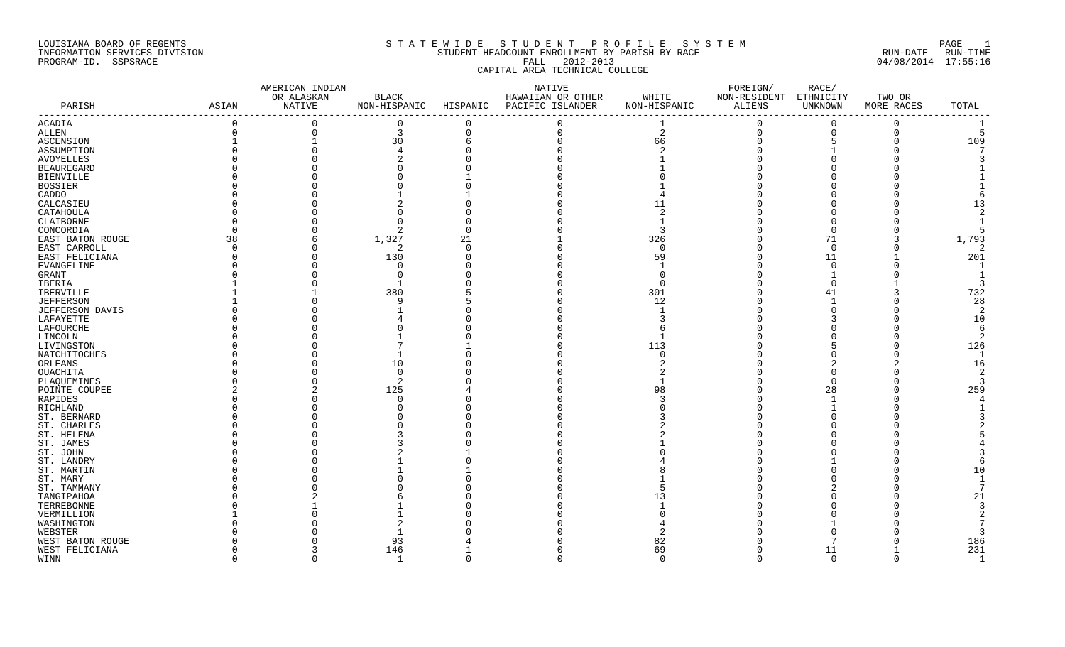## LOUISIANA BOARD OF REGENTS S T A T E W I D E S T U D E N T P R O F I L E S Y S T E M PAGE 1 INFORMATION SERVICES DIVISION STUDENT HEADCOUNT ENROLLMENT BY PARISH BY RACE RUN-DATE RUN-TIME PROGRAM-ID. SSPSRACE FALL 2012-2013 04/08/2014 17:55:16 CAPITAL AREA TECHNICAL COLLEGE

|                   |             | AMERICAN INDIAN |                        |                                   | NATIVE                    |                                                        | FOREIGN/     | RACE/                  |              |                |
|-------------------|-------------|-----------------|------------------------|-----------------------------------|---------------------------|--------------------------------------------------------|--------------|------------------------|--------------|----------------|
|                   |             | OR ALASKAN      | $\operatorname{BLACK}$ |                                   | HAWAIIAN OR OTHER         | WHITE                                                  | NON-RESIDENT | ETHNICITY              | TWO OR       |                |
| PARISH            | ASIAN       | NATIVE          | NON-HISPANIC           | . _ _ _ _ _ _ _ _ _ _ _ _ _ _ _ _ | HISPANIC PACIFIC ISLANDER | NON-HISPANIC<br>-------------------------------------- | ALIENS       | UNKNOWN<br>----------- | MORE RACES   | TOTAL          |
| ACADIA            | $\Omega$    | $\Omega$        | $\overline{0}$         | $\Omega$                          | $\Omega$                  |                                                        | $\Omega$     | $\Omega$               | $\mathbf 0$  |                |
| ALLEN             | $\mathbf 0$ | $\mathbf 0$     | $\mathbf{3}$           | $\mathbf 0$                       | $\Omega$                  | 2                                                      | $\mathbf 0$  | $\mathbf 0$            | $\mathbf{0}$ | 5              |
| ASCENSION         |             |                 | 30                     | 6                                 |                           | 66                                                     |              | 5                      | $\Omega$     | 109            |
| ASSUMPTION        |             |                 |                        |                                   |                           |                                                        |              |                        |              |                |
| AVOYELLES         |             |                 |                        |                                   |                           |                                                        |              |                        |              |                |
| <b>BEAUREGARD</b> |             |                 |                        |                                   |                           |                                                        |              |                        |              |                |
| <b>BIENVILLE</b>  |             |                 |                        |                                   |                           |                                                        |              |                        |              |                |
| <b>BOSSIER</b>    |             |                 |                        |                                   |                           |                                                        |              |                        |              |                |
| CADDO             |             |                 |                        |                                   |                           |                                                        |              |                        |              |                |
| CALCASIEU         |             |                 |                        |                                   |                           | 11                                                     |              |                        |              | 13             |
| CATAHOULA         |             |                 |                        |                                   |                           |                                                        |              |                        |              |                |
| CLAIBORNE         |             |                 |                        |                                   |                           |                                                        |              |                        |              |                |
| CONCORDIA         |             |                 | 2                      | $\cap$                            |                           | 3                                                      |              |                        |              | 5              |
| EAST BATON ROUGE  | 38          | 6               | 1,327                  | 21                                |                           | 326                                                    |              | 71                     |              | 1,793          |
| EAST CARROLL      | $\Omega$    | $\Omega$        | 2                      | $\Omega$                          |                           | $\Omega$                                               |              | - 0                    |              | 2              |
| EAST FELICIANA    |             |                 | 130                    |                                   |                           | 59                                                     |              | 11                     |              | 201            |
| EVANGELINE        |             |                 |                        |                                   |                           |                                                        |              |                        |              |                |
| GRANT             |             |                 |                        |                                   |                           |                                                        |              |                        |              |                |
| IBERIA            |             |                 |                        |                                   |                           | <sup>0</sup>                                           |              |                        |              | 3              |
| <b>IBERVILLE</b>  |             |                 | 380                    |                                   |                           | 301                                                    |              | 41                     |              | 732            |
| <b>JEFFERSON</b>  |             |                 | q                      |                                   |                           | 12                                                     |              |                        |              | 28             |
| JEFFERSON DAVIS   |             |                 |                        |                                   |                           |                                                        |              |                        |              | -2             |
| LAFAYETTE         |             |                 |                        |                                   |                           |                                                        |              |                        |              | 10             |
| LAFOURCHE         |             |                 |                        |                                   |                           |                                                        |              |                        |              | -6             |
| LINCOLN           |             |                 |                        |                                   |                           |                                                        |              |                        |              | 2              |
| LIVINGSTON        |             |                 |                        |                                   |                           | 113                                                    |              |                        |              | 126            |
| NATCHITOCHES      |             |                 |                        |                                   |                           |                                                        |              |                        |              | -1             |
| ORLEANS           |             |                 | 10                     |                                   |                           |                                                        |              |                        |              | 16             |
| OUACHITA          |             |                 | $\Omega$               |                                   |                           |                                                        |              |                        |              | $\overline{2}$ |
| PLAQUEMINES       |             |                 | 2                      |                                   |                           |                                                        |              |                        |              | 3              |
| POINTE COUPEE     |             |                 | 125                    |                                   |                           | 98                                                     |              | 28                     |              | 259            |
| RAPIDES           |             |                 |                        |                                   |                           |                                                        |              |                        |              |                |
| RICHLAND          |             |                 |                        |                                   |                           |                                                        |              |                        |              |                |
| ST. BERNARD       |             |                 |                        |                                   |                           |                                                        |              |                        |              |                |
| ST. CHARLES       |             |                 |                        |                                   |                           |                                                        |              |                        |              |                |
| ST. HELENA        |             |                 |                        |                                   |                           |                                                        |              |                        |              |                |
| ST. JAMES         |             |                 |                        |                                   |                           |                                                        |              |                        |              |                |
| ST. JOHN          |             |                 |                        |                                   |                           |                                                        |              |                        |              |                |
| ST. LANDRY        |             |                 |                        |                                   |                           |                                                        |              |                        |              |                |
| ST. MARTIN        |             |                 |                        |                                   |                           |                                                        |              |                        |              | 10             |
| ST. MARY          |             |                 |                        |                                   |                           |                                                        |              |                        |              |                |
| ST. TAMMANY       |             |                 |                        |                                   |                           |                                                        |              |                        |              |                |
| TANGIPAHOA        |             |                 |                        |                                   |                           | 13                                                     |              |                        |              | 21             |
| TERREBONNE        |             |                 |                        |                                   |                           |                                                        |              |                        |              | 3              |
| VERMILLION        |             |                 |                        |                                   |                           |                                                        |              |                        |              |                |
| WASHINGTON        |             |                 |                        |                                   |                           |                                                        |              |                        |              |                |
| WEBSTER           |             |                 |                        |                                   |                           |                                                        |              |                        |              |                |
| WEST BATON ROUGE  |             |                 | 93                     |                                   |                           | 82                                                     |              |                        |              | 186            |
| WEST FELICIANA    |             | 3               | 146                    |                                   |                           | 69                                                     |              | 11                     |              | 231            |
| WINN              | $\Omega$    | $\Omega$        | -1                     | $\Omega$                          | $\Omega$                  | $\Omega$                                               | $\Omega$     | $\overline{0}$         | $\Omega$     | $\mathbf{1}$   |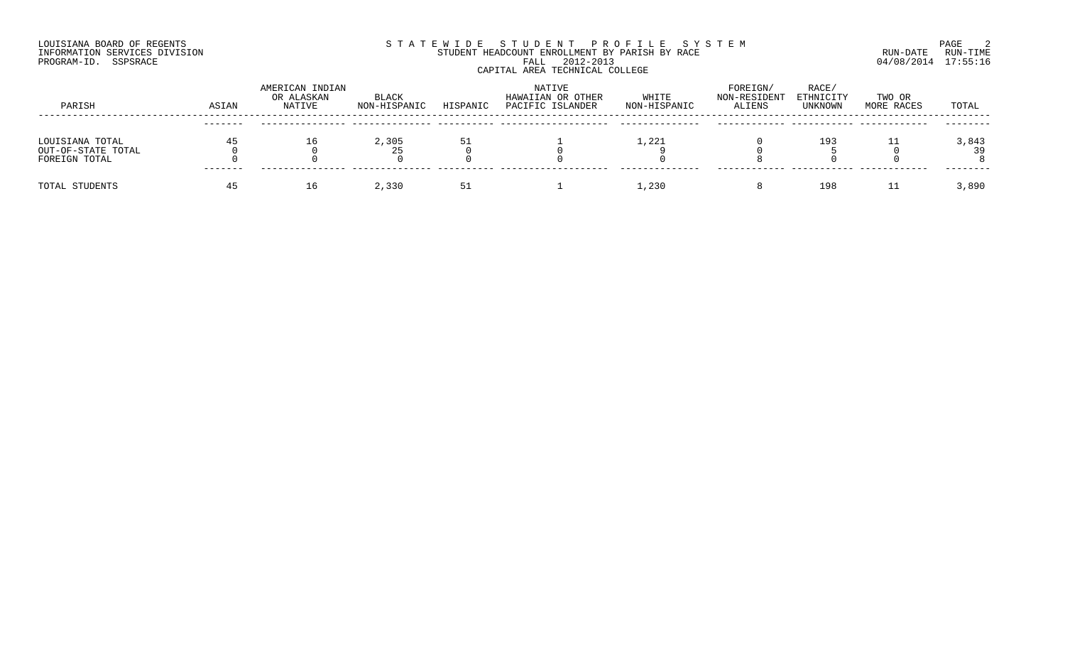## LOUISIANA BOARD OF REGENTS SOURCOME STATEWIDE STUDENT PROFILE SYSTEM STE MANUEL 2<br>STUDENT HEADCOUNT ENROLLMENT BY PARISH BY RACE THE SYSTEM SUN-DATE RUN-TIME INFORMATION SERVICES DIVISION STUDENT STUDENT HEADCOUNT ENROLLMENT BY PARISH BY RACE PROGRAM-ID. SSPSRACE FALL 2012-2013 04/08/2014 17:55:16 CAPITAL AREA TECHNICAL COLLEGE

| PARISH                                                 | ASIAN   | AMERICAN INDIAN<br>OR ALASKAN<br>NATIVE | BLACK<br>NON-HISPANIC | HISPANIC | NATIVE<br>HAWAIIAN OR OTHER<br>PACIFIC ISLANDER | WHITE<br>NON-HISPANIC | FOREIGN/<br>NON-RESIDENT<br>ALIENS | RACE/<br>ETHNICITY<br>UNKNOWN | TWO OR<br>MORE RACES | TOTAL       |
|--------------------------------------------------------|---------|-----------------------------------------|-----------------------|----------|-------------------------------------------------|-----------------------|------------------------------------|-------------------------------|----------------------|-------------|
|                                                        |         |                                         |                       |          |                                                 |                       |                                    |                               |                      |             |
| LOUISIANA TOTAL<br>OUT-OF-STATE TOTAL<br>FOREIGN TOTAL |         |                                         | 2,305<br>25           |          |                                                 | 1,221                 |                                    | 193                           |                      | 3,843<br>39 |
| TOTAL STUDENTS                                         | ------- |                                         | 2,330                 |          |                                                 | 1,230                 |                                    | 198                           | ᆂᆂ                   | 3,890       |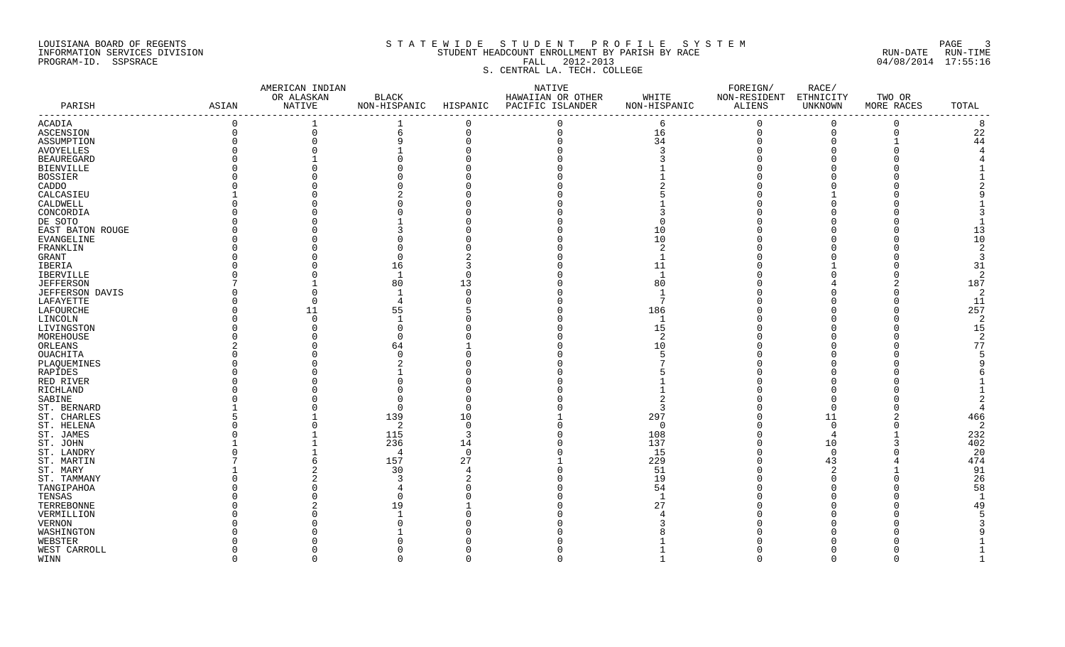### LOUISIANA BOARD OF REGENTS S T A T E W I D E S T U D E N T P R O F I L E S Y S T E M PAGE 3 INFORMATION SERVICES DIVISION STUDENT HEADCOUNT ENROLLMENT BY PARISH BY RACE RUN-DATE RUN-TIME

# PROGRAM-ID. SSPSRACE FALL 2012-2013 04/08/2014 17:55:16 S. CENTRAL LA. TECH. COLLEGE

|                         |              | AMERICAN INDIAN |                |          | NATIVE                                 |               | FOREIGN/               | RACE/          |             |                |
|-------------------------|--------------|-----------------|----------------|----------|----------------------------------------|---------------|------------------------|----------------|-------------|----------------|
|                         |              | OR ALASKAN      | <b>BLACK</b>   |          | HAWAIIAN OR OTHER                      | WHITE         | NON-RESIDENT ETHNICITY |                | TWO OR      |                |
| PARISH<br>$- - - - - -$ | ASIAN        | NATIVE          |                |          | NON-HISPANIC HISPANIC PACIFIC ISLANDER | NON-HISPANIC  | ALIENS                 | UNKNOWN        | MORE RACES  | TOTAL          |
| ACADIA                  | $\mathsf{O}$ |                 |                | 0        | $\overline{0}$                         | 6             | $\mathbf 0$            | $\overline{0}$ | $\mathbf 0$ | 8              |
| ASCENSION               | $\Omega$     | $\mathbf 0$     | 6              | 0        | $\Omega$                               | 16            | $\mathbf 0$            | $\Omega$       | $\Omega$    | 22             |
| ASSUMPTION              |              | $\Omega$        |                |          |                                        | 34            | $\Omega$               |                |             | 44             |
| AVOYELLES               |              |                 |                |          |                                        |               |                        |                |             |                |
| <b>BEAUREGARD</b>       |              |                 |                |          |                                        |               |                        |                |             |                |
| BIENVILLE               |              |                 |                |          |                                        |               |                        |                |             |                |
| <b>BOSSIER</b>          |              |                 |                |          |                                        |               |                        |                |             |                |
| CADDO                   |              |                 |                |          |                                        |               |                        |                |             |                |
|                         |              |                 |                |          |                                        |               |                        |                |             |                |
| CALCASIEU               |              |                 |                |          |                                        |               |                        |                |             |                |
| CALDWELL                |              |                 |                |          |                                        |               |                        |                |             |                |
| CONCORDIA               |              |                 |                |          |                                        |               |                        |                |             |                |
| DE SOTO                 |              |                 |                |          |                                        |               |                        |                |             |                |
| EAST BATON ROUGE        |              |                 |                |          |                                        | 10            |                        |                |             | 13             |
| EVANGELINE              |              |                 |                |          |                                        | 10            |                        |                |             | 10             |
| FRANKLIN                |              |                 |                |          |                                        |               |                        |                |             | 2              |
| GRANT                   |              |                 |                |          |                                        |               |                        |                |             | -3             |
| IBERIA                  |              |                 | 16             |          |                                        | 11            |                        |                |             | 31             |
| IBERVILLE               |              |                 |                |          |                                        |               |                        |                |             | 2              |
| <b>JEFFERSON</b>        |              |                 | 80             | 13       |                                        | 80            |                        |                |             | 187            |
| <b>JEFFERSON DAVIS</b>  |              | $\cap$          |                |          |                                        |               |                        |                |             | $\overline{2}$ |
| LAFAYETTE               |              | $\Omega$        |                |          |                                        | 7             |                        |                |             | 11             |
| LAFOURCHE               |              | 11              | 55             |          |                                        | 186           |                        |                |             | 257            |
| LINCOLN                 |              | $\Omega$        |                |          |                                        |               |                        |                |             | 2              |
| LIVINGSTON              |              |                 |                |          |                                        | 15            |                        |                |             | 15             |
| MOREHOUSE               |              |                 |                |          |                                        | $\mathcal{L}$ |                        |                |             | 2              |
| ORLEANS                 |              |                 | 64             |          |                                        | 10            |                        |                |             | 77             |
| OUACHITA                |              |                 |                |          |                                        |               |                        |                |             |                |
| PLAQUEMINES             |              |                 |                |          |                                        |               |                        |                |             |                |
| RAPIDES                 |              |                 |                |          |                                        |               |                        |                |             |                |
| RED RIVER               |              |                 |                |          |                                        |               |                        |                |             |                |
| RICHLAND                |              |                 |                |          |                                        |               |                        |                |             |                |
| SABINE                  |              |                 |                |          |                                        |               |                        |                |             |                |
| ST. BERNARD             |              |                 | $\cap$         |          |                                        | 3             |                        |                |             |                |
| ST. CHARLES             |              |                 | 139            | 10       |                                        | 297           |                        | 11             |             | 466            |
| ST. HELENA              |              | $\Omega$        | 2              | $\Omega$ |                                        | $\Omega$      |                        | $\Omega$       |             | $\overline{2}$ |
| ST. JAMES               |              |                 | 115            | 3        |                                        | 108           |                        | -4             |             | 232            |
| ST. JOHN                |              |                 | 236            | 14       |                                        | 137           |                        | 10             | 3           | 402            |
| ST. LANDRY              |              |                 | $\overline{4}$ | $\Omega$ |                                        | 15            |                        | $\cap$         |             | 20             |
| ST. MARTIN              |              | 6               | 157            | 27       |                                        | 229           |                        | 43             |             | 474            |
| ST. MARY                |              |                 | 30             |          |                                        | 51            |                        |                |             | 91             |
|                         |              |                 |                |          |                                        | 19            |                        |                |             | 26             |
| ST. TAMMANY             |              |                 |                |          |                                        | 54            |                        |                |             | 58             |
| TANGIPAHOA              |              |                 |                |          |                                        |               |                        |                |             | - 1            |
| TENSAS                  |              |                 |                |          |                                        |               |                        |                |             |                |
| TERREBONNE              |              |                 | 19             |          |                                        | 27            |                        |                |             | 49             |
| VERMILLION              |              |                 |                |          |                                        |               |                        |                |             |                |
| <b>VERNON</b>           |              |                 |                |          |                                        |               |                        |                |             |                |
| WASHINGTON              |              |                 |                |          |                                        |               |                        |                |             |                |
| WEBSTER                 |              |                 |                |          |                                        |               |                        |                |             |                |
| WEST CARROLL            |              |                 |                |          |                                        |               |                        |                |             |                |
| WINN                    | $\cap$       | $\Omega$        | $\cap$         | $\Omega$ | $\cap$                                 | -1            | $\cap$                 | $\cap$         | $\Omega$    |                |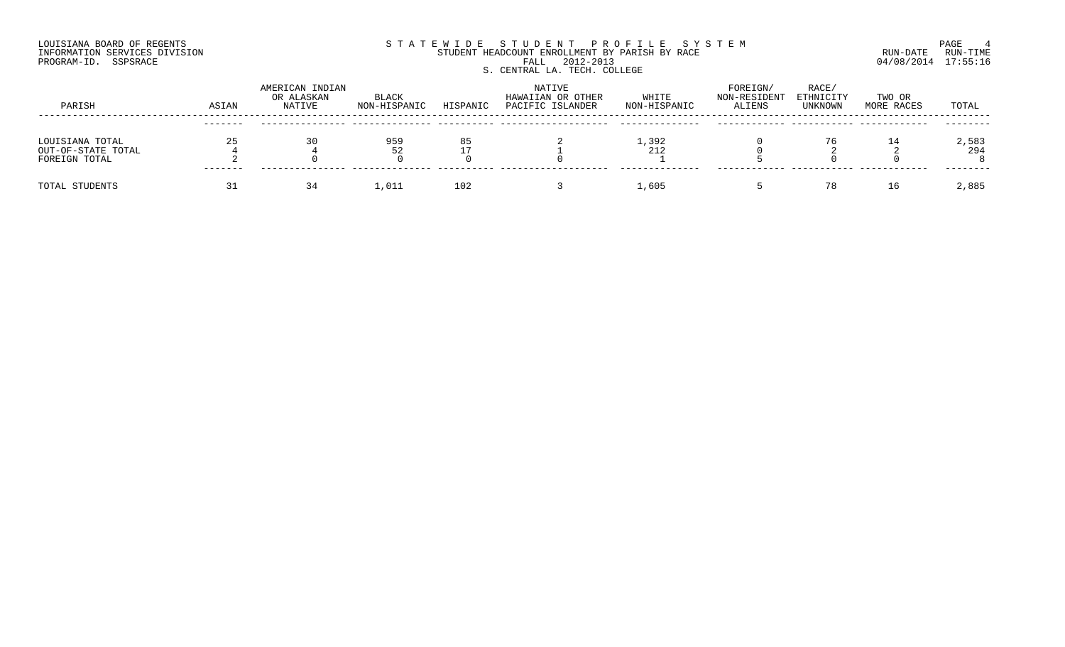## LOUISIANA BOARD OF REGENTS SOURCOME STATEWIDE STUDENT PROFILE SYSTEM STE MANUEL PAGE 4<br>STUDENT HEADCOUNT ENROLLMENT BY PARISH BY RACE THE SYSTEM RUN-DATE RUN-TIME INFORMATION SERVICES DIVISION STUDENT STUDENT HEADCOUNT ENROLLMENT BY PARISH BY RACE PROGRAM-ID. SSPSRACE FALL 2012-2013 04/08/2014 17:55:16 S. CENTRAL LA. TECH. COLLEGE

| PARISH                                                 | ASIAN   | AMERICAN INDIAN<br>OR ALASKAN<br>NATIVE | BLACK<br>NON-HISPANIC | HISPANIC | <b>NATIVE</b><br>HAWAIIAN OR OTHER<br>PACIFIC ISLANDER | WHITE<br>NON-HISPANIC | FOREIGN/<br>NON-RESIDENT<br>ALIENS | RACE/<br>ETHNICITY<br>UNKNOWN | TWO OR<br>MORE RACES | TOTAL        |
|--------------------------------------------------------|---------|-----------------------------------------|-----------------------|----------|--------------------------------------------------------|-----------------------|------------------------------------|-------------------------------|----------------------|--------------|
|                                                        | ------- |                                         |                       |          |                                                        |                       |                                    |                               |                      |              |
| LOUISIANA TOTAL<br>OUT-OF-STATE TOTAL<br>FOREIGN TOTAL |         | 30                                      | 959<br>52             |          |                                                        | 1,392<br>212          |                                    | 76                            |                      | 2,583<br>294 |
| TOTAL STUDENTS                                         |         | 34                                      | 1,011                 | 102      |                                                        | 1,605                 |                                    | 78                            | 16                   | 2,885        |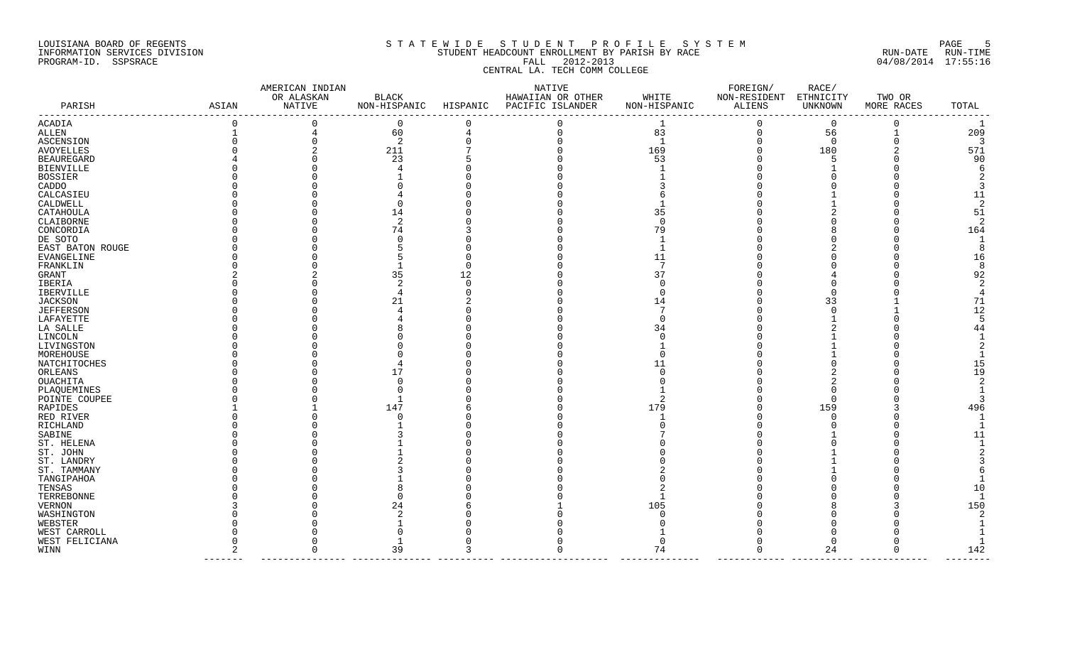## LOUISIANA BOARD OF REGENTS S T A T E W I D E S T U D E N T P R O F I L E S Y S T E M PAGE 5 INFORMATION SERVICES DIVISION STUDENT HEADCOUNT ENROLLMENT BY PARISH BY RACE RUN-DATE RUN-TIME PROGRAM-ID. SSPSRACE FALL 2012-2013 04/08/2014 17:55:16 CENTRAL LA. TECH COMM COLLEGE

|                  |          | AMERICAN INDIAN      |              |          | NATIVE                                 |                | FOREIGN/                         | RACE/       |            |              |
|------------------|----------|----------------------|--------------|----------|----------------------------------------|----------------|----------------------------------|-------------|------------|--------------|
| PARISH           |          | OR ALASKAN<br>NATIVE | <b>BLACK</b> |          | HAWAIIAN OR OTHER                      | WHITE          | NON-RESIDENT ETHNICITY<br>ALIENS |             | TWO OR     | TOTAL        |
|                  | ASIAN    |                      |              |          | NON-HISPANIC HISPANIC PACIFIC ISLANDER | NON-HISPANIC   |                                  | UNKNOWN     | MORE RACES | -------      |
| ACADIA           | $\Omega$ | $\mathbf 0$          | $\Omega$     | $\Omega$ | $\Omega$                               | $\mathbf{1}$   | $\Omega$                         | $\Omega$    | $\Omega$   | <sup>1</sup> |
| ALLEN            |          | 4                    | 60           | 4        | $\Omega$                               | 83             | $\mathbf{0}$                     | 56          |            | 209          |
| ASCENSION        |          |                      | -2           |          | $\Omega$                               | $\overline{1}$ | $\Omega$                         | $\mathbf 0$ |            | -3           |
| AVOYELLES        |          |                      | 211          |          |                                        | 169            |                                  | 180         |            | 571          |
| BEAUREGARD       |          |                      | 23           |          |                                        | 53             |                                  |             |            | 90           |
| BIENVILLE        |          |                      |              |          |                                        |                |                                  |             |            |              |
| BOSSIER          |          |                      |              |          |                                        |                |                                  |             |            |              |
| CADDO            |          |                      |              |          |                                        |                |                                  |             |            |              |
| CALCASIEU        |          |                      |              |          |                                        |                |                                  |             |            | 11           |
| CALDWELL         |          |                      |              |          |                                        |                |                                  |             |            |              |
| CATAHOULA        |          |                      | 14           |          |                                        | 35             |                                  |             |            | 51           |
| CLAIBORNE        |          |                      |              |          |                                        | ∩              |                                  |             |            |              |
| CONCORDIA        |          |                      | 74           |          |                                        | 79             |                                  |             |            | 164          |
| DE SOTO          |          |                      |              |          |                                        |                |                                  |             |            |              |
| EAST BATON ROUGE |          |                      |              |          |                                        |                |                                  |             |            |              |
| EVANGELINE       |          |                      |              |          |                                        | 11             |                                  |             |            | 16           |
| FRANKLIN         |          |                      |              |          |                                        |                |                                  |             |            |              |
| GRANT            |          |                      | 35           | 12       |                                        | 37             |                                  |             |            | 92           |
| IBERIA           |          |                      |              |          |                                        | ∩              |                                  |             |            |              |
| IBERVILLE        |          |                      |              |          |                                        |                |                                  |             |            |              |
| JACKSON          |          |                      | 21           |          |                                        | 14             |                                  | 33          |            | 71           |
| JEFFERSON        |          |                      |              |          |                                        |                |                                  |             |            | 12           |
| LAFAYETTE        |          |                      |              |          |                                        |                |                                  |             |            |              |
| LA SALLE         |          |                      |              |          |                                        | 34             |                                  |             |            | 44           |
| LINCOLN          |          |                      |              |          |                                        |                |                                  |             |            |              |
| LIVINGSTON       |          |                      |              |          |                                        |                |                                  |             |            |              |
| MOREHOUSE        |          |                      |              |          |                                        |                |                                  |             |            |              |
| NATCHITOCHES     |          |                      |              |          |                                        |                |                                  |             |            | 15           |
| ORLEANS          |          |                      | 17           |          |                                        |                |                                  |             |            | 19           |
| OUACHITA         |          |                      |              |          |                                        |                |                                  |             |            |              |
| PLAQUEMINES      |          |                      |              |          |                                        |                |                                  |             |            |              |
| POINTE COUPEE    |          |                      |              |          |                                        |                |                                  | ∩           |            |              |
| RAPIDES          |          |                      | 147          |          |                                        | 179            |                                  | 159         |            | 496          |
| RED RIVER        |          |                      |              |          |                                        |                |                                  | ∩           |            |              |
| RICHLAND         |          |                      |              |          |                                        |                |                                  |             |            |              |
| SABINE           |          |                      |              |          |                                        |                |                                  |             |            | 11           |
| ST. HELENA       |          |                      |              |          |                                        |                |                                  |             |            |              |
| ST. JOHN         |          |                      |              |          |                                        |                |                                  |             |            |              |
| ST. LANDRY       |          |                      |              |          |                                        |                |                                  |             |            |              |
| ST. TAMMANY      |          |                      |              |          |                                        |                |                                  |             |            |              |
| TANGIPAHOA       |          |                      |              |          |                                        |                |                                  |             |            |              |
| TENSAS           |          |                      |              |          |                                        |                |                                  |             |            | 10           |
| TERREBONNE       |          |                      |              |          |                                        |                |                                  |             |            |              |
| VERNON           |          |                      |              |          |                                        | 105            |                                  |             |            | 150          |
| WASHINGTON       |          |                      |              |          |                                        |                |                                  |             |            |              |
| WEBSTER          |          |                      |              |          |                                        |                |                                  |             |            |              |
| WEST CARROLL     |          |                      |              |          |                                        |                |                                  |             |            |              |
| WEST FELICIANA   |          |                      |              |          |                                        | <sup>0</sup>   |                                  |             |            |              |
| WINN             |          |                      | 39           |          |                                        | 74             |                                  | 24          |            | 142          |
|                  |          |                      |              |          |                                        |                |                                  |             |            |              |

------- --------------- -------------- ---------- ------------------- -------------- ------------ ----------- ------------ --------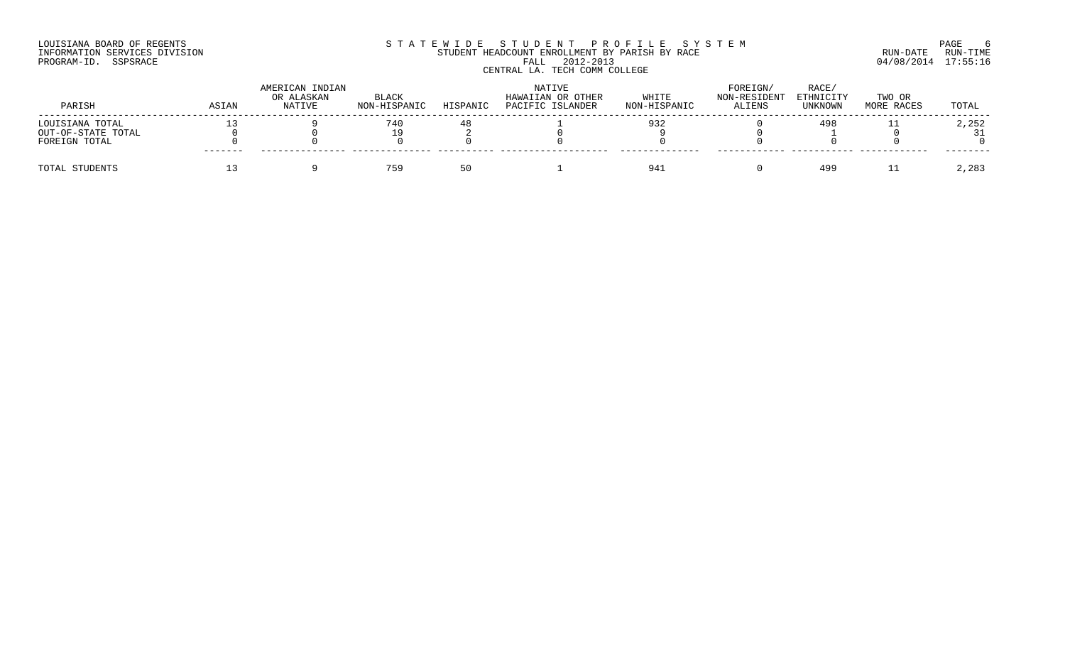## LOUISIANA BOARD OF REGENTS SOURCOME STATEWIDE STUDENT PROFILE SYSTEM STE MANUEL OF ROEM PAGE 6<br>STUDENT HEADCOUNT ENROLLMENT BY PARISH BY RACE RUN-DATE RUN-TIME INFORMATION SERVICES DIVISION STUDENT STUDENT HEADCOUNT ENROLLMENT BY PARISH BY RACE PROGRAM-ID. SSPSRACE FALL 2012-2013 04/08/2014 17:55:16 CENTRAL LA. TECH COMM COLLEGE

| PARISH             | ASIAN   | AMERICAN INDIAN<br>OR ALASKAN<br>NATIVE | BLACK<br>NON-HISPANIC | HISPANIC | NATIVE<br>HAWAIIAN OR OTHER<br>PACIFIC ISLANDER | WHITE<br>NON-HISPANIC | FOREIGN/<br>NON-RESIDENT<br>ALIENS | RACE/<br>ETHNICITY<br><b>UNKNOWN</b> | TWO OR<br>MORE RACES | TOTAL |
|--------------------|---------|-----------------------------------------|-----------------------|----------|-------------------------------------------------|-----------------------|------------------------------------|--------------------------------------|----------------------|-------|
| LOUISIANA TOTAL    |         |                                         | 740                   |          |                                                 | 932                   |                                    | 498                                  |                      | 2,252 |
| OUT-OF-STATE TOTAL |         |                                         | ם ו                   |          |                                                 |                       |                                    |                                      |                      |       |
| FOREIGN TOTAL      | ------- |                                         |                       |          |                                                 |                       |                                    |                                      |                      |       |
| TOTAL STUDENTS     |         |                                         | 759                   |          |                                                 | 341                   |                                    | 499                                  |                      | 2,283 |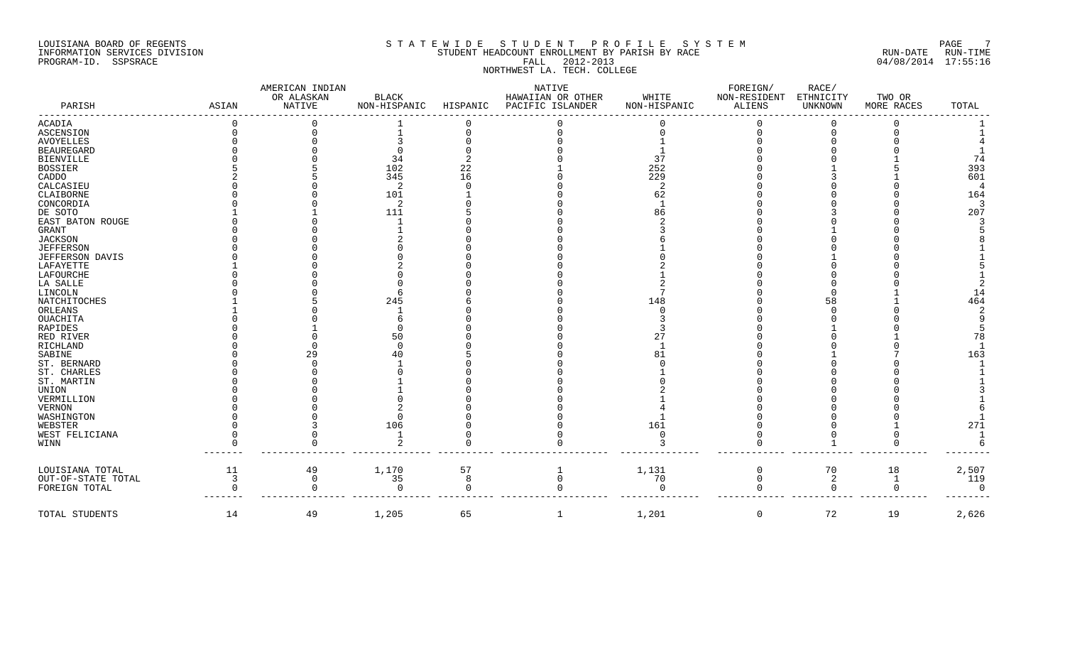## LOUISIANA BOARD OF REGENTS S T A T E W I D E S T U D E N T P R O F I L E S Y S T E M PAGE 7 INFORMATION SERVICES DIVISION STUDENT STUDENT HEADCOUNT ENROLLMENT BY PARISH BY RACE THAN THE RUN-DATE RUN-TIME PROGRAM-ID. SSPSRACE FALL 2012-2013 04/08/2014 17:55:16 NORTHWEST LA. TECH. COLLEGE

|                                       |       | AMERICAN INDIAN             |                              |          | NATIVE                                |                       | FOREIGN/               | RACE/                |                                |                 |
|---------------------------------------|-------|-----------------------------|------------------------------|----------|---------------------------------------|-----------------------|------------------------|----------------------|--------------------------------|-----------------|
| PARISH                                | ASIAN | OR ALASKAN<br><b>NATIVE</b> | <b>BLACK</b><br>NON-HISPANIC | HISPANIC | HAWAIIAN OR OTHER<br>PACIFIC ISLANDER | WHITE<br>NON-HISPANIC | NON-RESIDENT<br>ALIENS | ETHNICITY<br>UNKNOWN | TWO OR<br>MORE RACES           | TOTAL           |
| ACADIA                                |       |                             |                              |          |                                       |                       |                        | $\Omega$             |                                |                 |
| ASCENSION                             |       |                             |                              |          |                                       |                       |                        | $\Omega$             |                                |                 |
| <b>AVOYELLES</b>                      |       |                             |                              |          |                                       |                       |                        |                      |                                |                 |
| <b>BEAUREGARD</b>                     |       |                             |                              |          |                                       |                       |                        |                      |                                |                 |
| <b>BIENVILLE</b>                      |       |                             | 34                           |          |                                       | 37                    |                        |                      |                                | 74              |
| <b>BOSSIER</b>                        |       |                             | 102                          | 22       |                                       | 252                   |                        |                      |                                | 393             |
| CADDO                                 |       |                             | 345                          | 16       |                                       | 229                   |                        |                      |                                | 601             |
| CALCASIEU                             |       |                             | $\mathcal{D}$                |          |                                       | 2                     |                        |                      |                                | $\overline{4}$  |
| CLAIBORNE                             |       |                             | 101                          |          |                                       | 62                    |                        |                      |                                | 164             |
| CONCORDIA                             |       |                             | $\overline{2}$               |          |                                       |                       |                        |                      |                                | $\overline{3}$  |
| DE SOTO                               |       |                             | 111                          |          |                                       | 86                    |                        |                      |                                | 207             |
| EAST BATON ROUGE                      |       |                             |                              |          |                                       |                       |                        |                      |                                |                 |
| <b>GRANT</b>                          |       |                             |                              |          |                                       |                       |                        |                      |                                |                 |
| JACKSON                               |       |                             |                              |          |                                       |                       |                        |                      |                                |                 |
| <b>JEFFERSON</b>                      |       |                             |                              |          |                                       |                       |                        |                      |                                |                 |
| JEFFERSON DAVIS                       |       |                             |                              |          |                                       |                       |                        |                      |                                |                 |
| LAFAYETTE                             |       |                             |                              |          |                                       |                       |                        |                      |                                |                 |
| LAFOURCHE                             |       |                             |                              |          |                                       |                       |                        |                      |                                |                 |
| LA SALLE                              |       |                             |                              |          |                                       |                       |                        |                      |                                |                 |
| LINCOLN                               |       |                             |                              |          |                                       |                       |                        |                      |                                | 14              |
| NATCHITOCHES                          |       |                             | 245                          |          |                                       | 148                   |                        | 58                   |                                | 464             |
| ORLEANS                               |       |                             |                              |          |                                       |                       |                        |                      |                                |                 |
| OUACHITA                              |       |                             |                              |          |                                       |                       |                        |                      |                                |                 |
| RAPIDES                               |       |                             |                              |          |                                       |                       |                        |                      |                                |                 |
| RED RIVER                             |       |                             | 50                           |          |                                       |                       |                        |                      |                                | 78              |
| RICHLAND                              |       |                             |                              |          |                                       |                       |                        |                      |                                |                 |
| SABINE                                |       | 29                          |                              |          |                                       | 81                    |                        |                      |                                | 163             |
| ST. BERNARD                           |       |                             |                              |          |                                       |                       |                        |                      |                                |                 |
| ST. CHARLES                           |       |                             |                              |          |                                       |                       |                        |                      |                                |                 |
| ST. MARTIN                            |       |                             |                              |          |                                       |                       |                        |                      |                                |                 |
| UNION                                 |       |                             |                              |          |                                       |                       |                        |                      |                                |                 |
| VERMILLION                            |       |                             |                              |          |                                       |                       |                        |                      |                                |                 |
| <b>VERNON</b>                         |       |                             |                              |          |                                       |                       |                        |                      |                                |                 |
| WASHINGTON                            |       |                             |                              |          |                                       |                       |                        |                      |                                |                 |
| WEBSTER                               |       |                             | 106                          |          |                                       | 161                   |                        |                      |                                | 271             |
| WEST FELICIANA                        |       |                             | $\overline{1}$               |          |                                       | $\Omega$              |                        |                      |                                | $\mathbf{1}$    |
| WINN                                  |       |                             |                              |          |                                       |                       |                        |                      |                                |                 |
|                                       | 11    |                             |                              |          |                                       |                       |                        |                      |                                |                 |
| LOUISIANA TOTAL<br>OUT-OF-STATE TOTAL |       | 49<br>$\Omega$              | 1,170<br>35                  | 57<br>8  | 1<br>$\Omega$                         | 1,131                 | 0<br>$\Omega$          | 70                   | 18                             | 2,507           |
|                                       | 3     | $\cap$                      | $\Omega$                     | $\cap$   | <sup>0</sup>                          | 70<br>$\Omega$        |                        | 2<br>$\Omega$        | $\mathbf{1}$<br>$\overline{0}$ | 119<br>$\Omega$ |
| FOREIGN TOTAL                         |       |                             |                              |          |                                       |                       |                        |                      |                                |                 |
| TOTAL STUDENTS                        | 14    | 49                          | 1,205                        | 65       | -1                                    | 1,201                 | $\mathbf 0$            | 72                   | 19                             | 2,626           |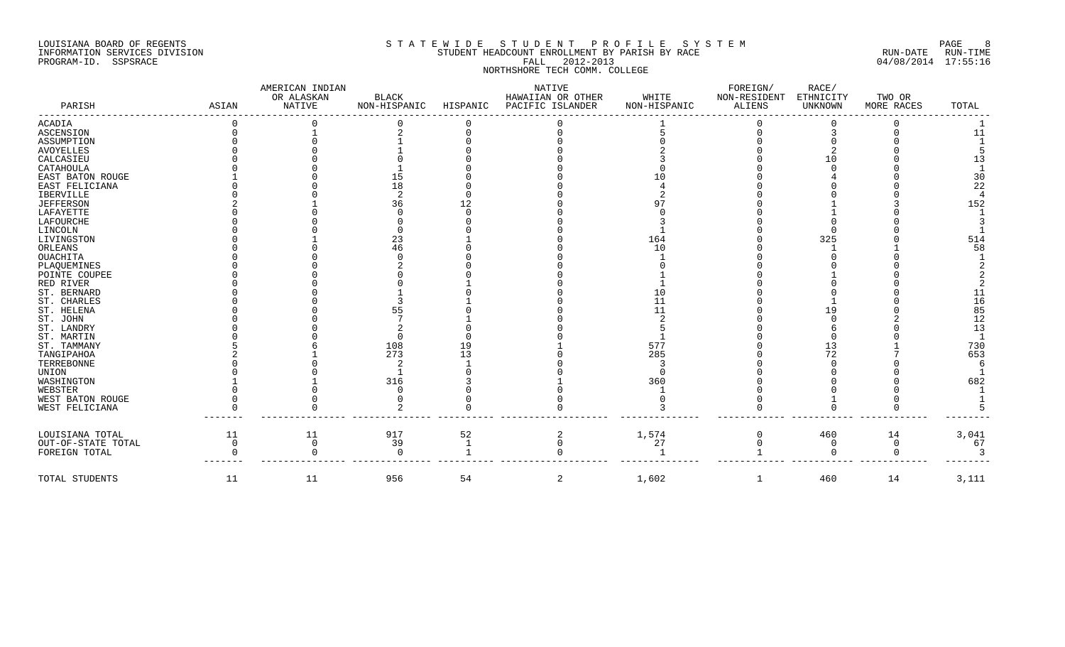#### LOUISIANA BOARD OF REGENTS SOURCH SOURCH STATEWIDE STUDENT PROFILE SYSTEM SOURCH SOURCH SOURCH SOURCH SOURCH S INFORMATION SERVICES DIVISION STORIC SOLUTION STUDENT HEADCOUNT ENROLLMENT BY PARISH BY RACE RUN-DATE RUN-DATE RUN-TIME PROGRAM-ID. SSPSRACE FALL 2012-2013 04/08/2014 17:55:16 NORTHSHORE TECH COMM. COLLEGE

### AMERICAN INDIAN NATIVE FOREIGN/ RACE/ OR ALASKAN BLACK HAWAIIAN OR OTHER WHITE NON-RESIDENT ETHNICITY TWO OR PARISH ASIAN NATIVE NON-HISPANIC HISPANIC PACIFIC ISLANDER NON-HISPANIC ALIENS UNKNOWN MORE RACES TOTAL ----------------------------------------------------------------------------------------------------------------------------------------------------------------------- ACADIA 0 0 0 0 0 1 0 0 0 1 ASCENSION 0 1 2 0 0 5 0 3 0 11 ASSUMPTION 0 0 1 0 0 0 0 0 0 1 AVOYELLES 0 0 1 0 0 2 0 2 0 5 CALCASIEU 0 0 0 0 0 3 0 10 0 13 CATAHOULA 0 0 1 0 0 0 0 0 0 1 EAST BATON ROUGE 1 0 15 0 0 10 0 4 0 30 EAST FELICIANA 0 0 18 0 0 4 0 0 0 22 IBERVILLE 0 0 2 0 0 2 0 0 0 4 JEFFERSON 2 1 36 12 0 97 0 1 3 152 LAFAYETTE 0 0 0 0 0 0 0 1 0 1 LAFOURCHE 0 0 0 0 0 3 0 0 0 3 LINCOLN 0 0 0 0 0 1 0 0 0 1 LIVINGSTON 0 1 23 1 0 164 0 325 0 514 ORLEANS 0 0 46 0 0 10 0 1 1 58 OUACHITA 0 0 0 0 0 1 0 0 0 1 PLAQUEMINES 0 0 2 0 0 0 0 0 0 2 POINTE COUPEE 0 0 0 0 0 1 0 1 0 2 RED RIVER 0 0 0 1 0 1 0 0 0 2 ST. BERNARD 0 0 1 0 0 10 0 0 0 11 ST. CHARLES 0 0 3 1 0 11 0 1 0 16 ST. HELENA 0 0 55 0 0 11 0 19 0 85 ST. JOHN 0 0 7 1 0 2 0 0 2 12 ST. LANDRY 0 0 2 0 0 5 0 6 0 13 ST. MARTIN 0 0 0 0 0 1 0 0 0 1 ST. TAMMANY 5 6 108 19 1 577 0 13 1 730 TANGIPAHOA 2 1 273 13 0 285 0 72 7 653 TERREBONNE 0 0 2 1 0 3 0 0 0 6 UNION 0 0 1 0 0 0 0 0 0 1 WASHINGTON 1 1 316 3 1 360 0 0 0 682 WEBSTER 0 0 0 0 0 1 0 0 0 1 WEST BATON ROUGE 0 0 0 0 0 0 0 1 0 1 WEST FELICIANA 0 0 2 0 0 3 0 0 0 5 ------- --------------- -------------- ---------- ------------------- -------------- ------------ ----------- ------------ -------- LOUISIANA TOTAL 11 11 917 52 2 1,574 0 460 14 3,041 OUT-OF-STATE TOTAL 0 0 39 1 0 27 0 0 0 67 FOREIGN TOTAL 0 0 0 1 0 1 1 0 0 3 ------- --------------- -------------- ---------- ------------------- -------------- ------------ ----------- ------------ -------- TOTAL STUDENTS 11 11 11 956 54 2 1,602 1 460 14 3,111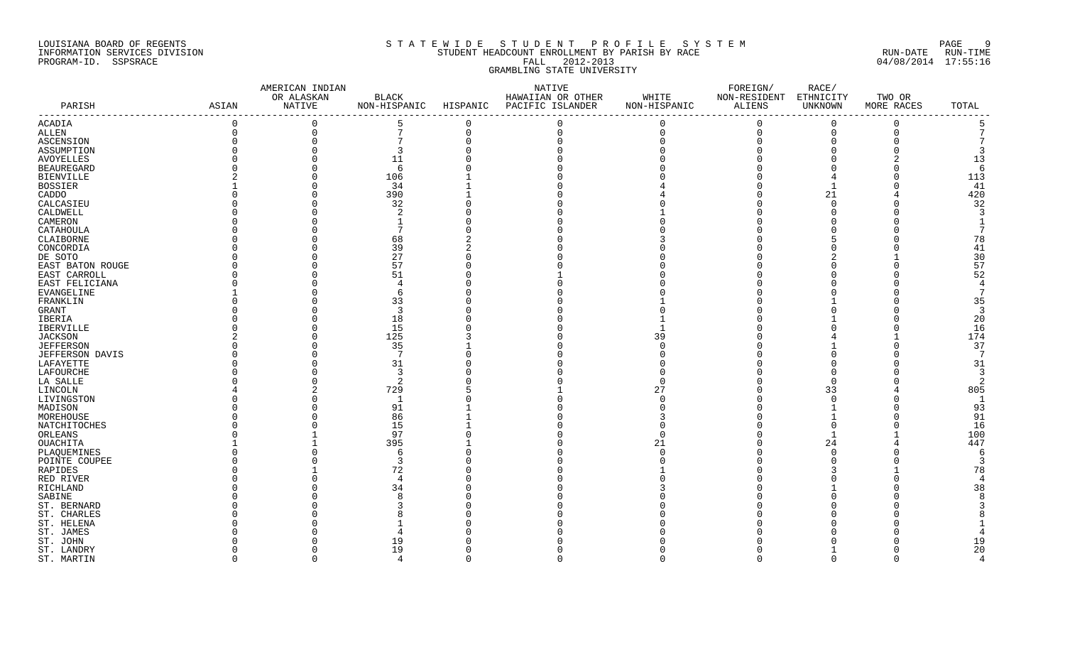## LOUISIANA BOARD OF REGENTS S T A T E W I D E S T U D E N T P R O F I L E S Y S T E M PAGE 9 INFORMATION SERVICES DIVISION STUDENT HEADCOUNT ENROLLMENT BY PARISH BY RACE RUN-DATE RUN-TIME PROGRAM-ID. SSPSRACE FALL 2012-2013 04/08/2014 17:55:16 GRAMBLING STATE UNIVERSITY

|                   |              | AMERICAN INDIAN      |                 |          | NATIVE                                                      |                       | FOREIGN/                      | RACE/                |                      |                |
|-------------------|--------------|----------------------|-----------------|----------|-------------------------------------------------------------|-----------------------|-------------------------------|----------------------|----------------------|----------------|
| PARISH            | ASIAN        | OR ALASKAN<br>NATIVE | <b>BLACK</b>    |          | HAWAIIAN OR OTHER<br>NON-HISPANIC HISPANIC PACIFIC ISLANDER | WHITE<br>NON-HISPANIC | NON-RESIDENT<br><b>ALIENS</b> | ETHNICITY<br>UNKNOWN | TWO OR<br>MORE RACES | TOTAL          |
|                   |              |                      |                 |          |                                                             |                       |                               |                      |                      |                |
| ACADIA            | $\mathbf 0$  | $\Omega$             | 5               | $\Omega$ | $\Omega$                                                    | $\Omega$              | $\Omega$                      | $\Omega$             | $\Omega$             | 5              |
| <b>ALLEN</b>      | $\mathsf{O}$ | $\mathbf 0$          | $7\phantom{.}$  | $\Omega$ | $\mathbf 0$                                                 | $\overline{0}$        | $\overline{0}$                | $\overline{0}$       | $\mathbf{0}$         |                |
| ASCENSION         | $\Omega$     |                      | $7\phantom{.0}$ |          |                                                             |                       | $\Omega$                      | $\Omega$             | $\Omega$             |                |
| ASSUMPTION        | $\Omega$     |                      | 3               |          |                                                             |                       | $\Omega$                      | $\cap$               |                      | 3              |
| AVOYELLES         |              |                      | 11              |          |                                                             |                       |                               |                      |                      | 13             |
| <b>BEAUREGARD</b> |              |                      | 6               |          |                                                             |                       |                               |                      | $\cap$               | -6             |
| <b>BIENVILLE</b>  |              |                      | 106             |          |                                                             |                       |                               |                      | $\cap$               | 113            |
| <b>BOSSIER</b>    |              |                      | 34              |          |                                                             |                       |                               |                      | $\Omega$             | 41             |
| CADDO             |              |                      | 390             |          |                                                             |                       |                               | 21                   |                      | 420            |
| CALCASIEU         |              |                      | 32              |          |                                                             |                       |                               | $\Omega$             |                      | 32             |
| CALDWELL          |              |                      | 2               |          |                                                             |                       |                               |                      |                      | 3              |
| CAMERON           |              |                      | $\mathbf{1}$    |          |                                                             |                       |                               |                      |                      | $\overline{1}$ |
| CATAHOULA         |              |                      | $7\phantom{.0}$ |          |                                                             |                       |                               |                      |                      | 7              |
| CLAIBORNE         |              |                      | 68              |          |                                                             |                       |                               |                      |                      | 78             |
| CONCORDIA         |              |                      | 39              |          |                                                             |                       |                               |                      |                      | 41             |
| DE SOTO           |              |                      | 27              |          |                                                             |                       |                               |                      |                      | 30             |
| EAST BATON ROUGE  |              |                      | 57              |          |                                                             |                       |                               |                      | $\Omega$             | 57             |
|                   |              |                      | 51              |          |                                                             |                       |                               |                      |                      | 52             |
| EAST CARROLL      |              |                      | $\overline{4}$  |          |                                                             |                       |                               |                      |                      | $\overline{4}$ |
| EAST FELICIANA    |              |                      |                 |          |                                                             |                       |                               |                      |                      | 7              |
| EVANGELINE        |              |                      | 6               |          |                                                             |                       |                               |                      |                      |                |
| FRANKLIN          |              |                      | 33              |          |                                                             |                       |                               |                      |                      | 35             |
| GRANT             |              |                      | 3               |          |                                                             |                       |                               |                      |                      | $\overline{3}$ |
| IBERIA            |              |                      | 18              |          |                                                             |                       |                               |                      |                      | 20             |
| IBERVILLE         |              |                      | 15              |          |                                                             |                       |                               |                      | $\Omega$             | 16             |
| <b>JACKSON</b>    |              |                      | 125             |          |                                                             | 39                    |                               |                      |                      | 174            |
| <b>JEFFERSON</b>  |              |                      | 35              |          |                                                             | $\Omega$              |                               |                      | $\Omega$             | 37             |
| JEFFERSON DAVIS   |              |                      | 7               |          |                                                             |                       |                               |                      | $\cap$               | 7              |
| LAFAYETTE         |              |                      | 31              |          |                                                             |                       |                               |                      |                      | 31             |
| LAFOURCHE         |              |                      | 3               |          |                                                             |                       |                               | $\Omega$             |                      | $\overline{3}$ |
| LA SALLE          |              |                      | 2               |          |                                                             |                       |                               | $\cap$               |                      | 2              |
| LINCOLN           |              |                      | 729             |          |                                                             | 27                    |                               | 33                   |                      | 805            |
| LIVINGSTON        |              |                      | $\overline{1}$  |          |                                                             |                       | U                             | $\Omega$             | $\Omega$             | $\mathbf{1}$   |
| MADISON           |              |                      | 91              |          |                                                             |                       |                               |                      | $\Omega$             | 93             |
| MOREHOUSE         |              |                      | 86              |          |                                                             |                       |                               |                      | $\cap$               | 91             |
| NATCHITOCHES      |              |                      | 15              |          |                                                             |                       |                               | $\Omega$             | $\Omega$             | 16             |
| ORLEANS           |              |                      | 97              |          |                                                             |                       | U                             |                      |                      | 100            |
| OUACHITA          |              |                      | 395             |          |                                                             | 21                    | U                             | 24                   |                      | 447            |
| PLAQUEMINES       |              |                      | 6               |          |                                                             |                       |                               | $\cap$               |                      | 6              |
| POINTE COUPEE     |              |                      | 3               |          |                                                             |                       |                               |                      |                      | 3              |
| RAPIDES           |              |                      | 72              |          |                                                             |                       |                               |                      |                      | 78             |
| RED RIVER         |              |                      | $\overline{4}$  |          |                                                             |                       |                               |                      |                      | $\overline{4}$ |
| RICHLAND          |              |                      | 34              |          |                                                             |                       |                               |                      |                      | 38             |
| SABINE            |              |                      | 8               |          |                                                             |                       |                               |                      |                      | 8              |
| ST. BERNARD       |              |                      | २               |          |                                                             |                       |                               |                      |                      |                |
|                   |              |                      | 8               |          |                                                             |                       |                               |                      |                      |                |
| ST. CHARLES       |              |                      |                 |          |                                                             |                       |                               |                      |                      |                |
| ST. HELENA        |              |                      |                 |          |                                                             |                       |                               |                      |                      |                |
| ST. JAMES         |              |                      |                 |          |                                                             |                       |                               |                      |                      |                |
| ST. JOHN          |              |                      | 19              |          |                                                             |                       |                               |                      |                      | 19             |
| ST. LANDRY        |              |                      | 19              |          |                                                             |                       |                               |                      | $\Omega$             | 20             |
| ST. MARTIN        | $\Omega$     | $\Omega$             | 4               |          | $\Omega$                                                    | $\Omega$              | $\Omega$                      | $\overline{0}$       | $\mathbf{0}$         | $\overline{4}$ |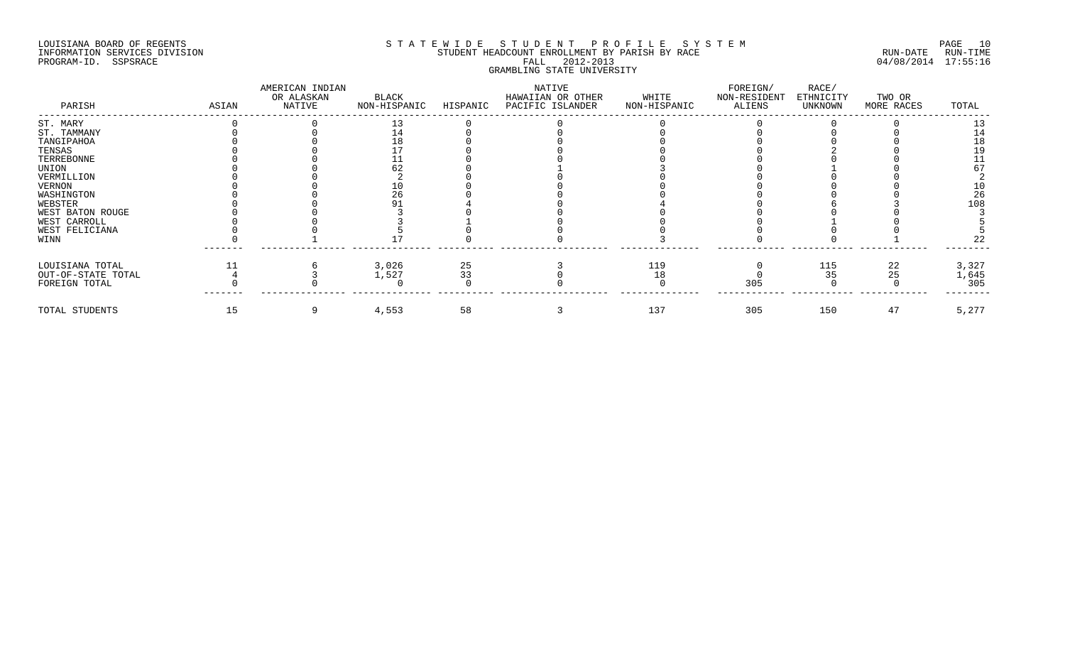## LOUISIANA BOARD OF REGENTS SOURCOME STATEWIDE STUDENT PROFILE SYSTEM STE MANUEL PAGE 10<br>STUDENT HEADCOUNT ENROLLMENT BY PARISH BY RACE SYSTEM SUN-DATE RUN-TIME INFORMATION SERVICES DIVISION SERVICES DIVISION STUDENT HEADCOUNT ENROLLMENT BY PARISH BY RACE PROGRAM-ID. SSPSRACE FALL 2012-2013 04/08/2014 17:55:16 GRAMBLING STATE UNIVERSITY

| PARISH             | ASIAN | AMERICAN INDIAN<br>OR ALASKAN<br>NATIVE | BLACK<br>NON-HISPANIC | HISPANIC                                | NATIVE<br>HAWAIIAN OR OTHER<br>PACIFIC ISLANDER | WHITE<br>NON-HISPANIC | FOREIGN/<br>NON-RESIDENT<br>ALIENS | RACE/<br>ETHNICITY<br>UNKNOWN | TWO OR<br>MORE RACES | TOTAL |
|--------------------|-------|-----------------------------------------|-----------------------|-----------------------------------------|-------------------------------------------------|-----------------------|------------------------------------|-------------------------------|----------------------|-------|
| ST. MARY           |       |                                         |                       |                                         |                                                 |                       |                                    |                               |                      |       |
| ST. TAMMANY        |       |                                         |                       |                                         |                                                 |                       |                                    |                               |                      |       |
| TANGIPAHOA         |       |                                         |                       |                                         |                                                 |                       |                                    |                               |                      |       |
| TENSAS             |       |                                         |                       |                                         |                                                 |                       |                                    |                               |                      |       |
| TERREBONNE         |       |                                         |                       |                                         |                                                 |                       |                                    |                               |                      |       |
| UNION              |       |                                         |                       |                                         |                                                 |                       |                                    |                               |                      |       |
| VERMILLION         |       |                                         |                       |                                         |                                                 |                       |                                    |                               |                      |       |
| VERNON             |       |                                         |                       |                                         |                                                 |                       |                                    |                               |                      |       |
| WASHINGTON         |       |                                         |                       |                                         |                                                 |                       |                                    |                               |                      | 26    |
| WEBSTER            |       |                                         |                       |                                         |                                                 |                       |                                    |                               |                      | 108   |
| WEST BATON ROUGE   |       |                                         |                       |                                         |                                                 |                       |                                    |                               |                      |       |
| WEST CARROLL       |       |                                         |                       |                                         |                                                 |                       |                                    |                               |                      |       |
| WEST FELICIANA     |       |                                         |                       |                                         |                                                 |                       |                                    |                               |                      |       |
| WINN               |       |                                         |                       |                                         |                                                 |                       |                                    |                               |                      |       |
| LOUISIANA TOTAL    |       |                                         | 3,026                 |                                         |                                                 | 119                   |                                    | 115                           | 22                   | 3,327 |
| OUT-OF-STATE TOTAL |       |                                         | 1,527                 | $\begin{array}{c} 25 \\ 33 \end{array}$ |                                                 | 18                    |                                    | 35                            | 25                   | 1,645 |
| FOREIGN TOTAL      |       |                                         |                       |                                         |                                                 |                       | 305                                |                               |                      | 305   |
| TOTAL STUDENTS     | 15    |                                         | 4,553                 | 58                                      |                                                 | 137                   | 305                                | 150                           | 47                   | 5,277 |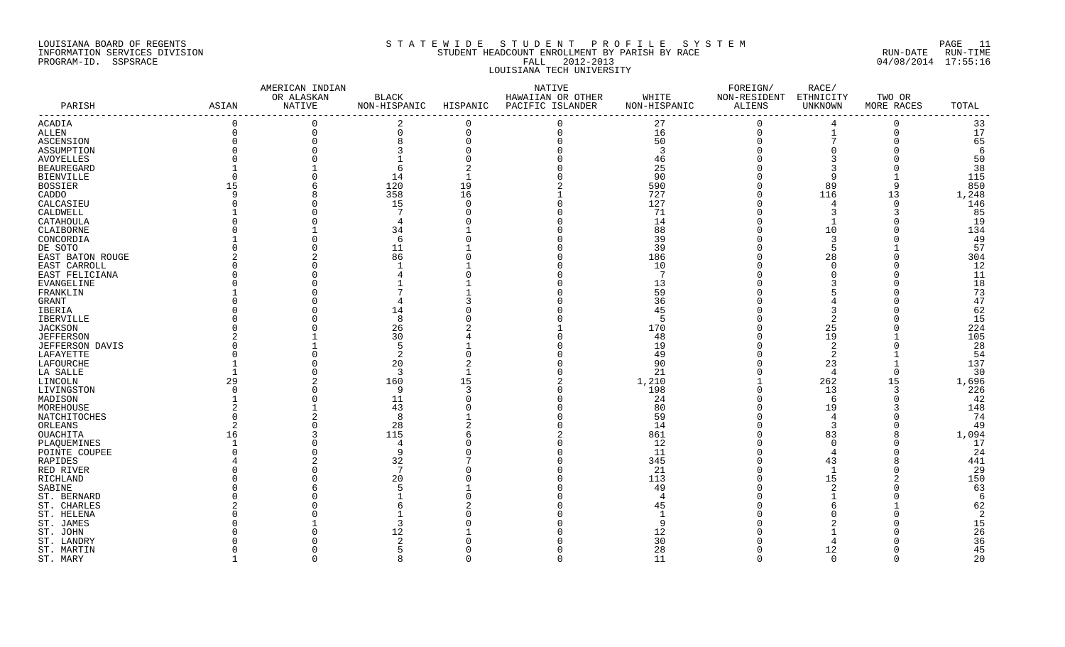#### LOUISIANA BOARD OF REGENTS S T A T E W I D E S T U D E N T P R O F I L E S Y S T E M PAGE 11 INFORMATION SERVICES DIVISION STUDENT HEADCOUNT ENROLLMENT BY PARISH BY RACE RUN-DATE RUN-TIME PROGRAM-ID. SSPSRACE FALL 2012-2013 04/08/2014 17:55:16 LOUISIANA TECH UNIVERSITY

|                   |          | AMERICAN INDIAN      |                              |          | NATIVE                                |                       | FOREIGN/               | RACE/                |                      |       |
|-------------------|----------|----------------------|------------------------------|----------|---------------------------------------|-----------------------|------------------------|----------------------|----------------------|-------|
| PARISH            | ASIAN    | OR ALASKAN<br>NATIVE | <b>BLACK</b><br>NON-HISPANIC | HISPANIC | HAWAIIAN OR OTHER<br>PACIFIC ISLANDER | WHITE<br>NON-HISPANIC | NON-RESIDENT<br>ALIENS | ETHNICITY<br>UNKNOWN | TWO OR<br>MORE RACES | TOTAL |
|                   |          |                      |                              |          |                                       |                       |                        |                      |                      |       |
| ACADIA            | $\Omega$ | $\Omega$             | 2                            | 0        | $\Omega$                              | 27                    | $\Omega$               | $\overline{4}$       | $\Omega$             | 33    |
| ALLEN             | $\Omega$ | $\mathbf 0$          | $\Omega$                     | $\Omega$ | $\Omega$                              | 16                    | $\mathbf 0$            |                      | $\Omega$             | 17    |
| ASCENSION         |          | $\Omega$             |                              |          |                                       | 50                    | $\Omega$               |                      |                      | 65    |
| ASSUMPTION        |          |                      |                              |          |                                       | 3                     |                        |                      |                      | 6     |
| <b>AVOYELLES</b>  |          |                      |                              |          |                                       | 46                    |                        |                      |                      | 50    |
| <b>BEAUREGARD</b> |          |                      |                              |          |                                       | 25                    |                        |                      |                      | 38    |
| <b>BIENVILLE</b>  |          |                      | 14                           |          |                                       | 90                    |                        | q                    |                      | 115   |
| <b>BOSSIER</b>    | 15       | 6                    | 120                          | 19       |                                       | 590                   |                        | 89                   | 9                    | 850   |
| CADDO             | - Q      | 8                    | 358                          | 16       |                                       | 727                   |                        | 116                  | 13                   | 1,248 |
| CALCASIEU         |          | $\Omega$             | 15                           |          |                                       | 127                   |                        | 4                    | $\Omega$             | 146   |
| CALDWELL          |          |                      | 7                            |          |                                       | 71                    |                        |                      | 3                    | 85    |
| CATAHOULA         |          | $\cap$               | 4                            |          |                                       | 14                    |                        |                      |                      | 19    |
| CLAIBORNE         |          |                      | 34                           |          |                                       | 88                    |                        | 10                   |                      | 134   |
| CONCORDIA         |          | O                    | -6                           |          |                                       | 39                    |                        | 3                    |                      | 49    |
| DE SOTO           |          |                      | 11                           |          |                                       | 39                    |                        | 5                    |                      | 57    |
| EAST BATON ROUGE  |          | $\overline{2}$       | 86                           |          |                                       | 186                   |                        | 28                   |                      | 304   |
| EAST CARROLL      |          |                      |                              |          |                                       | 10                    |                        |                      |                      | 12    |
| EAST FELICIANA    |          |                      |                              |          |                                       | 7                     |                        |                      |                      | 11    |
| EVANGELINE        |          |                      |                              |          |                                       | 13                    |                        |                      |                      | 18    |
| FRANKLIN          |          |                      |                              |          |                                       | 59                    |                        |                      |                      | 73    |
| GRANT             |          |                      |                              |          |                                       | 36                    |                        |                      |                      | 47    |
| IBERIA            |          |                      | 14                           |          |                                       | 45                    |                        |                      |                      | 62    |
| IBERVILLE         |          |                      | 8                            |          |                                       | 5                     |                        |                      |                      | 15    |
| JACKSON           |          |                      | 26                           |          |                                       | 170                   |                        | 25                   |                      | 224   |
| <b>JEFFERSON</b>  |          |                      | 30                           |          |                                       | 48                    |                        | 19                   |                      | 105   |
| JEFFERSON DAVIS   |          |                      | . 5                          |          |                                       | 19                    |                        | -2                   |                      | 28    |
| LAFAYETTE         |          |                      | -2                           |          |                                       | 49                    |                        | 2                    |                      | 54    |
| LAFOURCHE         |          |                      | 20                           |          |                                       | 90                    |                        | 23                   |                      | 137   |
| LA SALLE          |          |                      | $\overline{3}$               |          |                                       | 21                    |                        | $\overline{4}$       | $\Omega$             | 30    |
| LINCOLN           | 29       |                      | 160                          | 15       |                                       | 1,210                 |                        | 262                  | 15                   | 1,696 |
| LIVINGSTON        |          | O                    | 9                            |          |                                       | 198                   |                        | 13                   | 3                    | 226   |
| MADISON           |          |                      | 11                           |          |                                       | 24                    |                        | 6                    | $\Omega$             | 42    |
| MOREHOUSE         |          |                      | 43                           |          |                                       | 80                    |                        | 19                   |                      | 148   |
| NATCHITOCHES      |          |                      | 8                            |          |                                       | 59                    |                        | 4                    |                      | 74    |
| ORLEANS           |          |                      | 28                           |          |                                       | 14                    |                        | 3                    |                      | 49    |
| OUACHITA          | 16       |                      | 115                          |          |                                       | 861                   |                        | 83                   |                      | 1,094 |
| PLAQUEMINES       |          |                      | 4                            |          |                                       | 12                    |                        | $\Omega$             |                      | 17    |
| POINTE COUPEE     |          |                      |                              |          |                                       | 11                    |                        |                      |                      | 24    |
| RAPIDES           |          | 2                    | 32                           |          |                                       | 345                   |                        | 43                   |                      | 441   |
| RED RIVER         |          |                      | 7                            |          |                                       | 21                    |                        | $\overline{1}$       |                      | 29    |
| RICHLAND          |          |                      | 20                           |          |                                       | 113                   |                        | 15                   |                      | 150   |
| SABINE            |          |                      |                              |          |                                       | 49                    |                        |                      |                      | 63    |
| ST. BERNARD       |          |                      |                              |          |                                       |                       |                        |                      |                      | 6     |
| ST. CHARLES       |          |                      |                              |          |                                       | 45                    |                        |                      |                      | 62    |
| ST. HELENA        |          |                      |                              |          |                                       |                       |                        |                      |                      | 2     |
| ST. JAMES         |          |                      |                              |          |                                       | O,                    |                        |                      |                      | 15    |
| ST. JOHN          |          |                      | 12                           |          |                                       | 12                    |                        |                      |                      | 26    |
| ST. LANDRY        |          |                      |                              |          |                                       | 30                    |                        |                      |                      | 36    |
| ST. MARTIN        |          |                      |                              |          |                                       | 28                    |                        | 12                   |                      | 45    |
| ST. MARY          |          | $\cap$               | $\mathsf{R}$                 |          | $\cap$                                | 11                    | $\cap$                 | $\cap$               | $\Omega$             | 20    |
|                   |          |                      |                              |          |                                       |                       |                        |                      |                      |       |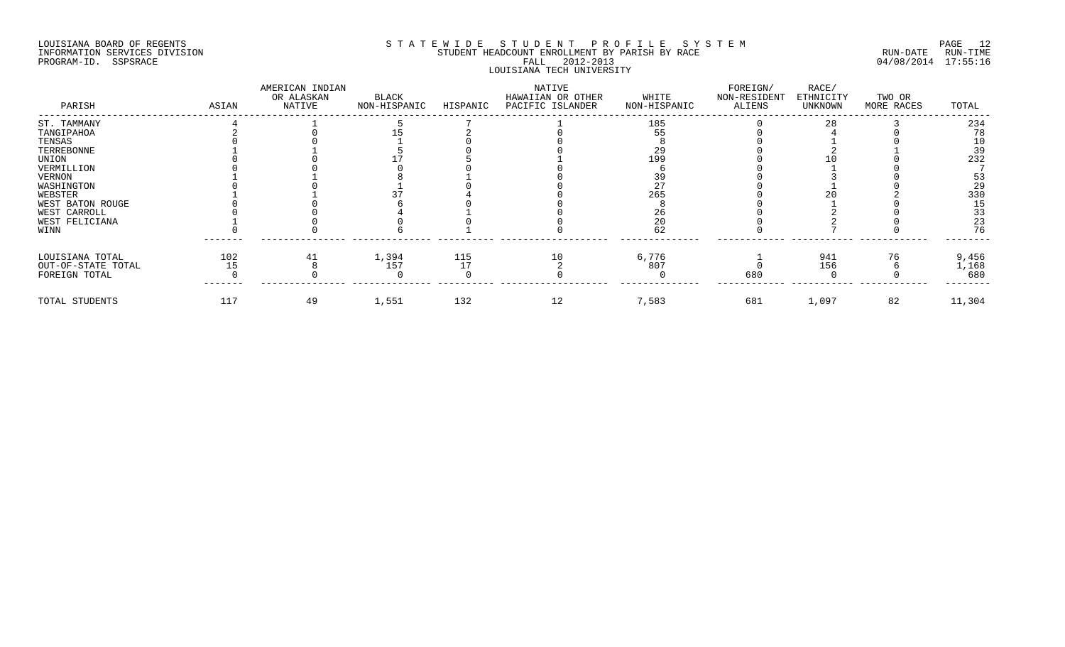## LOUISIANA BOARD OF REGENTS SOURCOME STATEWIDE STUDENT PROFILE SYSTEM STE MANUEL PAGE 12<br>STUDENT HEADCOUNT ENROLLMENT BY PARISH BY RACE SYSTEM SUN-DATE RUN-TIME INFORMATION SERVICES DIVISION STUDENT STUDENT HEADCOUNT ENROLLMENT BY PARISH BY RACE PROGRAM-ID. SSPSRACE FALL 2012-2013 04/08/2014 17:55:16 LOUISIANA TECH UNIVERSITY

| PARISH             | ASIAN | AMERICAN INDIAN<br>OR ALASKAN<br>NATIVE | BLACK<br>NON-HISPANIC | HISPANIC | NATIVE<br>HAWAIIAN OR OTHER<br>PACIFIC ISLANDER | WHITE<br>NON-HISPANIC | FOREIGN/<br>NON-RESIDENT<br>ALIENS | RACE/<br>ETHNICITY<br>UNKNOWN | TWO OR<br>MORE RACES | TOTAL  |
|--------------------|-------|-----------------------------------------|-----------------------|----------|-------------------------------------------------|-----------------------|------------------------------------|-------------------------------|----------------------|--------|
| ST. TAMMANY        |       |                                         |                       |          |                                                 | 185                   |                                    | 28                            |                      | 234    |
| TANGIPAHOA         |       |                                         |                       |          |                                                 |                       |                                    |                               |                      | 78     |
| TENSAS             |       |                                         |                       |          |                                                 |                       |                                    |                               |                      |        |
| TERREBONNE         |       |                                         |                       |          |                                                 | 29                    |                                    |                               |                      | 39     |
| UNION              |       |                                         |                       |          |                                                 | 199                   |                                    |                               |                      | 232    |
| VERMILLION         |       |                                         |                       |          |                                                 |                       |                                    |                               |                      |        |
| VERNON             |       |                                         |                       |          |                                                 |                       |                                    |                               |                      |        |
| WASHINGTON         |       |                                         |                       |          |                                                 |                       |                                    |                               |                      | 29     |
| WEBSTER            |       |                                         |                       |          |                                                 | 265                   |                                    |                               |                      | 330    |
| WEST BATON ROUGE   |       |                                         |                       |          |                                                 |                       |                                    |                               |                      | 15     |
| WEST CARROLL       |       |                                         |                       |          |                                                 |                       |                                    |                               |                      | 33     |
| WEST FELICIANA     |       |                                         |                       |          |                                                 |                       |                                    |                               |                      | 23     |
| WINN               |       |                                         |                       |          |                                                 |                       |                                    |                               |                      |        |
| LOUISIANA TOTAL    | 102   |                                         | 1,394                 | 115      |                                                 | 6,776                 |                                    | 941                           | 76                   | 9,456  |
| OUT-OF-STATE TOTAL |       |                                         | 157                   |          |                                                 | 807                   |                                    | 156                           |                      | 1,168  |
| FOREIGN TOTAL      |       |                                         |                       |          |                                                 |                       | 680                                |                               |                      | 680    |
| TOTAL STUDENTS     | 117   | 49                                      | 1,551                 | 132      | 12                                              | 7,583                 | 681                                | 1,097                         | 82                   | 11,304 |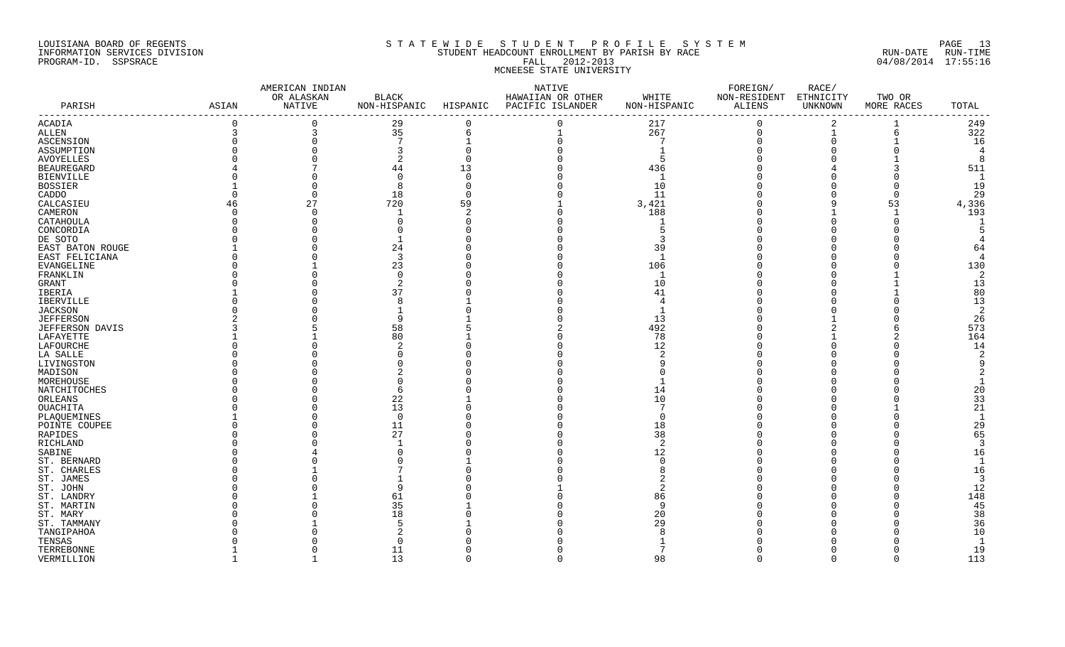#### LOUISIANA BOARD OF REGENTS S T A T E W I D E S T U D E N T P R O F I L E S Y S T E M PAGE 13 INFORMATION SERVICES DIVISION STUDENT HEADCOUNT ENROLLMENT BY PARISH BY RACE RUN-DATE RUN-TIME PROGRAM-ID. SSPSRACE FALL 2012-2013 04/08/2014 17:55:16 MCNEESE STATE UNIVERSITY

|                   |                                   | AMERICAN INDIAN |                |          | NATIVE            |                | FOREIGN/      | RACE/     |            |                          |
|-------------------|-----------------------------------|-----------------|----------------|----------|-------------------|----------------|---------------|-----------|------------|--------------------------|
|                   |                                   | OR ALASKAN      | <b>BLACK</b>   |          | HAWAIIAN OR OTHER | WHITE          | NON-RESIDENT  | ETHNICITY | TWO OR     |                          |
| PARISH            | ASIAN<br>------------------------ | NATIVE          | NON-HISPANIC   | HISPANIC | PACIFIC ISLANDER  | NON-HISPANIC   | <b>ALIENS</b> | UNKNOWN   | MORE RACES | TOTAL                    |
| ACADIA            | $\Omega$                          |                 | 29             | $\Omega$ |                   | 217            | $\Omega$      | 2         |            | 249                      |
| ALLEN             | 3                                 | 3               | 35             | 6        |                   | 267            | $\mathbf 0$   |           | 6          | 322                      |
| ASCENSION         |                                   |                 | $\overline{7}$ |          |                   |                | $\Omega$      |           |            | 16                       |
| ASSUMPTION        |                                   |                 |                |          |                   |                |               |           |            | $\overline{4}$           |
| AVOYELLES         |                                   |                 |                |          |                   | -5             |               |           |            | ۶                        |
| <b>BEAUREGARD</b> |                                   |                 | 44             | 13       |                   | 436            |               |           |            | 511                      |
| <b>BIENVILLE</b>  |                                   |                 | $\Omega$       |          |                   |                |               |           |            | $\mathbf{1}$             |
| BOSSIER           |                                   |                 | 8              |          |                   | 10             |               |           |            | 19                       |
| CADDO             |                                   |                 | 18             |          |                   | 11             |               |           | $\Omega$   | 29                       |
| CALCASIEU         | 46                                | 27              | 720            | 59       |                   | 3,421          |               |           | 53         | 4,336                    |
| CAMERON           |                                   |                 |                |          |                   | 188            |               |           |            | 193                      |
| CATAHOULA         |                                   |                 | $\cap$         |          |                   |                |               |           |            |                          |
| CONCORDIA         |                                   |                 |                |          |                   | 5              |               |           |            |                          |
| DE SOTO           |                                   |                 |                |          |                   |                |               |           |            |                          |
| EAST BATON ROUGE  |                                   |                 | 24             |          |                   | 39             |               |           |            | 64                       |
| EAST FELICIANA    |                                   |                 | 3              |          |                   | $\overline{1}$ |               |           |            | $\overline{4}$           |
| EVANGELINE        |                                   |                 | 23             |          |                   | 106            |               |           |            | 130                      |
| FRANKLIN          |                                   |                 | $\Omega$       |          |                   |                |               |           |            | 2                        |
| GRANT             |                                   |                 |                |          |                   | 10             |               |           |            | 13                       |
| IBERIA            |                                   |                 | 37             |          |                   | 41             |               |           |            | 80                       |
| IBERVILLE         |                                   |                 | 8              |          |                   |                |               |           |            | 13                       |
| <b>JACKSON</b>    |                                   |                 |                |          |                   |                |               |           |            | -2                       |
| <b>JEFFERSON</b>  |                                   |                 | Q              |          |                   | 13             |               |           |            | 26                       |
| JEFFERSON DAVIS   |                                   |                 | 58             |          |                   | 492            |               |           |            | 573                      |
| LAFAYETTE         |                                   |                 | 80             |          |                   | 78             |               |           |            | 164                      |
| LAFOURCHE         |                                   |                 |                |          |                   | 12             |               |           |            | 14                       |
| LA SALLE          |                                   |                 |                |          |                   |                |               |           |            |                          |
| LIVINGSTON        |                                   |                 |                |          |                   |                |               |           |            |                          |
| MADISON           |                                   |                 |                |          |                   |                |               |           |            |                          |
| MOREHOUSE         |                                   |                 |                |          |                   |                |               |           |            |                          |
| NATCHITOCHES      |                                   |                 | 6              |          |                   | 14             |               |           |            | 20                       |
| ORLEANS           |                                   |                 | 22             |          |                   | 10             |               |           |            | 33                       |
| OUACHITA          |                                   |                 | 13             |          |                   |                |               |           |            | 21                       |
| PLAQUEMINES       |                                   |                 | $\Omega$       |          |                   |                |               |           |            | $\overline{1}$           |
| POINTE COUPEE     |                                   |                 | 11             |          |                   | 18             |               |           |            | 29                       |
| RAPIDES           |                                   |                 | 27             |          |                   | 38             |               |           |            | 65                       |
| RICHLAND          |                                   |                 |                |          |                   | -2             |               |           |            | $\mathcal{R}$            |
| SABINE            |                                   |                 |                |          |                   | 12             |               |           |            | 16                       |
| ST. BERNARD       |                                   |                 |                |          |                   |                |               |           |            | $\overline{\phantom{0}}$ |
| ST. CHARLES       |                                   |                 |                |          |                   |                |               |           |            | 16                       |
| ST. JAMES         |                                   |                 |                |          |                   |                |               |           |            | -3                       |
| ST. JOHN          |                                   |                 | q              |          |                   |                |               |           |            | 12                       |
| ST. LANDRY        |                                   |                 | 61             |          |                   | 86             |               |           |            | 148                      |
| ST. MARTIN        |                                   |                 | 35             |          |                   | - 9            |               |           |            | 45                       |
| ST. MARY          |                                   |                 | 18             |          |                   | 20             |               |           |            | 38                       |
| ST. TAMMANY       |                                   |                 |                |          |                   | 29             |               |           |            | 36                       |
| TANGIPAHOA        |                                   |                 |                |          |                   |                |               |           |            | 10                       |
| TENSAS            |                                   |                 | $\Omega$       |          |                   |                |               |           |            | -1                       |
| TERREBONNE        |                                   |                 | 11             |          |                   |                |               |           |            | 19                       |
| VERMILLION        |                                   |                 | 13             | $\cap$   | $\cap$            | 98             | $\Omega$      | $\Omega$  | $\Omega$   | 113                      |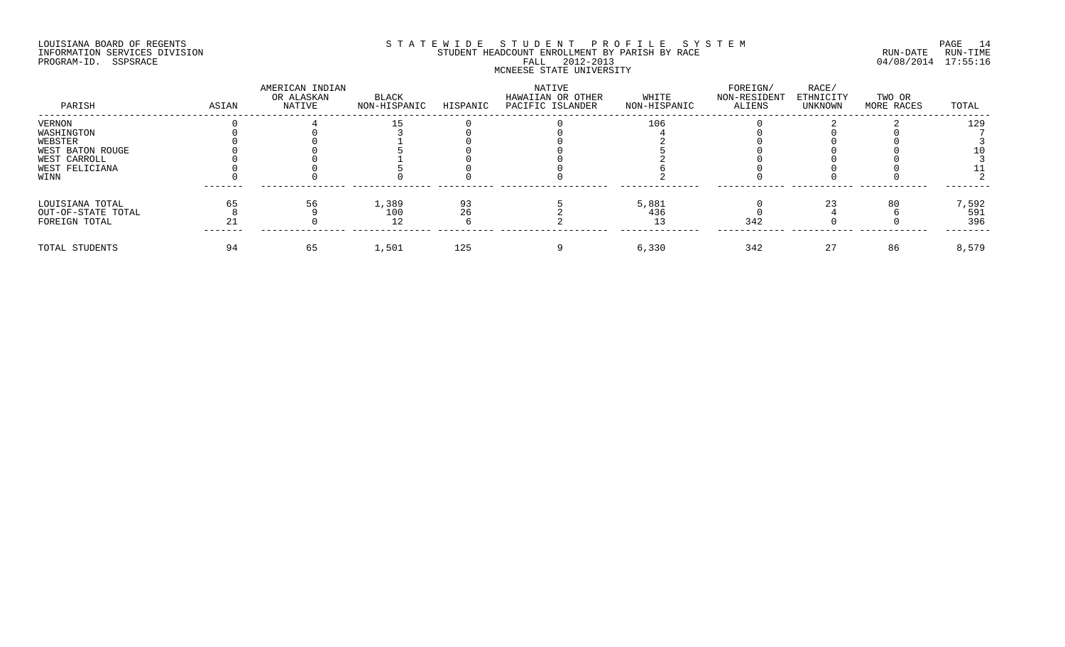#### LOUISIANA BOARD OF REGENTS SOURCOME STATEWIDE STUDENT PROFILE SYSTEM STE MANUEL PAGE 14<br>STUDENT HEADCOUNT ENROLLMENT BY PARISH BY RACE SYSTEM SUN-DATE RUN-TIME INFORMATION SERVICES DIVISION STUDENT STUDENT HEADCOUNT ENROLLMENT BY PARISH BY RACE PROGRAM-ID. SSPSRACE FALL 2012-2013 04/08/2014 17:55:16 MCNEESE STATE UNIVERSITY

| PARISH             | ASIAN | AMERICAN INDIAN<br>OR ALASKAN<br>NATIVE | BLACK<br>NON-HISPANIC | HISPANIC | NATIVE<br>HAWAIIAN OR OTHER<br>PACIFIC ISLANDER | WHITE<br>NON-HISPANIC | FOREIGN/<br>NON-RESIDENT<br>ALIENS | RACE/<br>ETHNICITY<br>UNKNOWN | TWO OR<br>MORE RACES | TOTAL |
|--------------------|-------|-----------------------------------------|-----------------------|----------|-------------------------------------------------|-----------------------|------------------------------------|-------------------------------|----------------------|-------|
| VERNON             |       |                                         |                       |          |                                                 | 106                   |                                    |                               |                      | 129   |
| WASHINGTON         |       |                                         |                       |          |                                                 |                       |                                    |                               |                      |       |
| WEBSTER            |       |                                         |                       |          |                                                 |                       |                                    |                               |                      |       |
| WEST BATON ROUGE   |       |                                         |                       |          |                                                 |                       |                                    |                               |                      |       |
| WEST CARROLL       |       |                                         |                       |          |                                                 |                       |                                    |                               |                      |       |
| WEST FELICIANA     |       |                                         |                       |          |                                                 |                       |                                    |                               |                      |       |
| WINN               |       |                                         |                       |          |                                                 |                       |                                    |                               |                      |       |
| LOUISIANA TOTAL    |       |                                         | 1,389                 |          |                                                 | 5,881                 |                                    |                               | 80                   | 7,592 |
| OUT-OF-STATE TOTAL |       |                                         | 100                   |          |                                                 | 436                   |                                    |                               |                      | 591   |
| FOREIGN TOTAL      |       |                                         | 12                    |          |                                                 |                       | 342                                |                               |                      | 396   |
| TOTAL STUDENTS     |       | 65                                      | 1,501                 | 125      |                                                 | 6,330                 | 342                                | 27                            | 86                   | 8,579 |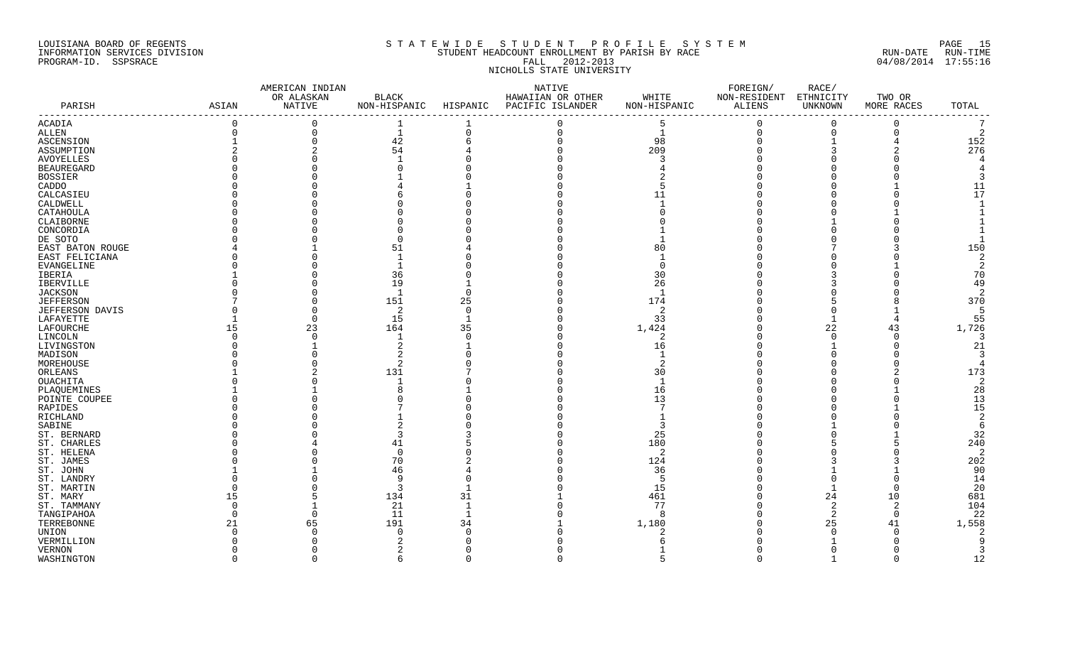#### LOUISIANA BOARD OF REGENTS S T A T E W I D E S T U D E N T P R O F I L E S Y S T E M PAGE 15 INFORMATION SERVICES DIVISION SAN STUDENT HEADCOUNT ENROLLMENT BY PARISH BY RACE SUN-DATE RUN-DATE RUN-TIME RUN<br>PROGRAM-ID. SSPSRACE 04/08/2014 17:55:16 PROGRAM-ID. SSPSRACE **FALL 2012-2013** NICHOLLS STATE UNIVERSITY

|                   |          | AMERICAN INDIAN |                |          | NATIVE            |                | FOREIGN/      | RACE/       |            |                |
|-------------------|----------|-----------------|----------------|----------|-------------------|----------------|---------------|-------------|------------|----------------|
|                   |          | OR ALASKAN      | <b>BLACK</b>   |          | HAWAIIAN OR OTHER | WHITE          | NON-RESIDENT  | ETHNICITY   | TWO OR     |                |
| PARISH            | ASIAN    | NATIVE          | NON-HISPANIC   | HISPANIC | PACIFIC ISLANDER  | NON-HISPANIC   | <b>ALIENS</b> | UNKNOWN     | MORE RACES | TOTAL          |
| ACADIA            | $\Omega$ | $\Omega$        |                |          | $\Omega$          | .5             | $\Omega$      | $\mathbf 0$ | $\Omega$   |                |
| ALLEN             | 0        | $\mathbf{0}$    | $\mathbf{1}$   | $\Omega$ | $\Omega$          | $\mathbf{1}$   | $\mathbf 0$   | $\mathbf 0$ | $\Omega$   | 2              |
| <b>ASCENSION</b>  |          | $\Omega$        | 42             |          | $\Omega$          | 98             |               |             |            | 152            |
| ASSUMPTION        |          |                 | 54             |          |                   | 209            |               |             |            | 276            |
| AVOYELLES         |          |                 |                |          |                   |                |               |             |            |                |
| <b>BEAUREGARD</b> |          |                 |                |          |                   |                |               |             |            |                |
| <b>BOSSIER</b>    |          |                 |                |          |                   |                |               |             |            |                |
| CADDO             |          |                 |                |          |                   |                |               |             |            | 11             |
| CALCASIEU         |          |                 |                |          |                   |                |               |             |            | 17             |
| CALDWELL          |          |                 |                |          |                   |                |               |             |            |                |
| CATAHOULA         |          |                 |                |          |                   |                |               |             |            |                |
| CLAIBORNE         |          |                 |                |          |                   |                |               |             |            |                |
| CONCORDIA         |          |                 |                |          |                   |                |               |             |            |                |
| DE SOTO           |          |                 |                |          |                   |                |               |             |            |                |
| EAST BATON ROUGE  |          |                 | 51             |          |                   | 80             |               |             |            | 150            |
| EAST FELICIANA    |          |                 | $\overline{1}$ |          |                   |                |               |             |            | $\overline{2}$ |
| EVANGELINE        |          |                 |                |          |                   |                |               |             |            | -2             |
| IBERIA            |          |                 | 36             |          |                   | 30             |               |             |            | 70             |
| IBERVILLE         |          |                 | 19             |          |                   | 26             |               |             |            | 49             |
| JACKSON           |          |                 | -1             |          |                   |                |               |             |            | 2              |
| <b>JEFFERSON</b>  |          |                 | 151            | 25       |                   | 174            |               |             |            | 370            |
| JEFFERSON DAVIS   |          | $\Omega$        | 2              |          |                   | -2             |               |             |            | -5             |
| LAFAYETTE         |          | $\Omega$        | 15             |          |                   | 33             |               |             | 4          | 55             |
| LAFOURCHE         | 15       | 23              | 164            | 35       |                   | 1,424          |               | 22          | 43         | 1,726          |
| LINCOLN           |          | $\cap$          |                |          |                   | -2             |               |             | $\Omega$   | -3             |
| LIVINGSTON        |          |                 | 2              |          |                   | 16             |               |             | ∩          | 21             |
| MADISON           |          |                 |                |          |                   |                |               |             |            |                |
| MOREHOUSE         |          |                 | 2              |          |                   |                |               |             |            |                |
| ORLEANS           |          |                 | 131            |          |                   | 30             |               |             |            | 173            |
| OUACHITA          |          |                 |                |          |                   |                |               |             |            | 2              |
| PLAQUEMINES       |          |                 |                |          |                   | 16             |               |             |            | 28             |
| POINTE COUPEE     |          |                 |                |          |                   | 13             |               |             |            | 13             |
| <b>RAPIDES</b>    |          |                 |                |          |                   |                |               |             |            | 15             |
| RICHLAND          |          |                 |                |          |                   |                |               |             |            | 2              |
| SABINE            |          |                 |                |          |                   |                |               |             |            | 6              |
| ST. BERNARD       |          |                 | 3              |          |                   | 25             |               |             |            | 32             |
| ST. CHARLES       |          |                 | 41             |          |                   | 180            |               |             |            | 240            |
| ST. HELENA        |          |                 | $\Omega$       |          |                   | $\overline{2}$ |               |             |            | 2              |
| ST. JAMES         |          |                 | 70             |          |                   | 124            |               |             |            | 202            |
| ST. JOHN          |          |                 | 46             |          |                   | 36             |               |             |            | 90             |
| ST. LANDRY        |          |                 | 9              |          |                   | .5             |               | $\Omega$    | O          | 14             |
| ST. MARTIN        |          |                 | 3              |          |                   | 15             |               |             | $\Omega$   | 20             |
| ST. MARY          | 15       |                 | 134            | 31       |                   | 461            |               | 24          | 10         | 681            |
| ST. TAMMANY       | ∩        |                 | 21             |          |                   | 77             |               | 2           | 2          | 104            |
| TANGIPAHOA        |          | $\Omega$        | 11             |          |                   |                |               | 2           | $\Omega$   | 22             |
| TERREBONNE        | 21       | 65              | 191            | 34       |                   | 1,180          |               | 25          | 41         | 1,558          |
| UNION             |          |                 | $\Omega$       |          |                   |                |               |             |            |                |
| VERMILLION        |          |                 |                |          |                   |                |               |             |            |                |
| VERNON            |          |                 |                |          |                   |                |               |             |            |                |
| WASHINGTON        | $\cap$   | $\cap$          | $\epsilon$     | $\cap$   | $\cap$            |                | $\cap$        |             | ∩          | 12             |
|                   |          |                 |                |          |                   |                |               |             |            |                |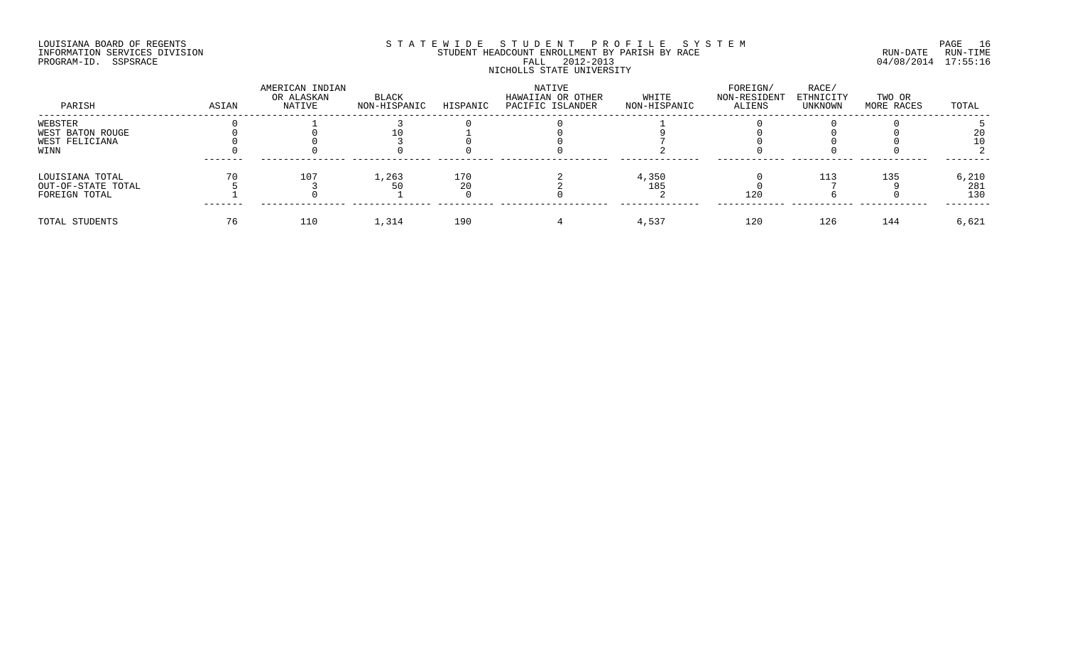## LOUISIANA BOARD OF REGENTS SOURCOME STATEWIDE STUDENT PROFILE SYSTEM STE MANUEL PAGE 16<br>STUDENT HEADCOUNT ENROLLMENT BY PARISH BY RACE THE SYSTEM RUN-DATE RUN-TIME INFORMATION SERVICES DIVISION STUDENT STUDENT HEADCOUNT ENROLLMENT BY PARISH BY RACE PROGRAM-ID. SSPSRACE FALL 2012-2013 04/08/2014 17:55:16 NICHOLLS STATE UNIVERSITY

| PARISH             | ASIAN | AMERICAN INDIAN<br>OR ALASKAN<br>NATIVE | BLACK<br>NON-HISPANIC | HISPANIC | NATIVE<br>HAWAIIAN OR OTHER<br>PACIFIC ISLANDER | WHITE<br>NON-HISPANIC | FOREIGN/<br>NON-RESIDENT<br>ALIENS | RACE/<br>ETHNICITY<br>UNKNOWN | TWO OR<br>MORE RACES | TOTAL |
|--------------------|-------|-----------------------------------------|-----------------------|----------|-------------------------------------------------|-----------------------|------------------------------------|-------------------------------|----------------------|-------|
| WEBSTER            |       |                                         |                       |          |                                                 |                       |                                    |                               |                      |       |
| WEST BATON ROUGE   |       |                                         |                       |          |                                                 |                       |                                    |                               |                      |       |
| WEST FELICIANA     |       |                                         |                       |          |                                                 |                       |                                    |                               |                      |       |
| WINN               |       |                                         |                       |          |                                                 |                       |                                    |                               |                      |       |
| LOUISIANA TOTAL    |       | 107                                     | 1,263                 | 170      |                                                 | 4,350                 |                                    | ᆂᆂᅾ                           | 135                  | 6,210 |
| OUT-OF-STATE TOTAL |       |                                         |                       |          |                                                 | 185                   |                                    |                               |                      | 281   |
| FOREIGN TOTAL      |       |                                         |                       |          |                                                 |                       | 120                                |                               |                      | 130   |
| TOTAL STUDENTS     |       | 110                                     | 1,314                 | 190      |                                                 | 4,537                 | 120                                | 126                           | 144                  | 6,621 |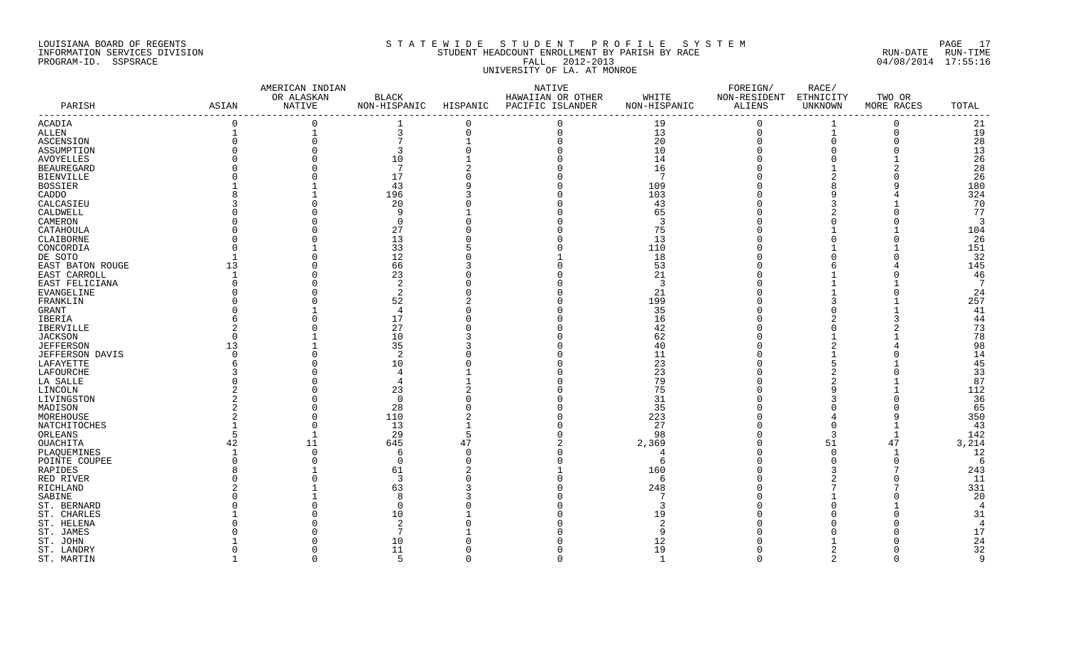#### LOUISIANA BOARD OF REGENTS S T A T E W I D E S T U D E N T P R O F I L E S Y S T E M PAGE 17 INFORMATION SERVICES DIVISION STUDENT HEADCOUNT ENROLLMENT BY PARISH BY RACE RUN-DATE RUN-TIME PROGRAM-ID. SSPSRACE FALL 2012-2013 04/08/2014 17:55:16 UNIVERSITY OF LA. AT MONROE

|                     |                                                | AMERICAN INDIAN |                 |          | NATIVE                                 |                | FOREIGN/               | RACE/         |            |                |
|---------------------|------------------------------------------------|-----------------|-----------------|----------|----------------------------------------|----------------|------------------------|---------------|------------|----------------|
|                     |                                                | OR ALASKAN      | BLACK           |          | HAWAIIAN OR OTHER                      | WHITE          | NON-RESIDENT ETHNICITY |               | TWO OR     |                |
| PARISH              | ASIAN<br>------------------------------------- | NATIVE          |                 |          | NON-HISPANIC HISPANIC PACIFIC ISLANDER | NON-HISPANIC   | ALIENS                 | UNKNOWN       | MORE RACES | TOTAL          |
| <b>ACADIA</b>       | $\Omega$                                       | $\Omega$        |                 | $\Omega$ |                                        | 19             | $\Omega$               |               | $\Omega$   | 21             |
| ALLEN               |                                                |                 | 3               | $\Omega$ | $\Omega$                               | 13             | $\mathbf 0$            | $\mathbf{1}$  | $\Omega$   | 19             |
| ASCENSION           |                                                | $\Omega$        | 7               |          |                                        | 20             | $\Omega$               | $\Omega$      |            | 28             |
| ASSUMPTION          |                                                |                 |                 |          |                                        | 10             |                        | $\Omega$      |            | 13             |
| AVOYELLES           |                                                |                 | 10              |          |                                        | 14             |                        |               |            | 26             |
| <b>BEAUREGARD</b>   |                                                |                 | 7               |          |                                        | 16             |                        |               |            | 28             |
| <b>BIENVILLE</b>    |                                                |                 | 17              |          |                                        | 7              |                        |               |            | 26             |
| <b>BOSSIER</b>      |                                                |                 | 43              |          |                                        | 109            |                        |               |            | 180            |
| CADDO               |                                                |                 | 196             |          |                                        | 103            |                        | Q             |            | 324            |
| CALCASIEU           |                                                |                 | 20              |          |                                        | 43             |                        |               |            | 70             |
| CALDWELL            |                                                |                 | 9               |          |                                        | 65             |                        |               |            | 77             |
| CAMERON             |                                                |                 | $\Omega$        |          |                                        | $\mathcal{R}$  |                        |               |            | $\overline{3}$ |
| CATAHOULA           |                                                |                 | 27              |          |                                        | 75             |                        |               |            | 104            |
| CLAIBORNE           |                                                |                 | 13              |          |                                        | 13             |                        |               |            | 26             |
| CONCORDIA           |                                                |                 | 33              |          |                                        | 110            |                        |               |            | 151            |
| DE SOTO             |                                                |                 | 12              |          |                                        | 18             |                        |               |            | 32             |
| EAST BATON ROUGE    | 13                                             |                 | 66              |          |                                        | 53             |                        |               |            | 145            |
| EAST CARROLL        |                                                |                 | 23              |          |                                        | 21             |                        |               |            | 46             |
| EAST FELICIANA      |                                                |                 | -2              |          |                                        | -3             |                        |               |            | 7              |
| EVANGELINE          |                                                |                 | 2               |          |                                        | 21             |                        |               |            | 24             |
| FRANKLIN            |                                                |                 | 52              |          |                                        | 199            |                        |               |            | 257            |
| GRANT               |                                                |                 | 4               |          |                                        | 35             |                        |               |            | 41             |
| IBERIA              |                                                |                 | 17              |          |                                        | 16             |                        |               |            | 44             |
| IBERVILLE           |                                                |                 | 27              |          |                                        | 42             |                        |               |            | 73             |
| <b>JACKSON</b>      |                                                |                 | 10              |          |                                        | 62             |                        |               |            | 78             |
| <b>JEFFERSON</b>    | 13                                             |                 | 35              |          |                                        | 40             |                        |               |            | 98             |
| JEFFERSON DAVIS     |                                                |                 | 2               |          |                                        | 11             |                        |               |            | 14             |
| LAFAYETTE           |                                                |                 | 10              |          |                                        | 23             |                        |               |            | 45             |
| LAFOURCHE           |                                                |                 | $\overline{4}$  |          |                                        | 23             |                        |               |            | 33             |
|                     |                                                |                 |                 |          |                                        | 79             |                        |               |            | 87             |
| LA SALLE<br>LINCOLN |                                                |                 | 23              |          |                                        | 75             |                        |               |            | 112            |
| LIVINGSTON          |                                                |                 | $\Omega$        |          |                                        | 31             |                        |               |            | 36             |
|                     |                                                |                 |                 |          |                                        |                |                        |               |            |                |
| MADISON             |                                                |                 | 28              |          |                                        | 35             |                        |               |            | 65             |
| MOREHOUSE           |                                                | $\Omega$        | 110             |          |                                        | 223            |                        |               |            | 350            |
| NATCHITOCHES        |                                                | $\Omega$        | 13              |          |                                        | 27             |                        |               |            | 43             |
| ORLEANS             | 5                                              |                 | 29              |          |                                        | 98             |                        | 3             |            | 142            |
| OUACHITA            | 42                                             | 11              | 645             | 47       |                                        | 2,369          |                        | 51            | 47         | 3,214          |
| PLAQUEMINES         |                                                | $\Omega$        | 6               |          |                                        |                |                        | $\Omega$      |            | 12             |
| POINTE COUPEE       |                                                |                 | $\Omega$        |          |                                        | -6             |                        |               | $\Omega$   | - 6            |
| RAPIDES             |                                                |                 | 61              |          |                                        | 160            |                        |               |            | 243            |
| RED RIVER           |                                                |                 | -3              |          |                                        | -6             |                        |               |            | -11            |
| RICHLAND            |                                                |                 | 63              |          |                                        | 248            |                        |               |            | 331            |
| SABINE              |                                                |                 |                 |          |                                        |                |                        |               |            | 20             |
| ST. BERNARD         |                                                |                 | $\cap$          |          |                                        |                |                        |               |            | $\overline{4}$ |
| ST. CHARLES         |                                                |                 | 10              |          |                                        | 19             |                        |               |            | 31             |
| ST. HELENA          |                                                |                 |                 |          |                                        |                |                        |               |            | $\overline{4}$ |
| ST. JAMES           |                                                |                 | 7               |          |                                        |                |                        |               |            | 17             |
| ST. JOHN            |                                                |                 | 10              |          |                                        | 12             |                        |               |            | 24             |
| ST. LANDRY          |                                                |                 | 11              |          |                                        | 19             |                        |               |            | 32             |
| ST. MARTIN          |                                                | $\cap$          | $5\overline{2}$ |          |                                        | $\overline{1}$ | $\cap$                 | $\mathcal{L}$ | U          | 9              |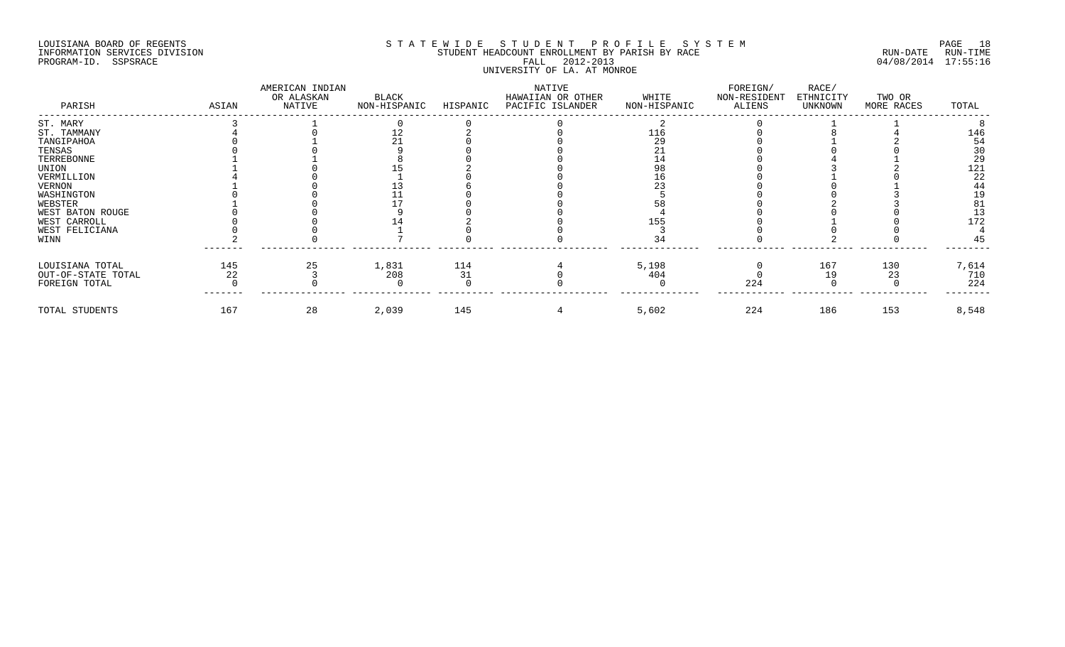## LOUISIANA BOARD OF REGENTS SOURCOME STATEWIDE STUDENT PROFILE SYSTEM STE MANUEL PAGE 18<br>STUDENT HEADCOUNT ENROLLMENT BY PARISH BY RACE THE SYSTEM RUN-DATE RUN-TIME INFORMATION SERVICES DIVISION STUDENT STUDENT HEADCOUNT ENROLLMENT BY PARISH BY RACE PROGRAM-ID. SSPSRACE FALL 2012-2013 04/08/2014 17:55:16 UNIVERSITY OF LA. AT MONROE

| PARISH             | ASIAN | AMERICAN INDIAN<br>OR ALASKAN<br>NATIVE | BLACK<br>NON-HISPANIC | HISPANIC | NATIVE<br>HAWAIIAN OR OTHER<br>PACIFIC ISLANDER | WHITE<br>NON-HISPANIC | FOREIGN/<br>NON-RESIDENT<br>ALIENS | RACE/<br>ETHNICITY<br>UNKNOWN | TWO OR<br>MORE RACES | TOTAL                                    |
|--------------------|-------|-----------------------------------------|-----------------------|----------|-------------------------------------------------|-----------------------|------------------------------------|-------------------------------|----------------------|------------------------------------------|
| ST. MARY           |       |                                         |                       |          |                                                 |                       |                                    |                               |                      |                                          |
| ST. TAMMANY        |       |                                         |                       |          |                                                 | 116                   |                                    |                               |                      | 146                                      |
| TANGIPAHOA         |       |                                         |                       |          |                                                 | 29                    |                                    |                               |                      | 54                                       |
| TENSAS             |       |                                         |                       |          |                                                 |                       |                                    |                               |                      | 30                                       |
| TERREBONNE         |       |                                         |                       |          |                                                 |                       |                                    |                               |                      | $\begin{array}{c} 29 \\ 121 \end{array}$ |
| UNION              |       |                                         |                       |          |                                                 |                       |                                    |                               |                      |                                          |
| VERMILLION         |       |                                         |                       |          |                                                 |                       |                                    |                               |                      | 22                                       |
| VERNON             |       |                                         |                       |          |                                                 |                       |                                    |                               |                      | 44                                       |
| WASHINGTON         |       |                                         |                       |          |                                                 |                       |                                    |                               |                      | 19                                       |
| WEBSTER            |       |                                         |                       |          |                                                 |                       |                                    |                               |                      | 81                                       |
| WEST BATON ROUGE   |       |                                         |                       |          |                                                 |                       |                                    |                               |                      | 13                                       |
| WEST CARROLL       |       |                                         |                       |          |                                                 | 155                   |                                    |                               |                      | 172                                      |
| WEST FELICIANA     |       |                                         |                       |          |                                                 |                       |                                    |                               |                      |                                          |
| WINN               |       |                                         |                       |          |                                                 |                       |                                    |                               |                      | 45                                       |
| LOUISIANA TOTAL    | 145   | 25                                      | 1,831                 | 114      |                                                 | 5,198                 |                                    | 167                           | 130                  | 7,614                                    |
| OUT-OF-STATE TOTAL | 22    |                                         | 208                   | 31       |                                                 | 404                   |                                    | 19                            | 23                   | 710                                      |
| FOREIGN TOTAL      |       |                                         |                       |          |                                                 |                       | 224                                |                               |                      | 224                                      |
| TOTAL STUDENTS     | 167   | 28                                      | 2,039                 | 145      |                                                 | 5,602                 | 224                                | 186                           | 153                  | 8,548                                    |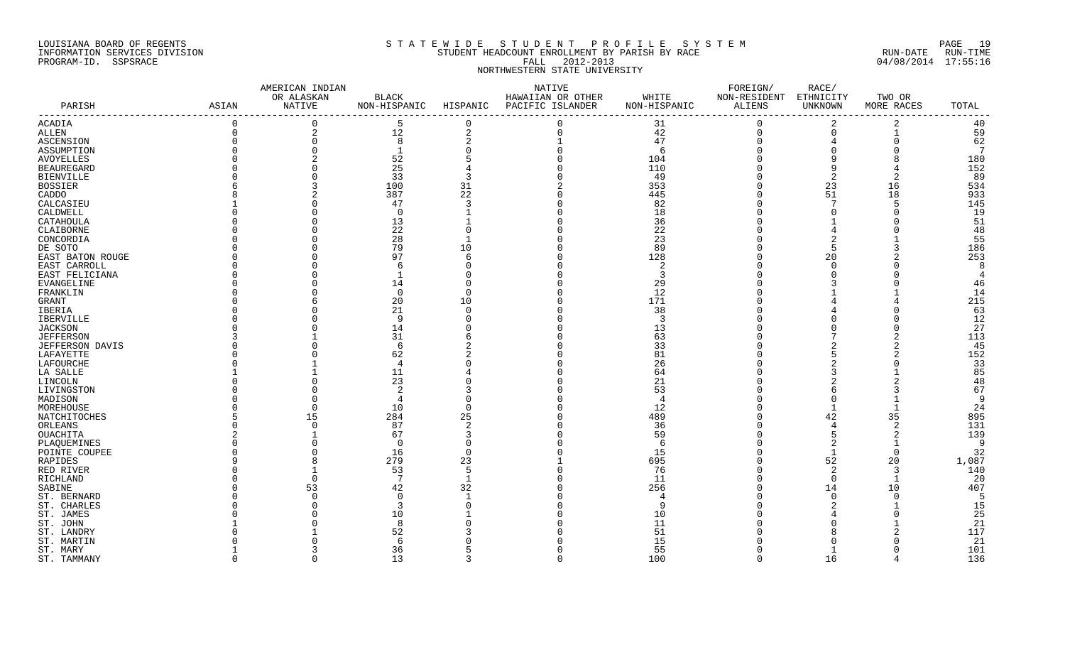#### LOUISIANA BOARD OF REGENTS S T A T E W I D E S T U D E N T P R O F I L E S Y S T E M PAGE 19 INFORMATION SERVICES DIVISION STUDENT HEADCOUNT ENROLLMENT BY PARISH BY RACE RUN-DATE RUN-TIME PROGRAM-ID. SSPSRACE FALL 2012-2013 04/08/2014 17:55:16 NORTHWESTERN STATE UNIVERSITY

|                        |          | AMERICAN INDIAN |                |                | NATIVE            |               | FOREIGN/     | RACE/       |                |                 |
|------------------------|----------|-----------------|----------------|----------------|-------------------|---------------|--------------|-------------|----------------|-----------------|
|                        |          | OR ALASKAN      | $_{\rm BLACK}$ |                | HAWAIIAN OR OTHER | WHITE         | NON-RESIDENT | ETHNICITY   | TWO OR         |                 |
| PARISH                 | ASIAN    | NATIVE          | NON-HISPANIC   | HISPANIC       | PACIFIC ISLANDER  | NON-HISPANIC  | ALIENS       | UNKNOWN     | MORE RACES     | TOTAL           |
| ACADIA                 | $\Omega$ | $\Omega$        | 5              | $\Omega$       | $\Omega$          | 31            | $\Omega$     | 2           | 2              | 40              |
| ALLEN                  | $\Omega$ | 2               | 12             | $\overline{a}$ | $\Omega$          | 42            | $\mathbf 0$  | $\mathbf 0$ | $\mathbf{1}$   | 59              |
| ASCENSION              |          | $\Omega$        | 8              |                |                   | 47            | $\Omega$     |             | $\Omega$       | 62              |
| ASSUMPTION             |          | $\Omega$        |                |                |                   | 6             |              |             |                | $7\phantom{.0}$ |
| AVOYELLES              |          | 2               | 52             |                |                   | 104           |              | 9           |                | 180             |
| <b>BEAUREGARD</b>      |          |                 | 25             |                |                   | 110           |              | 9           |                | 152             |
| <b>BIENVILLE</b>       |          |                 | 33             |                |                   | 49            |              | 2           | 2              | 89              |
| BOSSIER                |          |                 | 100            | 31             |                   | 353           |              | 23          | 16             | 534             |
| CADDO                  |          |                 | 387            | 22             |                   | 445           |              | 51          | 18             | 933             |
| CALCASIEU              |          |                 | 47             |                |                   | 82            |              |             | 5              | 145             |
|                        |          |                 | $\Omega$       |                |                   | 18            |              |             |                | 19              |
| CALDWELL               |          |                 |                |                |                   |               |              |             |                |                 |
| CATAHOULA              |          |                 | 13             |                |                   | 36            |              |             |                | 51              |
| CLAIBORNE              |          |                 | 22             |                |                   | 22            |              |             |                | 48              |
| CONCORDIA              |          |                 | 28             |                |                   | 23            |              |             |                | 55              |
| DE SOTO                |          |                 | 79             | 10             |                   | 89            |              | .5          |                | 186             |
| EAST BATON ROUGE       |          |                 | 97             | 6              |                   | 128           |              | 20          |                | 253             |
| EAST CARROLL           |          |                 |                |                |                   |               |              | $\Omega$    |                | 8               |
| EAST FELICIANA         |          |                 |                |                |                   | ્ર            |              |             |                | $\overline{4}$  |
| EVANGELINE             |          |                 | 14             |                |                   | 29            |              |             |                | 46              |
| FRANKLIN               |          |                 | $\Omega$       |                |                   | 12            |              |             |                | 14              |
| GRANT                  |          |                 | 20             | 10             |                   | 171           |              |             |                | 215             |
| IBERIA                 |          |                 | 21             |                |                   | 38            |              |             |                | 63              |
| IBERVILLE              |          |                 | 9              |                |                   | $\mathcal{R}$ |              |             |                | 12              |
| <b>JACKSON</b>         |          |                 | 14             |                |                   | 13            |              |             |                | 27              |
| <b>JEFFERSON</b>       |          |                 | 31             |                |                   | 63            |              |             |                | 113             |
|                        |          |                 | 6              |                |                   | 33            |              |             | 2              | 45              |
| <b>JEFFERSON DAVIS</b> |          |                 |                |                |                   | 81            |              |             |                | 152             |
| LAFAYETTE              |          |                 | 62             |                |                   |               |              |             |                |                 |
| LAFOURCHE              |          |                 | 4              |                |                   | 26            |              |             |                | 33              |
| LA SALLE               |          |                 | 11             |                |                   | 64            |              |             |                | 85              |
| LINCOLN                |          |                 | 23             |                |                   | 21            |              |             |                | 48              |
| LIVINGSTON             |          |                 | 2              |                |                   | 53            |              |             |                | 67              |
| MADISON                |          |                 | 4              |                |                   |               |              | $\Omega$    |                | 9               |
| MOREHOUSE              |          | $\cap$          | 10             |                |                   | 12            |              |             |                | 24              |
| NATCHITOCHES           |          | 15              | 284            | 25             |                   | 489           |              | 42          | 35             | 895             |
| ORLEANS                |          | $\Omega$        | 87             |                |                   | 36            |              |             | $\overline{2}$ | 131             |
| OUACHITA               |          |                 | 67             |                |                   | 59            |              |             | 2              | 139             |
| PLAQUEMINES            |          | $\cap$          | $\Omega$       |                |                   | -6            |              | 2           |                | -9              |
| POINTE COUPEE          |          |                 | 16             |                |                   | 15            |              |             | $\Omega$       | 32              |
| RAPIDES                |          | 8               | 279            | 23             |                   | 695           |              | 52          | 20             | 1,087           |
| RED RIVER              |          |                 | 53             | 5              |                   | 76            |              | 2           | 3              | 140             |
| RICHLAND               |          | $\Omega$        | 7              |                |                   | 11            |              | 0           | -1             | -20             |
| SABINE                 |          | 53              | 42             | 32             |                   | 256           |              | 14          | 10             | 407             |
| ST. BERNARD            |          |                 | $\cap$         |                |                   |               |              |             | ∩              | 5               |
| ST. CHARLES            |          |                 |                |                |                   |               |              |             |                | 15              |
|                        |          |                 |                |                |                   |               |              |             |                |                 |
| ST. JAMES              |          |                 | 10             |                |                   | 10            |              |             |                | 25              |
| ST. JOHN               |          |                 | 8              |                |                   | 11            |              |             |                | 21              |
| ST. LANDRY             |          |                 | 52             |                |                   | 51            |              |             |                | 117             |
| ST. MARTIN             |          |                 | $\epsilon$     |                |                   | 15            |              |             |                | 21              |
| ST. MARY               |          |                 | 36             |                |                   | 55            |              |             |                | 101             |
| ST. TAMMANY            |          | $\cap$          | 13             |                | $\cap$            | 100           | $\cap$       | 16          |                | 136             |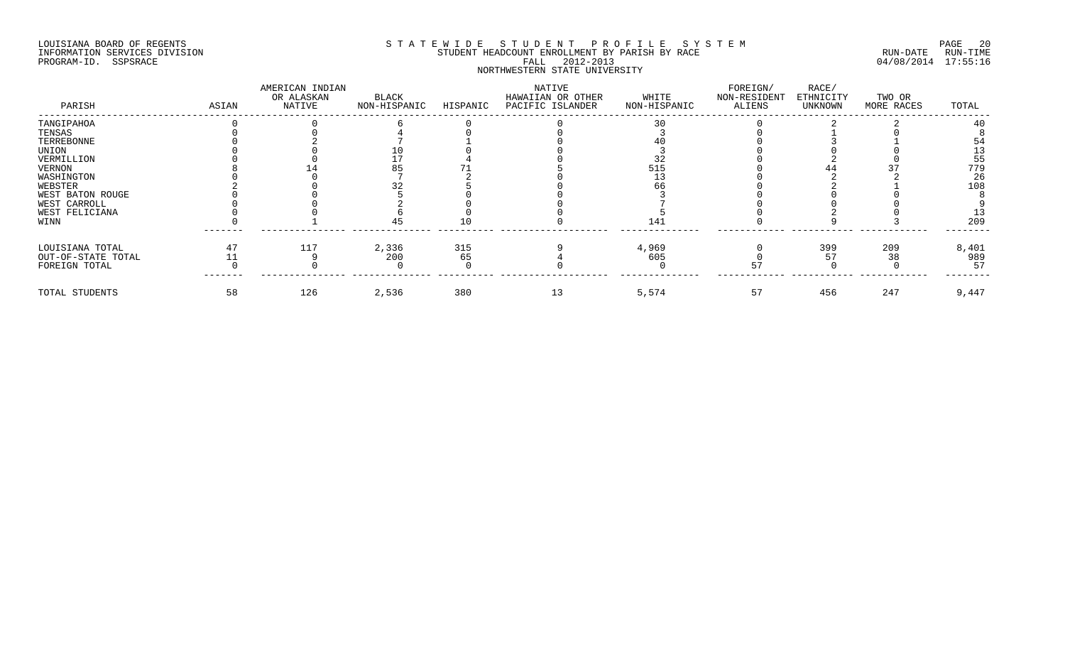## LOUISIANA BOARD OF REGENTS SOURCOME STATEWIDE STUDENT PROFILE SYSTEM STE MANUEL 20<br>STUDENT HEADCOUNT ENROLLMENT BY PARISH BY RACE THE SYSTEM SUN-DATE RUN-TIME INFORMATION SERVICES DIVISION STUDENT STUDENT HEADCOUNT ENROLLMENT BY PARISH BY RACE PROGRAM-ID. SSPSRACE FALL 2012-2013 04/08/2014 17:55:16 NORTHWESTERN STATE UNIVERSITY

| PARISH             | ASIAN | AMERICAN INDIAN<br>OR ALASKAN<br>NATIVE | BLACK<br>NON-HISPANIC | HISPANIC | NATIVE<br>HAWAIIAN OR OTHER<br>PACIFIC ISLANDER | WHITE<br>NON-HISPANIC | FOREIGN/<br>NON-RESIDENT<br>ALIENS | RACE/<br>ETHNICITY<br>UNKNOWN | TWO OR<br>MORE RACES | TOTAL |
|--------------------|-------|-----------------------------------------|-----------------------|----------|-------------------------------------------------|-----------------------|------------------------------------|-------------------------------|----------------------|-------|
| TANGIPAHOA         |       |                                         |                       |          |                                                 |                       |                                    |                               |                      |       |
| TENSAS             |       |                                         |                       |          |                                                 |                       |                                    |                               |                      |       |
| TERREBONNE         |       |                                         |                       |          |                                                 |                       |                                    |                               |                      |       |
| UNION              |       |                                         |                       |          |                                                 |                       |                                    |                               |                      |       |
| VERMILLION         |       |                                         |                       |          |                                                 |                       |                                    |                               |                      | 55    |
| VERNON             |       |                                         |                       |          |                                                 | 515                   |                                    |                               |                      | 779   |
| WASHINGTON         |       |                                         |                       |          |                                                 |                       |                                    |                               |                      | 26    |
| WEBSTER            |       |                                         |                       |          |                                                 |                       |                                    |                               |                      | 108   |
| WEST BATON ROUGE   |       |                                         |                       |          |                                                 |                       |                                    |                               |                      |       |
| WEST CARROLL       |       |                                         |                       |          |                                                 |                       |                                    |                               |                      |       |
| WEST FELICIANA     |       |                                         |                       |          |                                                 |                       |                                    |                               |                      |       |
| WINN               |       |                                         |                       |          |                                                 | 141                   |                                    |                               |                      | 209   |
| LOUISIANA TOTAL    |       | 117                                     | 2,336                 | 315      |                                                 | 4,969                 |                                    | 399                           | 209                  | 8,401 |
| OUT-OF-STATE TOTAL |       |                                         | 200                   | 65       |                                                 | 605                   |                                    |                               | 38                   | 989   |
| FOREIGN TOTAL      |       |                                         |                       |          |                                                 |                       |                                    |                               |                      | 57    |
| TOTAL STUDENTS     | 58    | 126                                     | 2,536                 | 380      | 13                                              | 5,574                 | 57                                 | 456                           | 247                  | 9,447 |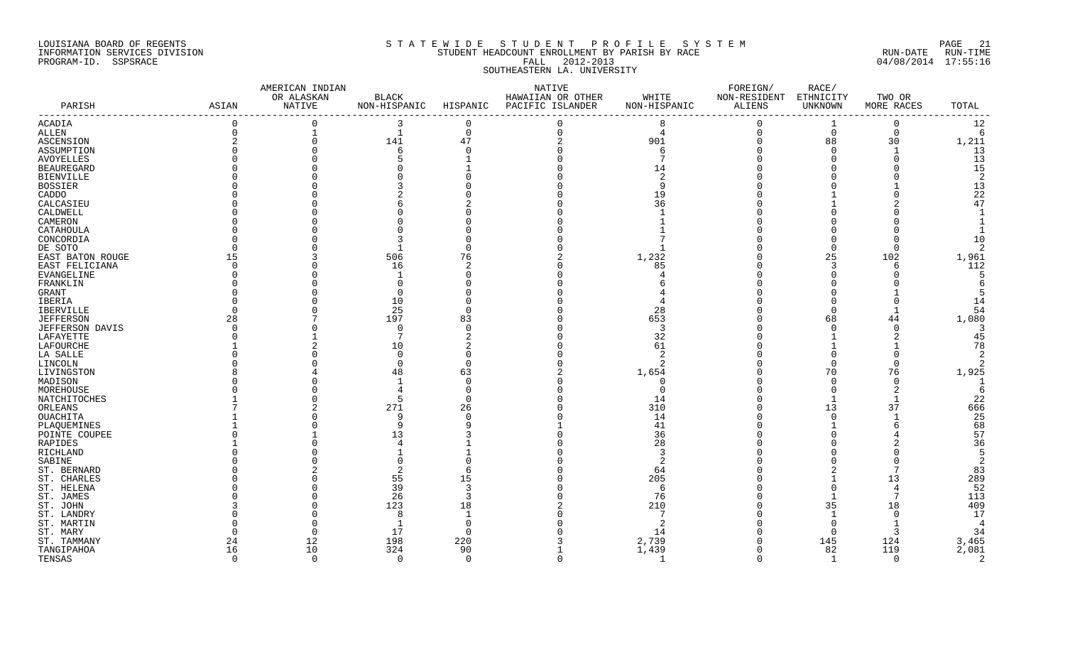#### LOUISIANA BOARD OF REGENTS SOURCH STATEWIDE STUDENT PROFILE SYSTEM SOURCH PAGE 21 INFORMATION SERVICES DIVISION STUDENT HEADCOUNT ENROLLMENT BY PARISH BY RACE RUN-DATE RUN-TIME PROGRAM-ID. SSPSRACE FALL 2012-2013 04/08/2014 17:55:16 SOUTHEASTERN LA. UNIVERSITY

#### AMERICAN INDIAN NATIVE FOREIGN/ RACE/ OR ALASKAN BLACK HAWAIIAN OR OTHER WHITE NON-RESIDENT ETHNICITY TWO OR PARISH ASIAN NATIVE NON-HISPANIC HISPANIC PACIFIC ISLANDER NON-HISPANIC ALIENS UNKNOWN MORE RACES TOTAL ----------------------------------------------------------------------------------------------------------------------------------------------------------------------- ACADIA 0 0 0 3 0 0 0 8 0 1 0 12<br>ALLEN 0 1 1 0 0 4 0 0 0 1<br>ASCENSION 2 0 141 47 2 901 0 88 30 1,211<br>ASSUMPTION 0 0 5 1 0 7 0 0 1 13<br>BUNICELES 0 0 5 1 0 7 0 0 13<br>BEANUEGARD 0 0 0 0 13<br>BEANUEGARD 0 0 0 0 1<br>BUENVILLE ALLEN 0 1 1 0 0 4 0 0 0 6 ASCENSION 2 0 141 47 2 901 0 88 30 1,211 ASSUMPTION 0 0 6 0 0 6 0 0 1 13 AVOYELLES 0 0 5 1 0 7 0 0 0 13 BEAUREGARD 0 0 0 1 0 14 0 0 0 15 BIENVILLE 0 0 0 0 0 2 0 0 0 2 BOSSIER 0 0 3 0 0 9 0 0 1 13 CADDO 0 0 2 0 0 19 0 1 0 22 CALCASIEU 0 0 6 2 0 36 0 1 2 47 CALDWELL 0 0 0 0 0 1 0 0 0 1 CAMERON 0 0 0 0 0 1 0 0 0 1 CATAHOULA 0 0 0 0 0 1 0 0 0 1 CONCORDIA 0 0 3 0 0 7 0 0 0 10 DE SOTO 0 0 1 0 0 1 0 0 0 2 EAST BATON ROUGE 15 3 506 76 2 1,232 0 25 102 1,961 EAST FELICIANA 0 0 16 2 0 85 0 3 6 112 EVANGELINE 0 0 1 0 0 4 0 0 0 5 FRANKLIN 0 0 0 0 0 6 0 0 0 6 GRANT 0 0 0 0 0 4 0 0 1 5 IBERIA 0 0 10 0 0 4 0 0 0 14 IBERVILLE 0 0 25 0 0 28 0 0 1 54 JEFFERSON 28 7 197 83 0 653 0 68 44 1,080 JEFFERSON DAVIS 0 0 0 0 0 3 0 0 0 3 LAFAYETTE 0 1 7 2 0 32 0 1 2 45 LAFOURCHE 1 2 10 2 0 61 0 1 1 78 LA SALLE 0 0 0 0 0 2 0 0 0 2 LINCOLN 0 0 0 0 0 2 0 0 0 2 LIVINGSTON 8  $\frac{3}{8}$  48 48 63 2 1,654 0 70 76 1,925 MADISON 0 0 1 0 0 0 0 0 0 1 MOREHOUSE 0 0 4 0 0 0 0 0 2 6 NATCHITOCHES 1 0 5 0 0 14 0 1 1 22 ORLEANS 7 2 271 26 0 310 0 13 37 666 OUACHITA 1 0 9 0 0 14 0 0 1 25 PLAQUEMINES 1 0 9 9 1 41 0 1 6 68 POINTE COUPEE 0 1 13 3 0 36 0 0 4 57 RAPIDES 1 0 4 1 0 28 0 0 2 36 RICHLAND 0 0 1 1 0 3 0 0 0 5 SABINE 0 0 0 0 0 2 0 0 0 2 ST. BERNARD 0 2 2 6 0 64 0 2 7 83 ST. CHARLES 0 0 55 15 0 205 0 1 13 289 ST. HELENA 0 0 39 3 0 6 0 0 4 52 ST. JAMES 0 0 26 3 0 76 0 1 7 113 ST. JOHN 3 0 123 18 2 210 0 35 18 409 ST. LANDRY 0 0 8 1 0 7 0 1 0 17 ST. MARTIN 0 0 1 0 0 2 0 0 1 4 ST. MARY 0 0 17 0 0 14 0 0 3 34 ST. TAMMANY 24 12 198 220 3 2,739 0 145 124 3,465 TANGIPAHOA 16 10 324 90 1 1,439 0 82 119 2,081 TENSAS 0 0 0 0 0 1 0 1 0 2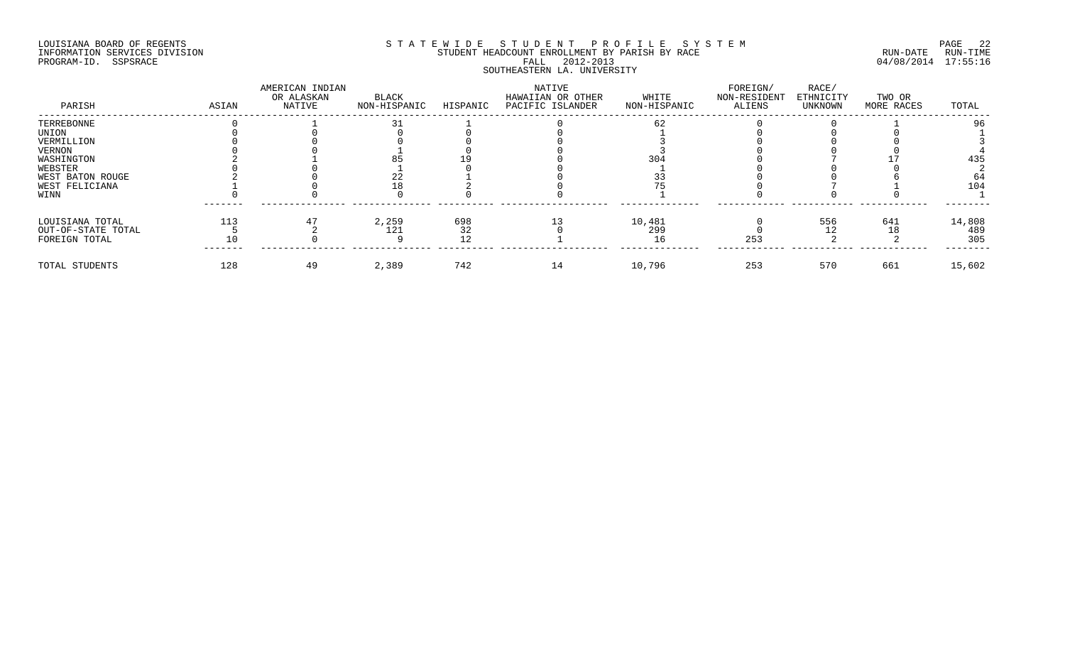## LOUISIANA BOARD OF REGENTS SOURCOME STATEWIDE STUDENT PROFILE SYSTEM STE MANUEL 22<br>STUDENT HEADCOUNT ENROLLMENT BY PARISH BY RACE THE SYSTEM SUN-DATE RUN-TIME INFORMATION SERVICES DIVISION STUDENT STUDENT HEADCOUNT ENROLLMENT BY PARISH BY RACE PROGRAM-ID. SSPSRACE FALL 2012-2013 04/08/2014 17:55:16 SOUTHEASTERN LA. UNIVERSITY

| PARISH             | ASIAN | AMERICAN INDIAN<br>OR ALASKAN<br>NATIVE | BLACK<br>NON-HISPANIC | HISPANIC | NATIVE<br>HAWAIIAN OR OTHER<br>PACIFIC ISLANDER | WHITE<br>NON-HISPANIC | FOREIGN/<br>NON-RESIDENT<br>ALIENS | RACE/<br>ETHNICITY<br>UNKNOWN | TWO OR<br>MORE RACES | TOTAL  |
|--------------------|-------|-----------------------------------------|-----------------------|----------|-------------------------------------------------|-----------------------|------------------------------------|-------------------------------|----------------------|--------|
| TERREBONNE         |       |                                         |                       |          |                                                 |                       |                                    |                               |                      |        |
| UNION              |       |                                         |                       |          |                                                 |                       |                                    |                               |                      |        |
| VERMILLION         |       |                                         |                       |          |                                                 |                       |                                    |                               |                      |        |
| VERNON             |       |                                         |                       |          |                                                 |                       |                                    |                               |                      |        |
| WASHINGTON         |       |                                         |                       |          |                                                 | 304                   |                                    |                               |                      | 435    |
| WEBSTER            |       |                                         |                       |          |                                                 |                       |                                    |                               |                      |        |
| WEST BATON ROUGE   |       |                                         |                       |          |                                                 |                       |                                    |                               |                      |        |
| WEST FELICIANA     |       |                                         |                       |          |                                                 |                       |                                    |                               |                      | 104    |
| WINN               |       |                                         |                       |          |                                                 |                       |                                    |                               |                      |        |
| LOUISIANA TOTAL    | 113   |                                         | 2,259                 | 698      |                                                 | 10,481                |                                    | 556                           | 641                  | 14,808 |
| OUT-OF-STATE TOTAL |       |                                         | 121                   | 32       |                                                 | 299                   |                                    |                               |                      | 489    |
| FOREIGN TOTAL      |       |                                         |                       |          |                                                 |                       | 253                                |                               |                      | 305    |
| TOTAL STUDENTS     | 128   | 49                                      | 2,389                 | 742      | 14                                              | 10,796                | 253                                | 570                           | 661                  | 15,602 |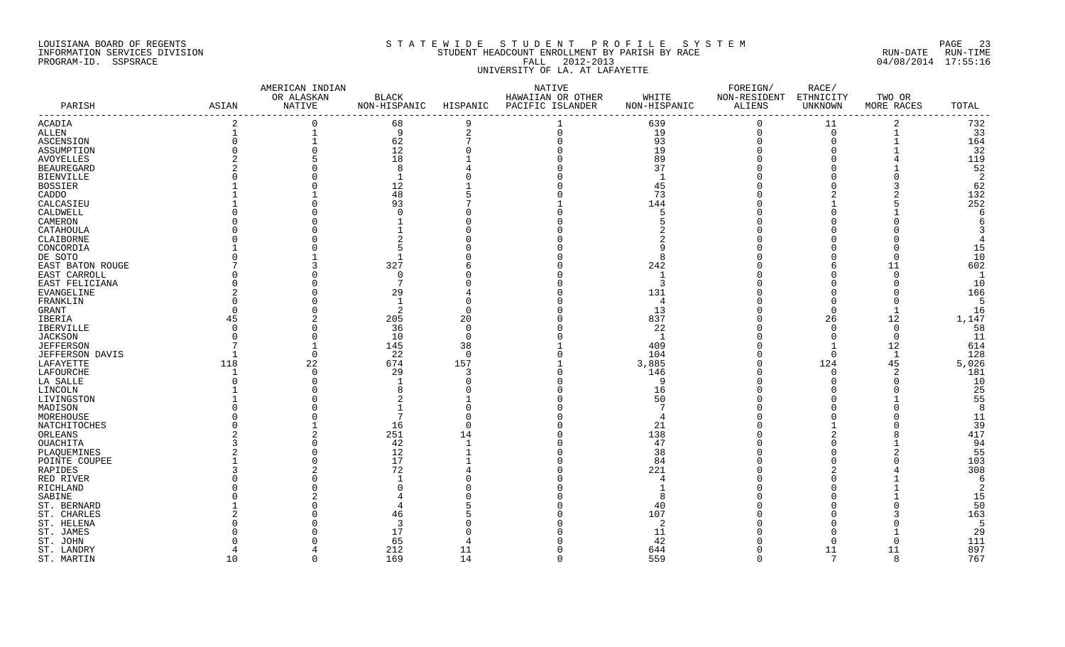## LOUISIANA BOARD OF REGENTS SAND AND STRIEWIDE STUDENT PROFILE SYSTEM AND SOME 23 INFORMATION SERVICES DIVISION STUDENT HEADCOUNT ENROLLMENT BY PARISH BY RACE RUN-DATE RUN-TIME PROGRAM-ID. SSPSRACE FALL 2012-2013 04/08/2014 17:55:16 UNIVERSITY OF LA. AT LAFAYETTE

|                        |          | AMERICAN INDIAN |                |                | NATIVE            |              | FOREIGN/               | RACE/          |                |                 |
|------------------------|----------|-----------------|----------------|----------------|-------------------|--------------|------------------------|----------------|----------------|-----------------|
|                        |          | OR ALASKAN      | <b>BLACK</b>   |                | HAWAIIAN OR OTHER | WHITE        | NON-RESIDENT ETHNICITY |                | TWO OR         |                 |
| PARISH                 | ASIAN    | <b>NATIVE</b>   | NON-HISPANIC   | HISPANIC       | PACIFIC ISLANDER  | NON-HISPANIC | <b>ALIENS</b>          | UNKNOWN        | MORE RACES     | TOTAL<br>------ |
| ACADIA                 |          |                 | 68             | 9              |                   | 639          | $\Omega$               | 11             | $\overline{2}$ | 732             |
| <b>ALLEN</b>           |          |                 | 9              | $\overline{2}$ | $\Omega$          | 19           | 0                      | $\mathbf 0$    | $\mathbf{1}$   | 33              |
| ASCENSION              |          |                 | 62             |                |                   | 93           |                        | $\overline{0}$ |                | 164             |
| ASSUMPTION             |          |                 | 12             |                |                   | 19           |                        | $\Omega$       |                | 32              |
| <b>AVOYELLES</b>       |          |                 | 18             |                |                   | 89           |                        |                |                | 119             |
| <b>BEAUREGARD</b>      |          |                 | 8              |                |                   | 37           |                        |                |                | 52              |
| <b>BIENVILLE</b>       |          |                 | $\mathbf{1}$   |                |                   |              |                        |                |                | $\overline{2}$  |
| BOSSIER                |          |                 | 12             |                |                   | 45           |                        |                |                | 62              |
| CADDO                  |          |                 | 48             |                |                   | 73           |                        |                |                | 132             |
| CALCASIEU              |          |                 | 93             |                |                   | 144          |                        |                |                | 252             |
| CALDWELL               |          |                 | $\cap$         |                |                   |              |                        |                |                | 6               |
| CAMERON                |          |                 |                |                |                   |              |                        |                |                | 6               |
| CATAHOULA              |          |                 |                |                |                   |              |                        |                |                |                 |
| CLAIBORNE              |          |                 |                |                |                   |              |                        |                |                | 4               |
| CONCORDIA              |          |                 |                |                |                   |              |                        |                |                | 15              |
| DE SOTO                |          |                 |                |                |                   |              |                        |                |                | 10              |
| EAST BATON ROUGE       |          |                 | 327            |                |                   | 242          |                        | 6              | 11             | 602             |
| EAST CARROLL           |          |                 | $\Omega$       |                |                   |              |                        | $\Omega$       |                | $\mathbf{1}$    |
| EAST FELICIANA         |          |                 | $\mathcal{L}$  |                |                   | 3            |                        |                |                | 10              |
| EVANGELINE             |          |                 | 29             |                |                   | 131          |                        |                |                | 166             |
| FRANKLIN               |          |                 | $\overline{1}$ |                |                   | -4           |                        | $\Omega$       |                | 5               |
| <b>GRANT</b>           | $\Omega$ |                 | 2              |                |                   | 13           |                        | $\Omega$       |                | 16              |
| IBERIA                 | 45       |                 | 205            | 20             |                   | 837          |                        | 26             | 12             | 1,147           |
| IBERVILLE              | $\Omega$ |                 | 36             | $\cap$         |                   | 22           |                        | $\Omega$       | $\Omega$       | 58              |
| JACKSON                |          |                 | 10             | $\cap$         |                   | -1           |                        | $\Omega$       | $\Omega$       | 11              |
| <b>JEFFERSON</b>       |          |                 | 145            | 38             |                   | 409          |                        |                | 12             | 614             |
| <b>JEFFERSON DAVIS</b> |          | $\Omega$        | 22             | $\Omega$       |                   | 104          |                        | $\Omega$       | -1             | 128             |
| LAFAYETTE              | 118      | 22              | 674            | 157            |                   | 3,885        |                        | 124            | 45             | 5,026           |
| LAFOURCHE              | -1       | $\Omega$        | 29             | 3              |                   | 146          |                        | $\Omega$       | 2              | 181             |
| LA SALLE               |          |                 |                |                |                   | <b>Q</b>     |                        |                |                | 10              |
| LINCOLN                |          |                 |                |                |                   | 16           |                        |                |                | 25              |
| LIVINGSTON             |          |                 |                |                |                   | 50           |                        |                |                | 55              |
|                        |          |                 |                |                |                   |              |                        |                |                | 8               |
| MADISON<br>MOREHOUSE   |          |                 |                |                |                   |              |                        |                |                | 11              |
|                        |          |                 |                |                |                   |              |                        |                |                | 39              |
| NATCHITOCHES           |          |                 | 16<br>251      |                |                   | 21           |                        |                |                | 417             |
| ORLEANS                |          |                 | 42             |                |                   | 138<br>47    |                        |                |                | 94              |
| OUACHITA               |          |                 |                |                |                   |              |                        |                |                | 55              |
| PLAQUEMINES            |          |                 | 12             |                |                   | 38           |                        |                |                |                 |
| POINTE COUPEE          |          |                 | 17             |                |                   | 84<br>221    |                        |                |                | 103<br>308      |
| RAPIDES                |          |                 | 72             |                |                   |              |                        |                |                | 6               |
| RED RIVER              |          |                 |                |                |                   |              |                        |                |                | $\overline{2}$  |
| RICHLAND               |          |                 |                |                |                   |              |                        |                |                |                 |
| SABINE                 |          |                 |                |                |                   |              |                        |                |                | 15              |
| ST. BERNARD            |          |                 |                |                |                   | 40           |                        |                |                | 50              |
| ST. CHARLES            |          |                 | 46             |                |                   | 107          |                        |                |                | 163             |
| ST. HELENA             |          |                 | 3              |                |                   | -2           |                        |                |                | 5               |
| ST. JAMES              |          |                 | 17             |                |                   | 11           |                        |                |                | 29              |
| ST. JOHN               |          |                 | 65             |                |                   | 42           |                        | $\Omega$       | U              | 111             |
| ST. LANDRY             |          |                 | 212            | 11             |                   | 644          |                        | 11             | 11             | 897             |
| ST. MARTIN             | 10       | $\Omega$        | 169            | 14             | $\Omega$          | 559          | $\Omega$               | 7              | 8              | 767             |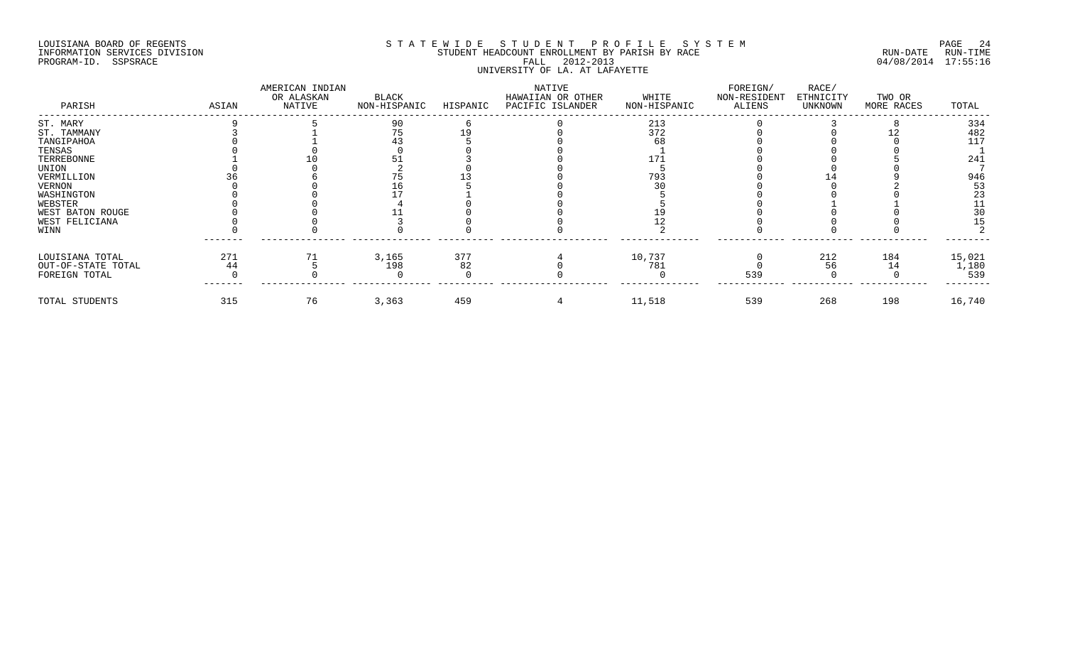## LOUISIANA BOARD OF REGENTS SOURCOME STATEWIDE STUDENT PROFILE SYSTEM STE MANUEL 24<br>STUDENT HEADCOUNT ENROLLMENT BY PARISH BY RACE THE SYSTEM SUN-DATE RUN-TIME INFORMATION SERVICES DIVISION STUDENT STUDENT HEADCOUNT ENROLLMENT BY PARISH BY RACE PROGRAM-ID. SSPSRACE FALL 2012-2013 04/08/2014 17:55:16 UNIVERSITY OF LA. AT LAFAYETTE

| PARISH             | ASIAN | AMERICAN INDIAN<br>OR ALASKAN<br>NATIVE | BLACK<br>NON-HISPANIC | HISPANIC | NATIVE<br>HAWAIIAN OR OTHER<br>PACIFIC ISLANDER | WHITE<br>NON-HISPANIC | FOREIGN/<br>NON-RESIDENT<br>ALIENS | RACE/<br>ETHNICITY<br>UNKNOWN | TWO OR<br>MORE RACES | TOTAL  |
|--------------------|-------|-----------------------------------------|-----------------------|----------|-------------------------------------------------|-----------------------|------------------------------------|-------------------------------|----------------------|--------|
| ST. MARY           |       |                                         | 90                    |          |                                                 | 213                   |                                    |                               |                      | 334    |
| ST. TAMMANY        |       |                                         |                       |          |                                                 | 372                   |                                    |                               |                      | 482    |
| TANGIPAHOA         |       |                                         |                       |          |                                                 |                       |                                    |                               |                      | 117    |
| TENSAS             |       |                                         |                       |          |                                                 |                       |                                    |                               |                      |        |
| TERREBONNE         |       |                                         |                       |          |                                                 | 17.                   |                                    |                               |                      | 241    |
| UNION              |       |                                         |                       |          |                                                 |                       |                                    |                               |                      |        |
| VERMILLION         |       |                                         |                       |          |                                                 | 793                   |                                    |                               |                      | 946    |
| VERNON             |       |                                         |                       |          |                                                 |                       |                                    |                               |                      | 53     |
| WASHINGTON         |       |                                         |                       |          |                                                 |                       |                                    |                               |                      | 23     |
| WEBSTER            |       |                                         |                       |          |                                                 |                       |                                    |                               |                      |        |
| WEST BATON ROUGE   |       |                                         |                       |          |                                                 |                       |                                    |                               |                      |        |
| WEST FELICIANA     |       |                                         |                       |          |                                                 |                       |                                    |                               |                      |        |
| WINN               |       |                                         |                       |          |                                                 |                       |                                    |                               |                      |        |
| LOUISIANA TOTAL    | 271   |                                         | 3,165                 | 377      |                                                 | 10,737                |                                    | 212                           | 184                  | 15,021 |
| OUT-OF-STATE TOTAL | 44    |                                         | 198                   | 82       |                                                 | 781                   |                                    | 56                            | 14                   | 1,180  |
| FOREIGN TOTAL      |       |                                         |                       |          |                                                 |                       | 539                                |                               |                      | 539    |
| TOTAL STUDENTS     | 315   | 76                                      | 3,363                 | 459      |                                                 | 11,518                | 539                                | 268                           | 198                  | 16,740 |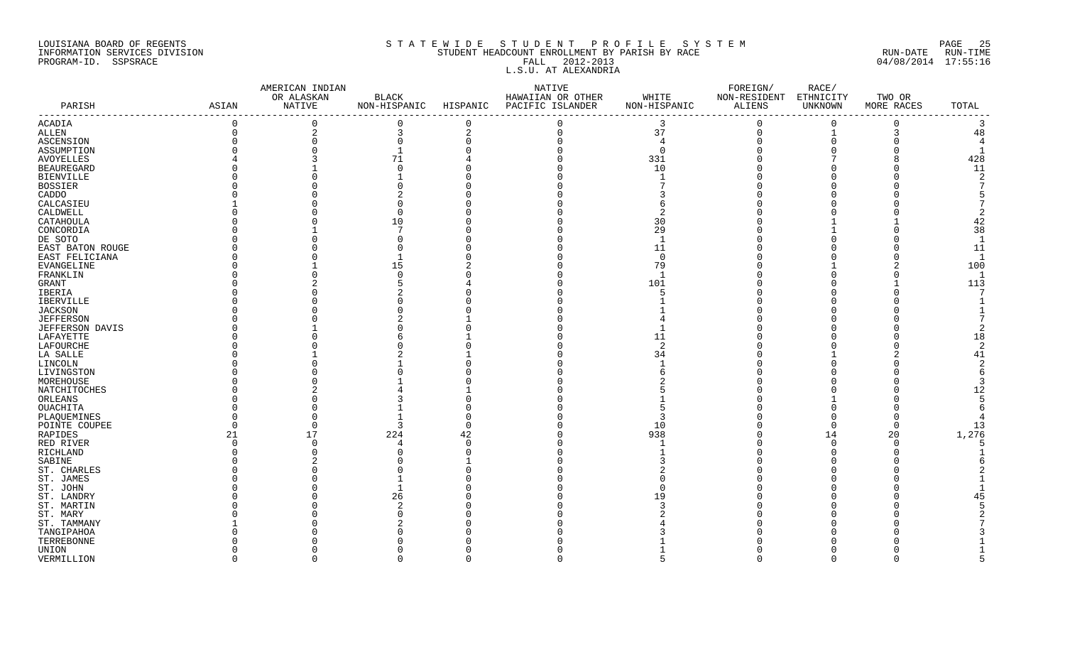## LOUISIANA BOARD OF REGENTS S T A T E W I D E S T U D E N T P R O F I L E S Y S T E M PAGE 25 INFORMATION SERVICES DIVISION SAN STUDENT HEADCOUNT ENROLLMENT BY PARISH BY RACE SUN-DATE RUN-DATE RUN-TIME RUN<br>PROGRAM-ID. SSPSRACE 04/08/2014 17:55:16 PROGRAM-ID. SSPSRACE FALL 2012-2013 04/08/2014 17:55:16 L.S.U. AT ALEXANDRIA

|                   |                | AMERICAN INDIAN |              |                | NATIVE                                 |                | ${\tt FOREIGN}/$       | RACE/       |            |                   |
|-------------------|----------------|-----------------|--------------|----------------|----------------------------------------|----------------|------------------------|-------------|------------|-------------------|
|                   |                | OR ALASKAN      | <b>BLACK</b> |                | HAWAIIAN OR OTHER                      | WHITE          | NON-RESIDENT ETHNICITY |             | TWO OR     |                   |
| PARISH            | ASIAN          | NATIVE          |              |                | NON-HISPANIC HISPANIC PACIFIC ISLANDER | NON-HISPANIC   | ALIENS                 | UNKNOWN     | MORE RACES | TOTAL<br>-------- |
| ACADIA            | $\mathbf 0$    | $\Omega$        | $\mathbf 0$  | $\Omega$       |                                        | 3              | $\Omega$               | $\Omega$    | $\Omega$   | 3                 |
| <b>ALLEN</b>      | $\overline{0}$ | $\overline{a}$  | 3            | $\overline{2}$ | $\Omega$                               | 37             | 0                      | $\mathbf 1$ | 3          | 48                |
| ASCENSION         |                |                 | $\Omega$     |                |                                        | $\overline{4}$ |                        |             |            | $\overline{4}$    |
| ASSUMPTION        |                |                 |              |                |                                        | $\Omega$       |                        |             |            |                   |
| <b>AVOYELLES</b>  |                |                 | 71           |                |                                        | 331            |                        |             |            | 428               |
| <b>BEAUREGARD</b> |                |                 | $\cap$       |                |                                        | 10             |                        |             |            | 11                |
| <b>BIENVILLE</b>  |                |                 |              |                |                                        |                |                        |             |            |                   |
| BOSSIER           |                |                 |              |                |                                        |                |                        |             |            |                   |
| CADDO             |                |                 |              |                |                                        |                |                        |             |            |                   |
| CALCASIEU         |                |                 |              |                |                                        |                |                        |             |            |                   |
| CALDWELL          |                |                 | $\Omega$     |                |                                        |                |                        |             |            |                   |
| CATAHOULA         |                |                 | 10           |                |                                        | 30             |                        |             |            | 42                |
| CONCORDIA         |                |                 |              |                |                                        | 29             |                        |             |            | 38                |
| DE SOTO           |                |                 |              |                |                                        |                |                        |             |            | $\mathbf{1}$      |
| EAST BATON ROUGE  |                |                 |              |                |                                        | 11             |                        |             |            | 11                |
| EAST FELICIANA    |                |                 |              |                |                                        | $\Omega$       |                        |             |            | $\mathbf{1}$      |
| EVANGELINE        |                |                 | 15           |                |                                        | 79             |                        |             |            | 100               |
| FRANKLIN          |                |                 |              |                |                                        |                |                        |             |            | $\mathbf{1}$      |
| GRANT             |                |                 |              |                |                                        | 101            |                        |             |            | 113               |
| IBERIA            |                |                 |              |                |                                        |                |                        |             |            |                   |
| <b>IBERVILLE</b>  |                |                 |              |                |                                        |                |                        |             |            |                   |
| JACKSON           |                |                 |              |                |                                        |                |                        |             |            |                   |
| <b>JEFFERSON</b>  |                |                 |              |                |                                        |                |                        |             |            |                   |
| JEFFERSON DAVIS   |                |                 |              |                |                                        |                |                        |             |            |                   |
| LAFAYETTE         |                |                 |              |                |                                        | 11             |                        |             |            | 18                |
| LAFOURCHE         |                |                 |              |                |                                        | 2              |                        |             |            | 2                 |
| LA SALLE          |                |                 |              |                |                                        | 34             |                        |             |            | 41                |
| LINCOLN           |                |                 |              |                |                                        |                |                        |             |            |                   |
| LIVINGSTON        |                |                 |              |                |                                        |                |                        |             |            |                   |
| MOREHOUSE         |                |                 |              |                |                                        |                |                        |             |            |                   |
| NATCHITOCHES      |                |                 |              |                |                                        |                |                        |             |            | 12                |
| ORLEANS           |                |                 |              |                |                                        |                |                        |             |            |                   |
| OUACHITA          |                |                 |              |                |                                        |                |                        |             |            |                   |
| PLAQUEMINES       |                |                 |              |                |                                        |                |                        |             |            |                   |
| POINTE COUPEE     |                |                 | 3            |                |                                        | 10             |                        |             |            | 13                |
| RAPIDES           | 21             | 17              | 224          | 42             |                                        | 938            |                        | 14          | 20         | 1,276             |
| RED RIVER         | $\Omega$       |                 | 4            |                |                                        |                |                        |             | O          |                   |
| RICHLAND          |                |                 |              |                |                                        |                |                        |             |            |                   |
| SABINE            |                |                 |              |                |                                        |                |                        |             |            |                   |
| ST. CHARLES       |                |                 |              |                |                                        |                |                        |             |            |                   |
| ST. JAMES         |                |                 |              |                |                                        |                |                        |             |            |                   |
| ST. JOHN          |                |                 |              |                |                                        |                |                        |             |            |                   |
| ST. LANDRY        |                |                 | 26           |                |                                        | 19             |                        |             |            | 45                |
| ST. MARTIN        |                |                 |              |                |                                        |                |                        |             |            |                   |
| ST. MARY          |                |                 |              |                |                                        |                |                        |             |            |                   |
| ST. TAMMANY       |                |                 |              |                |                                        |                |                        |             |            |                   |
| TANGIPAHOA        |                |                 |              |                |                                        |                |                        |             |            |                   |
| TERREBONNE        |                |                 |              |                |                                        |                |                        |             |            |                   |
| UNION             |                |                 |              |                |                                        |                |                        |             |            |                   |
| VERMILLION        | $\Omega$       | $\cap$          | $\Omega$     | $\cap$         | $\cap$                                 |                | $\cap$                 | $\cap$      | $\Omega$   |                   |
|                   |                |                 |              |                |                                        |                |                        |             |            |                   |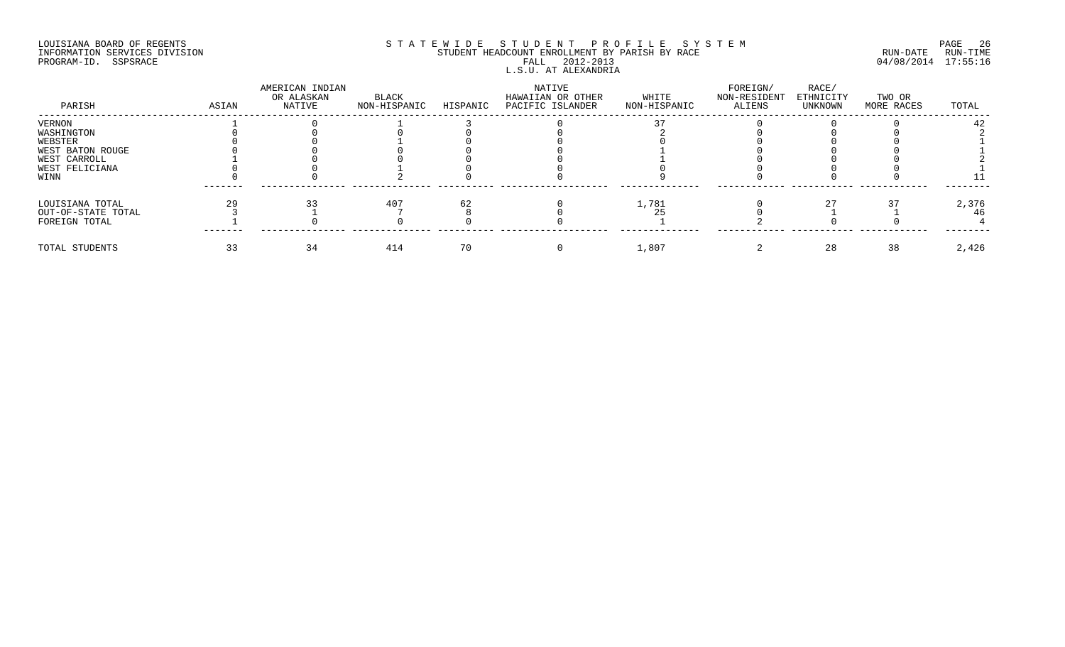## LOUISIANA BOARD OF REGENTS SOURCOME STATEWIDE STUDENT PROFILE SYSTEM STE MANUEL 26<br>STUDENT HEADCOUNT ENROLLMENT BY PARISH BY RACE THE SYSTEM SUN-DATE RUN-TIME INFORMATION SERVICES DIVISION SERVICES DIVISION STUDENT HEADCOUNT ENROLLMENT BY PARISH BY RACE PROGRAM-ID. SSPSRACE FALL 2012-2013 04/08/2014 17:55:16 L.S.U. AT ALEXANDRIA

| PARISH             | ASIAN | AMERICAN INDIAN<br>OR ALASKAN<br>NATIVE | BLACK<br>NON-HISPANIC | HISPANIC | NATIVE<br>HAWAIIAN OR OTHER<br>PACIFIC ISLANDER | WHITE<br>NON-HISPANIC | FOREIGN/<br>NON-RESIDENT<br>ALIENS | RACE/<br>ETHNICITY<br>UNKNOWN | TWO OR<br>MORE RACES | TOTAL |
|--------------------|-------|-----------------------------------------|-----------------------|----------|-------------------------------------------------|-----------------------|------------------------------------|-------------------------------|----------------------|-------|
| VERNON             |       |                                         |                       |          |                                                 |                       |                                    |                               |                      | 42.   |
| WASHINGTON         |       |                                         |                       |          |                                                 |                       |                                    |                               |                      |       |
| WEBSTER            |       |                                         |                       |          |                                                 |                       |                                    |                               |                      |       |
| WEST BATON ROUGE   |       |                                         |                       |          |                                                 |                       |                                    |                               |                      |       |
| WEST CARROLL       |       |                                         |                       |          |                                                 |                       |                                    |                               |                      |       |
| WEST FELICIANA     |       |                                         |                       |          |                                                 |                       |                                    |                               |                      |       |
| WINN               |       |                                         |                       |          |                                                 |                       |                                    |                               |                      |       |
| LOUISIANA TOTAL    |       |                                         | 407                   |          |                                                 | 1,781                 |                                    |                               |                      | 2,376 |
| OUT-OF-STATE TOTAL |       |                                         |                       |          |                                                 |                       |                                    |                               |                      | 46    |
| FOREIGN TOTAL      |       |                                         |                       |          |                                                 |                       |                                    |                               |                      |       |
| TOTAL STUDENTS     | 33    |                                         | 414                   |          |                                                 | 1,807                 |                                    | 28                            | 38                   | 2,426 |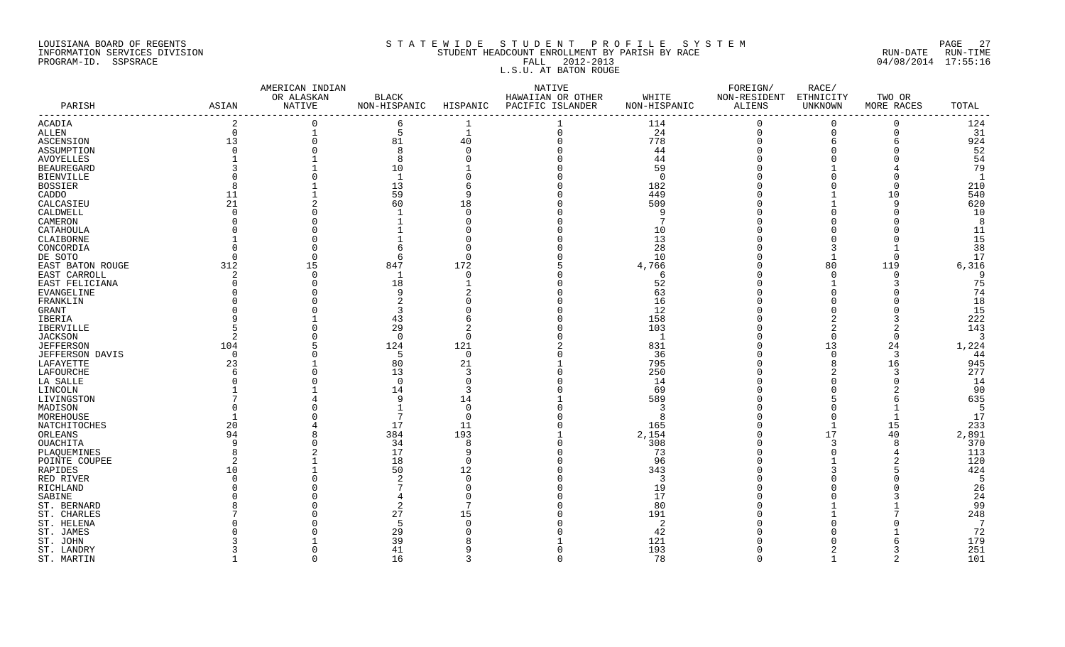## LOUISIANA BOARD OF REGENTS S T A T E W I D E S T U D E N T P R O F I L E S Y S T E M PAGE 27 INFORMATION SERVICES DIVISION STUDENT HEADCOUNT ENROLLMENT BY PARISH BY RACE RUN-DATE RUN-TIME PROGRAM-ID. SSPSRACE FALL 2012-2013 04/08/2014 17:55:16 L.S.U. AT BATON ROUGE

|                                            |                 | AMERICAN INDIAN      |                              |              | NATIVE                                |                       | FOREIGN/               | RACE/                       |                      |             |
|--------------------------------------------|-----------------|----------------------|------------------------------|--------------|---------------------------------------|-----------------------|------------------------|-----------------------------|----------------------|-------------|
| PARISH<br>ASIAN                            |                 | OR ALASKAN<br>NATIVE | <b>BLACK</b><br>NON-HISPANIC | HISPANIC     | HAWAIIAN OR OTHER<br>PACIFIC ISLANDER | WHITE<br>NON-HISPANIC | NON-RESIDENT<br>ALIENS | ETHNICITY<br><b>UNKNOWN</b> | TWO OR<br>MORE RACES | TOTAL       |
| -----------------                          | $\overline{2}$  | $\Omega$             | 6                            |              |                                       |                       | $\Omega$               | $\Omega$                    | $\mathbf 0$          | 124         |
| ACADIA                                     | 0               | $\mathbf 1$          | 5                            | $\mathbf{1}$ | $\mathbf 0$                           | 114<br>24             | $\mathbf 0$            | $\Omega$                    | $\mathbf 0$          | 31          |
| ALLEN                                      |                 | $\Omega$             | 81                           | 40           |                                       | 778                   | $\Omega$               | 6                           | 6                    | 924         |
| ASCENSION                                  | 13              |                      | R                            |              |                                       |                       |                        |                             |                      | 52          |
| ASSUMPTION                                 |                 |                      |                              |              |                                       | 44                    |                        |                             |                      | 54          |
| AVOYELLES                                  |                 |                      |                              |              |                                       | 44                    |                        |                             |                      |             |
| <b>BEAUREGARD</b>                          |                 |                      | 10                           |              |                                       | 59<br>$\Omega$        |                        |                             |                      | 79<br>-1    |
| BIENVILLE                                  |                 |                      |                              |              |                                       |                       |                        |                             | $\Omega$             | 210         |
| <b>BOSSIER</b><br>CADDO                    | 11              |                      | 13<br>59                     |              |                                       | 182<br>449            |                        |                             | 10                   | 540         |
|                                            | 21              |                      | 60                           |              |                                       | 509                   |                        |                             | 9                    | 620         |
| CALCASIEU                                  |                 |                      |                              | 18           |                                       | q                     |                        |                             |                      |             |
| CALDWELL                                   |                 |                      |                              |              |                                       |                       |                        |                             |                      | 10<br>-8    |
| CAMERON                                    |                 |                      |                              |              |                                       |                       |                        |                             |                      |             |
| CATAHOULA                                  |                 |                      |                              |              |                                       | 10                    |                        |                             |                      | 11<br>15    |
| CLAIBORNE                                  |                 |                      |                              |              |                                       | 13                    |                        |                             |                      |             |
| CONCORDIA                                  |                 |                      |                              |              |                                       | 28                    |                        |                             |                      | 38          |
| DE SOTO                                    |                 | $\Omega$             | 6                            |              |                                       | 10                    |                        |                             | $\Omega$             | 17          |
| EAST BATON ROUGE                           | 312             | 15                   | 847<br>$\overline{1}$        | 172          |                                       | 4,766                 |                        | 80                          | 119                  | 6,316       |
| EAST CARROLL                               | $\mathcal{L}$   | $\Omega$             |                              |              |                                       | -6                    |                        |                             | $\Omega$             | 9           |
| EAST FELICIANA                             |                 | $\Omega$             | 18                           |              |                                       | 52                    |                        |                             |                      | 75          |
| EVANGELINE                                 |                 |                      |                              |              |                                       | 63                    |                        |                             |                      | 74          |
| FRANKLIN                                   |                 |                      |                              |              |                                       | 16<br>12              |                        |                             |                      | 18<br>15    |
| <b>GRANT</b>                               |                 |                      |                              |              |                                       |                       |                        |                             |                      |             |
| IBERIA                                     |                 |                      | 43                           |              |                                       | 158                   |                        |                             |                      | 222         |
| IBERVILLE                                  |                 |                      | 29<br>$\Omega$               | ∩            |                                       | 103                   |                        |                             | $\Omega$             | 143<br>3    |
| JACKSON                                    |                 |                      | 124                          | 121          |                                       |                       |                        | 13                          |                      |             |
| <b>JEFFERSON</b><br><b>JEFFERSON DAVIS</b> | 104<br>$\Omega$ | $\Omega$             | 5                            | $\Omega$     |                                       | 831<br>36             |                        |                             | 24<br>3              | 1,224<br>44 |
|                                            | 23              |                      | 80                           | 21           |                                       | 795                   |                        |                             | 16                   | 945         |
| LAFAYETTE<br>LAFOURCHE                     |                 |                      | 13                           | 3            |                                       | 250                   |                        |                             | 3                    | 277         |
| LA SALLE                                   |                 |                      | $\cap$                       | ∩            |                                       |                       |                        |                             |                      | 14          |
| LINCOLN                                    |                 |                      | 14                           | 3            |                                       | 14<br>69              |                        |                             |                      | 90          |
| LIVINGSTON                                 |                 |                      | <b>Q</b>                     | 14           |                                       | 589                   |                        |                             |                      | 635         |
| MADISON                                    |                 |                      |                              | $\Omega$     |                                       | 3                     |                        |                             |                      | - 5         |
| MOREHOUSE                                  |                 |                      |                              | $\Omega$     |                                       | -8                    |                        |                             |                      | 17          |
| NATCHITOCHES                               | 20              |                      | 17                           | 11           |                                       | 165                   |                        |                             | 15                   | 233         |
| ORLEANS                                    | 94              |                      | 384                          | 193          |                                       | 2,154                 |                        | 17                          | 40                   | 2,891       |
| OUACHITA                                   | q               |                      | 34                           |              |                                       | 308                   |                        |                             | 8                    | 370         |
| PLAQUEMINES                                |                 |                      | 17                           | q            |                                       | 73                    |                        |                             |                      | 113         |
| POINTE COUPEE                              | 2               |                      | 18                           | ∩            |                                       | 96                    |                        |                             |                      | 120         |
| RAPIDES                                    | 10              |                      | 50                           | 12           |                                       | 343                   |                        |                             | 5                    | 424         |
| RED RIVER                                  |                 |                      |                              | ∩            |                                       | 3                     |                        |                             |                      | - 5         |
| RICHLAND                                   |                 |                      |                              |              |                                       | 19                    |                        |                             |                      | 26          |
| SABINE                                     |                 |                      |                              |              |                                       | 17                    |                        |                             |                      | 24          |
| ST. BERNARD                                |                 |                      |                              |              |                                       | 80                    |                        |                             |                      | 99          |
| ST. CHARLES                                |                 |                      | 27                           | 15           |                                       | 191                   |                        |                             |                      | 248         |
| ST. HELENA                                 |                 |                      |                              |              |                                       | 2                     |                        |                             |                      | 7           |
| ST. JAMES                                  |                 |                      | 29                           |              |                                       | 42                    |                        |                             |                      | 72          |
| ST. JOHN                                   |                 |                      | 39                           |              |                                       | 121                   |                        |                             | 6                    | 179         |
| ST. LANDRY                                 |                 | O                    | 41                           |              |                                       | 193                   |                        |                             | 3                    | 251         |
| ST. MARTIN                                 |                 | $\cap$               | 16                           |              | $\cap$                                | 78                    | $\Omega$               |                             | 2                    | 101         |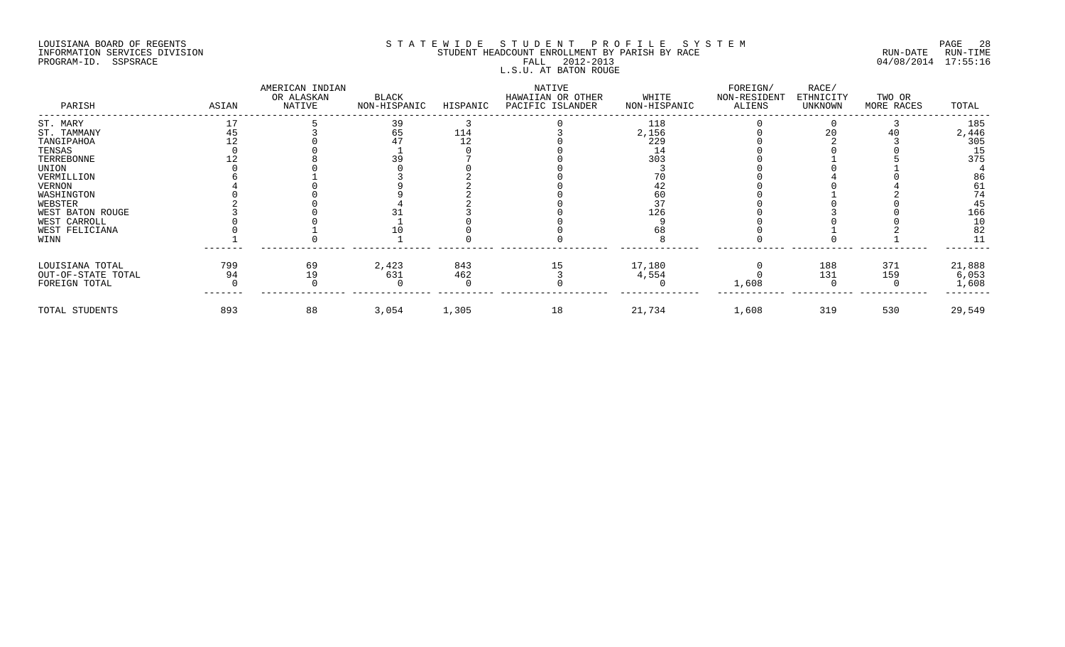## LOUISIANA BOARD OF REGENTS SOURCOME STATEWIDE STUDENT PROFILE SYSTEM STE MANUEL 28 PAGE 28<br>STUDENT HEADCOUNT ENROLLMENT BY PARISH BY RACE SYSTEM SUN-DATE RUN-TIME INFORMATION SERVICES DIVISION SERVICES DIVISION STUDENT HEADCOUNT ENROLLMENT BY PARISH BY RACE PROGRAM-ID. SSPSRACE FALL 2012-2013 04/08/2014 17:55:16 L.S.U. AT BATON ROUGE

| PARISH             | ASIAN | AMERICAN INDIAN<br>OR ALASKAN<br>NATIVE | BLACK<br>NON-HISPANIC | HISPANIC | NATIVE<br>HAWAIIAN OR OTHER<br>PACIFIC ISLANDER | WHITE<br>NON-HISPANIC | FOREIGN/<br>NON-RESIDENT<br>ALIENS | RACE/<br>ETHNICITY<br>UNKNOWN | TWO OR<br>MORE RACES | TOTAL  |
|--------------------|-------|-----------------------------------------|-----------------------|----------|-------------------------------------------------|-----------------------|------------------------------------|-------------------------------|----------------------|--------|
| ST. MARY           |       |                                         |                       |          |                                                 | 118                   |                                    |                               |                      | 185    |
| ST. TAMMANY        |       |                                         | 65                    | 114      |                                                 | 2,156                 |                                    | 20                            |                      | 2,446  |
| TANGIPAHOA         |       |                                         |                       |          |                                                 | 229                   |                                    |                               |                      | 305    |
| TENSAS             |       |                                         |                       |          |                                                 |                       |                                    |                               |                      | 15     |
| TERREBONNE         |       |                                         |                       |          |                                                 | 303                   |                                    |                               |                      | 375    |
| UNION              |       |                                         |                       |          |                                                 |                       |                                    |                               |                      |        |
| VERMILLION         |       |                                         |                       |          |                                                 |                       |                                    |                               |                      | 86     |
| VERNON             |       |                                         |                       |          |                                                 |                       |                                    |                               |                      | 61     |
| WASHINGTON         |       |                                         |                       |          |                                                 |                       |                                    |                               |                      | 74     |
| WEBSTER            |       |                                         |                       |          |                                                 |                       |                                    |                               |                      | 45     |
| WEST BATON ROUGE   |       |                                         |                       |          |                                                 | 126                   |                                    |                               |                      | 166    |
| WEST CARROLL       |       |                                         |                       |          |                                                 |                       |                                    |                               |                      | 10     |
| WEST FELICIANA     |       |                                         |                       |          |                                                 |                       |                                    |                               |                      | 82     |
| WINN               |       |                                         |                       |          |                                                 |                       |                                    |                               |                      |        |
| LOUISIANA TOTAL    | 799   | 69                                      | 2,423                 | 843      | 15                                              | 17,180                |                                    | 188                           | 371                  | 21,888 |
| OUT-OF-STATE TOTAL | 94    | 19                                      | 631                   | 462      |                                                 | 4,554                 |                                    | 131                           | 159                  | 6,053  |
| FOREIGN TOTAL      |       |                                         |                       |          |                                                 |                       | 1,608                              |                               |                      | 1,608  |
| TOTAL STUDENTS     | 893   | 88                                      | 3,054                 | 1,305    | 18                                              | 21,734                | 1,608                              | 319                           | 530                  | 29,549 |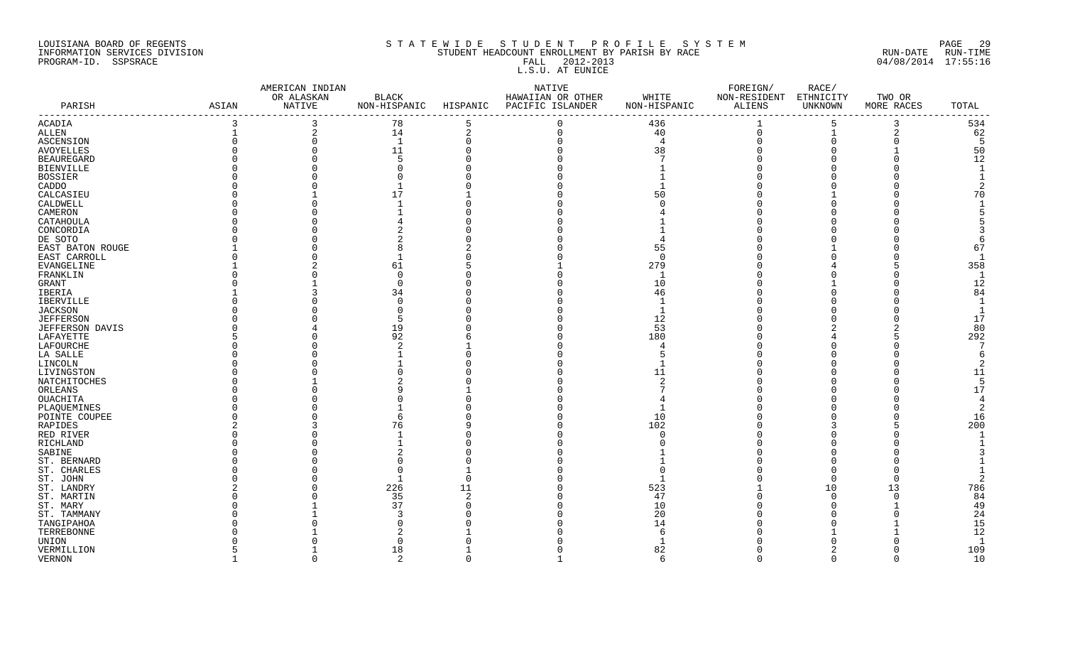### LOUISIANA BOARD OF REGENTS S T A T E W I D E S T U D E N T P R O F I L E S Y S T E M PAGE 29 INFORMATION SERVICES DIVISION STUDENT HEADCOUNT ENROLLMENT BY PARISH BY RACE RUN-DATE RUN-TIME PROGRAM-ID. SSPSRACE FALL 2012-2013 04/08/2014 17:55:16 FALL 2012-2013<br>L.S.U. AT EUNICE

|                   |       | AMERICAN INDIAN |                |    | NATIVE                                 |                | FOREIGN/               | RACE/   |              |                 |
|-------------------|-------|-----------------|----------------|----|----------------------------------------|----------------|------------------------|---------|--------------|-----------------|
|                   |       | OR ALASKAN      | BLACK          |    | HAWAIIAN OR OTHER                      | WHITE          | NON-RESIDENT ETHNICITY |         | TWO OR       |                 |
| PARISH            | ASIAN | NATIVE          |                |    | NON-HISPANIC HISPANIC PACIFIC ISLANDER | NON-HISPANIC   | ALIENS                 | UNKNOWN | MORE RACES   | TOTAL<br>------ |
| ACADIA            | 3     | 3               | 78             |    | $\Omega$                               | 436            | $\mathbf{1}$           | 5       | 3            | 534             |
| ALLEN             |       | 2               | 14             | 2  | $\mathbf 0$                            | 40             | $\mathbf 0$            |         | 2            | 62              |
| ASCENSION         |       | $\mathbf 0$     | <sup>1</sup>   |    |                                        | $\overline{4}$ | $\Omega$               |         |              | 5               |
| <b>AVOYELLES</b>  |       | $\Omega$        | 11             |    |                                        | 38             |                        |         |              | 50              |
| <b>BEAUREGARD</b> |       | $\Omega$        |                |    |                                        |                |                        |         |              | 12              |
| <b>BIENVILLE</b>  |       | $\Omega$        |                |    |                                        |                |                        |         |              |                 |
| <b>BOSSIER</b>    |       |                 |                |    |                                        |                |                        |         |              |                 |
| CADDO             |       |                 |                |    |                                        |                |                        |         |              |                 |
| CALCASIEU         |       |                 | 17             |    |                                        |                |                        |         |              | 70              |
| CALDWELL          |       |                 |                |    |                                        |                |                        |         |              |                 |
| CAMERON           |       |                 |                |    |                                        |                |                        |         |              |                 |
| CATAHOULA         |       |                 |                |    |                                        |                |                        |         |              |                 |
| CONCORDIA         |       |                 |                |    |                                        |                |                        |         |              |                 |
| DE SOTO           |       |                 |                |    |                                        |                |                        |         |              |                 |
| EAST BATON ROUGE  |       |                 |                |    |                                        | 55             |                        |         |              | 67              |
| EAST CARROLL      |       |                 |                |    |                                        | $\overline{0}$ |                        |         |              |                 |
| EVANGELINE        |       |                 | 61             |    |                                        | 279            |                        |         |              | 358             |
| FRANKLIN          |       |                 | $\Omega$       |    |                                        |                |                        |         |              | $\overline{1}$  |
| GRANT             |       |                 |                |    |                                        | 10             |                        |         |              | 12              |
| IBERIA            |       |                 | 34             |    |                                        | 46             |                        |         |              | 84              |
| IBERVILLE         |       |                 |                |    |                                        |                |                        |         |              | $\overline{1}$  |
| JACKSON           |       |                 |                |    |                                        |                |                        |         |              | -1              |
| <b>JEFFERSON</b>  |       |                 |                |    |                                        | 12             |                        |         |              | 17              |
| JEFFERSON DAVIS   |       |                 | 19             |    |                                        | 53             |                        |         |              | 80              |
| LAFAYETTE         |       |                 | 92             |    |                                        | 180            |                        |         |              | 292             |
| LAFOURCHE         |       |                 |                |    |                                        |                |                        |         |              | 7               |
| LA SALLE          |       |                 |                |    |                                        |                |                        |         |              |                 |
| LINCOLN           |       |                 |                |    |                                        |                |                        |         |              |                 |
| LIVINGSTON        |       |                 |                |    |                                        | 11             |                        |         |              | 11              |
| NATCHITOCHES      |       |                 |                |    |                                        |                |                        |         |              | - 5             |
| ORLEANS           |       |                 |                |    |                                        |                |                        |         |              | 17              |
| OUACHITA          |       |                 |                |    |                                        |                |                        |         |              | 4               |
| PLAQUEMINES       |       |                 |                |    |                                        |                |                        |         |              |                 |
| POINTE COUPEE     |       |                 |                |    |                                        | 10             |                        |         |              | 16              |
| RAPIDES           |       |                 | 76             |    |                                        | 102            |                        |         |              | 200             |
| RED RIVER         |       |                 |                |    |                                        | $\Omega$       |                        |         |              |                 |
| RICHLAND          |       |                 |                |    |                                        |                |                        |         |              |                 |
| SABINE            |       |                 |                |    |                                        |                |                        |         |              |                 |
| ST. BERNARD       |       |                 |                |    |                                        |                |                        |         |              |                 |
| ST. CHARLES       |       |                 |                |    |                                        |                |                        |         |              |                 |
| ST. JOHN          |       |                 |                |    |                                        |                |                        |         | 0            |                 |
| ST. LANDRY        |       |                 | 226            | 11 |                                        | 523            |                        | 10      | 13           | 786             |
| ST. MARTIN        |       |                 | 35             |    |                                        | 47             |                        |         |              | 84              |
| ST. MARY          |       |                 | 37             |    |                                        | 10             |                        |         |              | 49              |
| ST. TAMMANY       |       |                 |                |    |                                        | 20             |                        |         |              | 24              |
| TANGIPAHOA        |       |                 |                |    |                                        | 14             |                        |         |              | 15              |
| TERREBONNE        |       |                 |                |    |                                        |                |                        |         |              | 12              |
| UNION             |       |                 |                |    |                                        |                |                        |         |              | $\mathbf{1}$    |
| VERMILLION        |       |                 | 18             |    |                                        | 82             |                        |         | <sup>0</sup> | 109             |
| <b>VERNON</b>     |       | $\cap$          | $\overline{2}$ |    |                                        | $\epsilon$     | $\cap$                 | $\cap$  | $\Omega$     | 10              |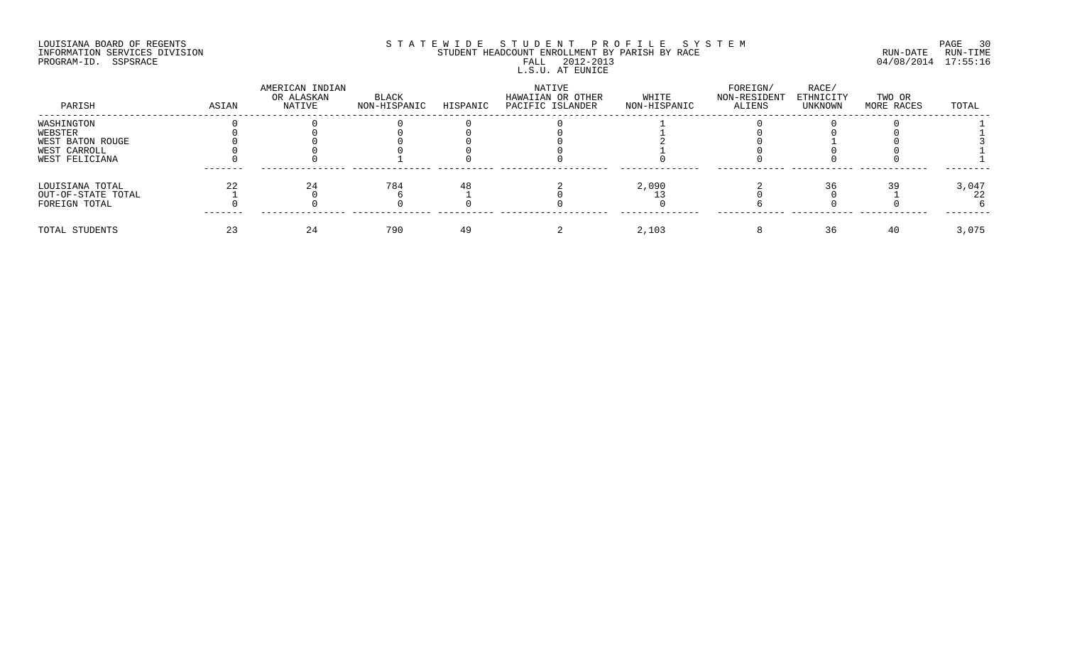### LOUISIANA BOARD OF REGENTS SOURCOME STATEWIDE STUDENT PROFILE SYSTEM AND PAGE 30 PAGE 30<br>STUDENT HEADCOUNT ENROLLMENT BY PARISH BY RACE RUN-DATE RUN-DATE RUN-TIME INFORMATION SERVICES DIVISION STUDENT STUDENT HEADCOUNT ENROLLMENT BY PARISH BY RACE PROGRAM-ID. SSPSRACE FALL 2012-2013 04/08/2014 17:55:16 FALL 2012-2013<br>L.S.U. AT EUNICE

| PARISH             | ASIAN | AMERICAN INDIAN<br>OR ALASKAN<br>NATIVE | BLACK<br>NON-HISPANIC | HISPANIC | NATIVE<br>HAWAIIAN OR OTHER<br>PACIFIC ISLANDER | WHITE<br>NON-HISPANIC | FOREIGN/<br>NON-RESIDENT<br>ALIENS | RACE/<br>ETHNICITY<br>UNKNOWN | TWO OR<br>MORE RACES | TOTAL |
|--------------------|-------|-----------------------------------------|-----------------------|----------|-------------------------------------------------|-----------------------|------------------------------------|-------------------------------|----------------------|-------|
| WASHINGTON         |       |                                         |                       |          |                                                 |                       |                                    |                               |                      |       |
| WEBSTER            |       |                                         |                       |          |                                                 |                       |                                    |                               |                      |       |
| WEST BATON ROUGE   |       |                                         |                       |          |                                                 |                       |                                    |                               |                      |       |
| WEST CARROLL       |       |                                         |                       |          |                                                 |                       |                                    |                               |                      |       |
| WEST FELICIANA     |       |                                         |                       |          |                                                 |                       |                                    |                               |                      |       |
| LOUISIANA TOTAL    | 22    |                                         | 784                   |          |                                                 | 2,090                 |                                    |                               |                      | 3,047 |
| OUT-OF-STATE TOTAL |       |                                         |                       |          |                                                 |                       |                                    |                               |                      |       |
| FOREIGN TOTAL      |       |                                         |                       |          |                                                 |                       |                                    |                               |                      |       |
| TOTAL STUDENTS     |       | 24                                      | 790                   |          |                                                 | 2,103                 |                                    |                               | -40                  | 3,075 |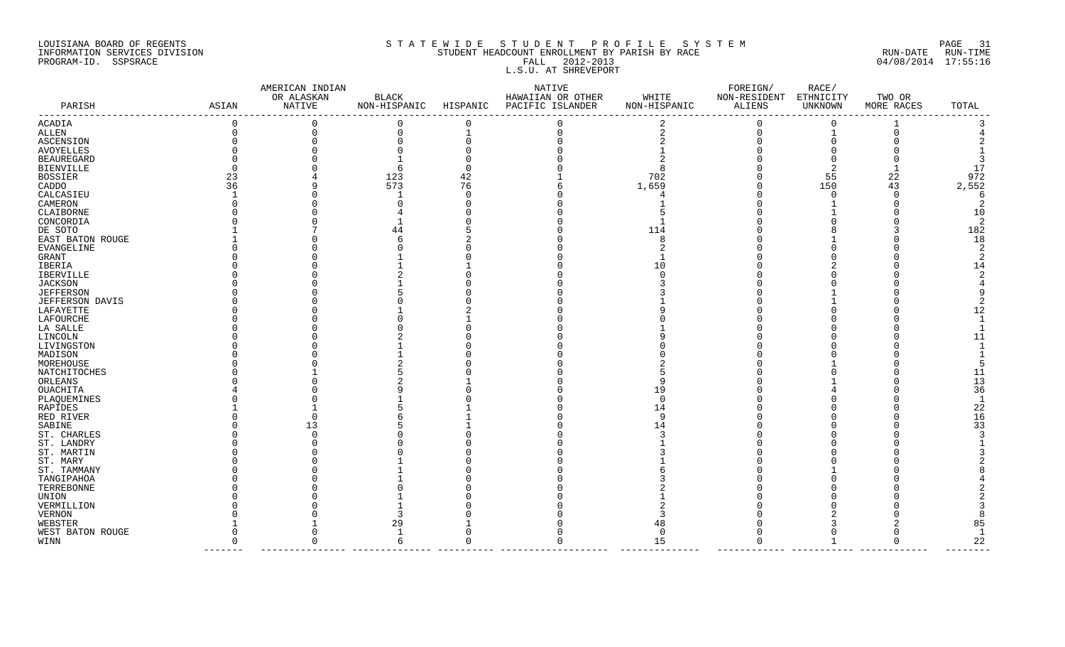## LOUISIANA BOARD OF REGENTS SOURCOME STATEWIDE STUDE NT PROFILE SYSTEM STE MAN PAGE 31<br>STUDENT HEADCOUNT ENROLLMENT BY PARISH BY RACE RUN-DATE RUN-TIME INFORMATION SERVICES DIVISION STUDENT HEADCOUNT ENROLLMENT BY PARISH BY RACE TO THE RUN-DATE RUN-DATE RUN-DATE RUN-PROGRAM-ID. SSPSRACE FALL 2012-2013 04/08/2014 17:55:16 L.S.U. AT SHREVEPORT

|                   |             | AMERICAN INDIAN      |              |                | NATIVE                                 |                       | FOREIGN/               | RACE/        |                      |                |
|-------------------|-------------|----------------------|--------------|----------------|----------------------------------------|-----------------------|------------------------|--------------|----------------------|----------------|
| PARISH            |             | OR ALASKAN<br>NATIVE | <b>BLACK</b> |                | HAWAIIAN OR OTHER                      | WHITE<br>NON-HISPANIC | NON-RESIDENT ETHNICITY | UNKNOWN      | TWO OR<br>MORE RACES | TOTAL          |
|                   | ASIAN       |                      |              |                | NON-HISPANIC HISPANIC PACIFIC ISLANDER |                       | ALIENS                 |              |                      |                |
| ACADIA            | $\mathbf 0$ | $\mathbf 0$          | $\Omega$     | $\mathbf 0$    | 0                                      |                       | $\mathbf 0$            | $\Omega$     |                      |                |
| ALLEN             | $\Omega$    | $\Omega$             | $\Omega$     | $\overline{1}$ | $\Omega$                               | $\overline{a}$        | $\Omega$               | $\mathbf{1}$ | $\Omega$             |                |
| <b>ASCENSION</b>  |             |                      |              |                |                                        |                       |                        | $\Omega$     |                      |                |
| AVOYELLES         |             |                      |              |                |                                        |                       |                        |              |                      |                |
| <b>BEAUREGARD</b> |             |                      |              |                |                                        |                       |                        |              |                      |                |
| BIENVILLE         |             |                      |              |                |                                        | 8                     |                        |              |                      | 17             |
| BOSSIER           | 23          |                      | 123          | 42             |                                        | 702                   |                        | 55           | 22                   | 972            |
| CADDO             | 36          |                      | 573          | 76             |                                        | 1,659                 |                        | 150          | 43                   | 2,552          |
| CALCASIEU         |             |                      |              |                |                                        |                       |                        | <sup>0</sup> |                      | 6              |
| CAMERON           |             |                      |              |                |                                        |                       |                        |              |                      | $\mathfrak{D}$ |
| CLAIBORNE         |             |                      |              |                |                                        |                       |                        |              |                      | 10             |
| CONCORDIA         |             |                      |              |                |                                        |                       |                        |              |                      | -2             |
| DE SOTO           |             |                      |              |                |                                        | 114                   |                        |              |                      | 182            |
| EAST BATON ROUGE  |             |                      |              |                |                                        | 8                     |                        |              |                      | 18             |
| EVANGELINE        |             |                      |              |                |                                        |                       |                        |              |                      |                |
| GRANT             |             |                      |              |                |                                        |                       |                        |              |                      |                |
| IBERIA            |             |                      |              |                |                                        | 10                    |                        |              |                      | 14             |
| IBERVILLE         |             |                      |              |                |                                        |                       |                        |              |                      |                |
| JACKSON           |             |                      |              |                |                                        |                       |                        |              |                      |                |
| JEFFERSON         |             |                      |              |                |                                        |                       |                        |              |                      |                |
| JEFFERSON DAVIS   |             |                      |              |                |                                        |                       |                        |              |                      |                |
| LAFAYETTE         |             |                      |              |                |                                        |                       |                        |              |                      | 12             |
| LAFOURCHE         |             |                      |              |                |                                        |                       |                        |              |                      |                |
|                   |             |                      |              |                |                                        |                       |                        |              |                      |                |
| LA SALLE          |             |                      |              |                |                                        |                       |                        |              |                      |                |
| LINCOLN           |             |                      |              |                |                                        |                       |                        |              |                      | 11             |
| LIVINGSTON        |             |                      |              |                |                                        |                       |                        |              |                      |                |
| MADISON           |             |                      |              |                |                                        |                       |                        |              |                      |                |
| MOREHOUSE         |             |                      |              |                |                                        |                       |                        |              |                      |                |
| NATCHITOCHES      |             |                      |              |                |                                        |                       |                        |              |                      | 11             |
| ORLEANS           |             |                      |              |                |                                        |                       |                        |              |                      | 13             |
| OUACHITA          |             |                      |              |                |                                        | 19                    |                        |              |                      | 36             |
| PLAQUEMINES       |             |                      |              |                |                                        | <sup>0</sup>          |                        |              |                      |                |
| RAPIDES           |             |                      |              |                |                                        | 14                    |                        |              |                      | 22             |
| RED RIVER         |             |                      |              |                |                                        | q                     |                        |              |                      | 16             |
| SABINE            |             | 13                   |              |                |                                        | 14                    |                        |              |                      | 33             |
| ST. CHARLES       |             |                      |              |                |                                        |                       |                        |              |                      |                |
| ST. LANDRY        |             |                      |              |                |                                        |                       |                        |              |                      |                |
| ST. MARTIN        |             |                      |              |                |                                        |                       |                        |              |                      |                |
| ST. MARY          |             |                      |              |                |                                        |                       |                        |              |                      |                |
| ST. TAMMANY       |             |                      |              |                |                                        |                       |                        |              |                      |                |
| TANGIPAHOA        |             |                      |              |                |                                        |                       |                        |              |                      |                |
| TERREBONNE        |             |                      |              |                |                                        |                       |                        |              |                      |                |
| UNION             |             |                      |              |                |                                        |                       |                        |              |                      |                |
| VERMILLION        |             |                      |              |                |                                        |                       |                        |              |                      |                |
| VERNON            |             |                      |              |                |                                        |                       |                        |              |                      |                |
| WEBSTER           |             |                      |              |                |                                        | 48                    |                        |              |                      | 85             |
| WEST BATON ROUGE  |             |                      |              |                |                                        | $\Omega$              |                        |              |                      |                |
| WINN              | $\Omega$    | $\Omega$             | 6            | $\Omega$       | O                                      | 15                    | $\Omega$               | 1            | $\Omega$             | 22             |
|                   |             |                      |              |                |                                        |                       |                        |              |                      |                |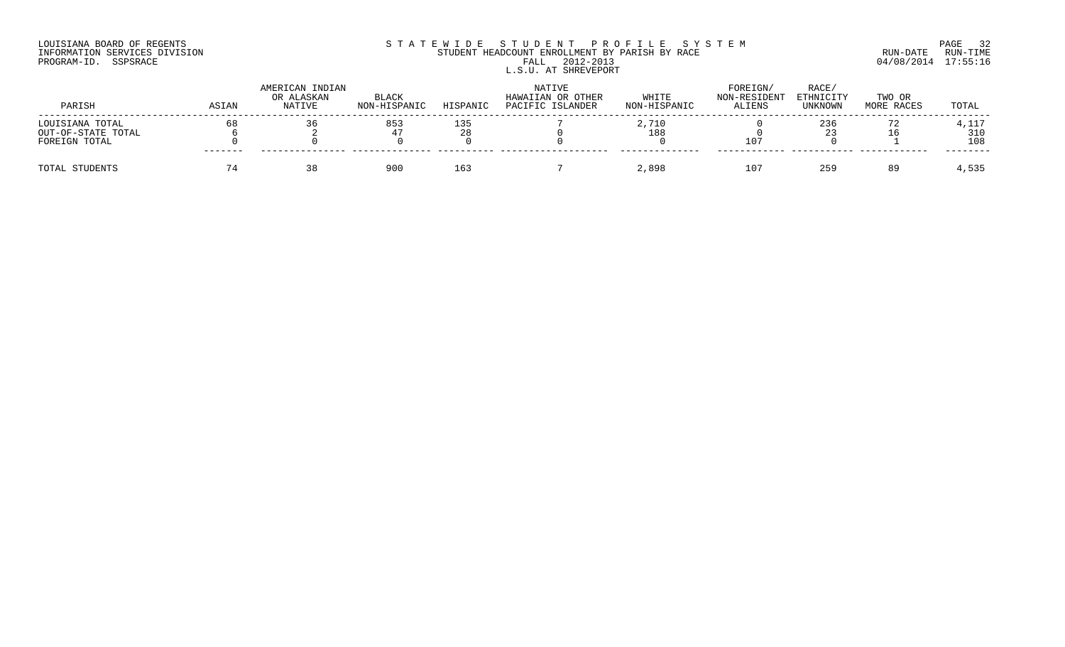## LOUISIANA BOARD OF REGENTS SOURCOME STATEWIDE STUDENT PROFILE SYSTEM AND PAGE 32<br>STUDENT HEADCOUNT ENROLLMENT BY PARISH BY RACE THE SYSTEM RUN-DATE RUN-TIME INFORMATION SERVICES DIVISION STUDENT STUDENT HEADCOUNT ENROLLMENT BY PARISH BY RACE PROGRAM-ID. SSPSRACE FALL 2012-2013 04/08/2014 17:55:16 L.S.U. AT SHREVEPORT

| PARISH             | ASIAN   | AMERICAN INDIAN<br>OR ALASKAN<br>NATIVE | <b>BLACK</b><br>NON-HISPANIC | HISPANIC | NATIVE<br>HAWAIIAN OR OTHER<br>PACIFIC ISLANDER | WHITE<br>NON-HISPANIC | FOREIGN/<br>NON-RESIDENT<br><b>ALIENS</b> | RACE/<br>ETHNICITY<br>UNKNOWN | TWO OR<br>MORE RACES | TOTAL |
|--------------------|---------|-----------------------------------------|------------------------------|----------|-------------------------------------------------|-----------------------|-------------------------------------------|-------------------------------|----------------------|-------|
| LOUISIANA TOTAL    | 68      |                                         | 853                          | 135      |                                                 | 2,710                 |                                           | 236                           |                      | 4,117 |
| OUT-OF-STATE TOTAL |         |                                         |                              |          |                                                 | 188                   |                                           |                               |                      | 310   |
| FOREIGN TOTAL      | ------- |                                         |                              |          |                                                 |                       | 107                                       |                               |                      | 108   |
| TOTAL STUDENTS     |         |                                         | 900                          | 163      |                                                 | 2,898                 | 107                                       | 259                           | 89                   | 4,535 |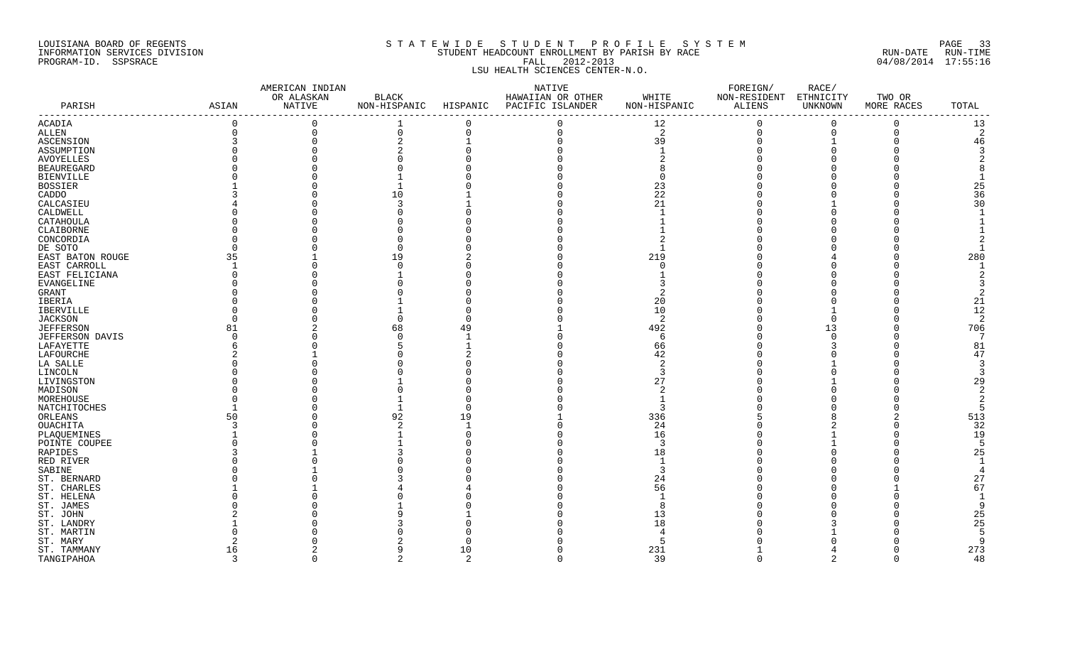#### LOUISIANA BOARD OF REGENTS SAND A STATEWIDE STUDENT PROFILE SYSTEM SAND AGE 33 INFORMATION SERVICES DIVISION STUDENT HEADCOUNT ENROLLMENT BY PARISH BY RACE RUN-DATE RUN-TIME PROGRAM-ID. SSPSRACE FALL 2012-2013 04/08/2014 17:55:16 LSU HEALTH SCIENCES CENTER-N.O.

| OR ALASKAN<br>BLACK<br>HAWAIIAN OR OTHER<br>WHITE<br>NON-RESIDENT ETHNICITY<br>TWO OR<br>ALIENS<br>NATIVE<br>NON-HISPANIC<br>NON-HISPANIC<br>UNKNOWN<br>PARISH<br>ASIAN<br>HISPANIC<br>PACIFIC ISLANDER<br>MORE RACES<br>TOTAL<br>-------------------------------<br>------<br>0<br>$\Omega$<br>$\mathbf 0$<br>$\mathbf 0$<br>$\overline{0}$<br>13<br>ACADIA<br>$\Omega$<br>12<br>0<br>2<br>2<br>$\operatorname{ALLEN}$<br>$\mathbf 0$<br>$\mathbf 0$<br>0<br>$\mathbf 0$<br>$\Omega$<br>$\mathbf 0$<br>0<br>$\Omega$<br>$\overline{2}$<br>39<br>46<br>ASCENSION<br>ASSUMPTION<br>3<br><b>AVOYELLES</b><br><b>BEAUREGARD</b><br><b>BIENVILLE</b><br>25<br><b>BOSSIER</b><br>23<br>36<br>22<br>CADDO<br>10<br>30<br>21<br>CALCASIEU<br>3<br>CALDWELL<br>CATAHOULA<br>CLAIBORNE<br>CONCORDIA<br>DE SOTO<br>280<br>35<br>219<br>EAST BATON ROUGE<br>19<br>EAST CARROLL<br>EAST FELICIANA<br>EVANGELINE<br>GRANT<br>2<br>21<br>IBERIA<br>20<br>12<br>IBERVILLE<br>10<br>$\overline{2}$<br>2<br>JACKSON<br>$\Omega$<br>$\Omega$<br>706<br>81<br>68<br>49<br>492<br>13<br><b>JEFFERSON</b><br>7<br>JEFFERSON DAVIS<br>6<br>81<br>LAFAYETTE<br>66<br>47<br>LAFOURCHE<br>42<br>LA SALLE<br>3<br>3<br>LINCOLN<br>27<br>29<br>LIVINGSTON<br>$\overline{2}$<br>MADISON<br>2<br>MOREHOUSE<br><b>NATCHITOCHES</b><br>-5<br>513<br>ORLEANS<br>50<br>92<br>19<br>336<br>32<br>OUACHITA<br>3<br>24<br>19<br>PLAQUEMINES<br>16<br>-5<br>POINTE COUPEE<br>3<br>25<br>RAPIDES<br>18<br>RED RIVER<br>SABINE<br>27<br>ST. BERNARD<br>24<br>67<br>ST. CHARLES<br>56<br>ST. HELENA<br>-9<br>ST. JAMES<br>25<br>ST. JOHN<br>13<br>25<br>ST. LANDRY<br>18<br>ST. MARTIN<br>-5<br>-9<br>ST. MARY<br>5<br>273<br>10<br>231<br>ST. TAMMANY<br>16<br>3<br>$\mathfrak{D}$<br>2<br>$\Omega$<br>39<br>$\mathfrak{D}$<br>48<br>TANGIPAHOA<br>$\Omega$<br>$\Omega$<br>$\cap$ |  | AMERICAN INDIAN |  | NATIVE | FOREIGN/ | RACE/ |  |
|--------------------------------------------------------------------------------------------------------------------------------------------------------------------------------------------------------------------------------------------------------------------------------------------------------------------------------------------------------------------------------------------------------------------------------------------------------------------------------------------------------------------------------------------------------------------------------------------------------------------------------------------------------------------------------------------------------------------------------------------------------------------------------------------------------------------------------------------------------------------------------------------------------------------------------------------------------------------------------------------------------------------------------------------------------------------------------------------------------------------------------------------------------------------------------------------------------------------------------------------------------------------------------------------------------------------------------------------------------------------------------------------------------------------------------------------------------------------------------------------------------------------------------------------------------------------------------------------------------------------------------------------------------------------------------------------------------------------------------------------------------------------------------------------------------------------------------------------|--|-----------------|--|--------|----------|-------|--|
|                                                                                                                                                                                                                                                                                                                                                                                                                                                                                                                                                                                                                                                                                                                                                                                                                                                                                                                                                                                                                                                                                                                                                                                                                                                                                                                                                                                                                                                                                                                                                                                                                                                                                                                                                                                                                                            |  |                 |  |        |          |       |  |
|                                                                                                                                                                                                                                                                                                                                                                                                                                                                                                                                                                                                                                                                                                                                                                                                                                                                                                                                                                                                                                                                                                                                                                                                                                                                                                                                                                                                                                                                                                                                                                                                                                                                                                                                                                                                                                            |  |                 |  |        |          |       |  |
|                                                                                                                                                                                                                                                                                                                                                                                                                                                                                                                                                                                                                                                                                                                                                                                                                                                                                                                                                                                                                                                                                                                                                                                                                                                                                                                                                                                                                                                                                                                                                                                                                                                                                                                                                                                                                                            |  |                 |  |        |          |       |  |
|                                                                                                                                                                                                                                                                                                                                                                                                                                                                                                                                                                                                                                                                                                                                                                                                                                                                                                                                                                                                                                                                                                                                                                                                                                                                                                                                                                                                                                                                                                                                                                                                                                                                                                                                                                                                                                            |  |                 |  |        |          |       |  |
|                                                                                                                                                                                                                                                                                                                                                                                                                                                                                                                                                                                                                                                                                                                                                                                                                                                                                                                                                                                                                                                                                                                                                                                                                                                                                                                                                                                                                                                                                                                                                                                                                                                                                                                                                                                                                                            |  |                 |  |        |          |       |  |
|                                                                                                                                                                                                                                                                                                                                                                                                                                                                                                                                                                                                                                                                                                                                                                                                                                                                                                                                                                                                                                                                                                                                                                                                                                                                                                                                                                                                                                                                                                                                                                                                                                                                                                                                                                                                                                            |  |                 |  |        |          |       |  |
|                                                                                                                                                                                                                                                                                                                                                                                                                                                                                                                                                                                                                                                                                                                                                                                                                                                                                                                                                                                                                                                                                                                                                                                                                                                                                                                                                                                                                                                                                                                                                                                                                                                                                                                                                                                                                                            |  |                 |  |        |          |       |  |
|                                                                                                                                                                                                                                                                                                                                                                                                                                                                                                                                                                                                                                                                                                                                                                                                                                                                                                                                                                                                                                                                                                                                                                                                                                                                                                                                                                                                                                                                                                                                                                                                                                                                                                                                                                                                                                            |  |                 |  |        |          |       |  |
|                                                                                                                                                                                                                                                                                                                                                                                                                                                                                                                                                                                                                                                                                                                                                                                                                                                                                                                                                                                                                                                                                                                                                                                                                                                                                                                                                                                                                                                                                                                                                                                                                                                                                                                                                                                                                                            |  |                 |  |        |          |       |  |
|                                                                                                                                                                                                                                                                                                                                                                                                                                                                                                                                                                                                                                                                                                                                                                                                                                                                                                                                                                                                                                                                                                                                                                                                                                                                                                                                                                                                                                                                                                                                                                                                                                                                                                                                                                                                                                            |  |                 |  |        |          |       |  |
|                                                                                                                                                                                                                                                                                                                                                                                                                                                                                                                                                                                                                                                                                                                                                                                                                                                                                                                                                                                                                                                                                                                                                                                                                                                                                                                                                                                                                                                                                                                                                                                                                                                                                                                                                                                                                                            |  |                 |  |        |          |       |  |
|                                                                                                                                                                                                                                                                                                                                                                                                                                                                                                                                                                                                                                                                                                                                                                                                                                                                                                                                                                                                                                                                                                                                                                                                                                                                                                                                                                                                                                                                                                                                                                                                                                                                                                                                                                                                                                            |  |                 |  |        |          |       |  |
|                                                                                                                                                                                                                                                                                                                                                                                                                                                                                                                                                                                                                                                                                                                                                                                                                                                                                                                                                                                                                                                                                                                                                                                                                                                                                                                                                                                                                                                                                                                                                                                                                                                                                                                                                                                                                                            |  |                 |  |        |          |       |  |
|                                                                                                                                                                                                                                                                                                                                                                                                                                                                                                                                                                                                                                                                                                                                                                                                                                                                                                                                                                                                                                                                                                                                                                                                                                                                                                                                                                                                                                                                                                                                                                                                                                                                                                                                                                                                                                            |  |                 |  |        |          |       |  |
|                                                                                                                                                                                                                                                                                                                                                                                                                                                                                                                                                                                                                                                                                                                                                                                                                                                                                                                                                                                                                                                                                                                                                                                                                                                                                                                                                                                                                                                                                                                                                                                                                                                                                                                                                                                                                                            |  |                 |  |        |          |       |  |
|                                                                                                                                                                                                                                                                                                                                                                                                                                                                                                                                                                                                                                                                                                                                                                                                                                                                                                                                                                                                                                                                                                                                                                                                                                                                                                                                                                                                                                                                                                                                                                                                                                                                                                                                                                                                                                            |  |                 |  |        |          |       |  |
|                                                                                                                                                                                                                                                                                                                                                                                                                                                                                                                                                                                                                                                                                                                                                                                                                                                                                                                                                                                                                                                                                                                                                                                                                                                                                                                                                                                                                                                                                                                                                                                                                                                                                                                                                                                                                                            |  |                 |  |        |          |       |  |
|                                                                                                                                                                                                                                                                                                                                                                                                                                                                                                                                                                                                                                                                                                                                                                                                                                                                                                                                                                                                                                                                                                                                                                                                                                                                                                                                                                                                                                                                                                                                                                                                                                                                                                                                                                                                                                            |  |                 |  |        |          |       |  |
|                                                                                                                                                                                                                                                                                                                                                                                                                                                                                                                                                                                                                                                                                                                                                                                                                                                                                                                                                                                                                                                                                                                                                                                                                                                                                                                                                                                                                                                                                                                                                                                                                                                                                                                                                                                                                                            |  |                 |  |        |          |       |  |
|                                                                                                                                                                                                                                                                                                                                                                                                                                                                                                                                                                                                                                                                                                                                                                                                                                                                                                                                                                                                                                                                                                                                                                                                                                                                                                                                                                                                                                                                                                                                                                                                                                                                                                                                                                                                                                            |  |                 |  |        |          |       |  |
|                                                                                                                                                                                                                                                                                                                                                                                                                                                                                                                                                                                                                                                                                                                                                                                                                                                                                                                                                                                                                                                                                                                                                                                                                                                                                                                                                                                                                                                                                                                                                                                                                                                                                                                                                                                                                                            |  |                 |  |        |          |       |  |
|                                                                                                                                                                                                                                                                                                                                                                                                                                                                                                                                                                                                                                                                                                                                                                                                                                                                                                                                                                                                                                                                                                                                                                                                                                                                                                                                                                                                                                                                                                                                                                                                                                                                                                                                                                                                                                            |  |                 |  |        |          |       |  |
|                                                                                                                                                                                                                                                                                                                                                                                                                                                                                                                                                                                                                                                                                                                                                                                                                                                                                                                                                                                                                                                                                                                                                                                                                                                                                                                                                                                                                                                                                                                                                                                                                                                                                                                                                                                                                                            |  |                 |  |        |          |       |  |
|                                                                                                                                                                                                                                                                                                                                                                                                                                                                                                                                                                                                                                                                                                                                                                                                                                                                                                                                                                                                                                                                                                                                                                                                                                                                                                                                                                                                                                                                                                                                                                                                                                                                                                                                                                                                                                            |  |                 |  |        |          |       |  |
|                                                                                                                                                                                                                                                                                                                                                                                                                                                                                                                                                                                                                                                                                                                                                                                                                                                                                                                                                                                                                                                                                                                                                                                                                                                                                                                                                                                                                                                                                                                                                                                                                                                                                                                                                                                                                                            |  |                 |  |        |          |       |  |
|                                                                                                                                                                                                                                                                                                                                                                                                                                                                                                                                                                                                                                                                                                                                                                                                                                                                                                                                                                                                                                                                                                                                                                                                                                                                                                                                                                                                                                                                                                                                                                                                                                                                                                                                                                                                                                            |  |                 |  |        |          |       |  |
|                                                                                                                                                                                                                                                                                                                                                                                                                                                                                                                                                                                                                                                                                                                                                                                                                                                                                                                                                                                                                                                                                                                                                                                                                                                                                                                                                                                                                                                                                                                                                                                                                                                                                                                                                                                                                                            |  |                 |  |        |          |       |  |
|                                                                                                                                                                                                                                                                                                                                                                                                                                                                                                                                                                                                                                                                                                                                                                                                                                                                                                                                                                                                                                                                                                                                                                                                                                                                                                                                                                                                                                                                                                                                                                                                                                                                                                                                                                                                                                            |  |                 |  |        |          |       |  |
|                                                                                                                                                                                                                                                                                                                                                                                                                                                                                                                                                                                                                                                                                                                                                                                                                                                                                                                                                                                                                                                                                                                                                                                                                                                                                                                                                                                                                                                                                                                                                                                                                                                                                                                                                                                                                                            |  |                 |  |        |          |       |  |
|                                                                                                                                                                                                                                                                                                                                                                                                                                                                                                                                                                                                                                                                                                                                                                                                                                                                                                                                                                                                                                                                                                                                                                                                                                                                                                                                                                                                                                                                                                                                                                                                                                                                                                                                                                                                                                            |  |                 |  |        |          |       |  |
|                                                                                                                                                                                                                                                                                                                                                                                                                                                                                                                                                                                                                                                                                                                                                                                                                                                                                                                                                                                                                                                                                                                                                                                                                                                                                                                                                                                                                                                                                                                                                                                                                                                                                                                                                                                                                                            |  |                 |  |        |          |       |  |
|                                                                                                                                                                                                                                                                                                                                                                                                                                                                                                                                                                                                                                                                                                                                                                                                                                                                                                                                                                                                                                                                                                                                                                                                                                                                                                                                                                                                                                                                                                                                                                                                                                                                                                                                                                                                                                            |  |                 |  |        |          |       |  |
|                                                                                                                                                                                                                                                                                                                                                                                                                                                                                                                                                                                                                                                                                                                                                                                                                                                                                                                                                                                                                                                                                                                                                                                                                                                                                                                                                                                                                                                                                                                                                                                                                                                                                                                                                                                                                                            |  |                 |  |        |          |       |  |
|                                                                                                                                                                                                                                                                                                                                                                                                                                                                                                                                                                                                                                                                                                                                                                                                                                                                                                                                                                                                                                                                                                                                                                                                                                                                                                                                                                                                                                                                                                                                                                                                                                                                                                                                                                                                                                            |  |                 |  |        |          |       |  |
|                                                                                                                                                                                                                                                                                                                                                                                                                                                                                                                                                                                                                                                                                                                                                                                                                                                                                                                                                                                                                                                                                                                                                                                                                                                                                                                                                                                                                                                                                                                                                                                                                                                                                                                                                                                                                                            |  |                 |  |        |          |       |  |
|                                                                                                                                                                                                                                                                                                                                                                                                                                                                                                                                                                                                                                                                                                                                                                                                                                                                                                                                                                                                                                                                                                                                                                                                                                                                                                                                                                                                                                                                                                                                                                                                                                                                                                                                                                                                                                            |  |                 |  |        |          |       |  |
|                                                                                                                                                                                                                                                                                                                                                                                                                                                                                                                                                                                                                                                                                                                                                                                                                                                                                                                                                                                                                                                                                                                                                                                                                                                                                                                                                                                                                                                                                                                                                                                                                                                                                                                                                                                                                                            |  |                 |  |        |          |       |  |
|                                                                                                                                                                                                                                                                                                                                                                                                                                                                                                                                                                                                                                                                                                                                                                                                                                                                                                                                                                                                                                                                                                                                                                                                                                                                                                                                                                                                                                                                                                                                                                                                                                                                                                                                                                                                                                            |  |                 |  |        |          |       |  |
|                                                                                                                                                                                                                                                                                                                                                                                                                                                                                                                                                                                                                                                                                                                                                                                                                                                                                                                                                                                                                                                                                                                                                                                                                                                                                                                                                                                                                                                                                                                                                                                                                                                                                                                                                                                                                                            |  |                 |  |        |          |       |  |
|                                                                                                                                                                                                                                                                                                                                                                                                                                                                                                                                                                                                                                                                                                                                                                                                                                                                                                                                                                                                                                                                                                                                                                                                                                                                                                                                                                                                                                                                                                                                                                                                                                                                                                                                                                                                                                            |  |                 |  |        |          |       |  |
|                                                                                                                                                                                                                                                                                                                                                                                                                                                                                                                                                                                                                                                                                                                                                                                                                                                                                                                                                                                                                                                                                                                                                                                                                                                                                                                                                                                                                                                                                                                                                                                                                                                                                                                                                                                                                                            |  |                 |  |        |          |       |  |
|                                                                                                                                                                                                                                                                                                                                                                                                                                                                                                                                                                                                                                                                                                                                                                                                                                                                                                                                                                                                                                                                                                                                                                                                                                                                                                                                                                                                                                                                                                                                                                                                                                                                                                                                                                                                                                            |  |                 |  |        |          |       |  |
|                                                                                                                                                                                                                                                                                                                                                                                                                                                                                                                                                                                                                                                                                                                                                                                                                                                                                                                                                                                                                                                                                                                                                                                                                                                                                                                                                                                                                                                                                                                                                                                                                                                                                                                                                                                                                                            |  |                 |  |        |          |       |  |
|                                                                                                                                                                                                                                                                                                                                                                                                                                                                                                                                                                                                                                                                                                                                                                                                                                                                                                                                                                                                                                                                                                                                                                                                                                                                                                                                                                                                                                                                                                                                                                                                                                                                                                                                                                                                                                            |  |                 |  |        |          |       |  |
|                                                                                                                                                                                                                                                                                                                                                                                                                                                                                                                                                                                                                                                                                                                                                                                                                                                                                                                                                                                                                                                                                                                                                                                                                                                                                                                                                                                                                                                                                                                                                                                                                                                                                                                                                                                                                                            |  |                 |  |        |          |       |  |
|                                                                                                                                                                                                                                                                                                                                                                                                                                                                                                                                                                                                                                                                                                                                                                                                                                                                                                                                                                                                                                                                                                                                                                                                                                                                                                                                                                                                                                                                                                                                                                                                                                                                                                                                                                                                                                            |  |                 |  |        |          |       |  |
|                                                                                                                                                                                                                                                                                                                                                                                                                                                                                                                                                                                                                                                                                                                                                                                                                                                                                                                                                                                                                                                                                                                                                                                                                                                                                                                                                                                                                                                                                                                                                                                                                                                                                                                                                                                                                                            |  |                 |  |        |          |       |  |
|                                                                                                                                                                                                                                                                                                                                                                                                                                                                                                                                                                                                                                                                                                                                                                                                                                                                                                                                                                                                                                                                                                                                                                                                                                                                                                                                                                                                                                                                                                                                                                                                                                                                                                                                                                                                                                            |  |                 |  |        |          |       |  |
|                                                                                                                                                                                                                                                                                                                                                                                                                                                                                                                                                                                                                                                                                                                                                                                                                                                                                                                                                                                                                                                                                                                                                                                                                                                                                                                                                                                                                                                                                                                                                                                                                                                                                                                                                                                                                                            |  |                 |  |        |          |       |  |
|                                                                                                                                                                                                                                                                                                                                                                                                                                                                                                                                                                                                                                                                                                                                                                                                                                                                                                                                                                                                                                                                                                                                                                                                                                                                                                                                                                                                                                                                                                                                                                                                                                                                                                                                                                                                                                            |  |                 |  |        |          |       |  |
|                                                                                                                                                                                                                                                                                                                                                                                                                                                                                                                                                                                                                                                                                                                                                                                                                                                                                                                                                                                                                                                                                                                                                                                                                                                                                                                                                                                                                                                                                                                                                                                                                                                                                                                                                                                                                                            |  |                 |  |        |          |       |  |
|                                                                                                                                                                                                                                                                                                                                                                                                                                                                                                                                                                                                                                                                                                                                                                                                                                                                                                                                                                                                                                                                                                                                                                                                                                                                                                                                                                                                                                                                                                                                                                                                                                                                                                                                                                                                                                            |  |                 |  |        |          |       |  |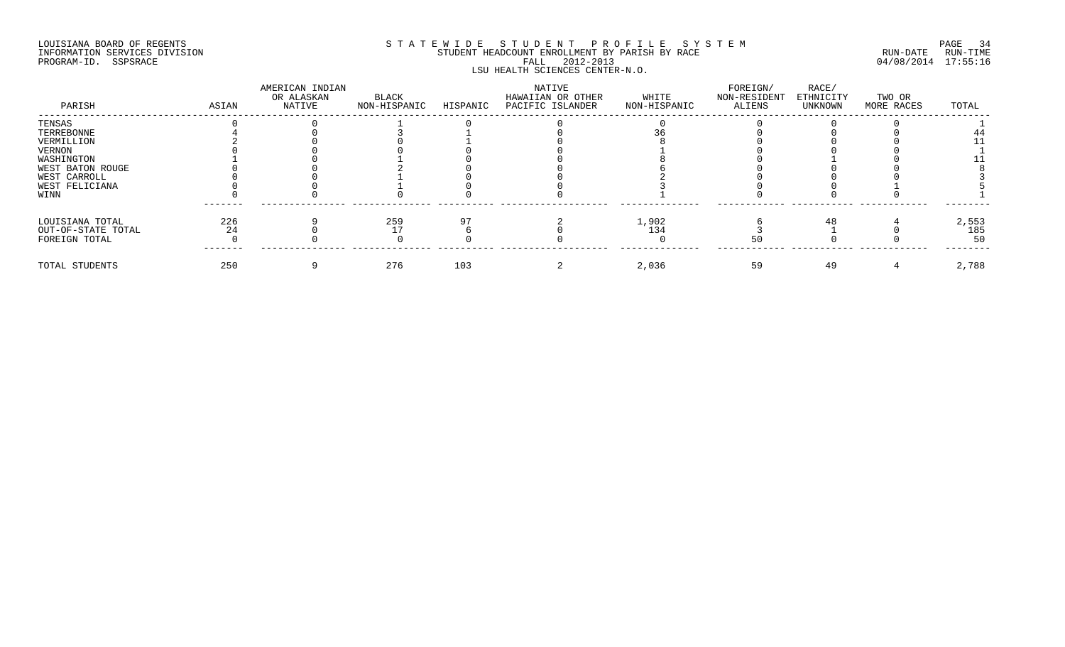## LOUISIANA BOARD OF REGENTS SOURCOME STATEWIDE STUDENT PROFILE SYSTEM STE MANUEL TO PAGE 34 INFORMATION SERVICES DIVISION STUDENT STUDENT HEADCOUNT ENROLLMENT BY PARISH BY RACE PROGRAM-ID. SSPSRACE FALL 2012-2013 04/08/2014 17:55:16 LSU HEALTH SCIENCES CENTER-N.O.

| PARISH             | ASIAN | AMERICAN INDIAN<br>OR ALASKAN<br>NATIVE | BLACK<br>NON-HISPANIC | HISPANIC | NATIVE<br>HAWAIIAN OR OTHER<br>PACIFIC ISLANDER | WHITE<br>NON-HISPANIC | FOREIGN/<br>NON-RESIDENT<br>ALIENS | RACE/<br>ETHNICITY<br>UNKNOWN | TWO OR<br>MORE RACES | TOTAL |
|--------------------|-------|-----------------------------------------|-----------------------|----------|-------------------------------------------------|-----------------------|------------------------------------|-------------------------------|----------------------|-------|
| TENSAS             |       |                                         |                       |          |                                                 |                       |                                    |                               |                      |       |
| TERREBONNE         |       |                                         |                       |          |                                                 |                       |                                    |                               |                      |       |
| VERMILLION         |       |                                         |                       |          |                                                 |                       |                                    |                               |                      |       |
| VERNON             |       |                                         |                       |          |                                                 |                       |                                    |                               |                      |       |
| WASHINGTON         |       |                                         |                       |          |                                                 |                       |                                    |                               |                      |       |
| WEST BATON ROUGE   |       |                                         |                       |          |                                                 |                       |                                    |                               |                      |       |
| WEST CARROLL       |       |                                         |                       |          |                                                 |                       |                                    |                               |                      |       |
| WEST FELICIANA     |       |                                         |                       |          |                                                 |                       |                                    |                               |                      |       |
| WINN               |       |                                         |                       |          |                                                 |                       |                                    |                               |                      |       |
| LOUISIANA TOTAL    | 226   |                                         | 259                   |          |                                                 | 1,902                 |                                    | 48                            |                      | 2,553 |
| OUT-OF-STATE TOTAL |       |                                         |                       |          |                                                 | 134                   |                                    |                               |                      | 185   |
| FOREIGN TOTAL      |       |                                         |                       |          |                                                 |                       |                                    |                               |                      |       |
| TOTAL STUDENTS     | 250   |                                         | 276                   | 103      |                                                 | 2,036                 | 59                                 | 49                            |                      | 2,788 |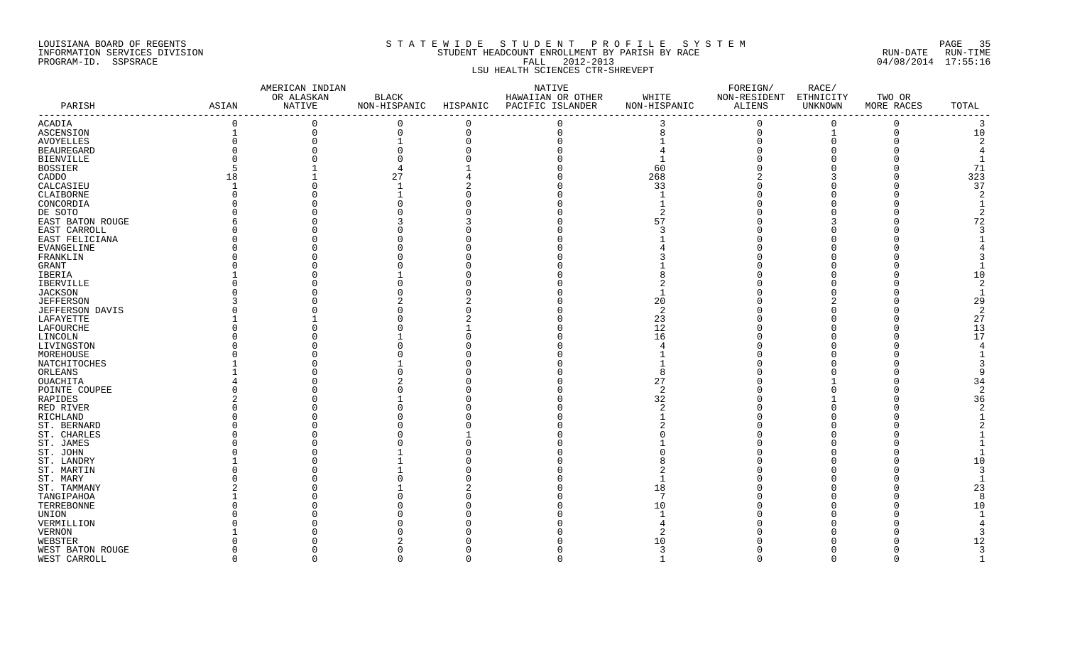#### LOUISIANA BOARD OF REGENTS S T A T E W I D E S T U D E N T P R O F I L E S Y S T E M PAGE 35 INFORMATION SERVICES DIVISION STUDENT HEADCOUNT ENROLLMENT BY PARISH BY RACE RUN-DATE RUN-TIME PROGRAM-ID. SSPSRACE FALL 2012-2013 04/08/2014 17:55:16 LSU HEALTH SCIENCES CTR-SHREVEPT

|                        |             | AMERICAN INDIAN |                        |          | NATIVE            |              | FOREIGN/     | RACE/     |            |                |
|------------------------|-------------|-----------------|------------------------|----------|-------------------|--------------|--------------|-----------|------------|----------------|
|                        |             | OR ALASKAN      | $\operatorname{BLACK}$ |          | HAWAIIAN OR OTHER | WHITE        | NON-RESIDENT | ETHNICITY | TWO OR     |                |
| PARISH                 | ASIAN       | NATIVE          | NON-HISPANIC           | HISPANIC | PACIFIC ISLANDER  | NON-HISPANIC | ALIENS       | UNKNOWN   | MORE RACES | TOTAL          |
| ACADIA                 | $\mathbf 0$ | $\overline{0}$  | 0                      | $\Omega$ | $\Omega$          | 3            | $\Omega$     | $\Omega$  | $\Omega$   | 3              |
| ASCENSION              |             | 0               | $\mathbf 0$            | $\Omega$ | $\mathbf 0$       | 8            | $\mathbf 0$  |           | $\Omega$   | 10             |
| AVOYELLES              |             | $\Omega$        |                        | $\cap$   |                   |              |              |           |            | 2              |
| <b>BEAUREGARD</b>      |             |                 |                        |          |                   |              |              |           |            |                |
| <b>BIENVILLE</b>       |             |                 |                        |          |                   |              |              |           |            |                |
| <b>BOSSIER</b>         |             |                 |                        |          |                   | 60           |              |           |            | 71             |
| CADDO                  | 18          |                 | 27                     |          |                   | 268          |              |           |            | 323            |
| CALCASIEU              |             |                 |                        |          |                   | 33           |              |           |            | 37             |
| CLAIBORNE              |             |                 |                        |          |                   |              |              |           |            | 2              |
| CONCORDIA              |             |                 |                        |          |                   |              |              |           |            |                |
| DE SOTO                |             |                 |                        |          |                   |              |              |           |            |                |
| EAST BATON ROUGE       |             |                 |                        |          |                   | 57           |              |           |            | 72             |
| EAST CARROLL           |             |                 |                        |          |                   |              |              |           |            |                |
| EAST FELICIANA         |             |                 |                        |          |                   |              |              |           |            |                |
| <b>EVANGELINE</b>      |             |                 |                        |          |                   |              |              |           |            |                |
| FRANKLIN               |             |                 |                        |          |                   |              |              |           |            |                |
| GRANT                  |             |                 |                        |          |                   |              |              |           |            |                |
| IBERIA                 |             |                 |                        |          |                   |              |              |           |            | 10             |
| IBERVILLE              |             |                 |                        |          |                   |              |              |           |            | 2              |
| <b>JACKSON</b>         |             |                 |                        |          |                   |              |              |           |            |                |
| <b>JEFFERSON</b>       |             |                 |                        |          |                   | 20           |              |           |            | 29             |
| JEFFERSON DAVIS        |             |                 |                        |          |                   | 2            |              |           |            | $\overline{2}$ |
| LAFAYETTE              |             |                 |                        |          |                   | 23           |              |           |            | 27             |
| LAFOURCHE              |             |                 |                        |          |                   | 12           |              |           |            | 13             |
| LINCOLN                |             |                 |                        |          |                   | 16           |              |           |            | 17             |
| LIVINGSTON             |             |                 |                        |          |                   |              |              |           |            | 4              |
| MOREHOUSE              |             |                 |                        |          |                   |              |              |           |            |                |
| NATCHITOCHES           |             |                 |                        |          |                   |              |              |           |            |                |
| ORLEANS                |             |                 |                        |          |                   |              |              |           |            |                |
| OUACHITA               |             |                 |                        |          |                   | 27           |              |           |            | 34             |
| POINTE COUPEE          |             |                 |                        |          |                   | 2            |              |           |            | $\overline{2}$ |
| RAPIDES                |             |                 |                        |          |                   | 32           |              |           |            | 36             |
| RED RIVER              |             |                 |                        |          |                   |              |              |           |            | 2              |
| RICHLAND               |             |                 |                        |          |                   |              |              |           |            |                |
| ST. BERNARD            |             |                 |                        |          |                   |              |              |           |            |                |
| ST. CHARLES            |             |                 |                        |          |                   |              |              |           |            |                |
| ST. JAMES              |             |                 |                        |          |                   |              |              |           |            |                |
| ST. JOHN               |             |                 |                        |          |                   |              |              |           |            |                |
| ST. LANDRY             |             |                 |                        |          |                   |              |              |           |            | 10             |
|                        |             |                 |                        |          |                   |              |              |           |            | 3              |
| ST. MARTIN<br>ST. MARY |             |                 |                        |          |                   |              |              |           |            |                |
|                        |             |                 |                        |          |                   | 18           |              |           |            | 23             |
| ST. TAMMANY            |             |                 |                        |          |                   | -7           |              |           |            | 8              |
| TANGIPAHOA             |             |                 |                        |          |                   |              |              |           |            |                |
| TERREBONNE             |             |                 |                        |          |                   | 10           |              |           |            | 10             |
| UNION                  |             |                 |                        |          |                   |              |              |           |            |                |
| VERMILLION             |             |                 |                        |          |                   |              |              |           |            |                |
| VERNON                 |             |                 |                        |          |                   |              |              |           |            |                |
| WEBSTER                |             |                 |                        |          |                   | 10           |              |           |            | 12             |
| WEST BATON ROUGE       |             |                 |                        |          |                   | 3            |              |           | O          | 3              |
| WEST CARROLL           | $\Omega$    | $\Omega$        | $\Omega$               | $\Omega$ | $\Omega$          | $\mathbf{1}$ | $\Omega$     | $\cap$    | 0          | $\overline{1}$ |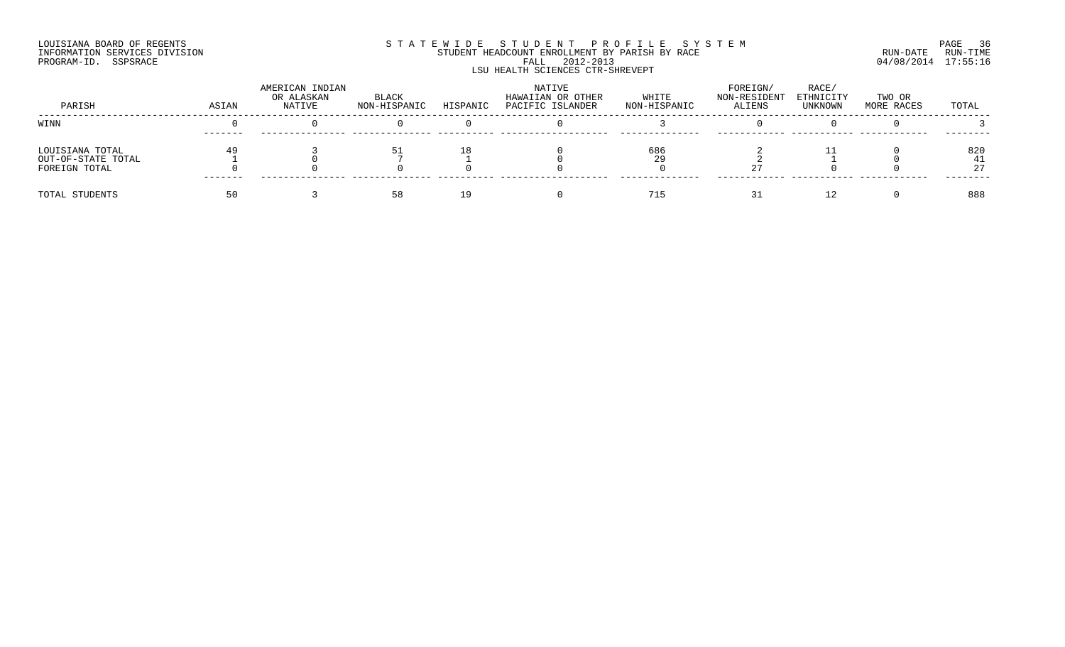#### LOUISIANA BOARD OF REGENTS SOURCOME STATEWIDE STUDENT PROFILE SYSTEM STE MANUEL OF ROEM PAGE 36<br>STUDENT HEADCOUNT ENROLLMENT BY PARISH BY RACE SYSTEM SUN-DATE RUN-TIME INFORMATION SERVICES DIVISION STUDENT STUDENT HEADCOUNT ENROLLMENT BY PARISH BY RACE PROGRAM-ID. SSPSRACE FALL 2012-2013 04/08/2014 17:55:16 LSU HEALTH SCIENCES CTR-SHREVEPT

| PARISH                                                 | ASIAN | AMERICAN INDIAN<br>OR ALASKAN<br>NATIVE | BLACK<br>NON-HISPANIC | HISPANIC | NATIVE<br>HAWAIIAN OR OTHER<br>PACIFIC ISLANDER | WHITE<br>NON-HISPANIC | FOREIGN/<br>NON-RESIDENT<br><b>ALIENS</b> | RACE<br>ETHNICITY<br>UNKNOWN | TWO OR<br>MORE RACES | TOTAL |
|--------------------------------------------------------|-------|-----------------------------------------|-----------------------|----------|-------------------------------------------------|-----------------------|-------------------------------------------|------------------------------|----------------------|-------|
| WINN                                                   |       |                                         |                       |          |                                                 |                       |                                           |                              |                      |       |
| LOUISIANA TOTAL<br>OUT-OF-STATE TOTAL<br>FOREIGN TOTAL |       |                                         | 51                    |          |                                                 | 686                   |                                           |                              |                      | 820   |
| TOTAL STUDENTS                                         |       |                                         | 58                    |          |                                                 | 71                    |                                           |                              |                      | 888   |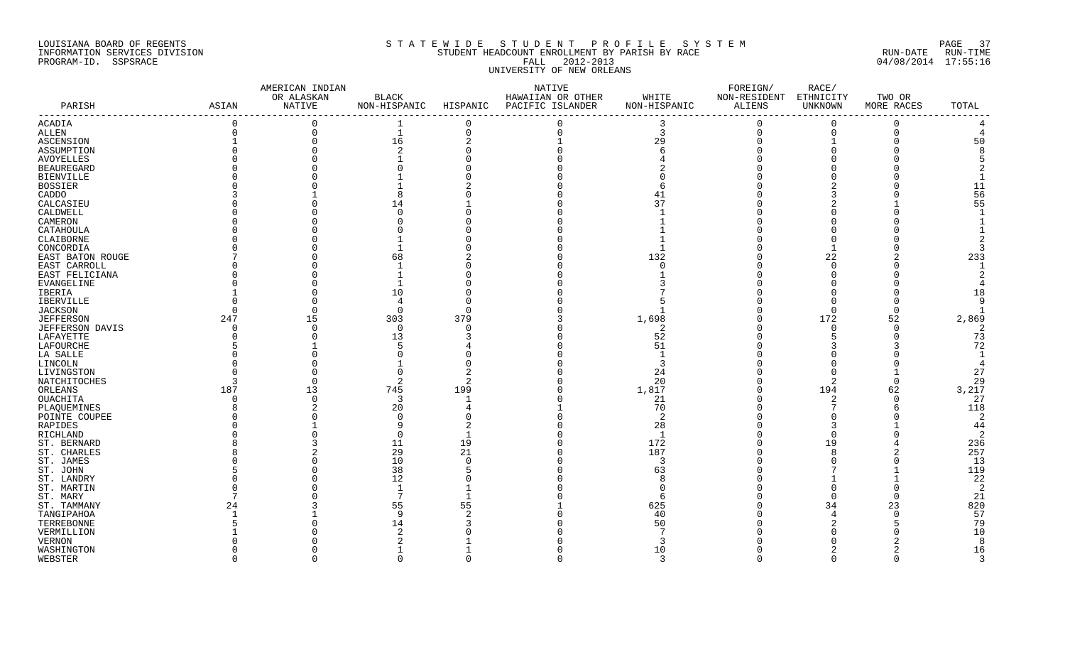## LOUISIANA BOARD OF REGENTS S T A T E W I D E S T U D E N T P R O F I L E S Y S T E M PAGE 37 INFORMATION SERVICES DIVISION STUDENT HEADCOUNT ENROLLMENT BY PARISH BY RACE RUN-DATE RUN-TIME PROGRAM-ID. SSPSRACE FALL 2012-2013 04/08/2014 17:55:16 UNIVERSITY OF NEW ORLEANS

|                        |                                             | AMERICAN INDIAN |                |                           | NATIVE                    |                | FOREIGN/     | RACE/                 |            |                |
|------------------------|---------------------------------------------|-----------------|----------------|---------------------------|---------------------------|----------------|--------------|-----------------------|------------|----------------|
|                        |                                             | OR ALASKAN      | $_{\rm BLACK}$ |                           | HAWAIIAN OR OTHER         | WHITE          | NON-RESIDENT | ETHNICITY             | TWO OR     |                |
| PARISH                 | ASIAN<br>---------------------------------- | NATIVE          | NON-HISPANIC   | ------------------------- | HISPANIC PACIFIC ISLANDER | NON-HISPANIC   | ALIENS       | UNKNOWN<br>---------- | MORE RACES | TOTAL          |
| ACADIA                 | $\Omega$                                    | $\Omega$        |                | $\Omega$                  | $\Omega$                  |                | $\Omega$     | $\Omega$              | 0          |                |
| ALLEN                  | $\Omega$                                    | 0               | $\mathbf{1}$   | $\Omega$                  | $\Omega$                  | $\overline{3}$ | $\Omega$     | $\Omega$              | $\Omega$   |                |
| ASCENSION              |                                             | $\Omega$        | 16             | $\overline{2}$            |                           | 29             | $\cap$       |                       |            | 50             |
| <b>ASSUMPTION</b>      |                                             |                 | $\mathcal{D}$  |                           |                           |                |              |                       |            |                |
| <b>AVOYELLES</b>       |                                             |                 |                |                           |                           |                |              |                       |            |                |
| <b>BEAUREGARD</b>      |                                             |                 |                |                           |                           |                |              |                       |            |                |
| <b>BIENVILLE</b>       |                                             |                 |                |                           |                           |                |              |                       |            |                |
| <b>BOSSIER</b>         |                                             |                 |                |                           |                           |                |              |                       |            | 11             |
| CADDO                  |                                             |                 |                |                           |                           | 41             |              |                       |            | 56             |
| CALCASIEU              |                                             |                 | 14             |                           |                           | 37             |              |                       |            | 55             |
| CALDWELL               |                                             |                 |                |                           |                           |                |              |                       |            |                |
| CAMERON                |                                             |                 |                |                           |                           |                |              |                       |            |                |
| CATAHOULA              |                                             |                 |                |                           |                           |                |              |                       |            |                |
| CLAIBORNE              |                                             |                 |                |                           |                           |                |              |                       |            |                |
| CONCORDIA              |                                             |                 |                |                           |                           |                |              |                       |            |                |
| EAST BATON ROUGE       |                                             |                 | 68             |                           |                           | 132            |              | 22                    |            | 233            |
| EAST CARROLL           |                                             |                 |                |                           |                           |                |              |                       |            |                |
| EAST FELICIANA         |                                             |                 |                |                           |                           |                |              |                       |            |                |
| EVANGELINE             |                                             |                 |                |                           |                           |                |              |                       |            |                |
| IBERIA                 |                                             |                 | 10             |                           |                           |                |              |                       |            | 18             |
| <b>IBERVILLE</b>       |                                             |                 | $\overline{4}$ |                           |                           |                |              |                       |            | q              |
| <b>JACKSON</b>         |                                             |                 | $\Omega$       | $\Omega$                  |                           |                |              |                       |            |                |
| <b>JEFFERSON</b>       | 247                                         | 15              | 303            | 379                       |                           | 1,698          |              | 172                   | 52         | 2,869          |
| JEFFERSON DAVIS        |                                             | $\Omega$        | $\Omega$       | ∩                         |                           | 2              |              | $\cap$                | $\Omega$   | 2              |
| LAFAYETTE              |                                             |                 | 13             |                           |                           | 52             |              |                       |            | 73             |
| LAFOURCHE              |                                             |                 |                |                           |                           | 51             |              |                       |            | 72             |
| LA SALLE               |                                             |                 |                |                           |                           |                |              |                       |            |                |
| LINCOLN                |                                             |                 |                |                           |                           |                |              |                       |            | $\overline{4}$ |
| LIVINGSTON             |                                             |                 |                |                           |                           | 24             |              |                       |            | 27             |
| NATCHITOCHES           | ₹                                           | $\Omega$        | $\overline{2}$ |                           |                           | 20             |              |                       | $\Omega$   | 29             |
| ORLEANS                | 187                                         | 13              | 745            | 199                       |                           | 1,817          |              | 194                   | 62         | 3,217          |
| OUACHITA               | $\Omega$                                    | $\Omega$        | 3              |                           |                           | 21             |              | -2                    | $\Omega$   | 27             |
| PLAOUEMINES            |                                             |                 | 20             |                           |                           | 70             |              |                       |            | 118            |
| POINTE COUPEE          |                                             |                 | $\cap$         |                           |                           | 2              |              |                       |            | $\overline{2}$ |
| RAPIDES                |                                             |                 |                |                           |                           | 28             |              |                       |            | 44             |
| RICHLAND               |                                             | <sup>0</sup>    | 0              |                           |                           | - 1            |              |                       |            | -2             |
| ST. BERNARD            |                                             | 3               | 11             | 19                        |                           | 172            |              | 19                    |            | 236            |
| ST. CHARLES            |                                             | $\Omega$        | 29<br>10       | 21<br>$\Omega$            |                           | 187<br>3       |              |                       |            | 257            |
| ST. JAMES              |                                             |                 |                |                           |                           |                |              |                       |            | 13<br>119      |
| ST. JOHN<br>ST. LANDRY |                                             |                 | 38<br>12       |                           |                           | 63             |              |                       |            | 22             |
| ST. MARTIN             |                                             |                 | $\overline{1}$ |                           |                           |                |              |                       |            | $\overline{2}$ |
| ST. MARY               |                                             |                 |                |                           |                           |                |              |                       |            | 21             |
| ST. TAMMANY            | 24                                          |                 | 55             | 55                        |                           | 625            |              | 34                    | 23         | 820            |
| TANGIPAHOA             |                                             |                 | q              |                           |                           | 40             |              |                       | $\Omega$   | 57             |
| TERREBONNE             |                                             |                 | 14             |                           |                           | 50             |              |                       |            | 79             |
| VERMILLION             |                                             |                 |                |                           |                           |                |              |                       |            | 10             |
| <b>VERNON</b>          |                                             |                 |                |                           |                           | 3              |              |                       |            | 8              |
| WASHINGTON             |                                             |                 |                |                           |                           | 10             |              |                       |            | 16             |
| WEBSTER                | $\cap$                                      | $\Omega$        | $\Omega$       | $\cap$                    | $\Omega$                  | $\mathcal{R}$  | $\Omega$     | $\cap$                | $\Omega$   | $\mathcal{R}$  |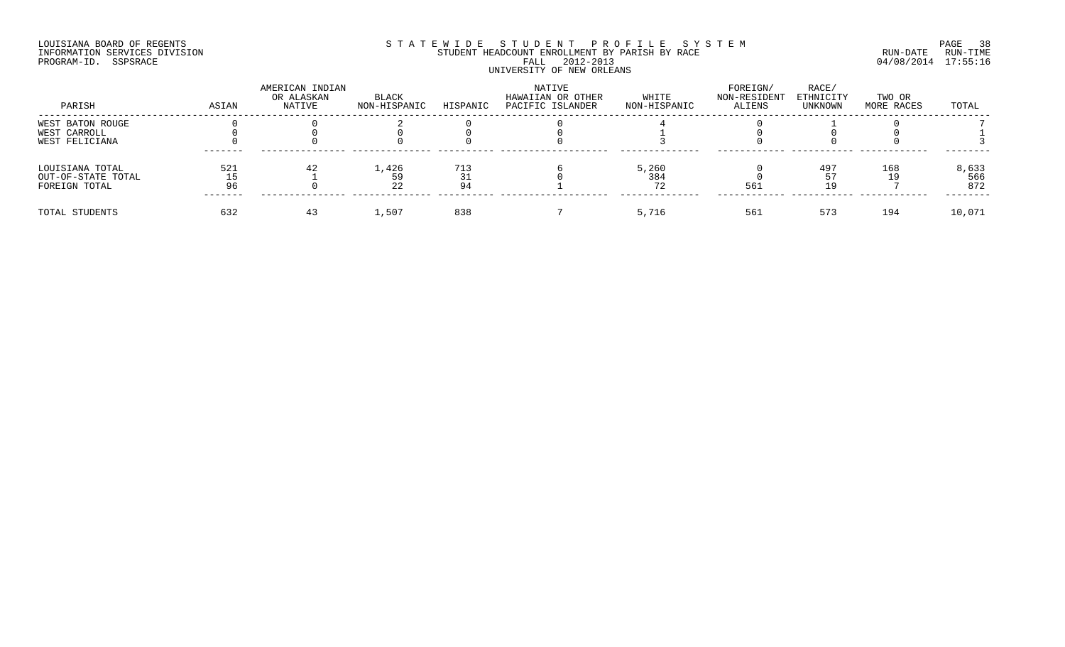## LOUISIANA BOARD OF REGENTS SOURCOME STATEWIDE STUDENT PROFILE SYSTEM STE MANUEL PAGE 38<br>STUDENT HEADCOUNT ENROLLMENT BY PARISH BY RACE THE SYSTEM RUN-DATE RUN-TIME INFORMATION SERVICES DIVISION STUDENT STUDENT HEADCOUNT ENROLLMENT BY PARISH BY RACE PROGRAM-ID. SSPSRACE FALL 2012-2013 04/08/2014 17:55:16 UNIVERSITY OF NEW ORLEANS

| PARISH                                | ASIAN | AMERICAN INDIAN<br>OR ALASKAN<br>NATIVE | BLACK<br>NON-HISPANIC | HISPANIC | NATIVE<br>HAWAIIAN OR OTHER<br>PACIFIC ISLANDER | WHITE<br>NON-HISPANIC | FOREIGN/<br>NON-RESIDENT<br>ALIENS | RACE/<br>ETHNICITY<br>UNKNOWN | TWO OR<br>MORE RACES | TOTAL        |
|---------------------------------------|-------|-----------------------------------------|-----------------------|----------|-------------------------------------------------|-----------------------|------------------------------------|-------------------------------|----------------------|--------------|
| WEST BATON ROUGE                      |       |                                         |                       |          |                                                 |                       |                                    |                               |                      |              |
| WEST CARROLL<br>WEST FELICIANA        |       |                                         |                       |          |                                                 |                       |                                    |                               |                      |              |
| LOUISIANA TOTAL<br>OUT-OF-STATE TOTAL | 521   | 42                                      | 1,426                 | 713      |                                                 | 5,260<br>384          |                                    | 497                           | 168                  | 8,633<br>566 |
| FOREIGN TOTAL                         | 96    |                                         | 22                    |          |                                                 |                       | 561                                | 1 Q                           |                      | 872          |
| TOTAL STUDENTS                        | 632   |                                         | 1,507                 | 838      |                                                 | 5,716                 | 561                                | 573                           | 194                  | 10,071       |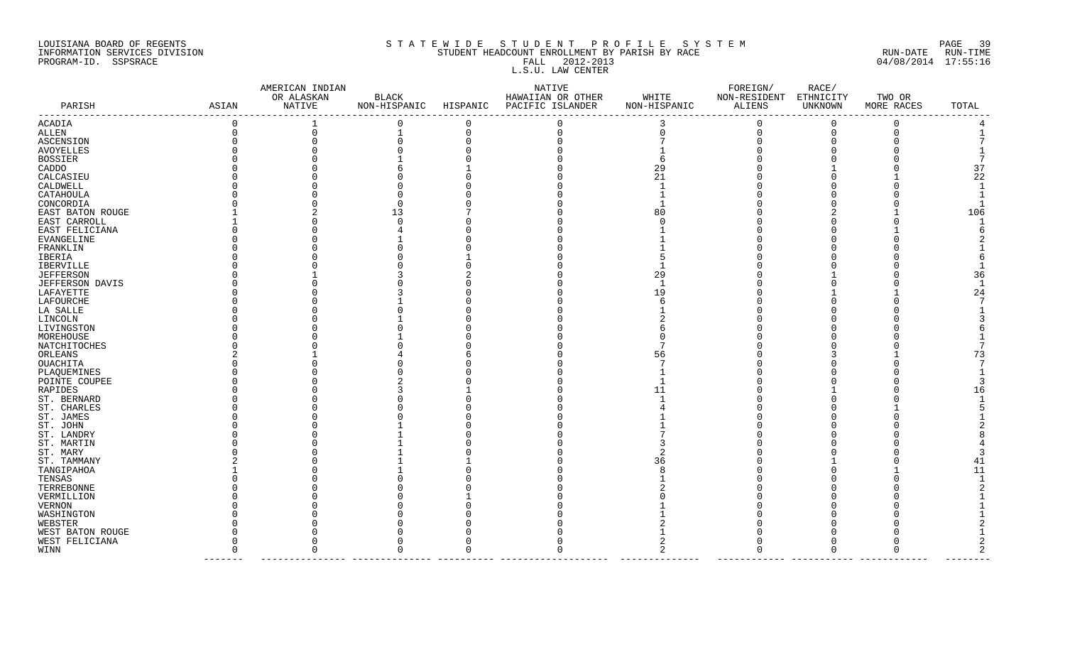### LOUISIANA BOARD OF REGENTS S T A T E W I D E S T U D E N T P R O F I L E S Y S T E M PAGE 39 INFORMATION SERVICES DIVISION STUDENT STUDENT HEADCOUNT ENROLLMENT BY PARISH BY RACE STUDENT RUN-DATE RUN-TIME PROGRAM-ID. SSPSRACE FALL 2012-2013 04/08/2014 17:55:16 FALL 2012-2013<br>L.S.U. LAW CENTER

|                  |                                      | AMERICAN INDIAN         |                                |          | NATIVE                                |                       | FOREIGN/               | RACE/                |                      |              |
|------------------|--------------------------------------|-------------------------|--------------------------------|----------|---------------------------------------|-----------------------|------------------------|----------------------|----------------------|--------------|
| PARISH           | ASIAN                                | OR ALASKAN<br>NATIVE    | BLACK<br>NON-HISPANIC HISPANIC |          | HAWAIIAN OR OTHER<br>PACIFIC ISLANDER | WHITE<br>NON-HISPANIC | NON-RESIDENT<br>ALIENS | ETHNICITY<br>UNKNOWN | TWO OR<br>MORE RACES | TOTAL        |
|                  | ------------------------------------ |                         |                                |          |                                       | -------------         |                        |                      | ------               |              |
| ACADIA           | $\Omega$                             | 1                       | $\Omega$                       | $\Omega$ |                                       | 3                     | $\Omega$               | 0                    | $\Omega$             |              |
| ALLEN            |                                      | 0                       |                                | $\Omega$ |                                       |                       | $\Omega$               | $\Omega$             | ∩                    |              |
| ASCENSION        |                                      |                         |                                |          |                                       |                       |                        |                      |                      |              |
| AVOYELLES        |                                      |                         |                                |          |                                       |                       |                        |                      |                      |              |
| BOSSIER          |                                      |                         |                                |          |                                       |                       |                        |                      |                      |              |
| CADDO            |                                      |                         |                                |          |                                       | 29                    |                        |                      |                      | 37           |
| CALCASIEU        |                                      |                         |                                |          |                                       |                       |                        |                      |                      | 22           |
| CALDWELL         |                                      |                         |                                |          |                                       |                       |                        |                      |                      | $\mathbf{1}$ |
| CATAHOULA        |                                      |                         |                                |          |                                       |                       |                        |                      |                      |              |
| CONCORDIA        |                                      |                         |                                |          |                                       |                       |                        |                      |                      |              |
| EAST BATON ROUGE |                                      |                         | 13                             |          |                                       |                       |                        |                      |                      | 106          |
| EAST CARROLL     |                                      |                         |                                |          |                                       |                       |                        |                      |                      |              |
| EAST FELICIANA   |                                      |                         |                                |          |                                       |                       |                        |                      |                      |              |
| EVANGELINE       |                                      |                         |                                |          |                                       |                       |                        |                      |                      |              |
| FRANKLIN         |                                      |                         |                                |          |                                       |                       |                        |                      |                      |              |
| IBERIA           |                                      |                         |                                |          |                                       |                       |                        |                      |                      |              |
| IBERVILLE        |                                      |                         |                                |          |                                       |                       |                        |                      |                      |              |
| <b>JEFFERSON</b> |                                      |                         |                                |          |                                       | 29                    |                        |                      |                      | 36           |
| JEFFERSON DAVIS  |                                      |                         |                                |          |                                       |                       |                        |                      |                      |              |
| LAFAYETTE        |                                      |                         |                                |          |                                       | 19                    |                        |                      |                      | 24           |
| LAFOURCHE        |                                      |                         |                                |          |                                       |                       |                        |                      |                      |              |
| LA SALLE         |                                      |                         |                                |          |                                       |                       |                        |                      |                      |              |
| LINCOLN          |                                      |                         |                                |          |                                       |                       |                        |                      |                      |              |
| LIVINGSTON       |                                      |                         |                                |          |                                       |                       |                        |                      |                      |              |
| MOREHOUSE        |                                      |                         |                                |          |                                       |                       |                        |                      |                      |              |
| NATCHITOCHES     |                                      |                         |                                |          |                                       |                       |                        |                      |                      |              |
| ORLEANS          |                                      |                         |                                |          |                                       | 56                    |                        |                      |                      | 73           |
| OUACHITA         |                                      |                         |                                |          |                                       |                       |                        |                      |                      |              |
| PLAQUEMINES      |                                      |                         |                                |          |                                       |                       |                        |                      |                      |              |
| POINTE COUPEE    |                                      |                         |                                |          |                                       |                       |                        |                      |                      |              |
| RAPIDES          |                                      |                         |                                |          |                                       |                       |                        |                      |                      | 16           |
| ST. BERNARD      |                                      |                         |                                |          |                                       |                       |                        |                      |                      |              |
| ST. CHARLES      |                                      |                         |                                |          |                                       |                       |                        |                      |                      |              |
| ST. JAMES        |                                      |                         |                                |          |                                       |                       |                        |                      |                      |              |
| ST. JOHN         |                                      |                         |                                |          |                                       |                       |                        |                      |                      |              |
| ST. LANDRY       |                                      |                         |                                |          |                                       |                       |                        |                      |                      |              |
| ST. MARTIN       |                                      |                         |                                |          |                                       |                       |                        |                      |                      |              |
| ST. MARY         |                                      |                         |                                |          |                                       |                       |                        |                      |                      |              |
| ST. TAMMANY      |                                      |                         |                                |          |                                       |                       |                        |                      |                      | 41           |
| TANGIPAHOA       |                                      |                         |                                |          |                                       |                       |                        |                      |                      | 11           |
| TENSAS           |                                      |                         |                                |          |                                       |                       |                        |                      |                      |              |
| TERREBONNE       |                                      |                         |                                |          |                                       |                       |                        |                      |                      |              |
| VERMILLION       |                                      |                         |                                |          |                                       |                       |                        |                      |                      |              |
| VERNON           |                                      |                         |                                |          |                                       |                       |                        |                      |                      |              |
| WASHINGTON       |                                      |                         |                                |          |                                       |                       |                        |                      |                      |              |
| WEBSTER          |                                      |                         |                                |          |                                       |                       |                        |                      |                      |              |
| WEST BATON ROUGE |                                      |                         |                                |          |                                       |                       |                        |                      |                      |              |
| WEST FELICIANA   | <sup>n</sup>                         | $\Omega$<br>$\mathbf 0$ | $\Omega$                       | $\Omega$ |                                       |                       |                        | $\Omega$             | $\Omega$             |              |
| WINN             | --------                             | -----------             |                                |          |                                       | 2                     | $\mathbf 0$            |                      |                      |              |
|                  |                                      |                         |                                |          |                                       |                       |                        |                      |                      |              |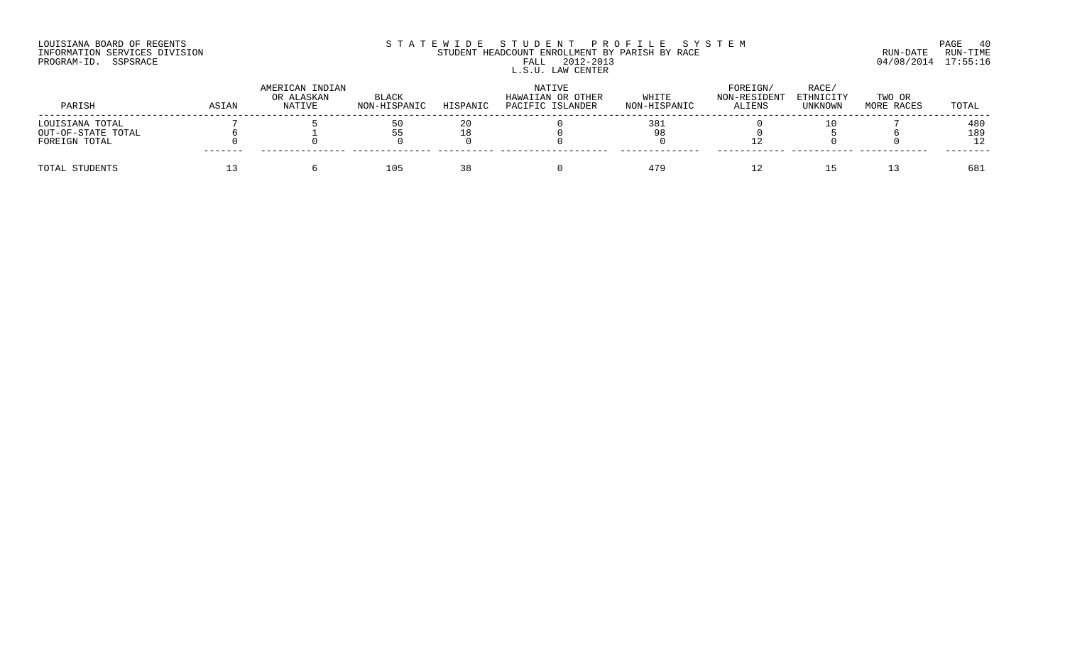## LOUISIANA BOARD OF REGENTS SOURCOME STATEWIDE STUDENT PROFILE SYSTEM STE MANUEL PAGE 40<br>STUDENT HEADCOUNT ENROLLMENT BY PARISH BY RACE SYSTEM SUN-DATE RUN-TIME INFORMATION SERVICES DIVISION STUDENT HEADCOUNT ENROLLMENT BY PARISH BY RACE RUN-DATE RUN-TIME PROGRAM-ID. SSPSRACE FALL 2012-2013 04/08/2014 17:55:16 L.S.U. LAW CENTER

| PARISH             | ASIAN   | AMERICAN INDIAN<br>OR ALASKAN<br>NATIVE | <b>BLACK</b><br>NON-HISPANIC | HISPANIC | NATIVE<br>HAWAIIAN OR OTHER<br>PACIFIC ISLANDER | WHITE<br>NON-HISPANIC | FOREIGN/<br>NON-RESIDENT<br><b>ALIENS</b> | RACE/<br>ETHNICITY<br>UNKNOWN | TWO OR<br>MORE RACES | TOTAL |
|--------------------|---------|-----------------------------------------|------------------------------|----------|-------------------------------------------------|-----------------------|-------------------------------------------|-------------------------------|----------------------|-------|
| LOUISIANA TOTAL    |         |                                         |                              |          |                                                 | 38.                   |                                           |                               |                      | 480   |
| OUT-OF-STATE TOTAL |         |                                         | 55                           |          |                                                 |                       |                                           |                               |                      | 189   |
| FOREIGN TOTAL      | ------- |                                         |                              |          |                                                 |                       |                                           |                               |                      |       |
| TOTAL STUDENTS     |         |                                         | 105                          |          |                                                 | 479                   |                                           |                               |                      | 681   |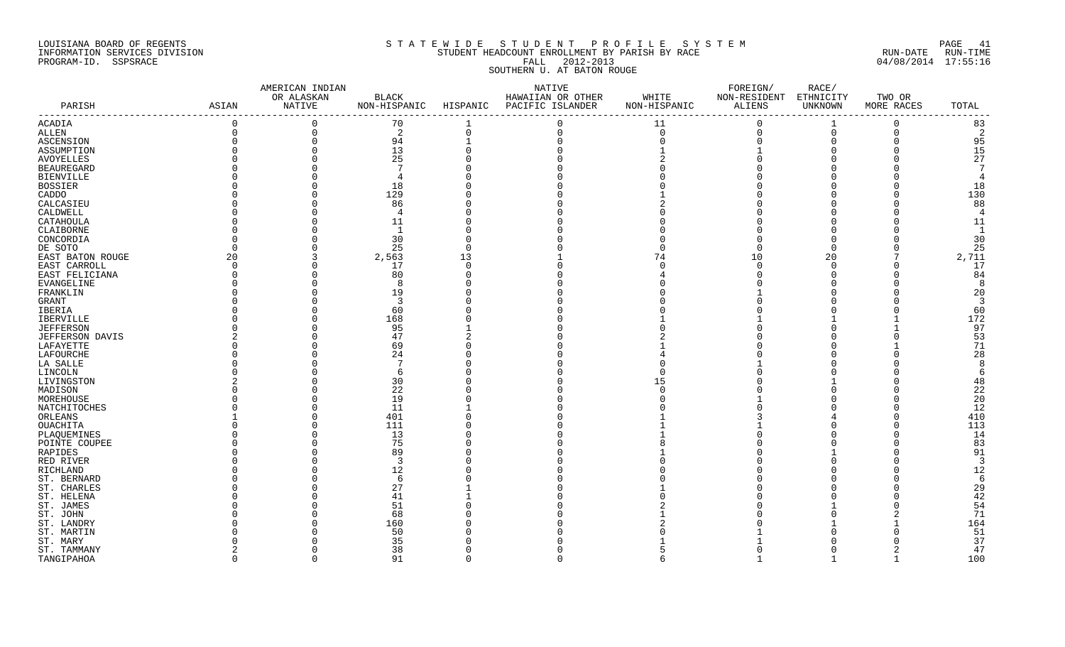## LOUISIANA BOARD OF REGENTS SOURCH STATEWIDE STUDENT PROFILE SYSTEM SOURCH ALL PAGE 41 INFORMATION SERVICES DIVISION STUDENT HEADCOUNT ENROLLMENT BY PARISH BY RACE RUN-DATE RUN-TIME PROGRAM-ID. SSPSRACE FALL 2012-2013 04/08/2014 17:55:16 SOUTHERN U. AT BATON ROUGE

|                      |             | AMERICAN INDIAN |              |          | NATIVE                    |                | FOREIGN/     | RACE/     |             |                |
|----------------------|-------------|-----------------|--------------|----------|---------------------------|----------------|--------------|-----------|-------------|----------------|
|                      |             | OR ALASKAN      | BLACK        |          | HAWAIIAN OR OTHER         | WHITE          | NON-RESIDENT | ETHNICITY | TWO OR      |                |
| PARISH               | ASIAN       | NATIVE          | NON-HISPANIC |          | HISPANIC PACIFIC ISLANDER | NON-HISPANIC   | ALIENS       | UNKNOWN   | MORE RACES  | TOTAL          |
| ACADIA               |             | $\mathbf 0$     | 70           |          | $\Omega$                  | 11             | $\Omega$     |           | $\Omega$    | 83             |
| ALLEN                | $\mathbf 0$ | $\mathbf 0$     | 2            | $\Omega$ | $\Omega$                  | $\overline{0}$ | $\mathbf 0$  | $\Omega$  | $\mathbf 0$ | 2              |
| ASCENSION            |             | $\mathbf 0$     | 94           |          |                           | $\Omega$       | $\Omega$     |           |             | 95             |
| ASSUMPTION           |             | $\mathbf 0$     | 13           |          |                           |                |              |           |             | 15             |
| <b>AVOYELLES</b>     |             | $\Omega$        | 25           |          |                           |                |              |           |             | 27             |
| <b>BEAUREGARD</b>    |             | $\cap$          |              |          |                           |                |              |           |             | -7             |
| BIENVILLE            |             | $\Omega$        |              |          |                           |                |              |           |             | $\overline{4}$ |
| <b>BOSSIER</b>       |             | $\Omega$        | 18           |          |                           |                |              |           |             | 18             |
| CADDO                |             | $\Omega$        | 129          |          |                           |                |              |           |             | 130            |
| CALCASIEU            |             | $\Omega$        | 86           |          |                           |                |              |           |             | 88             |
| CALDWELL             |             | $\Omega$        | 4            |          |                           |                |              |           |             | $\overline{4}$ |
| CATAHOULA            |             |                 | 11           |          |                           |                |              |           |             | 11             |
| CLAIBORNE            |             |                 | $\mathbf{1}$ |          |                           |                |              |           |             | $\mathbf{1}$   |
| CONCORDIA            |             | $\Omega$        | 30           |          |                           |                |              |           |             | 30             |
| DE SOTO              |             |                 | 25           |          |                           |                |              |           |             | 25             |
| EAST BATON ROUGE     | 20          | 3               | 2,563        | 13       |                           | 74             | 10           | 20        | 7           | 2,711          |
| EAST CARROLL         | $\Omega$    | $\Omega$        | 17           |          |                           |                |              |           |             | 17             |
| EAST FELICIANA       |             |                 | 80           |          |                           |                |              |           |             | 84             |
| EVANGELINE           |             | $\cap$          | 8            |          |                           |                |              |           |             | -8             |
| FRANKLIN             |             |                 | 19           |          |                           |                |              |           |             | 20             |
| GRANT                |             |                 | -3           |          |                           |                |              |           |             | $\overline{3}$ |
| IBERIA               |             |                 | 60           |          |                           |                |              |           |             | 60             |
| IBERVILLE            |             | $\cap$          | 168          |          |                           |                |              |           |             | 172            |
| <b>JEFFERSON</b>     |             | $\Omega$        | 95           |          |                           |                |              |           |             | 97             |
| JEFFERSON DAVIS      |             | $\Omega$        | 47           |          |                           |                |              |           |             | 53             |
| LAFAYETTE            |             | $\Omega$        | 69           |          |                           |                |              |           |             | 71             |
| LAFOURCHE            |             | $\Omega$        | 24           |          |                           |                |              |           |             | 28             |
| LA SALLE             |             |                 | 7            |          |                           |                |              |           |             | -8             |
| LINCOLN              |             | ∩               | 6            |          |                           |                |              |           |             | 6              |
| LIVINGSTON           |             |                 | 30           |          |                           |                |              |           |             |                |
|                      |             | $\cap$          | 22           |          |                           | 15             |              |           |             | 48<br>22       |
| MADISON<br>MOREHOUSE |             | $\Omega$        | 19           |          |                           |                |              |           |             | 20             |
|                      |             | $\Omega$        | 11           |          |                           |                |              |           |             | 12             |
| NATCHITOCHES         |             | $\Omega$        |              |          |                           |                |              |           |             | 410            |
| ORLEANS              |             | $\Omega$        | 401          |          |                           |                |              |           |             | 113            |
| OUACHITA             |             | $\cap$          | 111<br>13    |          |                           |                |              |           |             | 14             |
| PLAQUEMINES          |             | $\Omega$        | 75           |          |                           |                |              |           |             |                |
| POINTE COUPEE        |             |                 |              |          |                           |                |              |           |             | 83             |
| RAPIDES              |             | $\Omega$        | 89           |          |                           |                |              |           |             | 91             |
| RED RIVER            |             | $\cap$          | -3           |          |                           |                |              |           |             | $\overline{3}$ |
| RICHLAND             |             | $\Omega$        | 12           |          |                           |                |              |           |             | 12             |
| ST. BERNARD          |             |                 | -6           |          |                           |                |              |           |             | 6              |
| ST. CHARLES          |             | $\Omega$        | 27           |          |                           |                |              |           |             | 29             |
| ST. HELENA           |             |                 | 41           |          |                           |                |              |           |             | 42             |
| ST. JAMES            |             |                 | 51           |          |                           |                |              |           |             | 54             |
| ST. JOHN             |             |                 | 68           |          |                           |                |              |           |             | 71             |
| ST. LANDRY           |             |                 | 160          |          |                           |                |              |           |             | 164            |
| ST. MARTIN           |             |                 | 50           |          |                           |                |              |           |             | 51             |
| ST. MARY             |             |                 | 35           |          |                           |                |              |           |             | 37             |
| ST. TAMMANY          |             | $\Omega$        | 38           |          |                           |                |              |           |             | 47             |
| TANGIPAHOA           | $\cap$      | $\Omega$        | 91           |          |                           |                |              |           | 1           | 100            |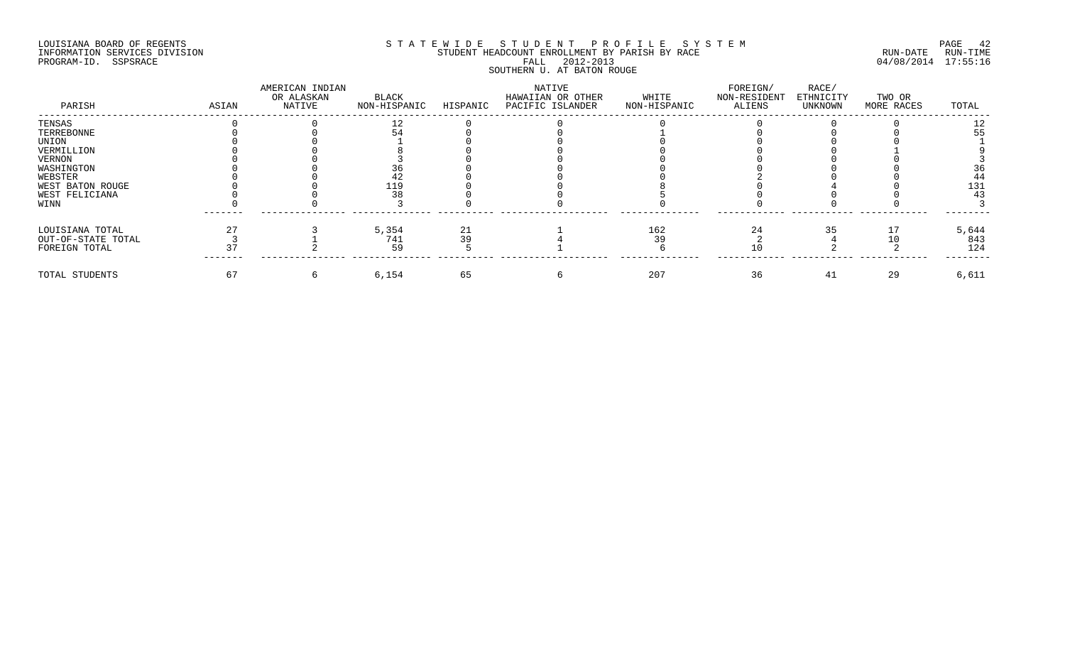## LOUISIANA BOARD OF REGENTS SOURCOME STATEWIDE STUDENT PROFILE SYSTEM STE MANUEL PAGE 42<br>STUDENT HEADCOUNT ENROLLMENT BY PARISH BY RACE SYSTEM SUN-DATE RUN-TIME INFORMATION SERVICES DIVISION STUDENT STUDENT HEADCOUNT ENROLLMENT BY PARISH BY RACE PROGRAM-ID. SSPSRACE FALL 2012-2013 04/08/2014 17:55:16 SOUTHERN U. AT BATON ROUGE

| PARISH             | ASIAN | AMERICAN INDIAN<br>OR ALASKAN<br>NATIVE | BLACK<br>NON-HISPANIC | HISPANIC | NATIVE<br>HAWAIIAN OR OTHER<br>PACIFIC ISLANDER | WHITE<br>NON-HISPANIC | FOREIGN/<br>NON-RESIDENT<br>ALIENS | RACE/<br>ETHNICITY<br>UNKNOWN | TWO OR<br>MORE RACES | TOTAL |
|--------------------|-------|-----------------------------------------|-----------------------|----------|-------------------------------------------------|-----------------------|------------------------------------|-------------------------------|----------------------|-------|
| TENSAS             |       |                                         |                       |          |                                                 |                       |                                    |                               |                      |       |
| TERREBONNE         |       |                                         |                       |          |                                                 |                       |                                    |                               |                      |       |
| UNION              |       |                                         |                       |          |                                                 |                       |                                    |                               |                      |       |
| VERMILLION         |       |                                         |                       |          |                                                 |                       |                                    |                               |                      |       |
| VERNON             |       |                                         |                       |          |                                                 |                       |                                    |                               |                      |       |
| WASHINGTON         |       |                                         |                       |          |                                                 |                       |                                    |                               |                      |       |
| WEBSTER            |       |                                         |                       |          |                                                 |                       |                                    |                               |                      |       |
| WEST BATON ROUGE   |       |                                         | 119                   |          |                                                 |                       |                                    |                               |                      | 131   |
| WEST FELICIANA     |       |                                         |                       |          |                                                 |                       |                                    |                               |                      |       |
| WINN               |       |                                         |                       |          |                                                 |                       |                                    |                               |                      |       |
| LOUISIANA TOTAL    |       |                                         | 5,354                 | 21       |                                                 | 162                   | 24                                 | 35                            |                      | 5,644 |
| OUT-OF-STATE TOTAL |       |                                         | 741                   |          |                                                 | 39                    |                                    |                               |                      | 843   |
| FOREIGN TOTAL      |       |                                         | 59                    |          |                                                 |                       |                                    |                               |                      | 124   |
| TOTAL STUDENTS     | 67    |                                         | 6,154                 | 65       |                                                 | 207                   | 36                                 | 41                            | 29                   | 6,611 |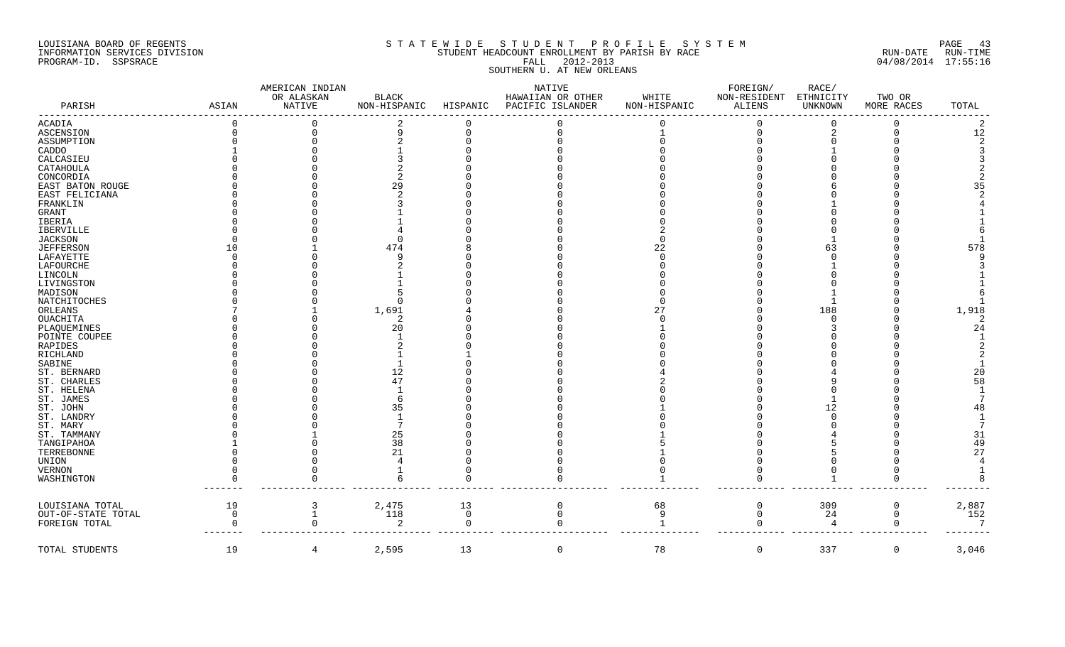## LOUISIANA BOARD OF REGENTS SOURCOME STATEWIDE STUDENT PROFILE SYSTEM STE MANUEL PAGE 43<br>STUDENT HEADCOUNT ENROLLMENT BY PARISH BY RACE SYSTEM SUN-DATE RUN-TIME INFORMATION SERVICES DIVISION STUDENT HEADCOUNT ENROLLMENT BY PARISH BY RACE THE RUN-DATE RUN-DATE RUN-DATE RUN-PROGRAM-ID. SSPSRACE FALL 2012-2013 04/08/2014 17:55:16 SOUTHERN U. AT NEW ORLEANS

| PARISH             | ASIAN       | AMERICAN INDIAN<br>OR ALASKAN<br>NATIVE | BLACK<br>NON-HISPANIC | HISPANIC    | NATIVE<br>HAWAIIAN OR OTHER<br>PACIFIC ISLANDER | WHITE<br>NON-HISPANIC | FOREIGN/<br>NON-RESIDENT<br>ALIENS | RACE/<br>ETHNICITY<br>UNKNOWN | TWO OR<br>MORE RACES | TOTAL          |
|--------------------|-------------|-----------------------------------------|-----------------------|-------------|-------------------------------------------------|-----------------------|------------------------------------|-------------------------------|----------------------|----------------|
| ACADIA             |             |                                         |                       |             |                                                 |                       |                                    | $\Omega$                      |                      | $\overline{2}$ |
| <b>ASCENSION</b>   |             |                                         | a                     |             |                                                 |                       | $\Omega$                           | $\overline{2}$                |                      | 12             |
| ASSUMPTION         |             |                                         |                       |             |                                                 |                       |                                    |                               |                      |                |
| CADDO              |             |                                         |                       |             |                                                 |                       |                                    |                               |                      |                |
| CALCASIEU          |             |                                         |                       |             |                                                 |                       |                                    |                               |                      |                |
| CATAHOULA          |             |                                         |                       |             |                                                 |                       |                                    |                               |                      |                |
| CONCORDIA          |             |                                         |                       |             |                                                 |                       |                                    |                               |                      |                |
| EAST BATON ROUGE   |             |                                         |                       |             |                                                 |                       |                                    |                               |                      | 35             |
| EAST FELICIANA     |             |                                         |                       |             |                                                 |                       |                                    |                               |                      |                |
| FRANKLIN           |             |                                         |                       |             |                                                 |                       |                                    |                               |                      |                |
| GRANT              |             |                                         |                       |             |                                                 |                       |                                    |                               |                      |                |
| IBERIA             |             |                                         |                       |             |                                                 |                       |                                    |                               |                      |                |
| IBERVILLE          |             |                                         |                       |             |                                                 |                       |                                    |                               |                      |                |
| JACKSON            |             |                                         |                       |             |                                                 |                       |                                    |                               |                      |                |
| <b>JEFFERSON</b>   |             |                                         | 474                   |             |                                                 | 22                    |                                    | 63                            |                      | 578            |
| LAFAYETTE          |             |                                         |                       |             |                                                 |                       |                                    |                               |                      |                |
| LAFOURCHE          |             |                                         |                       |             |                                                 |                       |                                    |                               |                      |                |
| LINCOLN            |             |                                         |                       |             |                                                 |                       |                                    |                               |                      |                |
| LIVINGSTON         |             |                                         |                       |             |                                                 |                       |                                    |                               |                      |                |
| MADISON            |             |                                         |                       |             |                                                 |                       |                                    |                               |                      |                |
| NATCHITOCHES       |             |                                         | - 0                   |             |                                                 |                       |                                    |                               |                      |                |
| ORLEANS            |             |                                         | 1,691                 |             |                                                 | 27                    |                                    | 188                           |                      | 1,918          |
| OUACHITA           |             |                                         |                       |             |                                                 |                       |                                    |                               |                      | 2              |
| PLAQUEMINES        |             |                                         | 20                    |             |                                                 |                       |                                    |                               |                      | 24             |
| POINTE COUPEE      |             |                                         |                       |             |                                                 |                       |                                    |                               |                      |                |
| RAPIDES            |             |                                         |                       |             |                                                 |                       |                                    |                               |                      |                |
| RICHLAND           |             |                                         |                       |             |                                                 |                       |                                    |                               |                      |                |
| SABINE             |             |                                         |                       |             |                                                 |                       |                                    |                               |                      |                |
| ST. BERNARD        |             |                                         | 12                    |             |                                                 |                       |                                    |                               |                      | 20             |
| ST. CHARLES        |             |                                         | 47                    |             |                                                 |                       |                                    |                               |                      | 58             |
| ST. HELENA         |             |                                         |                       |             |                                                 |                       |                                    |                               |                      |                |
| ST. JAMES          |             |                                         |                       |             |                                                 |                       |                                    |                               |                      |                |
| ST. JOHN           |             |                                         | 35                    |             |                                                 |                       |                                    | 12                            |                      | 48             |
| ST. LANDRY         |             |                                         |                       |             |                                                 |                       |                                    |                               |                      |                |
| ST. MARY           |             |                                         |                       |             |                                                 |                       |                                    |                               |                      |                |
| ST. TAMMANY        |             |                                         | 25                    |             |                                                 |                       |                                    |                               |                      | 31             |
| TANGIPAHOA         |             |                                         | 38                    |             |                                                 |                       |                                    |                               |                      | 49             |
| TERREBONNE         |             |                                         | 21                    |             |                                                 |                       |                                    |                               |                      | 27             |
| UNION              |             |                                         |                       |             |                                                 |                       |                                    |                               |                      |                |
| VERNON             |             |                                         |                       |             |                                                 |                       |                                    |                               |                      |                |
| WASHINGTON         |             |                                         |                       |             |                                                 |                       |                                    |                               | 0                    |                |
| LOUISIANA TOTAL    | 19          | 3                                       | 2,475                 | 13          | 0                                               | 68                    | -0                                 | 309                           | 0                    | 2,887          |
| OUT-OF-STATE TOTAL | $\mathbf 0$ | 1                                       | 118                   | $\mathbf 0$ | $\Omega$                                        | 9                     | $\Omega$                           | 24                            | 0                    | 152            |
| FOREIGN TOTAL      |             | 0                                       | -2                    | $\Omega$    | <sup>n</sup>                                    |                       | $\Omega$                           | 4                             | 0                    | 7              |
| TOTAL STUDENTS     | 19          | 4                                       | 2,595                 | 13          | $\overline{0}$                                  | 78                    | $\overline{0}$                     | 337                           | $\mathbf 0$          | 3,046          |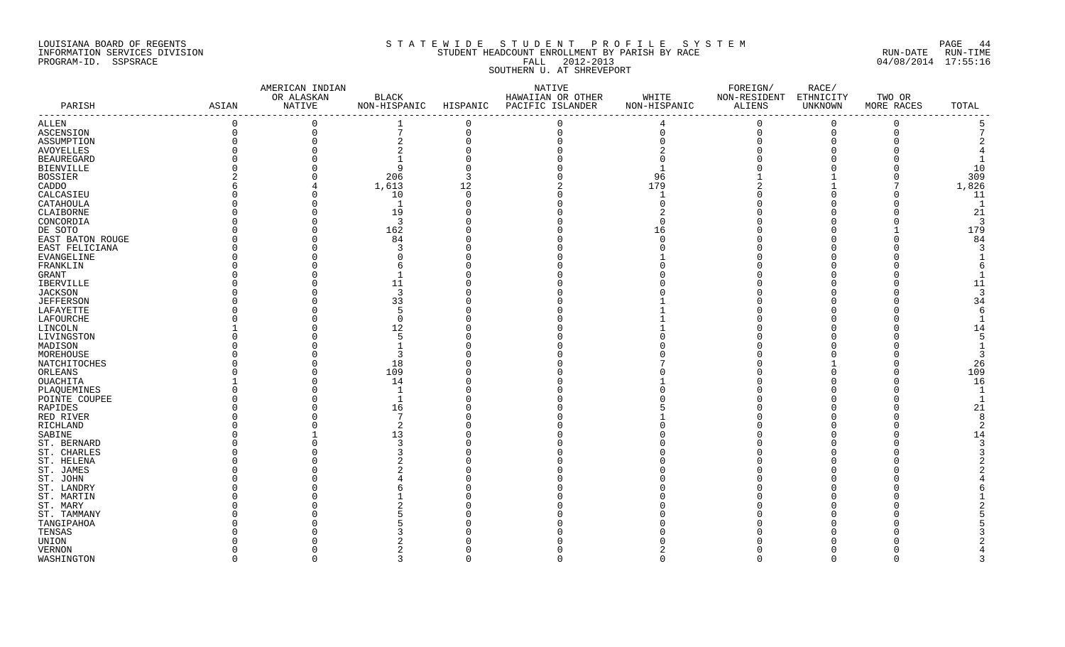## LOUISIANA BOARD OF REGENTS S T A T E W I D E S T U D E N T P R O F I L E S Y S T E M PAGE 44 INFORMATION SERVICES DIVISION STUDENT HEADCOUNT ENROLLMENT BY PARISH BY RACE RUN-DATE RUN-TIME PROGRAM-ID. SSPSRACE FALL 2012-2013 04/08/2014 17:55:16 SOUTHERN U. AT SHREVEPORT

| OR ALASKAN<br>BLACK<br>HAWAIIAN OR OTHER<br>WHITE<br>NON-RESIDENT ETHNICITY<br>TWO OR<br>NATIVE<br>NON-HISPANIC HISPANIC PACIFIC ISLANDER<br>ALIENS<br>PARISH<br>ASIAN<br>NON-HISPANIC<br>UNKNOWN<br>MORE RACES<br>TOTAL<br>--------<br>$\Omega$<br>$\mathbf 0$<br>$\Omega$<br>$\Omega$<br>$\Omega$<br>$\Omega$<br>$\Omega$<br>4<br>$\mathsf{O}$<br>$7\phantom{.0}$<br>$\mathbf 0$<br>$\Omega$<br>$\mathbf 0$<br>$\Omega$<br>ASCENSION<br>$\Omega$<br>$\Omega$<br>$\Omega$<br>$\mathbf 0$<br>ASSUMPTION<br>$\overline{2}$<br><b>BEAUREGARD</b><br>10<br>9<br><b>BIENVILLE</b><br>309<br>206<br><b>BOSSIER</b><br>96<br>1,826<br>1,613<br>179<br>CADDO<br>12<br>10<br>11<br>CALCASIEU<br>$\Omega$<br>∩<br>$\mathbf{1}$<br>CATAHOULA<br>1<br>$\Omega$<br>21<br>CLAIBORNE<br>19<br>$\Omega$<br>$\overline{3}$<br>CONCORDIA<br>$\Omega$<br>-3<br>179<br>162<br>DE SOTO<br>$\Omega$<br>16<br>84<br>EAST BATON ROUGE<br>84<br>$\Omega$<br>EAST FELICIANA<br>EVANGELINE<br>FRANKLIN<br>GRANT<br>11<br>11<br>IBERVILLE<br><b>JACKSON</b><br>3<br>3<br>33<br>34<br><b>JEFFERSON</b><br>LAFAYETTE<br>LAFOURCHE<br>$\Omega$<br>12<br>14<br>LIVINGSTON<br>.5<br>MADISON<br>3<br>MOREHOUSE<br>18<br>26<br>NATCHITOCHES<br>$\Omega$<br>109<br>109<br>ORLEANS<br>16<br>OUACHITA<br>14<br>$\cap$<br>PLAQUEMINES<br>$\overline{\phantom{0}}$<br>-1<br>POINTE COUPEE<br>∩<br>21<br>RAPIDES<br>16<br>RED RIVER<br>7<br>-8<br>RICHLAND<br>13<br>SABINE<br>14<br>ST. BERNARD<br>ST. CHARLES<br>ST. HELENA<br>ST. JAMES<br>ST. JOHN<br>ST. LANDRY<br>ST. MARTIN<br>TENSAS<br>UNION<br>VERNON<br>$\cap$<br>$\cap$<br>२<br>$\cap$<br>$\cap$<br>$\cap$<br>$\cap$<br>$\cap$<br>$\Omega$ |             | AMERICAN INDIAN |  | NATIVE | FOREIGN/ | RACE/ |  |
|---------------------------------------------------------------------------------------------------------------------------------------------------------------------------------------------------------------------------------------------------------------------------------------------------------------------------------------------------------------------------------------------------------------------------------------------------------------------------------------------------------------------------------------------------------------------------------------------------------------------------------------------------------------------------------------------------------------------------------------------------------------------------------------------------------------------------------------------------------------------------------------------------------------------------------------------------------------------------------------------------------------------------------------------------------------------------------------------------------------------------------------------------------------------------------------------------------------------------------------------------------------------------------------------------------------------------------------------------------------------------------------------------------------------------------------------------------------------------------------------------------------------------------------------------------------------------------------------------------------------------------------------------------------|-------------|-----------------|--|--------|----------|-------|--|
|                                                                                                                                                                                                                                                                                                                                                                                                                                                                                                                                                                                                                                                                                                                                                                                                                                                                                                                                                                                                                                                                                                                                                                                                                                                                                                                                                                                                                                                                                                                                                                                                                                                               |             |                 |  |        |          |       |  |
|                                                                                                                                                                                                                                                                                                                                                                                                                                                                                                                                                                                                                                                                                                                                                                                                                                                                                                                                                                                                                                                                                                                                                                                                                                                                                                                                                                                                                                                                                                                                                                                                                                                               |             |                 |  |        |          |       |  |
|                                                                                                                                                                                                                                                                                                                                                                                                                                                                                                                                                                                                                                                                                                                                                                                                                                                                                                                                                                                                                                                                                                                                                                                                                                                                                                                                                                                                                                                                                                                                                                                                                                                               | ALLEN       |                 |  |        |          |       |  |
|                                                                                                                                                                                                                                                                                                                                                                                                                                                                                                                                                                                                                                                                                                                                                                                                                                                                                                                                                                                                                                                                                                                                                                                                                                                                                                                                                                                                                                                                                                                                                                                                                                                               |             |                 |  |        |          |       |  |
|                                                                                                                                                                                                                                                                                                                                                                                                                                                                                                                                                                                                                                                                                                                                                                                                                                                                                                                                                                                                                                                                                                                                                                                                                                                                                                                                                                                                                                                                                                                                                                                                                                                               |             |                 |  |        |          |       |  |
|                                                                                                                                                                                                                                                                                                                                                                                                                                                                                                                                                                                                                                                                                                                                                                                                                                                                                                                                                                                                                                                                                                                                                                                                                                                                                                                                                                                                                                                                                                                                                                                                                                                               | AVOYELLES   |                 |  |        |          |       |  |
|                                                                                                                                                                                                                                                                                                                                                                                                                                                                                                                                                                                                                                                                                                                                                                                                                                                                                                                                                                                                                                                                                                                                                                                                                                                                                                                                                                                                                                                                                                                                                                                                                                                               |             |                 |  |        |          |       |  |
|                                                                                                                                                                                                                                                                                                                                                                                                                                                                                                                                                                                                                                                                                                                                                                                                                                                                                                                                                                                                                                                                                                                                                                                                                                                                                                                                                                                                                                                                                                                                                                                                                                                               |             |                 |  |        |          |       |  |
|                                                                                                                                                                                                                                                                                                                                                                                                                                                                                                                                                                                                                                                                                                                                                                                                                                                                                                                                                                                                                                                                                                                                                                                                                                                                                                                                                                                                                                                                                                                                                                                                                                                               |             |                 |  |        |          |       |  |
|                                                                                                                                                                                                                                                                                                                                                                                                                                                                                                                                                                                                                                                                                                                                                                                                                                                                                                                                                                                                                                                                                                                                                                                                                                                                                                                                                                                                                                                                                                                                                                                                                                                               |             |                 |  |        |          |       |  |
|                                                                                                                                                                                                                                                                                                                                                                                                                                                                                                                                                                                                                                                                                                                                                                                                                                                                                                                                                                                                                                                                                                                                                                                                                                                                                                                                                                                                                                                                                                                                                                                                                                                               |             |                 |  |        |          |       |  |
|                                                                                                                                                                                                                                                                                                                                                                                                                                                                                                                                                                                                                                                                                                                                                                                                                                                                                                                                                                                                                                                                                                                                                                                                                                                                                                                                                                                                                                                                                                                                                                                                                                                               |             |                 |  |        |          |       |  |
|                                                                                                                                                                                                                                                                                                                                                                                                                                                                                                                                                                                                                                                                                                                                                                                                                                                                                                                                                                                                                                                                                                                                                                                                                                                                                                                                                                                                                                                                                                                                                                                                                                                               |             |                 |  |        |          |       |  |
|                                                                                                                                                                                                                                                                                                                                                                                                                                                                                                                                                                                                                                                                                                                                                                                                                                                                                                                                                                                                                                                                                                                                                                                                                                                                                                                                                                                                                                                                                                                                                                                                                                                               |             |                 |  |        |          |       |  |
|                                                                                                                                                                                                                                                                                                                                                                                                                                                                                                                                                                                                                                                                                                                                                                                                                                                                                                                                                                                                                                                                                                                                                                                                                                                                                                                                                                                                                                                                                                                                                                                                                                                               |             |                 |  |        |          |       |  |
|                                                                                                                                                                                                                                                                                                                                                                                                                                                                                                                                                                                                                                                                                                                                                                                                                                                                                                                                                                                                                                                                                                                                                                                                                                                                                                                                                                                                                                                                                                                                                                                                                                                               |             |                 |  |        |          |       |  |
|                                                                                                                                                                                                                                                                                                                                                                                                                                                                                                                                                                                                                                                                                                                                                                                                                                                                                                                                                                                                                                                                                                                                                                                                                                                                                                                                                                                                                                                                                                                                                                                                                                                               |             |                 |  |        |          |       |  |
|                                                                                                                                                                                                                                                                                                                                                                                                                                                                                                                                                                                                                                                                                                                                                                                                                                                                                                                                                                                                                                                                                                                                                                                                                                                                                                                                                                                                                                                                                                                                                                                                                                                               |             |                 |  |        |          |       |  |
|                                                                                                                                                                                                                                                                                                                                                                                                                                                                                                                                                                                                                                                                                                                                                                                                                                                                                                                                                                                                                                                                                                                                                                                                                                                                                                                                                                                                                                                                                                                                                                                                                                                               |             |                 |  |        |          |       |  |
|                                                                                                                                                                                                                                                                                                                                                                                                                                                                                                                                                                                                                                                                                                                                                                                                                                                                                                                                                                                                                                                                                                                                                                                                                                                                                                                                                                                                                                                                                                                                                                                                                                                               |             |                 |  |        |          |       |  |
|                                                                                                                                                                                                                                                                                                                                                                                                                                                                                                                                                                                                                                                                                                                                                                                                                                                                                                                                                                                                                                                                                                                                                                                                                                                                                                                                                                                                                                                                                                                                                                                                                                                               |             |                 |  |        |          |       |  |
|                                                                                                                                                                                                                                                                                                                                                                                                                                                                                                                                                                                                                                                                                                                                                                                                                                                                                                                                                                                                                                                                                                                                                                                                                                                                                                                                                                                                                                                                                                                                                                                                                                                               |             |                 |  |        |          |       |  |
|                                                                                                                                                                                                                                                                                                                                                                                                                                                                                                                                                                                                                                                                                                                                                                                                                                                                                                                                                                                                                                                                                                                                                                                                                                                                                                                                                                                                                                                                                                                                                                                                                                                               |             |                 |  |        |          |       |  |
|                                                                                                                                                                                                                                                                                                                                                                                                                                                                                                                                                                                                                                                                                                                                                                                                                                                                                                                                                                                                                                                                                                                                                                                                                                                                                                                                                                                                                                                                                                                                                                                                                                                               |             |                 |  |        |          |       |  |
|                                                                                                                                                                                                                                                                                                                                                                                                                                                                                                                                                                                                                                                                                                                                                                                                                                                                                                                                                                                                                                                                                                                                                                                                                                                                                                                                                                                                                                                                                                                                                                                                                                                               |             |                 |  |        |          |       |  |
|                                                                                                                                                                                                                                                                                                                                                                                                                                                                                                                                                                                                                                                                                                                                                                                                                                                                                                                                                                                                                                                                                                                                                                                                                                                                                                                                                                                                                                                                                                                                                                                                                                                               |             |                 |  |        |          |       |  |
|                                                                                                                                                                                                                                                                                                                                                                                                                                                                                                                                                                                                                                                                                                                                                                                                                                                                                                                                                                                                                                                                                                                                                                                                                                                                                                                                                                                                                                                                                                                                                                                                                                                               | LINCOLN     |                 |  |        |          |       |  |
|                                                                                                                                                                                                                                                                                                                                                                                                                                                                                                                                                                                                                                                                                                                                                                                                                                                                                                                                                                                                                                                                                                                                                                                                                                                                                                                                                                                                                                                                                                                                                                                                                                                               |             |                 |  |        |          |       |  |
|                                                                                                                                                                                                                                                                                                                                                                                                                                                                                                                                                                                                                                                                                                                                                                                                                                                                                                                                                                                                                                                                                                                                                                                                                                                                                                                                                                                                                                                                                                                                                                                                                                                               |             |                 |  |        |          |       |  |
|                                                                                                                                                                                                                                                                                                                                                                                                                                                                                                                                                                                                                                                                                                                                                                                                                                                                                                                                                                                                                                                                                                                                                                                                                                                                                                                                                                                                                                                                                                                                                                                                                                                               |             |                 |  |        |          |       |  |
|                                                                                                                                                                                                                                                                                                                                                                                                                                                                                                                                                                                                                                                                                                                                                                                                                                                                                                                                                                                                                                                                                                                                                                                                                                                                                                                                                                                                                                                                                                                                                                                                                                                               |             |                 |  |        |          |       |  |
|                                                                                                                                                                                                                                                                                                                                                                                                                                                                                                                                                                                                                                                                                                                                                                                                                                                                                                                                                                                                                                                                                                                                                                                                                                                                                                                                                                                                                                                                                                                                                                                                                                                               |             |                 |  |        |          |       |  |
|                                                                                                                                                                                                                                                                                                                                                                                                                                                                                                                                                                                                                                                                                                                                                                                                                                                                                                                                                                                                                                                                                                                                                                                                                                                                                                                                                                                                                                                                                                                                                                                                                                                               |             |                 |  |        |          |       |  |
|                                                                                                                                                                                                                                                                                                                                                                                                                                                                                                                                                                                                                                                                                                                                                                                                                                                                                                                                                                                                                                                                                                                                                                                                                                                                                                                                                                                                                                                                                                                                                                                                                                                               |             |                 |  |        |          |       |  |
|                                                                                                                                                                                                                                                                                                                                                                                                                                                                                                                                                                                                                                                                                                                                                                                                                                                                                                                                                                                                                                                                                                                                                                                                                                                                                                                                                                                                                                                                                                                                                                                                                                                               |             |                 |  |        |          |       |  |
|                                                                                                                                                                                                                                                                                                                                                                                                                                                                                                                                                                                                                                                                                                                                                                                                                                                                                                                                                                                                                                                                                                                                                                                                                                                                                                                                                                                                                                                                                                                                                                                                                                                               |             |                 |  |        |          |       |  |
|                                                                                                                                                                                                                                                                                                                                                                                                                                                                                                                                                                                                                                                                                                                                                                                                                                                                                                                                                                                                                                                                                                                                                                                                                                                                                                                                                                                                                                                                                                                                                                                                                                                               |             |                 |  |        |          |       |  |
|                                                                                                                                                                                                                                                                                                                                                                                                                                                                                                                                                                                                                                                                                                                                                                                                                                                                                                                                                                                                                                                                                                                                                                                                                                                                                                                                                                                                                                                                                                                                                                                                                                                               |             |                 |  |        |          |       |  |
|                                                                                                                                                                                                                                                                                                                                                                                                                                                                                                                                                                                                                                                                                                                                                                                                                                                                                                                                                                                                                                                                                                                                                                                                                                                                                                                                                                                                                                                                                                                                                                                                                                                               |             |                 |  |        |          |       |  |
|                                                                                                                                                                                                                                                                                                                                                                                                                                                                                                                                                                                                                                                                                                                                                                                                                                                                                                                                                                                                                                                                                                                                                                                                                                                                                                                                                                                                                                                                                                                                                                                                                                                               |             |                 |  |        |          |       |  |
|                                                                                                                                                                                                                                                                                                                                                                                                                                                                                                                                                                                                                                                                                                                                                                                                                                                                                                                                                                                                                                                                                                                                                                                                                                                                                                                                                                                                                                                                                                                                                                                                                                                               |             |                 |  |        |          |       |  |
|                                                                                                                                                                                                                                                                                                                                                                                                                                                                                                                                                                                                                                                                                                                                                                                                                                                                                                                                                                                                                                                                                                                                                                                                                                                                                                                                                                                                                                                                                                                                                                                                                                                               |             |                 |  |        |          |       |  |
|                                                                                                                                                                                                                                                                                                                                                                                                                                                                                                                                                                                                                                                                                                                                                                                                                                                                                                                                                                                                                                                                                                                                                                                                                                                                                                                                                                                                                                                                                                                                                                                                                                                               |             |                 |  |        |          |       |  |
|                                                                                                                                                                                                                                                                                                                                                                                                                                                                                                                                                                                                                                                                                                                                                                                                                                                                                                                                                                                                                                                                                                                                                                                                                                                                                                                                                                                                                                                                                                                                                                                                                                                               |             |                 |  |        |          |       |  |
|                                                                                                                                                                                                                                                                                                                                                                                                                                                                                                                                                                                                                                                                                                                                                                                                                                                                                                                                                                                                                                                                                                                                                                                                                                                                                                                                                                                                                                                                                                                                                                                                                                                               |             |                 |  |        |          |       |  |
|                                                                                                                                                                                                                                                                                                                                                                                                                                                                                                                                                                                                                                                                                                                                                                                                                                                                                                                                                                                                                                                                                                                                                                                                                                                                                                                                                                                                                                                                                                                                                                                                                                                               |             |                 |  |        |          |       |  |
|                                                                                                                                                                                                                                                                                                                                                                                                                                                                                                                                                                                                                                                                                                                                                                                                                                                                                                                                                                                                                                                                                                                                                                                                                                                                                                                                                                                                                                                                                                                                                                                                                                                               |             |                 |  |        |          |       |  |
|                                                                                                                                                                                                                                                                                                                                                                                                                                                                                                                                                                                                                                                                                                                                                                                                                                                                                                                                                                                                                                                                                                                                                                                                                                                                                                                                                                                                                                                                                                                                                                                                                                                               | ST. MARY    |                 |  |        |          |       |  |
|                                                                                                                                                                                                                                                                                                                                                                                                                                                                                                                                                                                                                                                                                                                                                                                                                                                                                                                                                                                                                                                                                                                                                                                                                                                                                                                                                                                                                                                                                                                                                                                                                                                               | ST. TAMMANY |                 |  |        |          |       |  |
|                                                                                                                                                                                                                                                                                                                                                                                                                                                                                                                                                                                                                                                                                                                                                                                                                                                                                                                                                                                                                                                                                                                                                                                                                                                                                                                                                                                                                                                                                                                                                                                                                                                               | TANGIPAHOA  |                 |  |        |          |       |  |
|                                                                                                                                                                                                                                                                                                                                                                                                                                                                                                                                                                                                                                                                                                                                                                                                                                                                                                                                                                                                                                                                                                                                                                                                                                                                                                                                                                                                                                                                                                                                                                                                                                                               |             |                 |  |        |          |       |  |
|                                                                                                                                                                                                                                                                                                                                                                                                                                                                                                                                                                                                                                                                                                                                                                                                                                                                                                                                                                                                                                                                                                                                                                                                                                                                                                                                                                                                                                                                                                                                                                                                                                                               |             |                 |  |        |          |       |  |
|                                                                                                                                                                                                                                                                                                                                                                                                                                                                                                                                                                                                                                                                                                                                                                                                                                                                                                                                                                                                                                                                                                                                                                                                                                                                                                                                                                                                                                                                                                                                                                                                                                                               |             |                 |  |        |          |       |  |
|                                                                                                                                                                                                                                                                                                                                                                                                                                                                                                                                                                                                                                                                                                                                                                                                                                                                                                                                                                                                                                                                                                                                                                                                                                                                                                                                                                                                                                                                                                                                                                                                                                                               | WASHINGTON  |                 |  |        |          |       |  |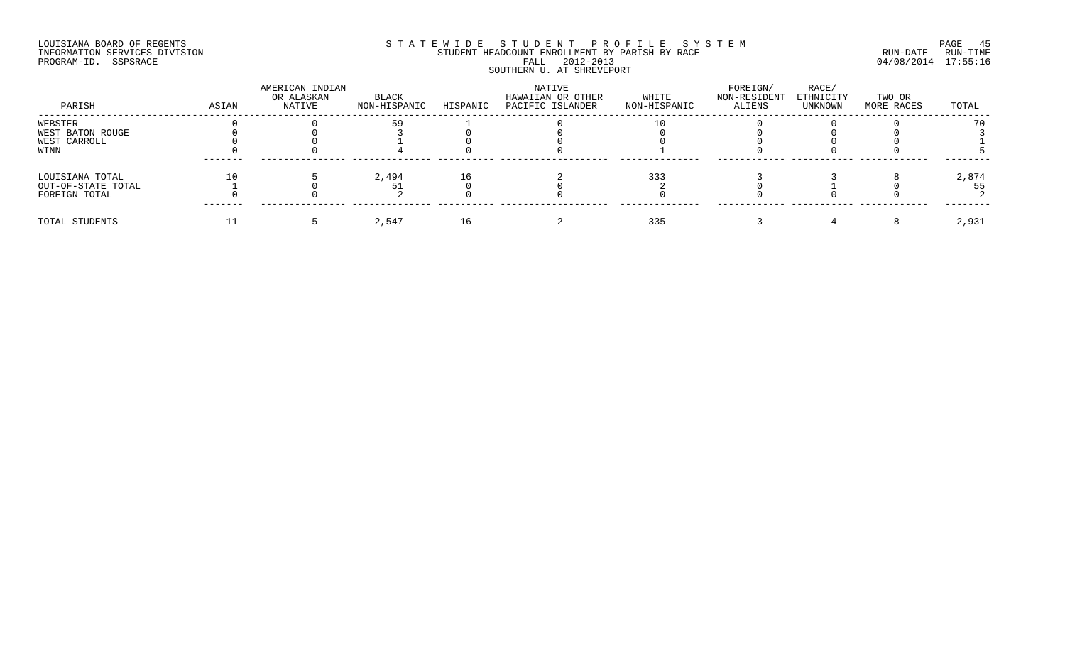## LOUISIANA BOARD OF REGENTS SOURCOME STATEWIDE STUDENT PROFILE SYSTEM STE MANUEL PAGE 45<br>STUDENT HEADCOUNT ENROLLMENT BY PARISH BY RACE SYSTEM SUN-DATE RUN-TIME INFORMATION SERVICES DIVISION STUDENT STUDENT HEADCOUNT ENROLLMENT BY PARISH BY RACE PROGRAM-ID. SSPSRACE FALL 2012-2013 04/08/2014 17:55:16 SOUTHERN U. AT SHREVEPORT

| PARISH             | ASIAN | AMERICAN INDIAN<br>OR ALASKAN<br>NATIVE | BLACK<br>NON-HISPANIC | HISPANIC | NATIVE<br>HAWAIIAN OR OTHER<br>PACIFIC ISLANDER | WHITE<br>NON-HISPANIC | FOREIGN/<br>NON-RESIDENT<br>ALIENS | RACE/<br>ETHNICITY<br>UNKNOWN | TWO OR<br>MORE RACES | TOTAL |
|--------------------|-------|-----------------------------------------|-----------------------|----------|-------------------------------------------------|-----------------------|------------------------------------|-------------------------------|----------------------|-------|
| WEBSTER            |       |                                         |                       |          |                                                 |                       |                                    |                               |                      |       |
| WEST BATON ROUGE   |       |                                         |                       |          |                                                 |                       |                                    |                               |                      |       |
| WEST CARROLL       |       |                                         |                       |          |                                                 |                       |                                    |                               |                      |       |
| WINN               |       |                                         |                       |          |                                                 |                       |                                    |                               |                      |       |
| LOUISIANA TOTAL    |       |                                         | 2,494                 |          |                                                 | 333                   |                                    |                               |                      | 2,874 |
| OUT-OF-STATE TOTAL |       |                                         |                       |          |                                                 |                       |                                    |                               |                      | 55    |
| FOREIGN TOTAL      |       |                                         |                       |          |                                                 |                       |                                    |                               |                      |       |
| TOTAL STUDENTS     |       |                                         | 2,547                 |          |                                                 | 335                   |                                    |                               |                      | 2,931 |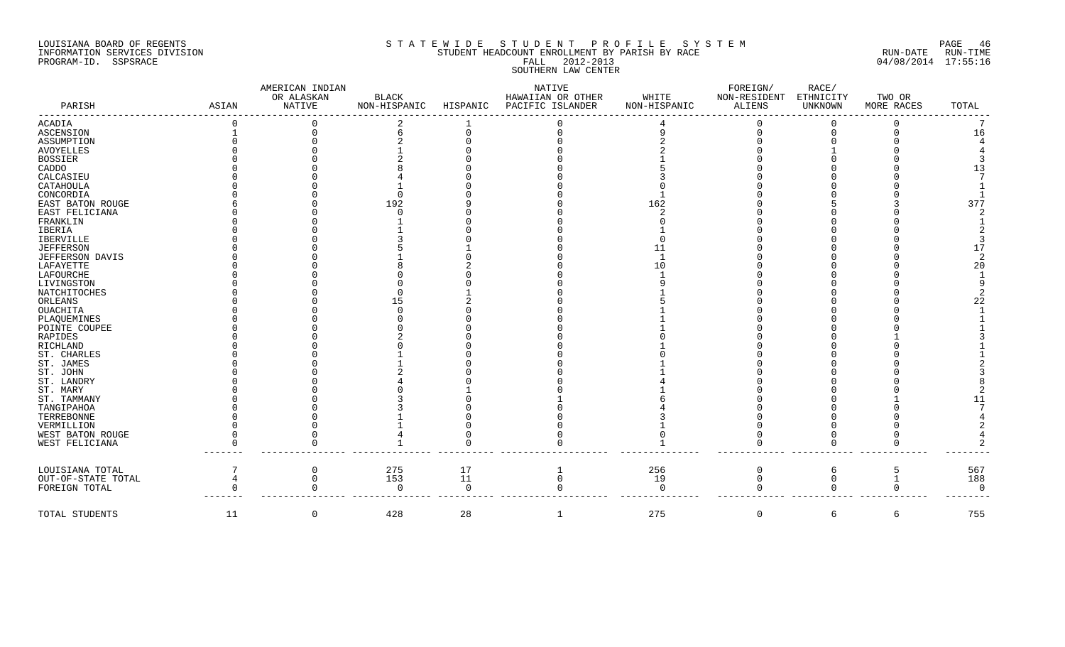### LOUISIANA BOARD OF REGENTS SOURCOME STATEWIDE STUDENT PROFILE SYSTEM STE MANUEL PAGE 46<br>STUDENT HEADCOUNT ENROLLMENT BY PARISH BY RACE THE SYSTEM RUN-DATE RUN-TIME INFORMATION SERVICES DIVISION SERVICES DIVISION STUDENT HEADCOUNT ENROLLMENT BY PARISH BY RACE PROGRAM-ID. SSPSRACE FALL 2012-2013 04/08/2014 17:55:16 ESSINT ENRIGHERN 1912-2013<br>SOUTHERN LAW CENTER

| PARISH                 | ASIAN | AMERICAN INDIAN<br>OR ALASKAN<br>NATIVE | BLACK<br>NON-HISPANIC | HISPANIC | NATIVE<br>HAWAIIAN OR OTHER<br>PACIFIC ISLANDER | WHITE<br>NON-HISPANIC | FOREIGN/<br>NON-RESIDENT<br>ALIENS | RACE/<br>ETHNICITY<br>UNKNOWN | TWO OR<br>MORE RACES | TOTAL          |
|------------------------|-------|-----------------------------------------|-----------------------|----------|-------------------------------------------------|-----------------------|------------------------------------|-------------------------------|----------------------|----------------|
| ACADIA                 |       |                                         |                       |          |                                                 |                       |                                    |                               |                      |                |
| <b>ASCENSION</b>       |       |                                         |                       |          |                                                 |                       |                                    |                               |                      | 16             |
| ASSUMPTION             |       |                                         |                       |          |                                                 |                       |                                    |                               |                      |                |
| AVOYELLES              |       |                                         |                       |          |                                                 |                       |                                    |                               |                      |                |
| BOSSIER                |       |                                         |                       |          |                                                 |                       |                                    |                               |                      |                |
| CADDO                  |       |                                         |                       |          |                                                 |                       |                                    |                               |                      | 13             |
| CALCASIEU              |       |                                         |                       |          |                                                 |                       |                                    |                               |                      |                |
| CATAHOULA<br>CONCORDIA |       |                                         |                       |          |                                                 |                       |                                    |                               |                      |                |
| EAST BATON ROUGE       |       |                                         | 192                   |          |                                                 | 162                   |                                    |                               |                      | 377            |
| EAST FELICIANA         |       |                                         |                       |          |                                                 |                       |                                    |                               |                      |                |
| FRANKLIN               |       |                                         |                       |          |                                                 |                       |                                    |                               |                      |                |
| IBERIA                 |       |                                         |                       |          |                                                 |                       |                                    |                               |                      |                |
| IBERVILLE              |       |                                         |                       |          |                                                 |                       |                                    |                               |                      |                |
| <b>JEFFERSON</b>       |       |                                         |                       |          |                                                 |                       |                                    |                               |                      | 17             |
| JEFFERSON DAVIS        |       |                                         |                       |          |                                                 |                       |                                    |                               |                      |                |
| LAFAYETTE              |       |                                         |                       |          |                                                 |                       |                                    |                               |                      | 20             |
| LAFOURCHE              |       |                                         |                       |          |                                                 |                       |                                    |                               |                      |                |
| LIVINGSTON             |       |                                         |                       |          |                                                 |                       |                                    |                               |                      |                |
| NATCHITOCHES           |       |                                         |                       |          |                                                 |                       |                                    |                               |                      |                |
| ORLEANS                |       |                                         |                       |          |                                                 |                       |                                    |                               |                      | 22             |
| OUACHITA               |       |                                         |                       |          |                                                 |                       |                                    |                               |                      |                |
| PLAQUEMINES            |       |                                         |                       |          |                                                 |                       |                                    |                               |                      |                |
| POINTE COUPEE          |       |                                         |                       |          |                                                 |                       |                                    |                               |                      |                |
| RAPIDES                |       |                                         |                       |          |                                                 |                       |                                    |                               |                      |                |
| RICHLAND               |       |                                         |                       |          |                                                 |                       |                                    |                               |                      |                |
| ST. CHARLES            |       |                                         |                       |          |                                                 |                       |                                    |                               |                      |                |
| ST. JAMES              |       |                                         |                       |          |                                                 |                       |                                    |                               |                      |                |
| ST. JOHN<br>ST. LANDRY |       |                                         |                       |          |                                                 |                       |                                    |                               |                      |                |
| ST. MARY               |       |                                         |                       |          |                                                 |                       |                                    |                               |                      |                |
| ST. TAMMANY            |       |                                         |                       |          |                                                 |                       |                                    |                               |                      |                |
| TANGIPAHOA             |       |                                         |                       |          |                                                 |                       |                                    |                               |                      |                |
| TERREBONNE             |       |                                         |                       |          |                                                 |                       |                                    |                               |                      |                |
| VERMILLION             |       |                                         |                       |          |                                                 |                       |                                    |                               |                      |                |
| WEST BATON ROUGE       |       |                                         |                       |          |                                                 |                       |                                    |                               |                      |                |
| WEST FELICIANA         |       |                                         |                       |          |                                                 |                       |                                    |                               |                      |                |
| LOUISIANA TOTAL        |       |                                         | 275                   | 17       |                                                 | 256                   | $\Omega$                           | 6                             |                      | 567            |
| OUT-OF-STATE TOTAL     |       |                                         | 153                   | 11       | $\Omega$                                        | 19                    |                                    |                               |                      | 188            |
| FOREIGN TOTAL          |       |                                         | $\Omega$              | $\Omega$ |                                                 | $\Omega$              |                                    | $\Omega$                      |                      | $\overline{0}$ |
| TOTAL STUDENTS         | 11    | 0                                       | 428                   | 28       | 1                                               | 275                   | $\mathsf{O}$                       | 6                             | 6                    | 755            |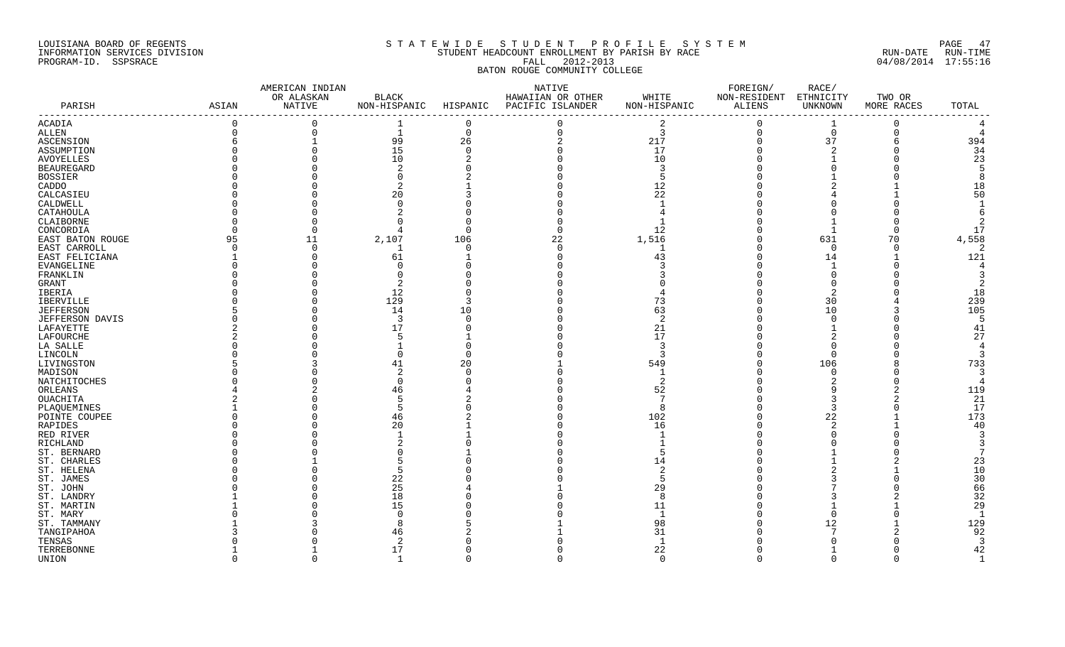## LOUISIANA BOARD OF REGENTS S T A T E W I D E S T U D E N T P R O F I L E S Y S T E M PAGE 47 INFORMATION SERVICES DIVISION STUDENT HEADCOUNT ENROLLMENT BY PARISH BY RACE RUN-DATE RUN-TIME PROGRAM-ID. SSPSRACE FALL 2012-2013 04/08/2014 17:55:16 BATON ROUGE COMMUNITY COLLEGE

|                        |                | AMERICAN INDIAN |                |          | NATIVE            |                | FOREIGN/      | RACE/          |            |                |
|------------------------|----------------|-----------------|----------------|----------|-------------------|----------------|---------------|----------------|------------|----------------|
|                        |                | OR ALASKAN      | <b>BLACK</b>   |          | HAWAIIAN OR OTHER | WHITE          | NON-RESIDENT  | ETHNICITY      | TWO OR     |                |
| PARISH                 | ASIAN          | NATIVE          | NON-HISPANIC   | HISPANIC | PACIFIC ISLANDER  | NON-HISPANIC   | <b>ALIENS</b> | <b>UNKNOWN</b> | MORE RACES | TOTAL          |
| ACADIA                 | $\overline{0}$ | $\mathbf 0$     | 1              | $\Omega$ | $\mathbf 0$       | $\overline{2}$ | $\Omega$      | 1              | 0          |                |
| ALLEN                  | $\overline{0}$ | $\mathbf 0$     | 1              | $\Omega$ | $\mathbf 0$       | $\overline{3}$ | $\mathbf 0$   | $\mathbf 0$    | $\Omega$   | 4              |
| ASCENSION              | 6              |                 | 99             | 26       | $\overline{2}$    | 217            | $\Omega$      | 37             | 6          | 394            |
| ASSUMPTION             |                | $\Omega$        | 15             | $\Omega$ |                   | 17             |               |                |            | 34             |
| <b>AVOYELLES</b>       |                | $\Omega$        | 10             |          |                   | 10             |               |                |            | 23             |
| <b>BEAUREGARD</b>      |                |                 | -2             |          |                   | 3              |               |                |            | -5             |
| <b>BOSSIER</b>         |                |                 |                |          |                   |                |               |                |            | -8             |
| CADDO                  |                |                 |                |          |                   | 12             |               |                |            | 18             |
| CALCASIEU              |                |                 | 20             |          |                   | 22             |               |                |            | 50             |
| CALDWELL               |                |                 | $\cap$         |          |                   |                |               |                |            | $\overline{1}$ |
| CATAHOULA              |                |                 |                |          |                   |                |               |                |            | 6              |
| CLAIBORNE              |                | $\Omega$        |                |          |                   |                |               |                |            | $\overline{2}$ |
| CONCORDIA              |                | $\cap$          | -4             |          |                   | 12             |               | $\mathbf{1}$   |            | 17             |
| EAST BATON ROUGE       | 95             | 11              | 2,107          | 106      | 22                | 1,516          |               | 631            | 70         | 4,558          |
| EAST CARROLL           | $\Omega$       | $\Omega$        |                | ∩        | $\Omega$          |                |               | $\Omega$       | $\Omega$   | $\overline{2}$ |
| EAST FELICIANA         |                | $\Omega$        | 61             |          |                   | 43             |               | 14             |            | 121            |
| EVANGELINE             |                | O               |                |          |                   |                |               |                |            | $\overline{A}$ |
| FRANKLIN               |                |                 |                |          |                   |                |               |                |            |                |
| GRANT                  |                |                 | 2              |          |                   |                |               |                |            | 2              |
| IBERIA                 |                | O               | 12             |          |                   |                |               |                |            | 18             |
| IBERVILLE              |                | $\cap$          | 129            |          |                   | 73             |               | 30             |            | 239            |
| <b>JEFFERSON</b>       |                | $\Omega$        | 14             | 10       |                   | 63             |               | 10             |            | 105            |
| <b>JEFFERSON DAVIS</b> |                | $\Omega$        | $\overline{3}$ |          |                   | $\overline{2}$ |               |                |            | 5              |
| LAFAYETTE              |                |                 | 17             |          |                   | 21             |               |                |            | 41             |
| LAFOURCHE              |                |                 |                |          |                   | 17             |               |                |            | 27             |
| LA SALLE               |                |                 |                |          |                   | 3              |               |                |            | $\overline{4}$ |
| LINCOLN                |                |                 |                |          |                   | 3              |               | $\Omega$       |            | 3              |
| LIVINGSTON             |                |                 | 41             | 20       |                   | 549            |               | 106            |            | 733            |
| MADISON                |                |                 | -2             |          |                   |                |               | $\Omega$       |            | 3              |
| NATCHITOCHES           |                |                 | $\cap$         |          |                   | 2              |               |                |            | $\overline{4}$ |
| ORLEANS                |                |                 | 46             |          |                   | 52             |               |                |            | 119            |
| OUACHITA               |                |                 | .5             |          |                   |                |               |                |            | 21             |
| PLAQUEMINES            |                |                 | .5             |          |                   | -8             |               | 3              |            | 17             |
| POINTE COUPEE          |                |                 | 46             |          |                   | 102            |               | 22             |            | 173            |
| RAPIDES                |                |                 | 20             |          |                   | 16             |               |                |            | 40             |
| RED RIVER              |                |                 |                |          |                   |                |               |                |            | 3              |
| RICHLAND               |                |                 |                |          |                   |                |               |                |            |                |
| ST. BERNARD            |                |                 |                |          |                   |                |               |                |            | 7              |
| ST. CHARLES            |                |                 |                |          |                   | 14             |               |                |            | 23             |
| ST. HELENA             |                |                 | 5              |          |                   | -2             |               |                |            | 10             |
| ST. JAMES              |                |                 | 22             |          |                   | 5              |               |                |            | 30             |
| ST. JOHN               |                |                 | 25             |          |                   | 29             |               |                |            | 66             |
| ST. LANDRY             |                |                 | 18             |          |                   | 8              |               |                |            | 32             |
| ST. MARTIN             |                |                 | 15             |          |                   | 11             |               |                |            | 29             |
| ST. MARY               |                |                 |                |          |                   |                |               |                |            | $\mathbf{1}$   |
| ST. TAMMANY            |                |                 |                |          |                   | 98             |               | 12             |            | 129            |
| TANGIPAHOA             |                |                 | 46             |          |                   | 31             |               |                |            | 92             |
| TENSAS                 |                |                 | 2              |          |                   | $\overline{1}$ |               |                |            | $\overline{3}$ |
| TERREBONNE             |                |                 | 17             |          |                   | 22             |               |                |            | 42             |
| UNION                  | $\cap$         | $\cap$          | 1              | $\cap$   | $\Omega$          | $\Omega$       | $\Omega$      | $\Omega$       | $\Omega$   | $\mathbf{1}$   |
|                        |                |                 |                |          |                   |                |               |                |            |                |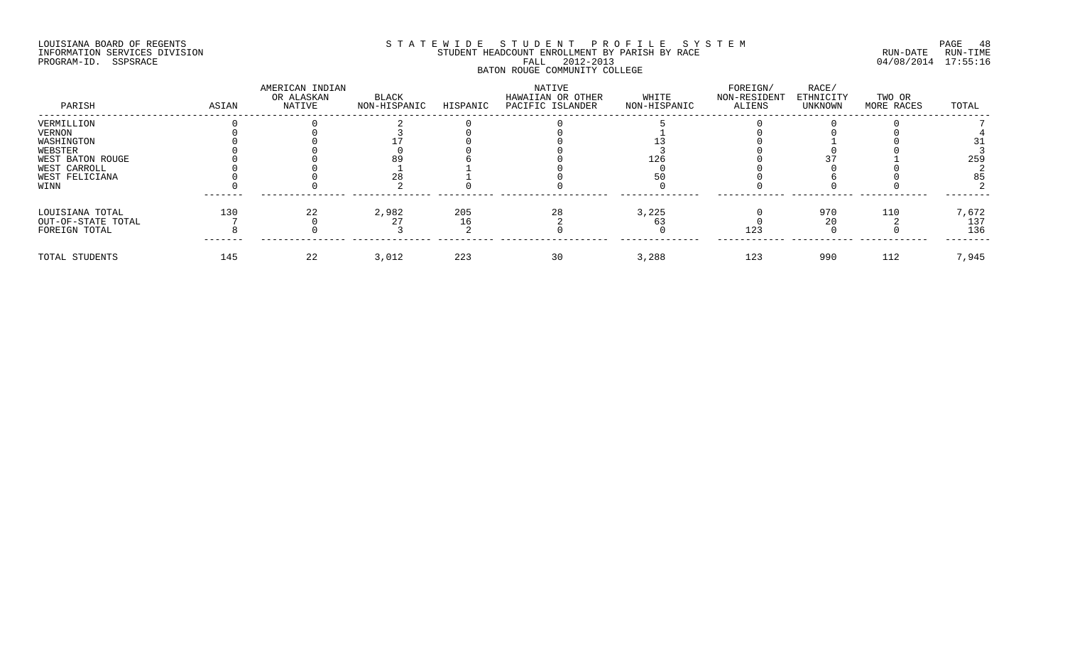#### LOUISIANA BOARD OF REGENTS S T A T E W I D E S T U D E N T P R O F I L E S Y S T E M PAGE 48 INFORMATION SERVICES DIVISION STUDENT HEADCOUNT ENROLLMENT BY PARISH BY RACE RUN-DATE RUN-TIME PROGRAM-ID. SSPSRACE FALL 2012-2013 04/08/2014 17:55:16 BATON ROUGE COMMUNITY COLLEGE

| PARISH                | ASIAN | AMERICAN INDIAN<br>OR ALASKAN<br>NATIVE | BLACK<br>NON-HISPANIC | HISPANIC | NATIVE<br>HAWAIIAN OR OTHER<br>PACIFIC ISLANDER | WHITE<br>NON-HISPANIC | FOREIGN/<br>NON-RESIDENT<br>ALIENS | RACE/<br>ETHNICITY<br>UNKNOWN | TWO OR<br>MORE RACES | TOTAL |
|-----------------------|-------|-----------------------------------------|-----------------------|----------|-------------------------------------------------|-----------------------|------------------------------------|-------------------------------|----------------------|-------|
| VERMILLION            |       |                                         |                       |          |                                                 |                       |                                    |                               |                      |       |
| VERNON                |       |                                         |                       |          |                                                 |                       |                                    |                               |                      |       |
| WASHINGTON<br>WEBSTER |       |                                         |                       |          |                                                 |                       |                                    |                               |                      |       |
| WEST BATON ROUGE      |       |                                         |                       |          |                                                 |                       |                                    |                               |                      | 259   |
| WEST CARROLL          |       |                                         |                       |          |                                                 |                       |                                    |                               |                      |       |
| WEST FELICIANA        |       |                                         |                       |          |                                                 |                       |                                    |                               |                      |       |
| WINN                  |       |                                         |                       |          |                                                 |                       |                                    |                               |                      |       |
| LOUISIANA TOTAL       | 130   |                                         | 2,982                 | 205      | 28                                              | 3,225                 |                                    | 970                           | 110                  | 7,672 |
| OUT-OF-STATE TOTAL    |       |                                         |                       |          |                                                 |                       |                                    |                               |                      | 137   |
| FOREIGN TOTAL         |       |                                         |                       |          |                                                 |                       | 123                                |                               |                      | 136   |
| TOTAL STUDENTS        | 145   | 22                                      | 3,012                 | 223      | 30                                              | 3,288                 | 123                                | 990                           | 112                  | 7,945 |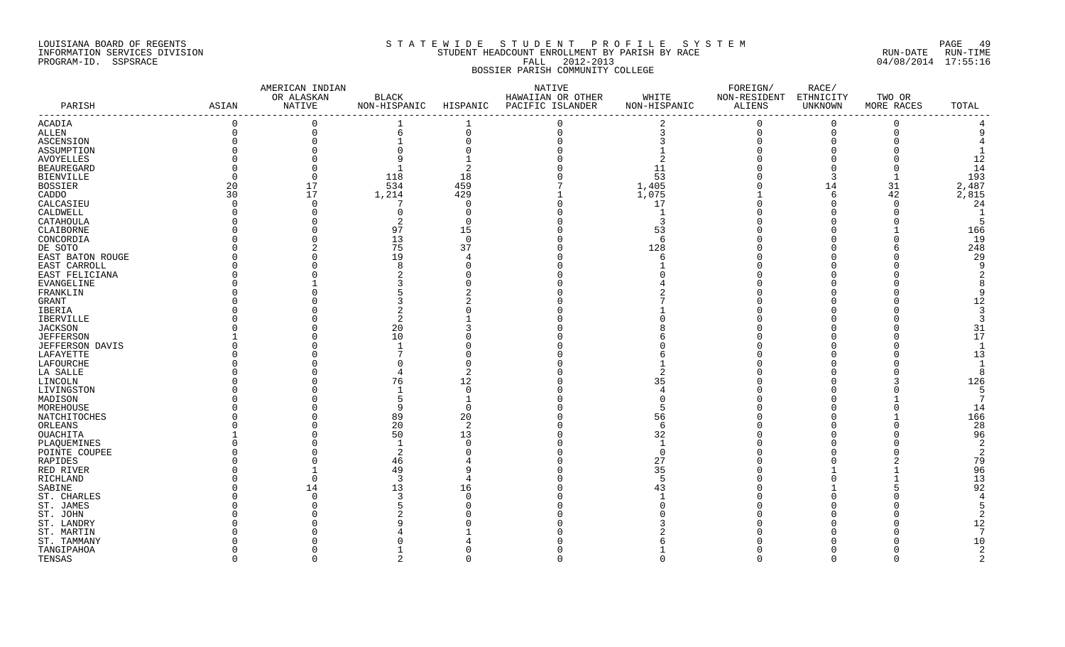#### LOUISIANA BOARD OF REGENTS S T A T E W I D E S T U D E N T P R O F I L E S Y S T E M PAGE 49 INFORMATION SERVICES DIVISION STUDENT HEADCOUNT ENROLLMENT BY PARISH BY RACE RUN-DATE RUN-TIME PROGRAM-ID. SSPSRACE FALL 2012-2013 04/08/2014 17:55:16 BOSSIER PARISH COMMUNITY COLLEGE

|                   |             | AMERICAN INDIAN |        |                | NATIVE                                 |              | FOREIGN/               | RACE/    |            |                          |
|-------------------|-------------|-----------------|--------|----------------|----------------------------------------|--------------|------------------------|----------|------------|--------------------------|
|                   |             | OR ALASKAN      | BLACK  |                | HAWAIIAN OR OTHER                      | WHITE        | NON-RESIDENT ETHNICITY |          | TWO OR     |                          |
| PARISH            | ASIAN       | NATIVE          |        |                | NON-HISPANIC HISPANIC PACIFIC ISLANDER | NON-HISPANIC | ALIENS                 | UNKNOWN  | MORE RACES | TOTAL<br>$- - - - - - -$ |
| ACADIA            | $\Omega$    | $\Omega$        |        |                |                                        |              | $\Omega$               | $\Omega$ | $\Omega$   |                          |
| ALLEN             | $\mathbf 0$ | $\mathbf 0$     | 6      | $\Omega$       | $\Omega$                               | 3            | $\mathbf 0$            | $\Omega$ | $\Omega$   |                          |
| ASCENSION         |             | $\mathbf{0}$    |        |                |                                        |              |                        |          |            |                          |
| ASSUMPTION        |             |                 |        |                |                                        |              |                        |          |            |                          |
| <b>AVOYELLES</b>  |             | $\Omega$        |        |                |                                        |              |                        |          |            | 12                       |
| <b>BEAUREGARD</b> |             | $\mathbf 0$     |        |                |                                        | 11           |                        |          |            | 14                       |
| BIENVILLE         |             | $\mathbf 0$     | 118    | 18             |                                        | 53           |                        |          |            | 193                      |
| <b>BOSSIER</b>    | 20          | 17              | 534    | 459            |                                        | 1,405        |                        | 14       | 31         | 2,487                    |
| CADDO             | 30          | 17              | 1,214  | 429            |                                        | 1,075        |                        | -6       | 42         | 2,815                    |
| CALCASIEU         |             | $\mathbf 0$     | 7      | O              |                                        | 17           |                        |          | $\Omega$   | 24                       |
| CALDWELL          |             | $\Omega$        | $\cap$ |                |                                        |              |                        |          |            | $\mathbf{1}$             |
| CATAHOULA         |             | $\Omega$        |        | ∩              |                                        | 3            |                        |          |            | 5                        |
| CLAIBORNE         |             |                 | 97     | 15             |                                        | 53           |                        |          |            | 166                      |
| CONCORDIA         |             |                 | 13     | $\Omega$       |                                        | -6           |                        |          |            | 19                       |
| DE SOTO           |             |                 | 75     | 37             |                                        | 128          |                        |          |            | 248                      |
| EAST BATON ROUGE  |             |                 | 19     |                |                                        | 6            |                        |          |            | 29                       |
| EAST CARROLL      |             |                 |        |                |                                        |              |                        |          |            | <sub>9</sub>             |
| EAST FELICIANA    |             |                 |        |                |                                        |              |                        |          |            | 2                        |
| EVANGELINE        |             |                 |        |                |                                        |              |                        |          |            |                          |
| FRANKLIN          |             |                 |        |                |                                        |              |                        |          |            | q                        |
| GRANT             |             |                 |        |                |                                        |              |                        |          |            | 12                       |
| IBERIA            |             |                 |        |                |                                        |              |                        |          |            | 3                        |
| IBERVILLE         |             |                 |        |                |                                        |              |                        |          |            |                          |
| <b>JACKSON</b>    |             |                 | 20     |                |                                        |              |                        |          |            | 31                       |
| <b>JEFFERSON</b>  |             |                 | 10     |                |                                        |              |                        |          |            | 17                       |
| JEFFERSON DAVIS   |             |                 |        |                |                                        |              |                        |          |            | $\overline{\phantom{0}}$ |
| LAFAYETTE         |             |                 |        |                |                                        |              |                        |          |            | 13                       |
| LAFOURCHE         |             |                 |        |                |                                        |              |                        |          |            |                          |
| LA SALLE          |             |                 |        |                |                                        |              |                        |          |            | -8                       |
| LINCOLN           |             |                 | 76     | 12             |                                        | 35           |                        |          |            | 126                      |
| LIVINGSTON        |             |                 |        | $\Omega$       |                                        |              |                        |          |            | 5                        |
| MADISON           |             |                 |        |                |                                        |              |                        |          |            | 7                        |
| MOREHOUSE         |             |                 |        |                |                                        |              |                        |          |            | 14                       |
| NATCHITOCHES      |             |                 | 89     | 20             |                                        | 56           |                        |          |            | 166                      |
| ORLEANS           |             |                 | 20     | $\overline{c}$ |                                        | 6            |                        |          |            | 28                       |
| OUACHITA          |             |                 | 50     | 13             |                                        | 32           |                        |          |            | 96                       |
| PLAQUEMINES       |             |                 |        |                |                                        |              |                        |          |            | 2                        |
| POINTE COUPEE     |             |                 |        |                |                                        | $\Omega$     |                        |          |            | -2                       |
| RAPIDES           |             |                 | 46     |                |                                        | 27           |                        |          |            | 79                       |
| RED RIVER         |             |                 | 49     |                |                                        | 35           |                        |          |            | 96                       |
| RICHLAND          |             | $\Omega$        | -3     |                |                                        | 5            |                        |          |            | 13                       |
| SABINE            |             | 14              | 13     | 16             |                                        | 43           |                        |          |            | 92                       |
| ST. CHARLES       |             |                 |        |                |                                        |              |                        |          |            |                          |
| ST. JAMES         |             |                 |        |                |                                        |              |                        |          |            |                          |
| ST. JOHN          |             |                 |        |                |                                        |              |                        |          |            |                          |
| ST. LANDRY        |             |                 |        |                |                                        |              |                        |          |            | 12                       |
| ST. MARTIN        |             |                 |        |                |                                        |              |                        |          |            | -7                       |
| ST. TAMMANY       |             |                 |        |                |                                        |              |                        |          |            | 10                       |
| TANGIPAHOA        |             |                 |        |                |                                        |              |                        |          |            | 2                        |
| TENSAS            |             | $\cap$          |        |                |                                        |              | $\cap$                 |          | $\cap$     | $\mathfrak{D}$           |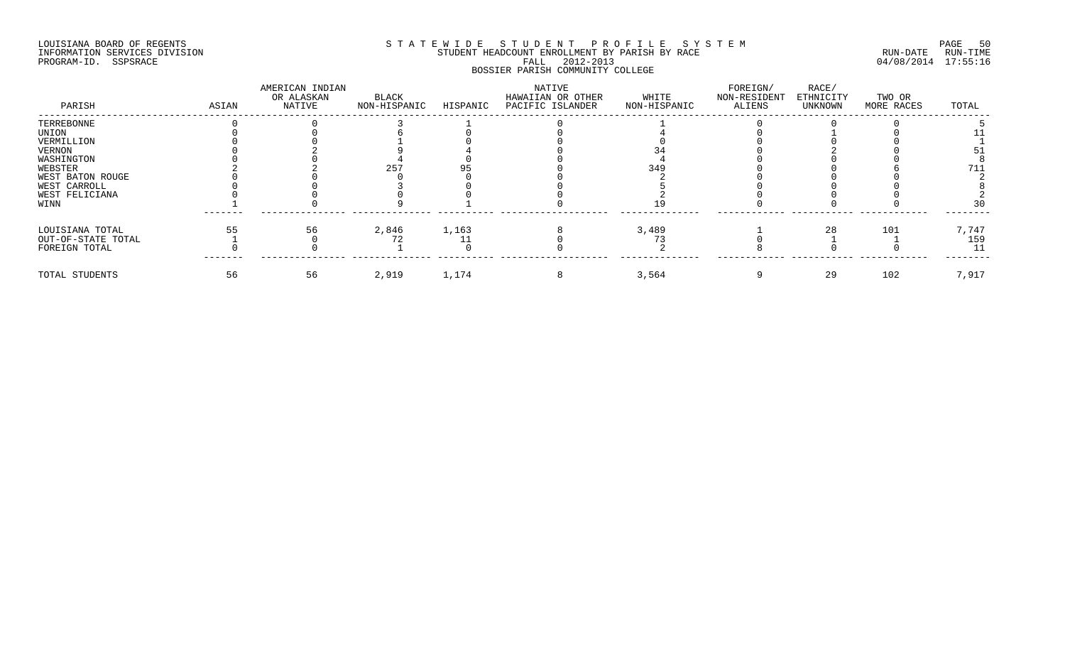#### LOUISIANA BOARD OF REGENTS SOURCOME STATEWIDE STUDENT PROFILE SYSTEM AND PAGE 50 PAGE 50<br>INFORMATION SERVICES DIVISION STANDARE STUDENT HEADCOUNT ENROLLMENT BY PARISH BY RACE INFORMATION SERVICES DIVISION STUDENT STUDENT HEADCOUNT ENROLLMENT BY PARISH BY RACE THAT RUN-DATE RUN-DATE RUN-PROGRAM-ID. SSPSRACE FALL 2012-2013 04/08/2014 17:55:16 BOSSIER PARISH COMMUNITY COLLEGE

| PARISH             | ASIAN | AMERICAN INDIAN<br>OR ALASKAN<br>NATIVE | BLACK<br>NON-HISPANIC | HISPANIC | NATIVE<br>HAWAIIAN OR OTHER<br>PACIFIC ISLANDER | WHITE<br>NON-HISPANIC | FOREIGN/<br>NON-RESIDENT<br>ALIENS | RACE/<br>ETHNICITY<br>UNKNOWN | TWO OR<br>MORE RACES | TOTAL |
|--------------------|-------|-----------------------------------------|-----------------------|----------|-------------------------------------------------|-----------------------|------------------------------------|-------------------------------|----------------------|-------|
| TERREBONNE         |       |                                         |                       |          |                                                 |                       |                                    |                               |                      |       |
| UNION              |       |                                         |                       |          |                                                 |                       |                                    |                               |                      |       |
| VERMILLION         |       |                                         |                       |          |                                                 |                       |                                    |                               |                      |       |
| VERNON             |       |                                         |                       |          |                                                 |                       |                                    |                               |                      |       |
| WASHINGTON         |       |                                         |                       |          |                                                 |                       |                                    |                               |                      |       |
| WEBSTER            |       |                                         | 25'                   |          |                                                 | 349                   |                                    |                               |                      |       |
| WEST BATON ROUGE   |       |                                         |                       |          |                                                 |                       |                                    |                               |                      |       |
| WEST CARROLL       |       |                                         |                       |          |                                                 |                       |                                    |                               |                      |       |
| WEST FELICIANA     |       |                                         |                       |          |                                                 |                       |                                    |                               |                      |       |
| WINN               |       |                                         |                       |          |                                                 |                       |                                    |                               |                      | 30    |
| LOUISIANA TOTAL    |       |                                         | 2,846                 | 1,163    |                                                 | 3,489                 |                                    | 28                            | 101                  | 7,747 |
| OUT-OF-STATE TOTAL |       |                                         |                       |          |                                                 |                       |                                    |                               |                      | 159   |
| FOREIGN TOTAL      |       |                                         |                       |          |                                                 |                       |                                    |                               |                      | 11    |
| TOTAL STUDENTS     | 56    | 56                                      | 2,919                 | 1,174    |                                                 | 3,564                 |                                    | 29                            | 102                  | 7,917 |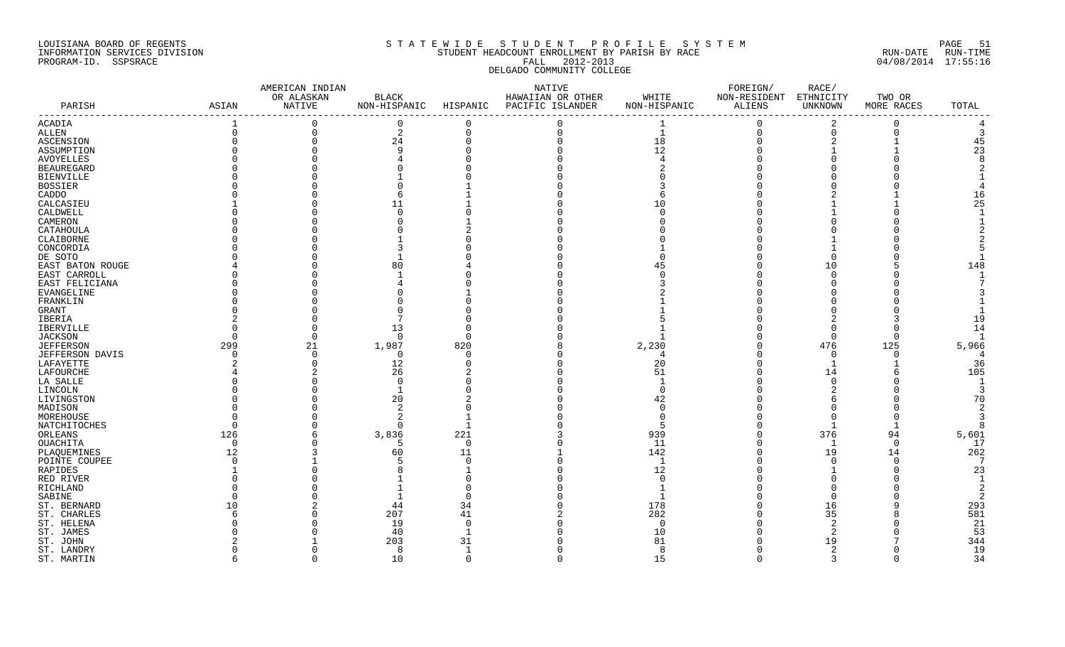#### LOUISIANA BOARD OF REGENTS S T A T E W I D E S T U D E N T P R O F I L E S Y S T E M PAGE 51 INFORMATION SERVICES DIVISION STUDENT HEADCOUNT ENROLLMENT BY PARISH BY RACE RUN-DATE RUN-TIME PROGRAM-ID. SSPSRACE FALL 2012-2013 04/08/2014 17:55:16 DELGADO COMMUNITY COLLEGE

|                        |          | AMERICAN INDIAN |              |              | NATIVE            | FOREIGN/     |              |             |            |                |
|------------------------|----------|-----------------|--------------|--------------|-------------------|--------------|--------------|-------------|------------|----------------|
|                        |          | OR ALASKAN      | <b>BLACK</b> |              | HAWAIIAN OR OTHER | WHITE        | NON-RESIDENT | ETHNICITY   | TWO OR     |                |
| PARISH                 | ASIAN    | NATIVE          | NON-HISPANIC | HISPANIC     | PACIFIC ISLANDER  | NON-HISPANIC | ALIENS       | UNKNOWN     | MORE RACES | TOTAL          |
| ACADIA                 |          | $\mathbf 0$     | 0            | 0            |                   |              | $\mathbf 0$  | 2           | 0          |                |
| ALLEN                  |          | $\mathbf 0$     | 2            | $\Omega$     |                   | $\mathbf{1}$ | 0            | $\mathbf 0$ | $\Omega$   |                |
| ASCENSION              |          | $\Omega$        | 24           | $\Omega$     |                   | 18           | $\Omega$     | 2           |            | 45             |
| ASSUMPTION             |          |                 |              |              |                   | 12           |              |             |            | 23             |
| AVOYELLES              |          |                 |              |              |                   |              |              |             |            |                |
| <b>BEAUREGARD</b>      |          |                 |              |              |                   |              |              |             |            |                |
| <b>BIENVILLE</b>       |          |                 |              |              |                   |              |              |             |            |                |
| BOSSIER                |          |                 |              |              |                   |              |              |             |            |                |
| CADDO                  |          |                 |              |              |                   |              |              |             |            | 16             |
| CALCASIEU              |          |                 | 11           |              |                   | 10           |              |             |            | 25             |
| CALDWELL               |          |                 |              |              |                   |              |              |             |            |                |
| CAMERON                |          |                 |              |              |                   |              |              |             |            |                |
| CATAHOULA              |          |                 |              |              |                   |              |              |             |            |                |
| CLAIBORNE              |          |                 |              |              |                   |              |              |             |            |                |
| CONCORDIA              |          |                 |              |              |                   |              |              |             |            |                |
| DE SOTO                |          |                 |              |              |                   |              |              | $\Omega$    |            |                |
| EAST BATON ROUGE       |          |                 | 80           |              |                   | 45           |              | 10          |            | 148            |
| EAST CARROLL           |          |                 |              |              |                   |              |              | $\Omega$    |            |                |
| EAST FELICIANA         |          |                 |              |              |                   |              |              |             |            |                |
| EVANGELINE             |          |                 |              |              |                   |              |              |             |            |                |
| FRANKLIN               |          |                 |              |              |                   |              |              |             |            |                |
| GRANT                  |          |                 |              |              |                   |              |              |             |            |                |
| IBERIA                 |          |                 |              |              |                   |              |              |             |            | 19             |
| IBERVILLE              |          |                 | 13           |              |                   |              |              | $\Omega$    |            | 14             |
| <b>JACKSON</b>         |          | $\Omega$        | $\Omega$     | <sup>n</sup> |                   |              |              | $\Omega$    | U          |                |
| <b>JEFFERSON</b>       | 299      | 21              | 1,987        | 820          |                   | 2,230        |              | 476         | 125        | 5,966          |
| <b>JEFFERSON DAVIS</b> |          | $\Omega$        | $\Omega$     | $\cap$       |                   |              |              | $\mathbf 0$ | ∩          | $\overline{4}$ |
| LAFAYETTE              |          | $\Omega$        | 12           | O            |                   | 20           |              | -1          |            | 36             |
| LAFOURCHE              |          |                 | 26           |              |                   | 51           |              | 14          |            | 105            |
| LA SALLE               |          |                 | $\Omega$     |              |                   |              |              | $\Omega$    |            |                |
| LINCOLN                |          |                 |              |              |                   | $\Omega$     |              |             |            | 3              |
| LIVINGSTON             |          |                 | 20           |              |                   | 42           |              |             |            | 70             |
| MADISON                |          |                 |              |              |                   |              |              |             |            | $\overline{2}$ |
| MOREHOUSE              |          |                 | 2            |              |                   |              |              | $\Omega$    |            | 3              |
| NATCHITOCHES           |          |                 | $\cap$       |              |                   |              |              | -1          |            | 8              |
| ORLEANS                | 126      |                 | 3,836        | 221          |                   | 939          |              | 376         | 94         | 5,601          |
| OUACHITA               | $\Omega$ |                 | -5           | $\Omega$     |                   | 11           |              | 1           | $\Omega$   | 17             |
| PLAQUEMINES            | 12       |                 | 60           | 11           |                   | 142          |              | 19          | 14         | 262            |
| POINTE COUPEE          |          |                 |              | $\Omega$     |                   | -1           |              | $\Omega$    | $\Omega$   | 7              |
| RAPIDES                |          |                 |              |              |                   | 12           |              |             |            | 23             |
| RED RIVER              |          |                 |              |              |                   |              |              |             |            |                |
| RICHLAND               |          |                 |              |              |                   |              |              |             |            |                |
| SABINE                 |          |                 |              |              |                   |              |              | $\Omega$    |            |                |
| ST. BERNARD            | 10       |                 | 44           | 34           |                   | 178          |              | 16          |            | 293            |
| ST. CHARLES            |          |                 | 207          | 41           |                   | 282          |              | 35          |            | 581            |
| ST. HELENA             |          |                 | 19           | $\cap$       |                   | $\cap$       |              |             |            | 21             |
| ST. JAMES              |          |                 | 40           |              |                   | 10           |              |             |            | 53             |
| ST. JOHN               |          |                 | 203          | 31           |                   | 81           |              | 19          |            | 344            |
| ST. LANDRY             |          |                 | 8            |              |                   | -8           |              | 2           |            | 19             |
| ST. MARTIN             | 6        | $\Omega$        | 10           | $\Omega$     | $\cap$            | 15           | $\Omega$     | 3           | $\Omega$   | 34             |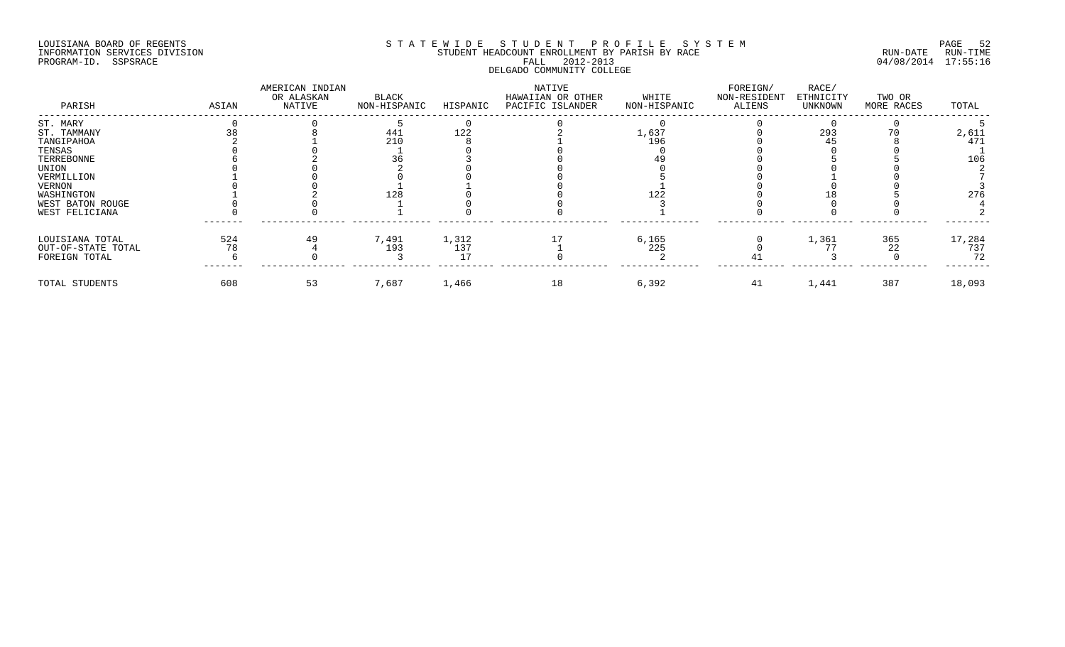#### LOUISIANA BOARD OF REGENTS SOURCOME STATEWIDE STUDE NT PROFILE SYSTEM STE MANUEL TO PAGE 52<br>STUDENT HEADCOUNT ENROLLMENT BY PARISH BY RACE STE MANUEL RUN-DATE RUN-TIME INFORMATION SERVICES DIVISION STUDENT STUDENT HEADCOUNT ENROLLMENT BY PARISH BY RACE PROGRAM-ID. SSPSRACE FALL 2012-2013 04/08/2014 17:55:16 DELGADO COMMUNITY COLLEGE

| PARISH             | ASIAN | AMERICAN INDIAN<br>OR ALASKAN<br>NATIVE | BLACK<br>NON-HISPANIC | HISPANIC | NATIVE<br>HAWAIIAN OR OTHER<br>PACIFIC ISLANDER | WHITE<br>NON-HISPANIC | FOREIGN/<br>NON-RESIDENT<br>ALIENS | RACE/<br>ETHNICITY<br>UNKNOWN | TWO OR<br>MORE RACES | TOTAL  |
|--------------------|-------|-----------------------------------------|-----------------------|----------|-------------------------------------------------|-----------------------|------------------------------------|-------------------------------|----------------------|--------|
| ST. MARY           |       |                                         |                       |          |                                                 |                       |                                    |                               |                      |        |
| ST. TAMMANY        |       |                                         | 441                   | 122      |                                                 | 1,637                 |                                    | 293                           |                      | 2,611  |
| TANGIPAHOA         |       |                                         | 210                   |          |                                                 | 196                   |                                    | 45                            |                      | 471    |
| TENSAS             |       |                                         |                       |          |                                                 |                       |                                    |                               |                      |        |
| TERREBONNE         |       |                                         |                       |          |                                                 |                       |                                    |                               |                      | 106    |
| UNION              |       |                                         |                       |          |                                                 |                       |                                    |                               |                      |        |
| VERMILLION         |       |                                         |                       |          |                                                 |                       |                                    |                               |                      |        |
| VERNON             |       |                                         |                       |          |                                                 |                       |                                    |                               |                      |        |
| WASHINGTON         |       |                                         | 128                   |          |                                                 | 122                   |                                    |                               |                      | 276    |
| WEST BATON ROUGE   |       |                                         |                       |          |                                                 |                       |                                    |                               |                      |        |
| WEST FELICIANA     |       |                                         |                       |          |                                                 |                       |                                    |                               |                      |        |
| LOUISIANA TOTAL    | 524   | 49                                      | 7,491                 | 1,312    |                                                 | 6,165                 |                                    | 1,361                         | 365                  | 17,284 |
| OUT-OF-STATE TOTAL | 78    |                                         | 193                   | 137      |                                                 | 225                   |                                    |                               | 22                   | 737    |
| FOREIGN TOTAL      |       |                                         |                       |          |                                                 |                       |                                    |                               |                      | 72     |
| TOTAL STUDENTS     | 608   | 53                                      | 7,687                 | 1,466    | 18                                              | 6,392                 | 41                                 | 1,441                         | 387                  | 18,093 |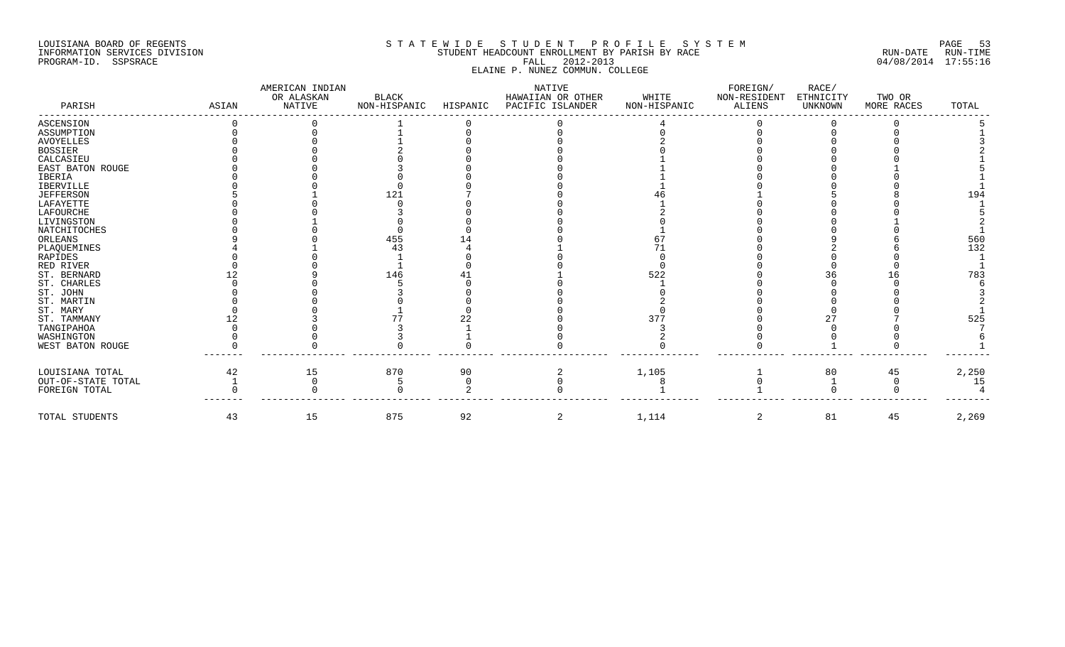## LOUISIANA BOARD OF REGENTS SOURCOME STATEWIDE STUDE NT PROFILE SYSTEM STE MANUEL TO PAGE 53<br>STUDENT HEADCOUNT ENROLLMENT BY PARISH BY RACE SOUR RUN-DATE RUN-TIME INFORMATION SERVICES DIVISION STUDENT STUDENT HEADCOUNT ENROLLMENT BY PARISH BY RACE PROGRAM-ID. SSPSRACE FALL 2012-2013 04/08/2014 17:55:16 ELAINE P. NUNEZ COMMUN. COLLEGE

| PARISH             | ASIAN | AMERICAN INDIAN<br>OR ALASKAN<br>NATIVE | BLACK<br>NON-HISPANIC | HISPANIC | NATIVE<br>HAWAIIAN OR OTHER<br>PACIFIC ISLANDER | WHITE<br>NON-HISPANIC | FOREIGN/<br>NON-RESIDENT<br>ALIENS | RACE/<br>ETHNICITY<br>UNKNOWN | TWO OR<br>MORE RACES | TOTAL |
|--------------------|-------|-----------------------------------------|-----------------------|----------|-------------------------------------------------|-----------------------|------------------------------------|-------------------------------|----------------------|-------|
| ASCENSION          |       |                                         |                       |          |                                                 |                       |                                    |                               |                      |       |
| ASSUMPTION         |       |                                         |                       |          |                                                 |                       |                                    |                               |                      |       |
| AVOYELLES          |       |                                         |                       |          |                                                 |                       |                                    |                               |                      |       |
| BOSSIER            |       |                                         |                       |          |                                                 |                       |                                    |                               |                      |       |
| CALCASIEU          |       |                                         |                       |          |                                                 |                       |                                    |                               |                      |       |
| EAST BATON ROUGE   |       |                                         |                       |          |                                                 |                       |                                    |                               |                      |       |
| IBERIA             |       |                                         |                       |          |                                                 |                       |                                    |                               |                      |       |
| <b>IBERVILLE</b>   |       |                                         |                       |          |                                                 |                       |                                    |                               |                      |       |
| JEFFERSON          |       |                                         | 121                   |          |                                                 |                       |                                    |                               |                      | 194   |
| LAFAYETTE          |       |                                         |                       |          |                                                 |                       |                                    |                               |                      |       |
| LAFOURCHE          |       |                                         |                       |          |                                                 |                       |                                    |                               |                      |       |
| LIVINGSTON         |       |                                         |                       |          |                                                 |                       |                                    |                               |                      |       |
| NATCHITOCHES       |       |                                         |                       |          |                                                 |                       |                                    |                               |                      |       |
| ORLEANS            |       |                                         | 455                   |          |                                                 |                       |                                    |                               |                      | 560   |
| PLAQUEMINES        |       |                                         |                       |          |                                                 |                       |                                    |                               |                      | 132   |
| RAPIDES            |       |                                         |                       |          |                                                 |                       |                                    |                               |                      |       |
| RED RIVER          |       |                                         |                       |          |                                                 |                       |                                    |                               |                      |       |
| ST. BERNARD        |       |                                         | 146                   |          |                                                 | 522                   |                                    |                               |                      | 783   |
| ST. CHARLES        |       |                                         |                       |          |                                                 |                       |                                    |                               |                      |       |
| ST. JOHN           |       |                                         |                       |          |                                                 |                       |                                    |                               |                      |       |
| ST. MARTIN         |       |                                         |                       |          |                                                 |                       |                                    |                               |                      |       |
| ST. MARY           |       |                                         |                       |          |                                                 |                       |                                    |                               |                      |       |
| ST. TAMMANY        |       |                                         |                       |          |                                                 | 377                   |                                    |                               |                      | 525   |
| TANGIPAHOA         |       |                                         |                       |          |                                                 |                       |                                    |                               |                      |       |
| WASHINGTON         |       |                                         |                       |          |                                                 |                       |                                    |                               |                      |       |
| WEST BATON ROUGE   |       |                                         |                       |          |                                                 |                       |                                    |                               |                      |       |
|                    |       |                                         |                       |          |                                                 |                       |                                    |                               |                      |       |
| LOUISIANA TOTAL    | 42    | 15                                      | 870                   | 90       |                                                 | 1,105                 |                                    | 80                            | 45                   | 2,250 |
| OUT-OF-STATE TOTAL |       |                                         |                       |          |                                                 |                       |                                    |                               |                      | 15    |
| FOREIGN TOTAL      |       |                                         |                       |          |                                                 |                       |                                    |                               |                      |       |
| TOTAL STUDENTS     | 43    | 15                                      | 875                   | 92       | 2                                               | 1,114                 | 2                                  | 81                            | 45                   | 2,269 |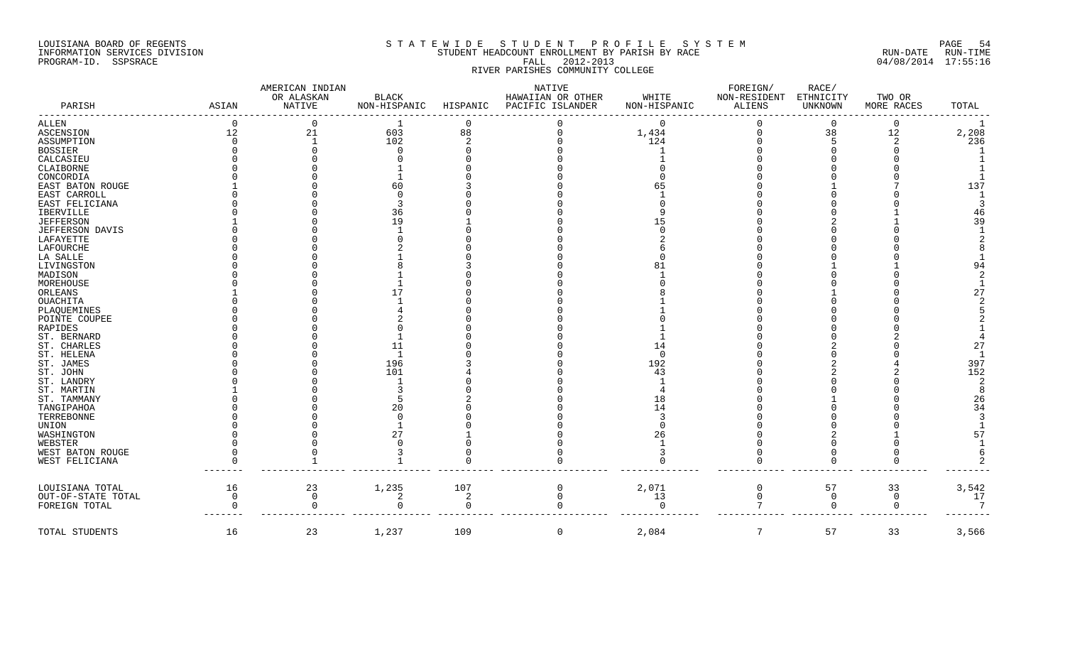#### LOUISIANA BOARD OF REGENTS SAND AND STATEWIDE STUDENT PROFILE SYSTEM AND SOME 54 INFORMATION SERVICES DIVISION STUDENT HEADCOUNT ENROLLMENT BY PARISH BY RACE RUN-DATE RUN-TIME PROGRAM-ID. SSPSRACE FALL 2012-2013 04/08/2014 17:55:16 RIVER PARISHES COMMUNITY COLLEGE

|                    |          | AMERICAN INDIAN      |                              |                | NATIVE            |              | FOREIGN/               | RACE/          |                |                |
|--------------------|----------|----------------------|------------------------------|----------------|-------------------|--------------|------------------------|----------------|----------------|----------------|
| PARISH             | ASIAN    | OR ALASKAN<br>NATIVE | <b>BLACK</b><br>NON-HISPANIC | HISPANIC       | HAWAIIAN OR OTHER | WHITE        | NON-RESIDENT<br>ALIENS | ETHNICITY      | TWO OR         | TOTAL          |
|                    |          |                      |                              |                | PACIFIC ISLANDER  | NON-HISPANIC |                        | UNKNOWN        | MORE RACES     |                |
| <b>ALLEN</b>       | $\Omega$ | $\Omega$             | -1                           | $\Omega$       |                   | $\Omega$     |                        | $\overline{0}$ | $\Omega$       |                |
| <b>ASCENSION</b>   | 12       | 21                   | 603                          | 88             |                   | 1,434        |                        | 38             | 12             | 2,208          |
| ASSUMPTION         |          |                      | 102                          | $\overline{2}$ |                   | 124          |                        | 5              | 2              | 236            |
| <b>BOSSIER</b>     |          |                      | $\cap$                       |                |                   |              |                        |                |                |                |
| CALCASIEU          |          |                      |                              |                |                   |              |                        |                |                |                |
| CLAIBORNE          |          |                      |                              |                |                   |              |                        |                |                |                |
| CONCORDIA          |          |                      |                              |                |                   |              |                        |                |                |                |
| EAST BATON ROUGE   |          |                      | 60                           |                |                   |              |                        |                |                | 137            |
| EAST CARROLL       |          |                      |                              |                |                   |              |                        |                |                |                |
| EAST FELICIANA     |          |                      |                              |                |                   |              |                        |                |                |                |
| IBERVILLE          |          |                      | 36                           |                |                   |              |                        |                |                | 46             |
| <b>JEFFERSON</b>   |          |                      | 19                           |                |                   |              |                        |                |                | 39             |
| JEFFERSON DAVIS    |          |                      |                              |                |                   |              |                        |                |                |                |
| LAFAYETTE          |          |                      |                              |                |                   |              |                        |                |                |                |
| LAFOURCHE          |          |                      |                              |                |                   |              |                        |                |                |                |
| LA SALLE           |          |                      |                              |                |                   |              |                        |                |                |                |
|                    |          |                      |                              |                |                   |              |                        |                |                |                |
| LIVINGSTON         |          |                      |                              |                |                   |              |                        |                |                | 94             |
| MADISON            |          |                      |                              |                |                   |              |                        |                |                |                |
| MOREHOUSE          |          |                      |                              |                |                   |              |                        |                |                |                |
| ORLEANS            |          |                      |                              |                |                   |              |                        |                |                | 27             |
| <b>OUACHITA</b>    |          |                      |                              |                |                   |              |                        |                |                |                |
| PLAQUEMINES        |          |                      |                              |                |                   |              |                        |                |                |                |
| POINTE COUPEE      |          |                      |                              |                |                   |              |                        |                |                |                |
| RAPIDES            |          |                      |                              |                |                   |              |                        |                |                |                |
| ST. BERNARD        |          |                      |                              |                |                   |              |                        |                |                |                |
| ST. CHARLES        |          |                      | 11                           |                |                   | 14           |                        |                |                | 27             |
| ST. HELENA         |          |                      | -1                           |                |                   | - വ          |                        |                |                |                |
| ST. JAMES          |          |                      | 196                          |                |                   | 192          |                        |                |                | 397            |
| ST. JOHN           |          |                      | 101                          |                |                   | 43           |                        |                |                | 152            |
| ST. LANDRY         |          |                      |                              |                |                   |              |                        |                |                | $\overline{2}$ |
| ST. MARTIN         |          |                      |                              |                |                   |              |                        |                |                | $\mathsf{R}$   |
| ST. TAMMANY        |          |                      |                              |                |                   | 18           |                        |                |                | 26             |
| TANGIPAHOA         |          |                      | 20                           |                |                   | 14           |                        |                |                | 34             |
| TERREBONNE         |          |                      |                              |                |                   |              |                        |                |                |                |
| UNION              |          |                      |                              |                |                   |              |                        |                |                |                |
|                    |          |                      | 27                           |                |                   |              |                        |                |                | 57             |
| WASHINGTON         |          |                      |                              |                |                   | 26           |                        |                |                |                |
| WEBSTER            |          |                      |                              |                |                   |              |                        |                |                |                |
| WEST BATON ROUGE   |          |                      |                              |                |                   |              |                        |                |                |                |
| WEST FELICIANA     |          |                      |                              |                |                   |              |                        |                | $\Omega$       |                |
| LOUISIANA TOTAL    | 16       | 23                   | 1,235                        | 107            | 0                 | 2,071        | 0                      | 57             | 33             | 3,542          |
| OUT-OF-STATE TOTAL | ∩        | $\Omega$             | 2                            | 2              | $\Omega$          | 13           | $\Omega$               | $\mathsf{O}$   | $\overline{0}$ | 17             |
| FOREIGN TOTAL      |          | U                    | $\cap$                       |                |                   | $\cap$       |                        | $\Omega$       | $\Omega$       |                |
| TOTAL STUDENTS     | 16       | 23                   | 1,237                        | 109            | $\mathbf 0$       | 2,084        | 7                      | 57             | 33             | 3,566          |
|                    |          |                      |                              |                |                   |              |                        |                |                |                |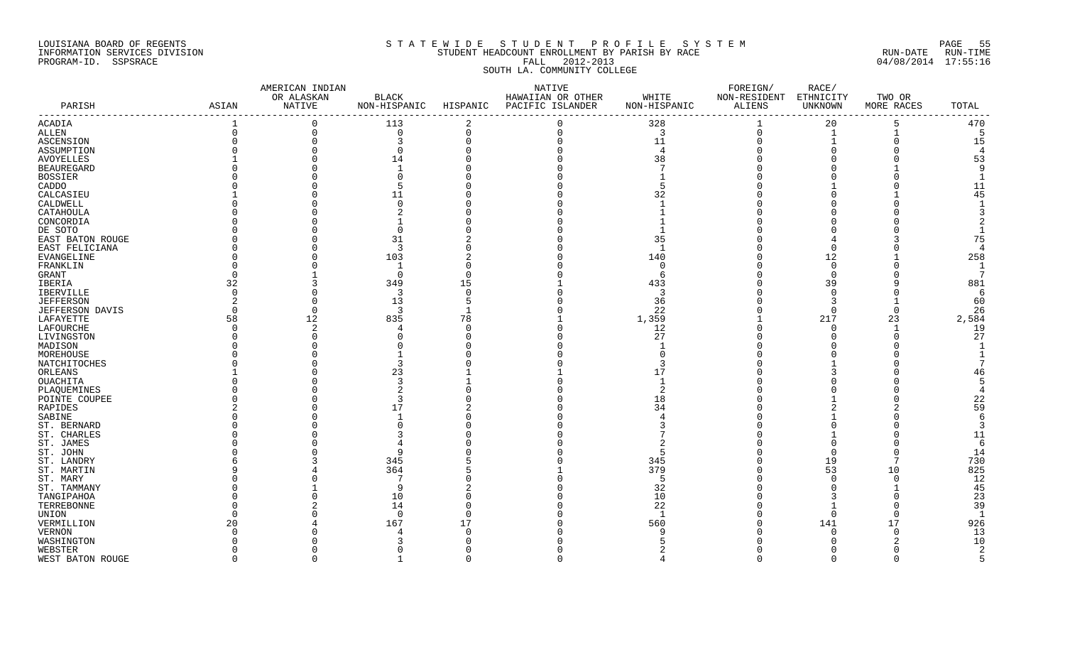#### LOUISIANA BOARD OF REGENTS S T A T E W I D E S T U D E N T P R O F I L E S Y S T E M PAGE 55 INFORMATION SERVICES DIVISION STUDENT HEADCOUNT ENROLLMENT BY PARISH BY RACE RUN-DATE RUN-TIME PROGRAM-ID. SSPSRACE FALL 2012-2013 04/08/2014 17:55:16 SOUTH LA. COMMUNITY COLLEGE

|                          |          | AMERICAN INDIAN      |                | NATIVE      |                           |                | FOREIGN/                         |                |            |                          |
|--------------------------|----------|----------------------|----------------|-------------|---------------------------|----------------|----------------------------------|----------------|------------|--------------------------|
|                          |          | OR ALASKAN<br>NATIVE | <b>BLACK</b>   |             | HAWAIIAN OR OTHER         | WHITE          | NON-RESIDENT ETHNICITY<br>ALIENS |                | TWO OR     |                          |
| PARISH                   | ASIAN    |                      | NON-HISPANIC   |             | HISPANIC PACIFIC ISLANDER | NON-HISPANIC   |                                  | <b>UNKNOWN</b> | MORE RACES | TOTAL<br>$- - - - - - -$ |
| ACADIA                   |          | $\Omega$             | 113            | 2           | $\Omega$                  | 328            |                                  | 20             | 5          | 470                      |
| ALLEN                    | $\Omega$ | $\mathbf 0$          | $\overline{0}$ | $\mathbf 0$ | $\Omega$                  | $\overline{3}$ | 0                                | 1              |            | -5                       |
| ASCENSION                |          | $\Omega$             | 3              |             |                           | 11             |                                  |                |            | 15                       |
| ASSUMPTION               |          |                      | $\Omega$       |             |                           | $\overline{4}$ |                                  |                |            | $\overline{4}$           |
| AVOYELLES                |          |                      | 14             |             |                           | 38             |                                  |                |            | 53                       |
| <b>BEAUREGARD</b>        |          |                      |                |             |                           |                |                                  |                |            | -9                       |
| <b>BOSSIER</b>           |          |                      |                |             |                           |                |                                  |                |            |                          |
| CADDO                    |          |                      |                |             |                           |                |                                  |                |            | 11                       |
| CALCASIEU                |          |                      | 11             |             |                           | 32             |                                  |                |            | 45                       |
| CALDWELL                 |          |                      | $\Omega$       |             |                           |                |                                  |                |            |                          |
| CATAHOULA                |          |                      |                |             |                           |                |                                  |                |            |                          |
| CONCORDIA                |          |                      |                |             |                           |                |                                  |                |            |                          |
| DE SOTO                  |          |                      |                |             |                           |                |                                  |                |            |                          |
|                          |          |                      | 31             |             |                           | 35             |                                  |                |            | 75                       |
| EAST BATON ROUGE         |          |                      |                |             |                           |                |                                  | $\Omega$       |            | $\overline{4}$           |
| EAST FELICIANA           |          |                      | $\overline{3}$ |             |                           |                |                                  |                |            |                          |
| EVANGELINE               |          |                      | 103            |             |                           | 140            |                                  | 12             |            | 258                      |
| FRANKLIN                 |          |                      | -1             |             |                           | $\Omega$       |                                  | $\Omega$       |            | $\mathbf{1}$             |
| GRANT                    |          |                      | $\Omega$       |             |                           | -6             |                                  | $\mathbf 0$    |            | 7                        |
| IBERIA                   | 32       |                      | 349            | 15          |                           | 433            |                                  | 39             |            | 881                      |
| IBERVILLE                | $\Omega$ |                      | $\overline{3}$ | $\Omega$    |                           | 3              |                                  | $\Omega$       |            | 6                        |
| <b>JEFFERSON</b>         |          | $\Omega$             | 13             |             |                           | 36             |                                  | 3              |            | 60                       |
| <b>JEFFERSON DAVIS</b>   |          | $\Omega$             | 3              |             |                           | 22             |                                  | $\Omega$       | $\Omega$   | 26                       |
| LAFAYETTE                | 58       | 12                   | 835            | 78          |                           | 1,359          |                                  | 217            | 23         | 2,584                    |
| LAFOURCHE                |          | 2                    |                |             |                           | 12             |                                  | $\Omega$       |            | 19                       |
| LIVINGSTON               |          |                      |                |             |                           | 27             |                                  |                |            | 27                       |
| MADISON                  |          |                      |                |             |                           |                |                                  |                |            |                          |
| MOREHOUSE                |          |                      |                |             |                           |                |                                  |                |            |                          |
| NATCHITOCHES             |          |                      |                |             |                           |                |                                  |                |            |                          |
| ORLEANS                  |          |                      | 23             |             |                           |                |                                  |                |            | 46                       |
| OUACHITA                 |          |                      |                |             |                           |                |                                  |                |            | 5                        |
| PLAQUEMINES              |          |                      |                |             |                           |                |                                  |                |            | $\overline{A}$           |
| POINTE COUPEE            |          |                      |                |             |                           | 18             |                                  |                |            | 22                       |
| RAPIDES                  |          |                      | 17             |             |                           | 34             |                                  |                |            | 59                       |
| SABINE                   |          |                      |                |             |                           |                |                                  |                |            | 6                        |
| ST. BERNARD              |          |                      |                |             |                           |                |                                  |                |            | 3                        |
| ST. CHARLES              |          |                      |                |             |                           |                |                                  |                |            | 11                       |
| ST. JAMES                |          |                      |                |             |                           |                |                                  |                |            | 6                        |
| ST. JOHN                 |          |                      |                |             |                           |                |                                  | $\Omega$       |            | 14                       |
| ST. LANDRY               |          |                      | 345            |             |                           | 345            |                                  | 19             |            | 730                      |
| ST. MARTIN               |          |                      | 364            |             |                           | 379            |                                  | 53             | 10         | 825                      |
| ST. MARY                 |          |                      | 7              |             |                           | -5             |                                  | $\Omega$       |            | 12                       |
| ST. TAMMANY              |          |                      | 9              |             |                           | 32             |                                  |                |            | 45                       |
|                          |          |                      |                |             |                           | 10             |                                  |                |            | 23                       |
| TANGIPAHOA<br>TERREBONNE |          |                      | 10<br>14       |             |                           | 22             |                                  |                |            | 39                       |
|                          |          |                      | $\Omega$       |             |                           | - 1            |                                  | $\Omega$       |            | $\mathbf{1}$             |
| UNION                    |          |                      |                |             |                           |                |                                  |                |            |                          |
| VERMILLION               |          |                      | 167            | 17          |                           | 560            |                                  | 141            |            | 926                      |
| <b>VERNON</b>            |          |                      |                |             |                           |                |                                  | $\Omega$       |            | 13                       |
| WASHINGTON               |          |                      |                |             |                           |                |                                  |                |            | 10                       |
| WEBSTER                  |          |                      |                |             |                           |                |                                  |                |            | -2                       |
| WEST BATON ROUGE         | $\cap$   | $\cap$               |                |             |                           |                | $\cap$                           | $\cap$         | $\cap$     |                          |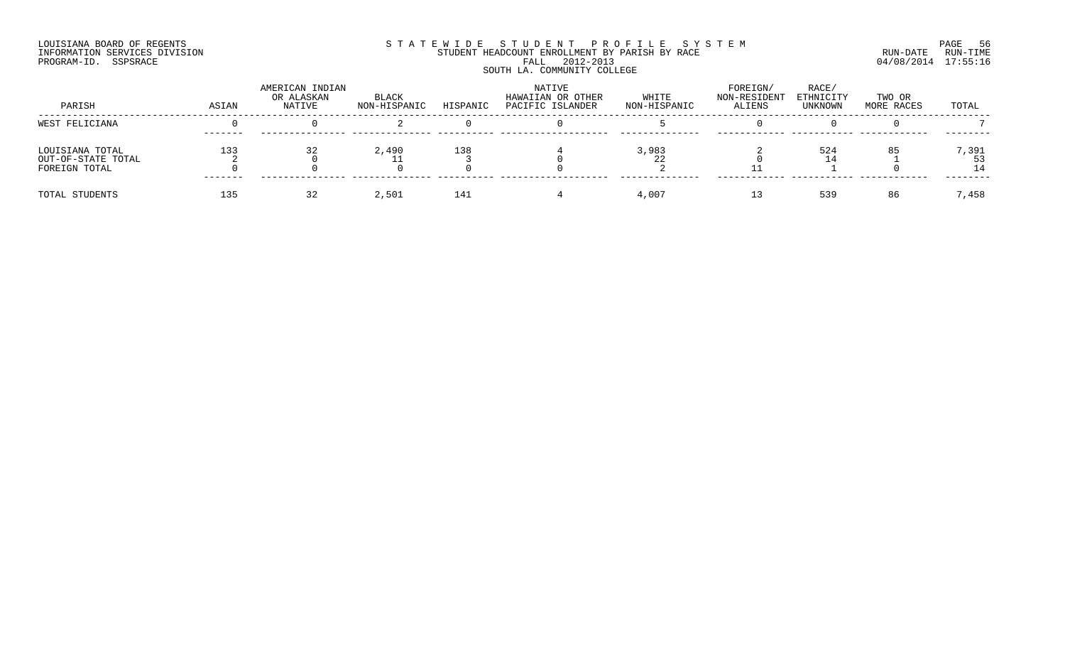## LOUISIANA BOARD OF REGENTS SOURCOME STATEWIDE STUDE NT PROFILE SYSTEM STE MANUEL TO PAGE 56<br>STUDENT HEADCOUNT ENROLLMENT BY PARISH BY RACE STE MANUEL RUN-DATE RUN-TIME INFORMATION SERVICES DIVISION STUDENT STUDENT HEADCOUNT ENROLLMENT BY PARISH BY RACE PROGRAM-ID. SSPSRACE FALL 2012-2013 04/08/2014 17:55:16 SOUTH LA. COMMUNITY COLLEGE

| PARISH                                                 | ASIAN | AMERICAN INDIAN<br>OR ALASKAN<br>NATIVE | BLACK<br>NON-HISPANIC | HISPANIC | NATIVE<br>HAWAIIAN OR OTHER<br>PACIFIC ISLANDER | WHITE<br>NON-HISPANIC | FOREIGN/<br>NON-RESIDENT<br><b>ALIENS</b> | RACE/<br>ETHNICITY<br>UNKNOWN | TWO OR<br>MORE RACES | TOTAL |
|--------------------------------------------------------|-------|-----------------------------------------|-----------------------|----------|-------------------------------------------------|-----------------------|-------------------------------------------|-------------------------------|----------------------|-------|
| WEST FELICIANA                                         |       |                                         |                       |          |                                                 |                       |                                           |                               |                      |       |
| LOUISIANA TOTAL<br>OUT-OF-STATE TOTAL<br>FOREIGN TOTAL | 133   |                                         | 2,490                 | 138      |                                                 | 3,983                 |                                           | 524                           | 85                   | 7,391 |
| TOTAL STUDENTS                                         | 135   |                                         | 2,501                 | 141      |                                                 | 4,007                 |                                           | 539                           | 86                   | 7,458 |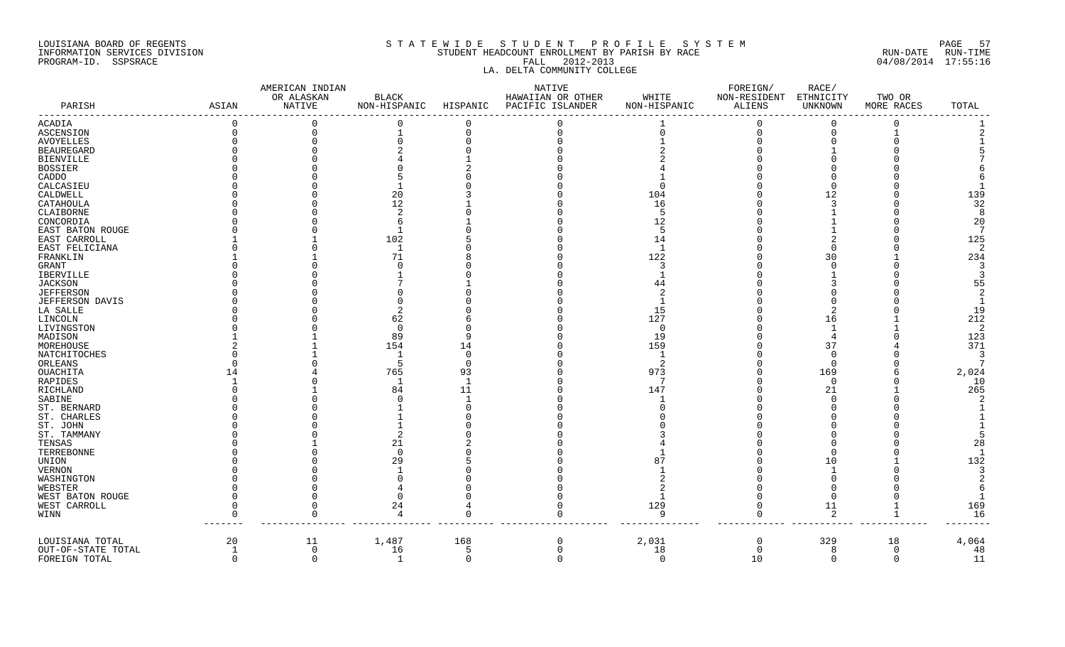#### LOUISIANA BOARD OF REGENTS SAND AND STATEWIDE STUDENT PROFILE SYSTEM AND SOME 57 INFORMATION SERVICES DIVISION SAN STUDENT HEADCOUNT ENROLLMENT BY PARISH BY RACE SUN-DATE RUN-DATE RUN-TIME RUN<br>PROGRAM-ID. SSPSRACE 04/08/2014 17:55:16 PROGRAM-ID. SSPSRACE FALL 2012-2013 LA. DELTA COMMUNITY COLLEGE

|                    |                | AMERICAN INDIAN      |                              |          | NATIVE                                |                       | FOREIGN/               | RACE/                |                      |              |
|--------------------|----------------|----------------------|------------------------------|----------|---------------------------------------|-----------------------|------------------------|----------------------|----------------------|--------------|
| PARISH             | ASIAN          | OR ALASKAN<br>NATIVE | <b>BLACK</b><br>NON-HISPANIC | HISPANIC | HAWAIIAN OR OTHER<br>PACIFIC ISLANDER | WHITE<br>NON-HISPANIC | NON-RESIDENT<br>ALIENS | ETHNICITY<br>UNKNOWN | TWO OR<br>MORE RACES | TOTAL        |
| ACADIA             | $\overline{0}$ | $\overline{0}$       | 0                            | $\Omega$ |                                       |                       | $\Omega$               | $\Omega$             | $\Omega$             |              |
| ASCENSION          | $\Omega$       | $\mathbf 0$          |                              | 0        |                                       |                       | $\Omega$               |                      |                      |              |
| <b>AVOYELLES</b>   |                | $\Omega$             | $\Omega$                     |          |                                       |                       |                        |                      |                      |              |
| <b>BEAUREGARD</b>  |                |                      |                              |          |                                       |                       |                        |                      |                      |              |
| <b>BIENVILLE</b>   |                |                      |                              |          |                                       |                       |                        |                      |                      |              |
| BOSSIER            |                |                      |                              |          |                                       |                       |                        |                      |                      |              |
| CADDO              |                |                      |                              |          |                                       |                       |                        |                      |                      |              |
| CALCASIEU          |                |                      |                              |          |                                       |                       |                        |                      |                      |              |
| CALDWELL           |                |                      | 20                           |          |                                       | 104                   |                        | 12                   |                      | 139          |
| CATAHOULA          |                |                      | 12                           |          |                                       | 16                    |                        |                      |                      | 32           |
| CLAIBORNE          |                |                      | -2                           |          |                                       | -5                    |                        |                      |                      | -8           |
| CONCORDIA          |                |                      | -6                           |          |                                       | 12                    |                        |                      |                      | 20           |
| EAST BATON ROUGE   |                |                      | $\mathbf{1}$                 |          |                                       | -5                    |                        |                      |                      | - 7          |
| EAST CARROLL       |                |                      | 102                          |          |                                       | 14                    |                        |                      |                      | 125          |
| EAST FELICIANA     |                |                      |                              |          |                                       | -1                    |                        |                      |                      | -2           |
| FRANKLIN           |                |                      | 71                           |          |                                       | 122                   |                        | 30                   |                      | 234          |
| <b>GRANT</b>       |                |                      |                              |          |                                       | 3                     |                        |                      |                      | 3            |
| IBERVILLE          |                |                      |                              |          |                                       |                       |                        |                      |                      |              |
| <b>JACKSON</b>     |                |                      |                              |          |                                       | 44                    |                        |                      |                      | 55           |
| <b>JEFFERSON</b>   |                |                      |                              |          |                                       |                       |                        |                      |                      | 2            |
| JEFFERSON DAVIS    |                |                      |                              |          |                                       |                       |                        |                      |                      | $\mathbf{1}$ |
| LA SALLE           |                |                      |                              |          |                                       | 15                    |                        |                      |                      | 19           |
| LINCOLN            |                |                      | 62                           |          |                                       | 127                   |                        | 16                   |                      | 212          |
| LIVINGSTON         |                |                      | $\overline{0}$               |          |                                       | 0                     |                        |                      |                      | -2           |
| MADISON            |                |                      | 89                           |          |                                       | 19                    |                        |                      |                      | 123          |
| MOREHOUSE          |                |                      | 154                          | 14       |                                       | 159                   |                        | 37                   |                      | 371          |
| NATCHITOCHES       |                |                      | 1                            | ∩        |                                       | -1                    |                        | $\cap$               |                      | 3            |
| ORLEANS            |                |                      | -5                           | $\Omega$ |                                       | 2                     |                        | $\Omega$             |                      |              |
| OUACHITA           | 14             |                      | 765                          | 93       |                                       | 973                   |                        | 169                  |                      | 2,024        |
| RAPIDES            |                |                      | -1                           |          |                                       | -7                    |                        | $\Omega$             |                      | 10           |
| RICHLAND           |                |                      | 84                           | 11       |                                       | 147                   |                        | 21                   |                      | 265          |
| SABINE             |                |                      |                              |          |                                       |                       |                        |                      |                      |              |
| ST. BERNARD        |                |                      |                              |          |                                       |                       |                        |                      |                      |              |
| ST. CHARLES        |                |                      |                              |          |                                       |                       |                        |                      |                      |              |
| ST. JOHN           |                |                      |                              |          |                                       |                       |                        |                      |                      |              |
| ST. TAMMANY        |                |                      |                              |          |                                       |                       |                        |                      |                      |              |
| TENSAS             |                |                      | 21                           |          |                                       |                       |                        |                      |                      | 28           |
| TERREBONNE         |                |                      | $\cap$                       |          |                                       |                       |                        |                      |                      |              |
| UNION              |                |                      | 29                           |          |                                       | 87                    |                        | 10                   |                      | 132          |
| <b>VERNON</b>      |                |                      |                              |          |                                       |                       |                        |                      |                      | 3            |
| WASHINGTON         |                |                      |                              |          |                                       |                       |                        |                      |                      |              |
| WEBSTER            |                |                      |                              |          |                                       |                       |                        |                      |                      |              |
| WEST BATON ROUGE   |                |                      | $\Omega$                     |          |                                       |                       |                        |                      |                      |              |
| WEST CARROLL       |                | $\Omega$             | 24                           |          |                                       | 129                   | $\Omega$               | 11                   |                      | 169          |
| WINN               |                | $\Omega$             | $\overline{4}$               |          | $\Omega$                              | 9                     | $\Omega$               | 2                    | $\mathbf{1}$         | 16           |
| LOUISIANA TOTAL    | 20             | 11                   | 1,487                        | 168      | 0                                     | 2,031                 | $\mathbf 0$            | 329                  | 18                   | $4\,,\,064$  |
| OUT-OF-STATE TOTAL | 1              | $\overline{0}$       | 16                           | 5        | $\Omega$                              | 18                    | $\Omega$               | 8                    | $\mathbf 0$          | 48           |
| FOREIGN TOTAL      | $\Omega$       | $\Omega$             | 1                            | $\Omega$ | $\cap$                                | $\Omega$              | 10                     | $\Omega$             | $\Omega$             | 11           |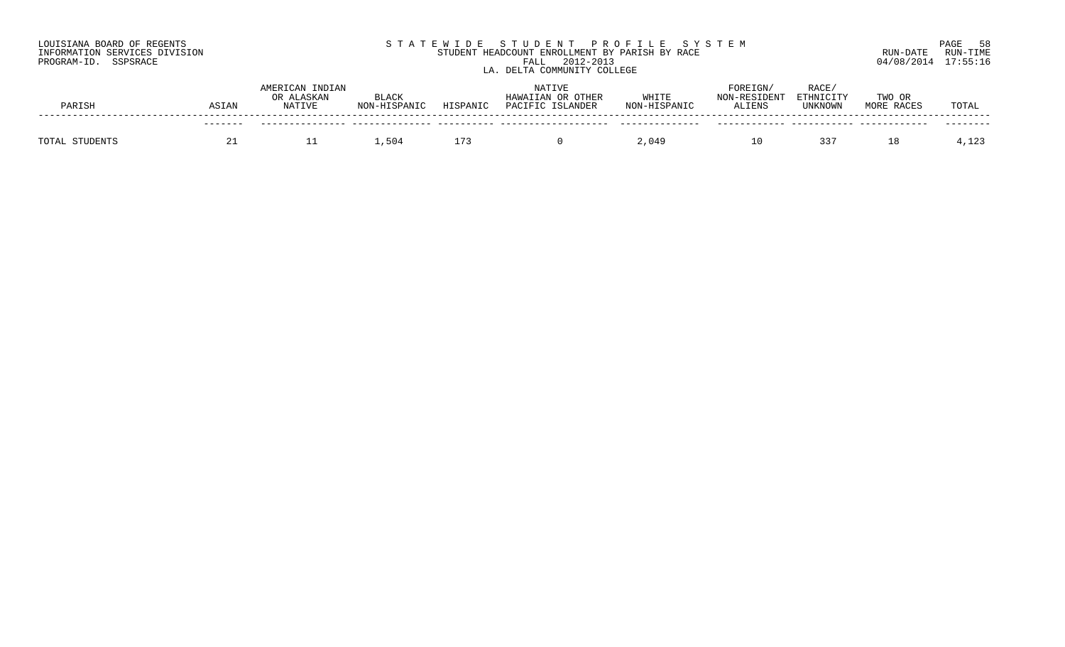| LOUISIANA BOARD OF REGENTS    | STATEWIDE STUDENT PROFILE SYSTEM               | 58<br>PAGE           |
|-------------------------------|------------------------------------------------|----------------------|
| INFORMATION SERVICES DIVISION | STUDENT HEADCOUNT ENROLLMENT BY PARISH BY RACE | RUN-TIME<br>RUN-DATE |
| PROGRAM-ID. SSPSRACE          | 2012-2013<br>FALI                              | 04/08/2014 17:55:16  |
|                               | . DELTA COMMUNITY COLLEGE                      |                      |

| PARISH | ASIAN | AMERICAN INDIAN<br>OR ALASKAN<br><b>NATIVE</b> | <b>BLACK</b><br>NON-HISPANIC | HISPANIC | NATIVE<br>HAWAIIAN OR OTHER<br>PACIFIC ISLANDER | WHITE<br>NON-HISPANIC | FOREIGN/<br>ON-RESIDENT<br><b>ALIENS</b> | RACE,<br>ETHNICITY<br>UNKNOWN | TWO OR<br>MORE RACES | TOTAL             |
|--------|-------|------------------------------------------------|------------------------------|----------|-------------------------------------------------|-----------------------|------------------------------------------|-------------------------------|----------------------|-------------------|
|        |       |                                                |                              |          |                                                 |                       |                                          |                               |                      |                   |
| TOTAL  |       |                                                | .504                         |          |                                                 | 990 ، ∠               |                                          | 337                           |                      | 1 2 3<br>ر ⊿⊥ د ۲ |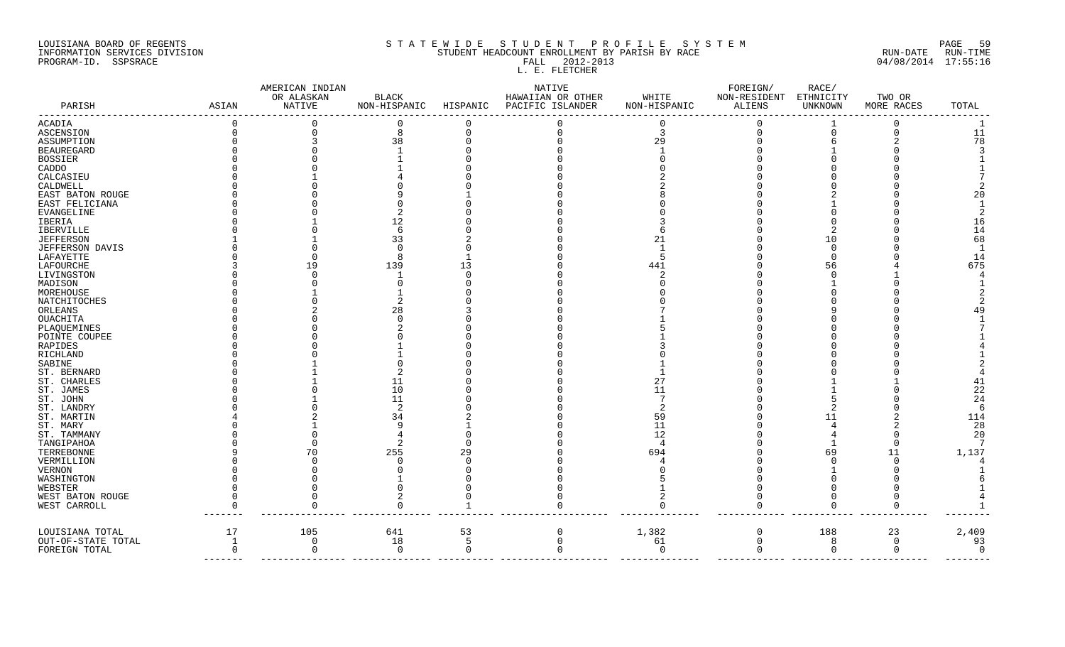### LOUISIANA BOARD OF REGENTS SAGE THE STATE WIDE STUDENT PROFILE SYSTEM SAGE 59 INFORMATION SERVICES DIVISION STUDENT STUDENT HEADCOUNT ENROLLMENT BY PARISH BY RACE STUDENT RUN-DATE RUN-TIME PROGRAM-ID. SSPSRACE FALL 2012-2013 04/08/2014 17:55:16 FALL 2012-2013<br>L. E. FLETCHER

|                          |              | AMERICAN INDIAN      |                       |                | NATIVE                                | WHITE        | FOREIGN/<br>NON-RESIDENT | RACE/<br>ETHNICITY |                      |          |
|--------------------------|--------------|----------------------|-----------------------|----------------|---------------------------------------|--------------|--------------------------|--------------------|----------------------|----------|
| PARISH                   | ASIAN        | OR ALASKAN<br>NATIVE | BLACK<br>NON-HISPANIC | HISPANIC       | HAWAIIAN OR OTHER<br>PACIFIC ISLANDER | NON-HISPANIC | ALIENS                   | UNKNOWN            | TWO OR<br>MORE RACES | TOTAL    |
|                          |              |                      |                       |                |                                       |              |                          |                    |                      |          |
| ACADIA                   |              | $\Omega$             | 8                     |                |                                       | 3            | $\Omega$<br>$\Omega$     |                    | $\Omega$             | 11       |
| ASCENSION                |              |                      |                       |                |                                       |              |                          |                    |                      | 78       |
| ASSUMPTION<br>BEAUREGARD |              |                      | 38                    |                |                                       | 29           |                          |                    |                      |          |
| BOSSIER                  |              |                      |                       |                |                                       |              |                          |                    |                      |          |
| CADDO                    |              |                      |                       |                |                                       |              |                          |                    |                      |          |
| CALCASIEU                |              |                      |                       |                |                                       |              |                          |                    |                      |          |
| CALDWELL                 |              |                      |                       |                |                                       |              |                          |                    |                      |          |
| EAST BATON ROUGE         |              |                      |                       |                |                                       |              |                          |                    |                      | 20       |
| EAST FELICIANA           |              |                      |                       |                |                                       |              |                          |                    |                      |          |
| EVANGELINE               |              |                      |                       |                |                                       |              |                          |                    |                      |          |
| IBERIA                   |              |                      | 12                    |                |                                       |              |                          |                    |                      | 16       |
| IBERVILLE                |              |                      | 6                     |                |                                       |              |                          |                    |                      | 14       |
| JEFFERSON                |              |                      | 33                    |                |                                       |              |                          | 10                 |                      | 68       |
| JEFFERSON DAVIS          |              |                      | ∩                     |                |                                       |              |                          |                    |                      | -1       |
| LAFAYETTE                |              |                      | Я                     |                |                                       |              |                          |                    |                      | 14       |
| LAFOURCHE                |              | 19                   | 139                   | 13             |                                       | 441          |                          | 56                 |                      | 675      |
| LIVINGSTON               |              |                      |                       |                |                                       |              |                          |                    |                      |          |
| MADISON                  |              |                      |                       |                |                                       |              |                          |                    |                      |          |
| MOREHOUSE                |              |                      |                       |                |                                       |              |                          |                    |                      |          |
| NATCHITOCHES             |              |                      |                       |                |                                       |              |                          |                    |                      |          |
| ORLEANS                  |              |                      | 28                    |                |                                       |              |                          |                    |                      |          |
| OUACHITA                 |              |                      |                       |                |                                       |              |                          |                    |                      |          |
| PLAQUEMINES              |              |                      |                       |                |                                       |              |                          |                    |                      |          |
| POINTE COUPEE            |              |                      |                       |                |                                       |              |                          |                    |                      |          |
| RAPIDES                  |              |                      |                       |                |                                       |              |                          |                    |                      |          |
| RICHLAND                 |              |                      |                       |                |                                       |              |                          |                    |                      |          |
| SABINE                   |              |                      |                       |                |                                       |              |                          |                    |                      |          |
| ST. BERNARD              |              |                      |                       |                |                                       |              |                          |                    |                      |          |
| ST. CHARLES              |              |                      | 11                    |                |                                       |              |                          |                    |                      |          |
| ST. JAMES                |              |                      | 10                    |                |                                       | 11           |                          |                    |                      | 22       |
| ST. JOHN                 |              |                      | 11                    |                |                                       |              |                          |                    |                      | 24       |
| ST. LANDRY               |              |                      |                       |                |                                       |              |                          |                    |                      | -6       |
| ST. MARTIN               |              |                      | 34                    |                |                                       | 59           |                          |                    |                      | 114      |
| ST. MARY                 |              |                      |                       |                |                                       | 11           |                          |                    |                      | 28       |
| ST. TAMMANY              |              |                      |                       |                |                                       | 12           |                          |                    |                      | 20       |
| TANGIPAHOA               |              |                      |                       |                |                                       |              |                          |                    |                      |          |
| TERREBONNE               |              | 70                   | 255                   | 29             |                                       | 694          |                          | 69                 | 11                   | 1,137    |
| VERMILLION               |              |                      |                       |                |                                       |              |                          |                    |                      |          |
| VERNON                   |              |                      |                       |                |                                       |              |                          |                    |                      |          |
| WASHINGTON               |              |                      |                       |                |                                       |              |                          |                    |                      |          |
| WEBSTER                  |              |                      |                       |                |                                       |              |                          |                    |                      |          |
| WEST BATON ROUGE         |              | $\Omega$             |                       |                |                                       |              |                          |                    |                      |          |
| WEST CARROLL             |              | $\Omega$             | $\Omega$              |                |                                       |              | $\Omega$                 | $\Omega$           | $\Omega$             |          |
| LOUISIANA TOTAL          | 17           | 105                  | 641                   | 53             | $\Omega$                              | 1,382        | $\mathbf 0$              | 188                | 23                   | 2,409    |
| OUT-OF-STATE TOTAL       | 1            | $\mathbf 0$          | 18                    | -5             | $\Omega$                              | 61           | $\mathbf 0$              | 8                  | $\overline{0}$       | 93       |
| FOREIGN TOTAL            | <sup>n</sup> | $\mathbf 0$          | $\overline{0}$        | $\overline{0}$ |                                       | $\Omega$     | $\mathbf 0$              | $\mathbf 0$        | $\mathbf 0$          | $\Omega$ |
|                          |              |                      |                       |                |                                       |              |                          |                    |                      |          |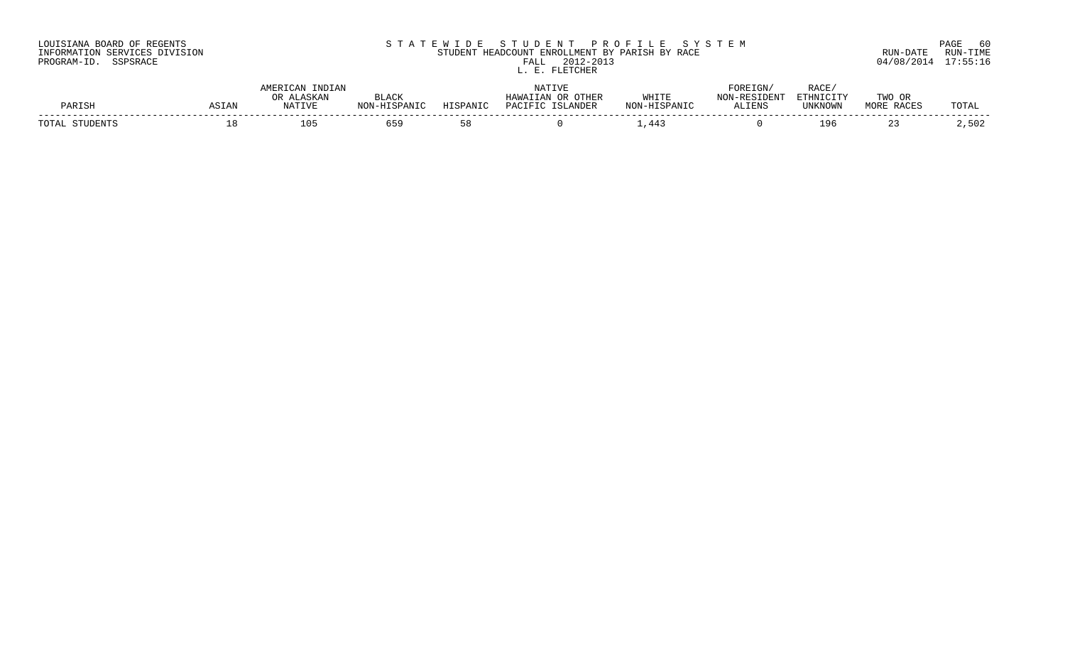| LOUISIANA BOARD OF REGENTS    | STATEWIDE STUDENT PROFILE SYSTEM               | 6 C<br>PAGE          |
|-------------------------------|------------------------------------------------|----------------------|
| INFORMATION SERVICES DIVISION | STUDENT HEADCOUNT ENROLLMENT BY PARISH BY RACE | RUN-TIME<br>RUN-DATE |
| PROGRAM-ID. SSPSRACE          | 2012-2013<br>FALL                              | 04/08/2014 17:55:16  |
|                               | תהזזומייה זה                                   |                      |

## $P(0.13$  04/08/2014 17:55:16 L. E. FLETCHER

| PARIS!     | SIAN | $    -$<br><b>NATIVE</b> |            | DANT.     | LANDER<br>┐⊼◠⊤◻⊤ | MHT.T.T<br>NTON    | 'IGN<br>□∩⊤<br><b>AT TEMC</b><br>כ ותם.<br><b>ALL</b> | יר ב<br>KACI<br>ד דגז זיחי<br>$\sim$ $\sim$ $\sim$ $\sim$ $\sim$ $\sim$<br><b>TINIVNIOMN</b><br>つてんててんぐ | <b>TWO</b> | 'O'L'A |
|------------|------|--------------------------|------------|-----------|------------------|--------------------|-------------------------------------------------------|---------------------------------------------------------------------------------------------------------|------------|--------|
| $T \cap T$ |      | $\bigcap$<br>⊥∪.         | <i>- -</i> | <b>5x</b> |                  | <u>дд</u><br>- - - |                                                       | чn                                                                                                      |            | ، ن ت  |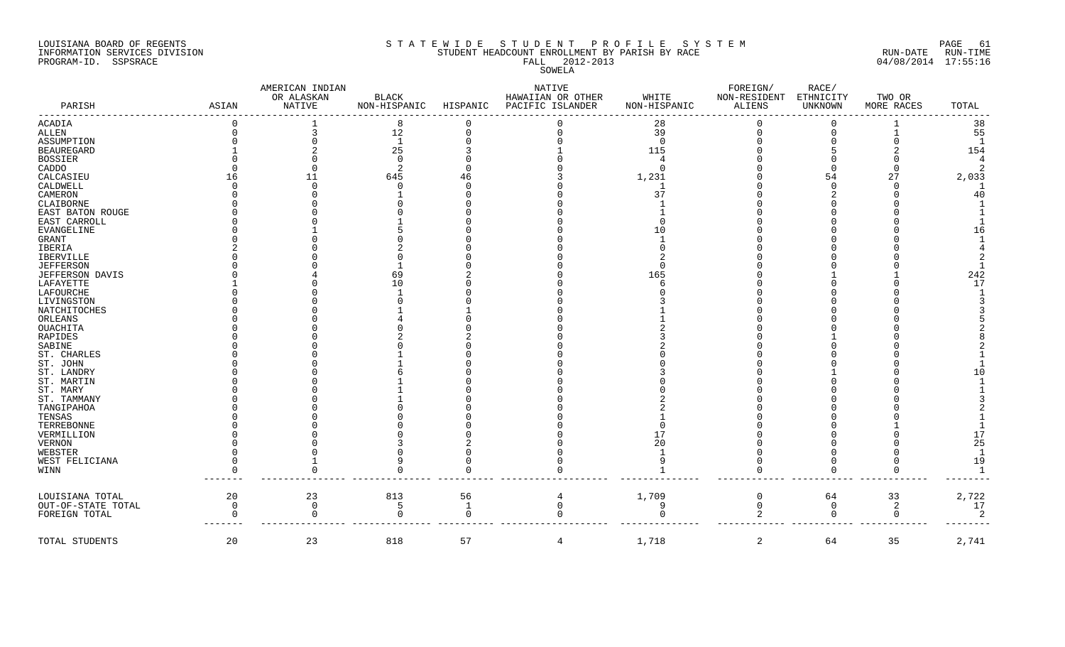#### LOUISIANA BOARD OF REGENTS SOLUTION STATEWIDE STUDENT PROFILE SYSTEM SOLUTION PAGE 61 INFORMATION SERVICES DIVISION STUDENT HEADCOUNT ENROLLMENT BY PARISH BY RACE RUN-DATE RUN-TIME PROGRAM-ID. SSPSRACE FALL 2012-2013 04/08/2014 17:55:16

SOWELA

| OR ALASKAN<br><b>BLACK</b><br>HAWAIIAN OR OTHER<br>WHITE<br>PARISH<br>ASIAN<br>NATIVE<br>NON-HISPANIC<br>HISPANIC<br>PACIFIC ISLANDER<br>NON-HISPANIC | NON-RESIDENT<br>ALIENS | ETHNICITY<br>UNKNOWN | TWO OR<br>MORE RACES |                |
|-------------------------------------------------------------------------------------------------------------------------------------------------------|------------------------|----------------------|----------------------|----------------|
|                                                                                                                                                       |                        |                      |                      |                |
|                                                                                                                                                       |                        |                      |                      | TOTAL          |
| <b>ACADIA</b><br>28<br>8                                                                                                                              |                        |                      |                      | 38             |
| 12<br>39<br>ALLEN                                                                                                                                     |                        |                      |                      | 55             |
| 1<br>ASSUMPTION<br>$\Omega$                                                                                                                           |                        |                      |                      |                |
| 25<br><b>BEAUREGARD</b><br>115                                                                                                                        |                        |                      |                      | 154            |
| <b>BOSSIER</b>                                                                                                                                        |                        |                      |                      | 4              |
| CADDO<br>$\cap$                                                                                                                                       |                        |                      |                      | 2              |
| 645<br>CALCASIEU<br>1,231<br>11<br>46                                                                                                                 |                        | 54                   | 27                   | 2,033          |
| CALDWELL                                                                                                                                              |                        |                      |                      | - 1            |
| 37<br>CAMERON                                                                                                                                         |                        |                      |                      | 40             |
| CLAIBORNE                                                                                                                                             |                        |                      |                      |                |
| EAST BATON ROUGE                                                                                                                                      |                        |                      |                      |                |
| EAST CARROLL                                                                                                                                          |                        |                      |                      |                |
| EVANGELINE<br>1 ೧                                                                                                                                     |                        |                      |                      | 16             |
| GRANT                                                                                                                                                 |                        |                      |                      |                |
| IBERIA                                                                                                                                                |                        |                      |                      |                |
| IBERVILLE                                                                                                                                             |                        |                      |                      |                |
| <b>JEFFERSON</b>                                                                                                                                      |                        |                      |                      |                |
| JEFFERSON DAVIS<br>165<br>69                                                                                                                          |                        |                      |                      | 242            |
| LAFAYETTE<br>1 O                                                                                                                                      |                        |                      |                      | 17             |
| LAFOURCHE                                                                                                                                             |                        |                      |                      |                |
| LIVINGSTON                                                                                                                                            |                        |                      |                      |                |
| NATCHITOCHES                                                                                                                                          |                        |                      |                      |                |
| ORLEANS                                                                                                                                               |                        |                      |                      |                |
| OUACHITA                                                                                                                                              |                        |                      |                      |                |
| RAPIDES                                                                                                                                               |                        |                      |                      |                |
| SABINE                                                                                                                                                |                        |                      |                      |                |
| ST. CHARLES                                                                                                                                           |                        |                      |                      |                |
| ST. JOHN                                                                                                                                              |                        |                      |                      |                |
| ST. LANDRY                                                                                                                                            |                        |                      |                      | 1 O            |
|                                                                                                                                                       |                        |                      |                      |                |
| ST. MARTIN                                                                                                                                            |                        |                      |                      |                |
| ST. MARY                                                                                                                                              |                        |                      |                      |                |
| ST. TAMMANY                                                                                                                                           |                        |                      |                      |                |
| TANGIPAHOA                                                                                                                                            |                        |                      |                      |                |
| TENSAS                                                                                                                                                |                        |                      |                      |                |
| TERREBONNE                                                                                                                                            |                        |                      |                      |                |
| VERMILLION<br>17                                                                                                                                      |                        |                      |                      | 17             |
| <b>VERNON</b><br>20                                                                                                                                   |                        |                      |                      | 25             |
| WEBSTER                                                                                                                                               |                        |                      |                      | $\mathbf{1}$   |
| WEST FELICIANA                                                                                                                                        |                        |                      |                      | 19             |
| WINN                                                                                                                                                  |                        |                      |                      | $\overline{1}$ |
|                                                                                                                                                       |                        |                      |                      |                |
| 20<br>56<br>1,709<br>LOUISIANA TOTAL<br>23<br>813<br>4                                                                                                | $\Omega$               | 64                   | 33                   | 2,722          |
| 9<br>$\mathbf 0$<br>$\mathbf{1}$<br>OUT-OF-STATE TOTAL<br>$\Omega$<br>$\cap$<br>.5                                                                    | $\mathbf 0$            | $\Omega$             | 2                    | 17             |
| $\Omega$<br>FOREIGN TOTAL                                                                                                                             | 2                      | $\Omega$             | $\mathbf 0$          | 2              |
| 1,718<br>20<br>23<br>818<br>57<br>TOTAL STUDENTS<br>$\overline{4}$                                                                                    | 2                      | 64                   | 35                   | 2,741          |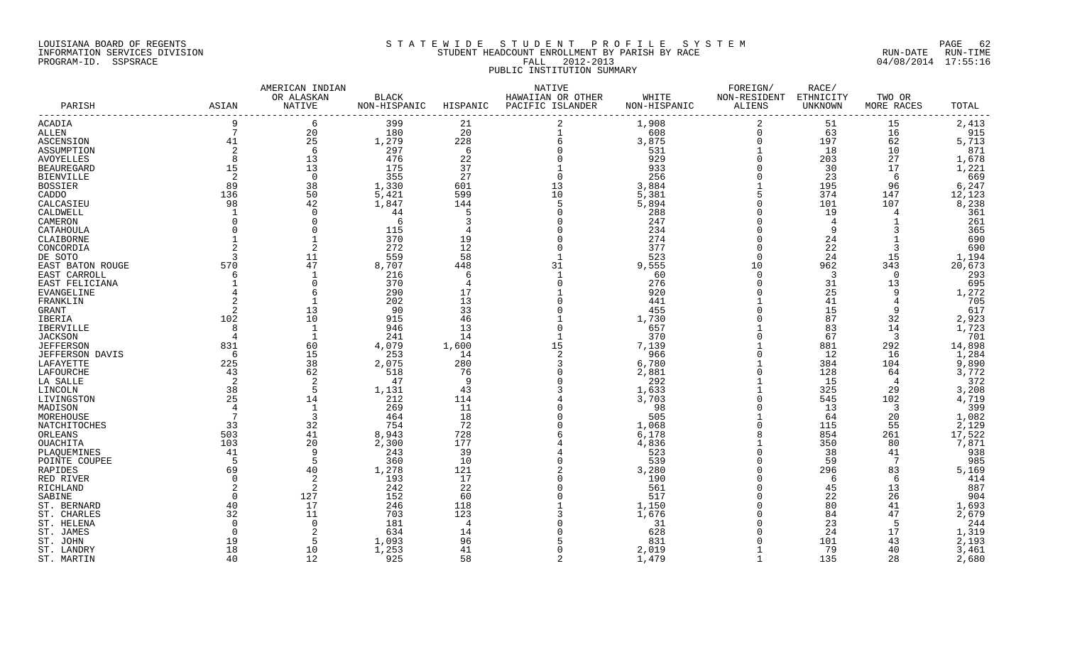#### LOUISIANA BOARD OF REGENTS SOLUTION STATEWIDE STUDENT PROFILE SYSTEM SOLUTION PAGE 62 INFORMATION SERVICES DIVISION SAN STUDENT HEADCOUNT ENROLLMENT BY PARISH BY RACE SUN-DATE RUN-DATE RUN-TIME RUN<br>PROGRAM-ID. SSPSRACE 04/08/2014 17:55:16 PROGRAM-ID. SSPSRACE **FALL 2012-2013** PUBLIC INSTITUTION SUMMARY

|                           |                | AMERICAN INDIAN      |                              |          | NATIVE                                |                       | FOREIGN/               | RACE/                |                      |                |  |
|---------------------------|----------------|----------------------|------------------------------|----------|---------------------------------------|-----------------------|------------------------|----------------------|----------------------|----------------|--|
| PARISH                    | ASIAN          | OR ALASKAN<br>NATIVE | <b>BLACK</b><br>NON-HISPANIC | HISPANIC | HAWAIIAN OR OTHER<br>PACIFIC ISLANDER | WHITE<br>NON-HISPANIC | NON-RESIDENT<br>ALIENS | ETHNICITY<br>UNKNOWN | TWO OR<br>MORE RACES | TOTAL          |  |
| ACADIA                    |                | 6                    | 399                          | 21       |                                       | 1,908                 | $\overline{2}$         | 51                   | 15                   | 2,413          |  |
| ALLEN                     | 7              | 20                   | 180                          | 20       | $\mathbf{1}$                          | 608                   | $\mathbf 0$            | 63                   | 16                   | 915            |  |
| ASCENSION                 | 41             | 25                   | 1,279                        | 228      | 6                                     | 3,875                 | $\mathbf 0$            | 197                  | 62                   | 5,713          |  |
| ASSUMPTION                | $\overline{2}$ | -6                   | 297                          | -6       |                                       | 531                   |                        | 18                   | 10                   | 871            |  |
| <b>AVOYELLES</b>          | 8              | 13                   | 476                          | 22       |                                       | 929                   | $\Omega$               | 203                  | 27                   | 1,678          |  |
| <b>BEAUREGARD</b>         | 15             | 13                   | 175                          | 37       |                                       | 933                   |                        | 30                   | 17                   | 1,221          |  |
| <b>BIENVILLE</b>          | 2              | $\Omega$             | 355                          | 27       | $\Omega$                              | 256                   |                        | 23                   | -6                   | 669            |  |
| <b>BOSSIER</b>            | 89             | 38                   | 1,330                        | 601      | 13                                    | 3,884                 |                        | 195                  | 96                   | 6,247          |  |
| CADDO                     | 136            | 50                   | 5,421                        | 599      | 10                                    | 5,381                 |                        | 374                  | 147                  | 12,123         |  |
| CALCASIEU                 | 98             | 42                   | 1,847                        | 144      | 5                                     | 5,894                 | $\Omega$               | 101                  | 107                  | 8,238          |  |
| CALDWELL                  |                | $\Omega$             | 44                           |          | $\Omega$                              | 288                   | $\Omega$               | 19                   |                      | 361            |  |
| CAMERON                   |                |                      | 6                            |          |                                       | 247                   | $\Omega$               | $\overline{4}$       |                      | 261            |  |
| CATAHOULA                 |                | $\Omega$             | 115                          |          |                                       | 234                   | $\Omega$               | 9                    |                      | 365            |  |
| CLAIBORNE                 |                |                      | 370                          | 19       | $\Omega$                              | 274                   | $\Omega$               | 24                   |                      | 690            |  |
| CONCORDIA                 |                |                      | 272                          | 12       | $\Omega$                              | 377                   | $\Omega$               | 22                   |                      | 690            |  |
| DE SOTO                   |                | 11                   | 559                          | 58       |                                       | 523                   | $\Omega$               | 24                   | 15                   | 1,194          |  |
| EAST BATON ROUGE          | 570            | 47                   | 8,707                        | 448      | 31                                    | 9,555                 | 10                     | 962                  | 343                  | 20,673         |  |
| EAST CARROLL              | 6              |                      | 216                          | -6       | $\mathbf{1}$                          | 60                    | $\Omega$               | $\overline{3}$       | $\cap$               | 293            |  |
| EAST FELICIANA            |                | $\Omega$             | 370                          |          | $\Omega$                              | 276                   |                        | 31                   | 13                   | 695            |  |
| EVANGELINE                |                |                      | 290                          | 17       |                                       | 920                   |                        | 25                   |                      | 1,272          |  |
| FRANKLIN                  |                |                      | 202                          | 13       |                                       | 441                   |                        | 41                   |                      | 705            |  |
| GRANT                     |                | 13                   | 90                           | 33       |                                       | 455                   |                        | 15                   |                      | 617            |  |
| <b>IBERIA</b>             | 102            | 10                   | 915                          | 46       |                                       | 1,730                 |                        | 87                   | 32                   | 2,923          |  |
| IBERVILLE                 | 8              | 1                    | 946                          | 13       | $\Omega$                              | 657                   |                        | 83                   | 14                   | 1,723          |  |
| <b>JACKSON</b>            |                |                      | 241                          | 14       |                                       | 370                   |                        | 67                   | 3                    | 701            |  |
| <b>JEFFERSON</b>          | 831            | 60                   | 4,079                        | 1,600    | 15                                    | 7,139                 |                        | 881                  | 292                  | 14,898         |  |
| <b>JEFFERSON DAVIS</b>    | -6             | 15                   | 253                          | 14       | 2                                     | 966                   |                        | 12                   | 16                   | 1,284          |  |
| LAFAYETTE                 | 225            | 38                   | 2,075                        | 280      | 3                                     | 6,780                 |                        | 384                  | 104                  | 9,890          |  |
| LAFOURCHE                 | 43             | 62                   | 518                          | 76       | $\Omega$                              | 2,881                 | $\Omega$               | 128                  | 64                   | 3,772          |  |
| LA SALLE                  |                |                      | 47                           | - 9      |                                       | 292                   |                        | 15                   | 4                    | 372            |  |
| LINCOLN                   | 38<br>25       | -5                   | 1,131<br>212                 | 43       |                                       | 1,633<br>3,703        | $\Omega$               | 325<br>545           | 29                   | 3,208<br>4,719 |  |
| LIVINGSTON                |                | 14                   |                              | 114      |                                       |                       |                        |                      | 102                  |                |  |
| MADISON                   | 4<br>7         | 3                    | 269<br>464                   | 11<br>18 |                                       | 98<br>505             |                        | 13<br>64             | 3<br>20              | 399<br>1,082   |  |
| MOREHOUSE<br>NATCHITOCHES | 33             | 32                   | 754                          | 72       |                                       | 1,068                 |                        | 115                  | 55                   | 2,129          |  |
| ORLEANS                   | 503            | 41                   | 8,943                        | 728      |                                       | 6,178                 |                        | 854                  | 261                  | 17,522         |  |
| OUACHITA                  | 103            | 20                   | 2,300                        | 177      |                                       | 4,836                 |                        | 350                  | 80                   | 7,871          |  |
| PLAQUEMINES               | 41             | 9                    | 243                          | 39       |                                       | 523                   |                        | 38                   | 41                   | 938            |  |
| POINTE COUPEE             | 5              | 5                    | 360                          | 10       | $\Omega$                              | 539                   | $\Omega$               | 59                   | -7                   | 985            |  |
| RAPIDES                   | 69             | 40                   | 1,278                        | 121      |                                       | 3,280                 |                        | 296                  | 83                   | 5,169          |  |
| RED RIVER                 | $\Omega$       | 2                    | 193                          | 17       |                                       | 190                   |                        | 6                    | 6                    | 414            |  |
| RICHLAND                  | 2              | 2                    | 242                          | 22       |                                       | 561                   |                        | 45                   | 13                   | 887            |  |
| SABINE                    |                | 127                  | 152                          | 60       |                                       | 517                   |                        | 22                   | 26                   | 904            |  |
| ST. BERNARD               | 40             | 17                   | 246                          | 118      |                                       | 1,150                 |                        | 80                   | 41                   | 1,693          |  |
| ST. CHARLES               | 32             | 11                   | 703                          | 123      |                                       | 1,676                 |                        | 84                   | 47                   | 2,679          |  |
| ST. HELENA                | $\mathbf 0$    | $\overline{0}$       | 181                          | -4       |                                       | 31                    |                        | 23                   |                      | 244            |  |
| ST. JAMES                 | $\Omega$       |                      | 634                          | 14       |                                       | 628                   |                        | 24                   | 17                   | 1,319          |  |
| ST. JOHN                  | 19             | -5                   | 1,093                        | 96       |                                       | 831                   |                        | 101                  | 43                   | 2,193          |  |
| ST. LANDRY                | 18             | 10                   | 1,253                        | 41       | $\Omega$                              | 2,019                 |                        | 79                   | 40                   | 3,461          |  |
| ST. MARTIN                | 40             | 12                   | 925                          | 58       | $\mathcal{D}$                         | 1,479                 | $\mathbf{1}$           | 135                  | 28                   | 2,680          |  |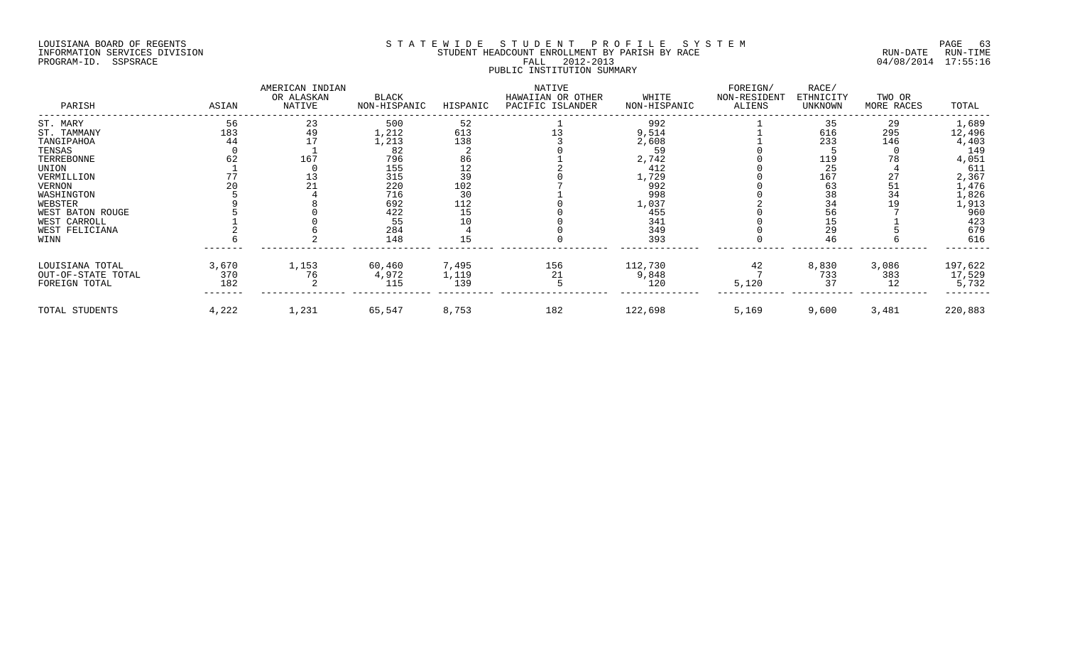#### LOUISIANA BOARD OF REGENTS SOURCOME STATEWIDE STUDENT PROFILE SYSTEM STE MANUEL OF ROEM PAGE 63<br>STUDENT HEADCOUNT ENROLLMENT BY PARISH BY RACE NAMEL AUN-DATE RUN-TIME INFORMATION SERVICES DIVISION SERVICES DIVISION STUDENT HEADCOUNT ENROLLMENT BY PARISH BY RACE PROGRAM-ID. SSPSRACE FALL 2012-2013 04/08/2014 17:55:16 PUBLIC INSTITUTION SUMMARY

| PARISH             | ASIAN | AMERICAN INDIAN<br>OR ALASKAN<br>NATIVE | <b>BLACK</b><br>NON-HISPANIC | HISPANIC | NATIVE<br>HAWAIIAN OR OTHER<br>PACIFIC ISLANDER | WHITE<br>NON-HISPANIC | FOREIGN/<br>NON-RESIDENT<br>ALIENS | RACE/<br>ETHNICITY<br>UNKNOWN | TWO OR<br>MORE RACES | TOTAL   |
|--------------------|-------|-----------------------------------------|------------------------------|----------|-------------------------------------------------|-----------------------|------------------------------------|-------------------------------|----------------------|---------|
| ST. MARY           | 56    | 23                                      | 500                          | 52       |                                                 | 992                   |                                    | 35                            | 29                   | 1,689   |
| ST. TAMMANY        | 183   | 49                                      | 1,212                        | 613      |                                                 | 9,514                 |                                    | 616                           | 295                  | 12,496  |
| TANGIPAHOA         | 44    |                                         | 1,213                        | 138      |                                                 | 2,608                 |                                    | 233                           | 146                  | 4,403   |
| TENSAS             |       |                                         | 82                           |          |                                                 | 59                    |                                    |                               |                      | 149     |
| TERREBONNE         |       | 167                                     | 796                          | 86       |                                                 | 2,742                 |                                    | 119                           |                      | 4,051   |
| UNION              |       |                                         | 155                          | 12       |                                                 | 412                   |                                    | 25                            |                      | 611     |
| VERMILLION         |       |                                         | 315                          | 39       |                                                 | 1,729                 |                                    | 167                           | 27                   | 2,367   |
| VERNON             |       |                                         | 220                          | 102      |                                                 | 992                   |                                    | 63                            | 51                   | 1,476   |
| WASHINGTON         |       |                                         | 716                          | 30       |                                                 | 998                   |                                    | 38                            | 34                   | 1,826   |
| WEBSTER            |       |                                         | 692                          | 112      |                                                 | 1,037                 |                                    | 34                            |                      | 1,913   |
| WEST BATON ROUGE   |       |                                         | 422                          | 15       |                                                 | 455                   |                                    | 56                            |                      | 960     |
| WEST CARROLL       |       |                                         | 55                           |          |                                                 | 341                   |                                    | 15                            |                      | 423     |
| WEST FELICIANA     |       |                                         | 284                          |          |                                                 | 349                   |                                    | 29                            |                      | 679     |
| WINN               |       |                                         | 148                          |          |                                                 | 393                   |                                    | 46                            |                      | 616     |
| LOUISIANA TOTAL    | 3,670 | 1,153                                   | 60,460                       | 7,495    | 156                                             | 112,730               | 42                                 | 8,830                         | 3,086                | 197,622 |
| OUT-OF-STATE TOTAL | 370   | 76                                      | 4,972                        | 1,119    | 21                                              | 9,848                 |                                    | 733                           | 383                  | 17,529  |
| FOREIGN TOTAL      | 182   |                                         | 115                          | 139      |                                                 | 120                   | 5,120                              | 37                            | 12                   | 5,732   |
| TOTAL STUDENTS     | 4,222 | 1,231                                   | 65,547                       | 8,753    | 182                                             | 122,698               | 5,169                              | 9,600                         | 3,481                | 220,883 |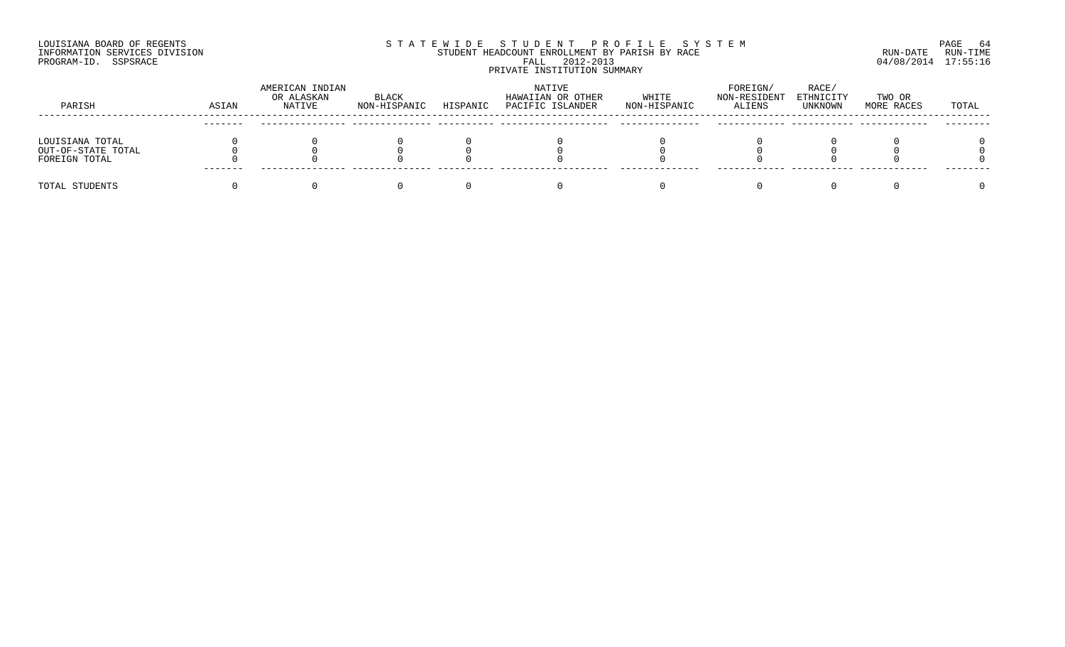#### LOUISIANA BOARD OF REGENTS SOURCOME STATEWIDE STUDENT PROFILE SYSTEM STE MANUEL OF ROEM PAGE 64<br>STUDENT HEADCOUNT ENROLLMENT BY PARISH BY RACE SYSTEM SUN-DATE RUN-TIME INFORMATION SERVICES DIVISION STUDENT STUDENT HEADCOUNT ENROLLMENT BY PARISH BY RACE PROGRAM-ID. SSPSRACE FALL 2012-2013 04/08/2014 17:55:16 PRIVATE INSTITUTION SUMMARY

| PARISH             | ASIAN   | AMERICAN INDIAN<br>OR ALASKAN<br>NATIVE | BLACK<br>NON-HISPANIC | HISPANIC | NATIVE<br>HAWAIIAN OR OTHER<br>PACIFIC ISLANDER | WHITE<br>NON-HISPANIC | FOREIGN/<br>NON-RESIDENT<br><b>ALIENS</b> | RACE/<br>ETHNICITY<br>UNKNOWN | TWO OR<br>MORE RACES | TOTAL |
|--------------------|---------|-----------------------------------------|-----------------------|----------|-------------------------------------------------|-----------------------|-------------------------------------------|-------------------------------|----------------------|-------|
|                    |         |                                         |                       |          |                                                 |                       |                                           |                               |                      |       |
| LOUISIANA TOTAL    |         |                                         |                       |          |                                                 |                       |                                           |                               |                      |       |
| OUT-OF-STATE TOTAL |         |                                         |                       |          |                                                 |                       |                                           |                               |                      |       |
| FOREIGN TOTAL      |         |                                         |                       |          |                                                 |                       |                                           |                               |                      |       |
|                    | ------- |                                         |                       |          |                                                 |                       |                                           |                               |                      |       |
| TOTAL STUDENTS     |         |                                         |                       |          |                                                 |                       |                                           |                               |                      |       |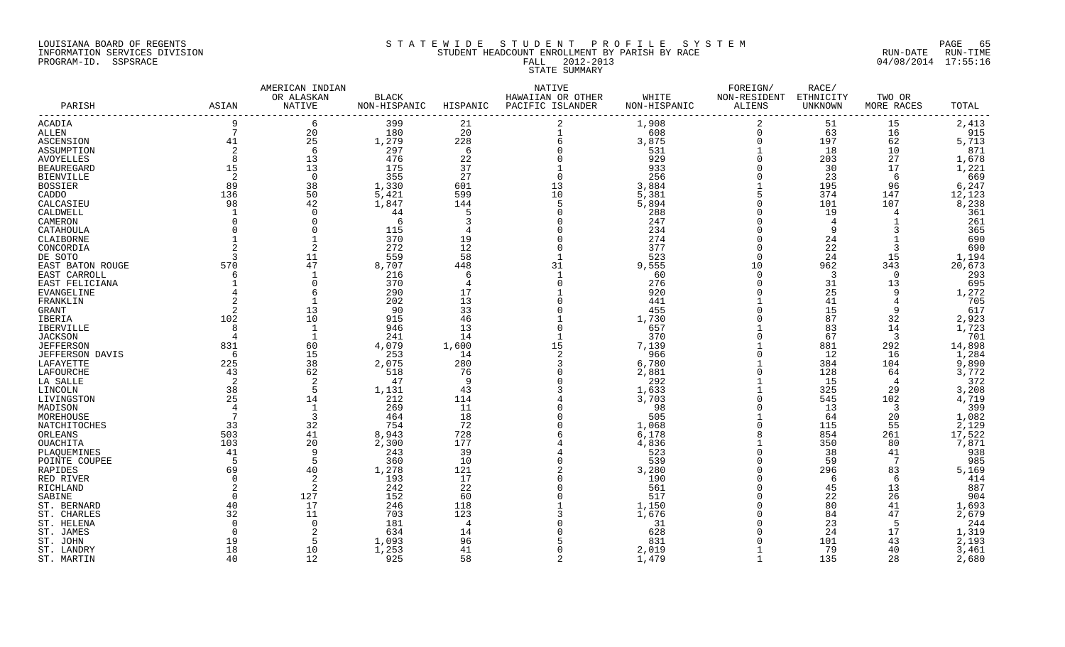#### LOUISIANA BOARD OF REGENTS S T A T E W I D E S T U D E N T P R O F I L E S Y S T E M PAGE 65 INFORMATION SERVICES DIVISION STUDENT HEADCOUNT ENROLLMENT BY PARISH BY RACE RUN-DATE RUN-TIME PROGRAM-ID. SSPSRACE FALL 2012-2013 04/08/2014 17:55:16 STATE SUMMARY

|                             |       | AMERICAN INDIAN      |                              |                | NATIVE                                |                       | FOREIGN/                      | RACE/                |                      |                 |
|-----------------------------|-------|----------------------|------------------------------|----------------|---------------------------------------|-----------------------|-------------------------------|----------------------|----------------------|-----------------|
| PARISH                      | ASIAN | OR ALASKAN<br>NATIVE | <b>BLACK</b><br>NON-HISPANIC | HISPANIC       | HAWAIIAN OR OTHER<br>PACIFIC ISLANDER | WHITE<br>NON-HISPANIC | NON-RESIDENT<br><b>ALIENS</b> | ETHNICITY<br>UNKNOWN | TWO OR<br>MORE RACES | TOTAL           |
| ACADIA                      | 9     | 6                    | 399                          | 21             |                                       | 1,908                 | 2                             | 51                   | 15                   | 2,413           |
| ALLEN                       | 7     | 20                   | 180                          | 20             |                                       | 608                   | $\mathbf 0$                   | 63                   | 16                   | 915             |
| ASCENSION                   | 41    | 25                   | 1,279                        | 228            | б                                     | 3,875                 | $\mathbf 0$                   | 197                  | 62                   | 5,713           |
| ASSUMPTION                  | 2     | -6                   | 297                          | - 6            |                                       | 531                   |                               | 18                   | 10                   | 871             |
| AVOYELLES                   | 8     | 13                   | 476                          | 22             |                                       | 929                   |                               | 203                  | 27                   | 1,678           |
| BEAUREGARD                  | 15    | 13                   | 175                          | 37             |                                       | 933                   |                               | 30                   | 17                   | 1,221           |
| <b>BIENVILLE</b>            | 2     | $\overline{0}$       | 355                          | 27             | $\Omega$                              | 256                   |                               | 23                   | -6                   | 669             |
| BOSSIER                     | 89    | 38                   | 1,330                        | 601            | 13                                    | 3,884                 |                               | 195                  | 96                   | 6,247           |
| CADDO                       | 136   | 50                   | 5,421                        | 599            | 10                                    | 5,381                 | 5                             | 374                  | 147                  | 12,123          |
| CALCASIEU                   | 98    | 42                   | 1,847                        | 144            | 5                                     | 5,894                 |                               | 101                  | 107                  | 8,238           |
| CALDWELL                    |       | $\Omega$             | 44<br>-6                     | -5             | <sup>0</sup>                          | 288                   |                               | 19                   | 4                    | 361             |
| CAMERON                     |       |                      | 115                          |                |                                       | 247<br>234            |                               | 4<br>q               |                      | 261<br>365      |
| CATAHOULA                   |       |                      | 370                          |                |                                       | 274                   |                               |                      |                      | 690             |
| CLAIBORNE                   |       | $\overline{2}$       | 272                          | 19<br>12       |                                       | 377                   |                               | 24                   | 3                    |                 |
| CONCORDIA                   |       | 11                   | 559                          | 58             |                                       | 523                   | $\Omega$                      | 22<br>24             | 15                   | 690             |
| DE SOTO<br>EAST BATON ROUGE | 570   | 47                   | 8,707                        | 448            | 31                                    | 9,555                 | 10                            | 962                  | 343                  | 1,194<br>20,673 |
| EAST CARROLL                |       |                      | 216                          | 6              |                                       | 60                    | $\Omega$                      | 3                    | $\Omega$             | 293             |
| EAST FELICIANA              |       | $\Omega$             | 370                          | $\overline{4}$ |                                       | 276                   |                               | 31                   | 13                   | 695             |
| EVANGELINE                  |       | 6                    | 290                          | 17             |                                       | 920                   |                               | 25                   | q                    | 1,272           |
| FRANKLIN                    |       |                      | 202                          | 13             |                                       | 441                   |                               | 41                   |                      | 705             |
| GRANT                       |       | 13                   | 90                           | 33             |                                       | 455                   |                               | 15                   | 9                    | 617             |
| IBERIA                      | 102   | 10                   | 915                          | 46             |                                       | 1,730                 |                               | 87                   | 32                   | 2,923           |
| IBERVILLE                   | 8     | 1                    | 946                          | 13             |                                       | 657                   |                               | 83                   | 14                   | 1,723           |
| JACKSON                     |       |                      | 241                          | 14             |                                       | 370                   |                               | 67                   | -3                   | 701             |
| JEFFERSON                   | 831   | 60                   | 4,079                        | 1,600          | 15                                    | 7,139                 |                               | 881                  | 292                  | 14,898          |
| JEFFERSON DAVIS             | 6     | 15                   | 253                          | 14             | $\overline{2}$                        | 966                   |                               | 12                   | 16                   | 1,284           |
| LAFAYETTE                   | 225   | 38                   | 2,075                        | 280            |                                       | 6,780                 |                               | 384                  | 104                  | 9,890           |
| LAFOURCHE                   | 43    | 62                   | 518                          | 76             |                                       | 2,881                 |                               | 128                  | 64                   | 3,772           |
| LA SALLE                    |       | -2                   | 47                           | -9             |                                       | 292                   |                               | 15                   | $\overline{4}$       | 372             |
| LINCOLN                     | 38    | 5                    | 1,131                        | 43             |                                       | 1,633                 |                               | 325                  | 29                   | 3,208           |
| LIVINGSTON                  | 25    | 14                   | 212                          | 114            |                                       | 3,703                 |                               | 545                  | 102                  | 4,719           |
| MADISON                     |       | 1                    | 269                          | 11             |                                       | 98                    |                               | 13                   | -3                   | 399             |
| MOREHOUSE                   |       | $\overline{3}$       | 464                          | 18             |                                       | 505                   |                               | 64                   | 20                   | 1,082           |
| NATCHITOCHES                | 33    | 32                   | 754                          | 72             |                                       | 1,068                 |                               | 115                  | 55                   | 2,129           |
| ORLEANS                     | 503   | 41                   | 8,943                        | 728            |                                       | 6,178                 |                               | 854                  | 261                  | 17,522          |
| OUACHITA                    | 103   | 20                   | 2,300                        | 177            |                                       | 4,836                 |                               | 350                  | 80                   | 7,871           |
| PLAQUEMINES                 | 41    | 9                    | 243                          | 39             |                                       | 523                   |                               | 38                   | 41                   | 938             |
| POINTE COUPEE               |       | 5                    | 360                          | 10             |                                       | 539                   |                               | 59                   | -7                   | 985             |
| RAPIDES                     | 69    | 40                   | 1,278                        | 121            |                                       | 3,280                 |                               | 296                  | 83                   | 5,169           |
| RED RIVER                   |       | 2                    | 193                          | 17             |                                       | 190                   |                               | 6                    | -6                   | 414             |
| RICHLAND                    |       | 2                    | 242                          | 22             |                                       | 561                   |                               | 45                   | 13                   | 887             |
| SABINE                      |       | 127                  | 152                          | 60             |                                       | 517                   |                               | 22                   | 26                   | 904             |
| ST. BERNARD                 | 40    | 17                   | 246                          | 118            |                                       | 1,150                 |                               | 80                   | 41                   | 1,693           |
| ST. CHARLES                 | 32    | 11<br>$\Omega$       | 703<br>181                   | 123<br>-4      |                                       | 1,676<br>31           |                               | 84                   | 47<br>-5             | 2,679           |
| ST. HELENA                  |       |                      | 634                          | 14             |                                       | 628                   |                               | 23<br>24             | 17                   | 244<br>1,319    |
| ST. JAMES<br>ST. JOHN       | 19    | 5                    | 1,093                        | 96             |                                       | 831                   |                               | 101                  | 43                   | 2,193           |
| ST. LANDRY                  | 18    | 10                   | 1,253                        | 41             | $\cap$                                | 2,019                 |                               | 79                   | 40                   | 3,461           |
|                             |       |                      |                              |                |                                       |                       |                               |                      |                      |                 |

ST. MARTIN 40 12 925 58 2 1,479 1 135 28 2,680